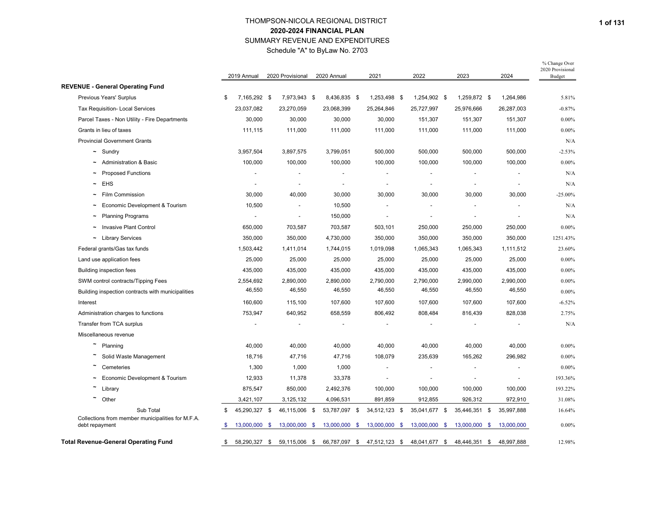Schedule "A" to ByLaw No. 2703

|                                                                     | 2019 Annual         |      | 2020 Provisional |      | 2020 Annual           | 2021                     | 2022          |     | 2023          | 2024                     | % Change Over<br>2020 Provisional<br>Budget |
|---------------------------------------------------------------------|---------------------|------|------------------|------|-----------------------|--------------------------|---------------|-----|---------------|--------------------------|---------------------------------------------|
| <b>REVENUE - General Operating Fund</b>                             |                     |      |                  |      |                       |                          |               |     |               |                          |                                             |
| Previous Years' Surplus                                             | \$<br>7,165,292 \$  |      | 7,973,943 \$     |      | 8,436,835 \$          | 1,253,498 \$             | 1,254,902 \$  |     | 1,259,872 \$  | 1,264,986                | 5.81%                                       |
| <b>Tax Requisition- Local Services</b>                              | 23,037,082          |      | 23,270,059       |      | 23,068,399            | 25,264,846               | 25,727,997    |     | 25,976,666    | 26,287,003               | $-0.87%$                                    |
| Parcel Taxes - Non Utility - Fire Departments                       | 30,000              |      | 30,000           |      | 30,000                | 30,000                   | 151,307       |     | 151,307       | 151,307                  | $0.00\%$                                    |
| Grants in lieu of taxes                                             | 111,115             |      | 111,000          |      | 111,000               | 111,000                  | 111,000       |     | 111,000       | 111,000                  | $0.00\%$                                    |
| <b>Provincial Government Grants</b>                                 |                     |      |                  |      |                       |                          |               |     |               |                          | N/A                                         |
| $\sim$ Sundry                                                       | 3,957,504           |      | 3,897,575        |      | 3,799,051             | 500,000                  | 500,000       |     | 500,000       | 500,000                  | $-2.53%$                                    |
| <b>Administration &amp; Basic</b>                                   | 100,000             |      | 100,000          |      | 100,000               | 100,000                  | 100,000       |     | 100,000       | 100,000                  | $0.00\%$                                    |
| <b>Proposed Functions</b><br>$\tilde{\phantom{a}}$                  |                     |      |                  |      |                       |                          |               |     |               |                          | N/A                                         |
| EHS                                                                 |                     |      |                  |      | $\tilde{\phantom{a}}$ |                          |               |     |               |                          | N/A                                         |
| Film Commission<br>$\tilde{\phantom{a}}$                            | 30,000              |      | 40,000           |      | 30,000                | 30,000                   | 30,000        |     | 30,000        | 30,000                   | $-25.00%$                                   |
| Economic Development & Tourism                                      | 10,500              |      |                  |      | 10,500                |                          |               |     |               |                          | N/A                                         |
| <b>Planning Programs</b>                                            |                     |      | $\blacksquare$   |      | 150,000               | $\overline{\phantom{a}}$ |               |     |               |                          | N/A                                         |
| <b>Invasive Plant Control</b><br>$\tilde{\phantom{a}}$              | 650,000             |      | 703,587          |      | 703,587               | 503,101                  | 250,000       |     | 250,000       | 250,000                  | $0.00\%$                                    |
| <b>Library Services</b><br>$\tilde{}$                               | 350,000             |      | 350,000          |      | 4,730,000             | 350,000                  | 350,000       |     | 350,000       | 350,000                  | 1251.43%                                    |
| Federal grants/Gas tax funds                                        | 1,503,442           |      | 1,411,014        |      | 1,744,015             | 1,019,098                | 1,065,343     |     | 1,065,343     | 1,111,512                | 23.60%                                      |
| Land use application fees                                           | 25,000              |      | 25,000           |      | 25,000                | 25,000                   | 25,000        |     | 25,000        | 25,000                   | $0.00\%$                                    |
| <b>Building inspection fees</b>                                     | 435,000             |      | 435,000          |      | 435,000               | 435,000                  | 435,000       |     | 435,000       | 435,000                  | $0.00\%$                                    |
| SWM control contracts/Tipping Fees                                  | 2,554,692           |      | 2,890,000        |      | 2,890,000             | 2,790,000                | 2,790,000     |     | 2,990,000     | 2,990,000                | $0.00\%$                                    |
| Building inspection contracts with municipalities                   | 46,550              |      | 46,550           |      | 46,550                | 46,550                   | 46,550        |     | 46,550        | 46,550                   | $0.00\%$                                    |
| Interest                                                            | 160,600             |      | 115,100          |      | 107,600               | 107,600                  | 107,600       |     | 107,600       | 107,600                  | $-6.52%$                                    |
| Administration charges to functions                                 | 753,947             |      | 640,952          |      | 658,559               | 806,492                  | 808,484       |     | 816,439       | 828,038                  | 2.75%                                       |
| Transfer from TCA surplus                                           |                     |      |                  |      |                       |                          |               |     |               |                          | N/A                                         |
| Miscellaneous revenue                                               |                     |      |                  |      |                       |                          |               |     |               |                          |                                             |
| Planning                                                            | 40,000              |      | 40,000           |      | 40,000                | 40,000                   | 40,000        |     | 40,000        | 40,000                   | $0.00\%$                                    |
| Solid Waste Management                                              | 18,716              |      | 47,716           |      | 47,716                | 108,079                  | 235,639       |     | 165,262       | 296,982                  | $0.00\%$                                    |
| Cemeteries                                                          | 1,300               |      | 1,000            |      | 1,000                 |                          |               |     |               |                          | $0.00\%$                                    |
| Economic Development & Tourism                                      | 12,933              |      | 11,378           |      | 33,378                |                          |               |     |               | $\overline{\phantom{a}}$ | 193.36%                                     |
| Library                                                             | 875,547             |      | 850,000          |      | 2,492,376             | 100,000                  | 100,000       |     | 100,000       | 100,000                  | 193.22%                                     |
| Other                                                               | 3,421,107           |      | 3,125,132        |      | 4,096,531             | 891,859                  | 912,855       |     | 926,312       | 972,910                  | 31.08%                                      |
| Sub Total                                                           | \$<br>45,290,327 \$ |      | 46,115,006 \$    |      | 53,787,097 \$         | 34,512,123 \$            | 35,041,677 \$ |     | 35,446,351 \$ | 35,997,888               | 16.64%                                      |
| Collections from member municipalities for M.F.A.<br>debt repayment | \$<br>13,000,000    | -\$  | 13,000,000       | - \$ | 13,000,000            | \$<br>13,000,000 \$      | 13,000,000    | -\$ | 13,000,000 \$ | 13,000,000               | $0.00\%$                                    |
| <b>Total Revenue-General Operating Fund</b>                         | \$<br>58,290,327    | - \$ | 59,115,006 \$    |      | 66,787,097 \$         | 47,512,123 \$            | 48,041,677 \$ |     | 48,446,351 \$ | 48,997,888               | 12.98%                                      |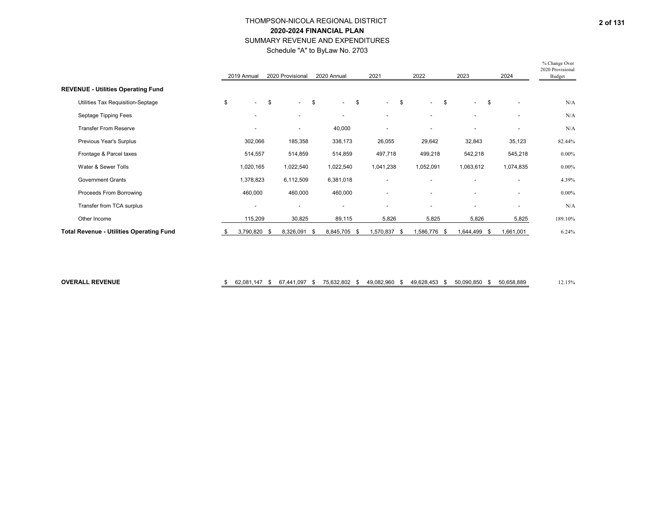Schedule "A" to ByLaw No. 2703

|                                                 |    | 2019 Annual              | 2020 Provisional         | 2020 Annual              | 2021         | 2022                           | 2023 |                          |               | 2024                     | % Change Over<br>2020 Provisional<br>Budget |
|-------------------------------------------------|----|--------------------------|--------------------------|--------------------------|--------------|--------------------------------|------|--------------------------|---------------|--------------------------|---------------------------------------------|
| <b>REVENUE - Utilities Operating Fund</b>       |    |                          |                          |                          |              |                                |      |                          |               |                          |                                             |
| Utilities Tax Requisition-Septage               | \$ | $\sim$                   | \$<br>$\sim$             | \$<br>$\sim$             | \$<br>$\sim$ | \$<br>$\overline{\phantom{a}}$ | -\$  | $\sim$                   | $\mathfrak s$ | ٠                        | N/A                                         |
| Septage Tipping Fees                            |    | $\overline{\phantom{a}}$ | $\overline{\phantom{a}}$ | $\blacksquare$           | ٠            | $\overline{\phantom{a}}$       |      |                          |               | ٠                        | N/A                                         |
| <b>Transfer From Reserve</b>                    |    | $\overline{\phantom{a}}$ | $\overline{\phantom{a}}$ | 40,000                   |              | $\overline{\phantom{a}}$       |      | $\overline{\phantom{a}}$ |               | ٠                        | N/A                                         |
| Previous Year's Surplus                         |    | 302,066                  | 185,358                  | 338,173                  | 26,055       | 29,642                         |      | 32,843                   |               | 35,123                   | 82.44%                                      |
| Frontage & Parcel taxes                         |    | 514,557                  | 514,859                  | 514,859                  | 497,718      | 499,218                        |      | 542,218                  |               | 545,218                  | $0.00\%$                                    |
| Water & Sewer Tolls                             |    | 1,020,165                | 1,022,540                | 1,022,540                | 1,041,238    | 1,052,091                      |      | 1,063,612                |               | 1,074,835                | $0.00\%$                                    |
| <b>Government Grants</b>                        |    | 1,378,823                | 6,112,509                | 6,381,018                | ٠            |                                |      | ۰                        |               | $\blacksquare$           | 4.39%                                       |
| Proceeds From Borrowing                         |    | 460,000                  | 460,000                  | 460,000                  | ٠            |                                |      | $\overline{\phantom{a}}$ |               | $\blacksquare$           | $0.00\%$                                    |
| Transfer from TCA surplus                       |    | $\overline{\phantom{a}}$ | $\overline{\phantom{a}}$ | $\overline{\phantom{a}}$ |              | $\overline{\phantom{a}}$       |      |                          |               | $\overline{\phantom{a}}$ | N/A                                         |
| Other Income                                    |    | 115,209                  | 30,825                   | 89,115                   | 5,826        | 5,825                          |      | 5,826                    |               | 5,825                    | 189.10%                                     |
| <b>Total Revenue - Utilities Operating Fund</b> | S  | 3,790,820 \$             | 8,326,091 \$             | 8,845,705 \$             | 1,570,837 \$ | 1,586,776 \$                   |      | 1,644,499 \$             |               | 1,661,001                | 6.24%                                       |

**OVERALL REVENUE**

### $\frac{1}{3}$  62,081,147 \$ 67,441,097 \$ 75,632,802 \$ 49,082,960 \$ 49,628,453 \$ 50,090,850 \$ 50,658,889 \$ 12.15%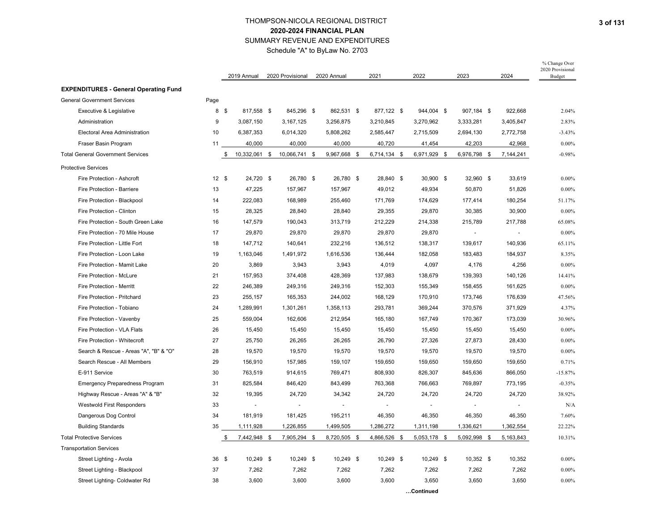Schedule "A" to ByLaw No. 2703

|                                              |       | 2019 Annual         | 2020 Provisional | 2020 Annual  | 2021         | 2022         | 2023         | 2024                  | % Change Over<br>2020 Provisional<br>Budget |
|----------------------------------------------|-------|---------------------|------------------|--------------|--------------|--------------|--------------|-----------------------|---------------------------------------------|
| <b>EXPENDITURES - General Operating Fund</b> |       |                     |                  |              |              |              |              |                       |                                             |
| <b>General Government Services</b>           | Page  |                     |                  |              |              |              |              |                       |                                             |
| Executive & Legislative                      | 8 \$  | 817,558 \$          | 845,296 \$       | 862,531 \$   | 877,122 \$   | 944,004 \$   | 907,184 \$   | 922,668               | 2.04%                                       |
| Administration                               | 9     | 3,087,150           | 3,167,125        | 3,256,875    | 3,210,845    | 3,270,962    | 3,333,281    | 3,405,847             | 2.83%                                       |
| Electoral Area Administration                | 10    | 6,387,353           | 6,014,320        | 5,808,262    | 2,585,447    | 2,715,509    | 2,694,130    | 2,772,758             | $-3.43%$                                    |
| Fraser Basin Program                         | 11    | 40,000              | 40,000           | 40,000       | 40,720       | 41,454       | 42,203       | 42,968                | $0.00\%$                                    |
| <b>Total General Government Services</b>     |       | \$<br>10,332,061 \$ | 10,066,741 \$    | 9,967,668 \$ | 6,714,134 \$ | 6,971,929 \$ | 6,976,798 \$ | 7,144,241             | $-0.98%$                                    |
| <b>Protective Services</b>                   |       |                     |                  |              |              |              |              |                       |                                             |
| Fire Protection - Ashcroft                   | 12S   | 24,720 \$           | 26,780 \$        | 26,780 \$    | 28,840 \$    | 30,900 \$    | 32,960 \$    | 33,619                | $0.00\%$                                    |
| Fire Protection - Barriere                   | 13    | 47,225              | 157,967          | 157,967      | 49,012       | 49,934       | 50,870       | 51,826                | $0.00\%$                                    |
| Fire Protection - Blackpool                  | 14    | 222,083             | 168,989          | 255,460      | 171,769      | 174,629      | 177,414      | 180,254               | 51.17%                                      |
| Fire Protection - Clinton                    | 15    | 28,325              | 28,840           | 28,840       | 29,355       | 29,870       | 30,385       | 30,900                | $0.00\%$                                    |
| Fire Protection - South Green Lake           | 16    | 147,579             | 190,043          | 313,719      | 212,229      | 214,338      | 215,789      | 217,788               | 65.08%                                      |
| Fire Protection - 70 Mile House              | 17    | 29,870              | 29,870           | 29,870       | 29,870       | 29,870       | $\sim$       | $\tilde{\phantom{a}}$ | $0.00\%$                                    |
| Fire Protection - Little Fort                | 18    | 147,712             | 140,641          | 232,216      | 136,512      | 138,317      | 139,617      | 140,936               | 65.11%                                      |
| Fire Protection - Loon Lake                  | 19    | 1,163,046           | 1,491,972        | 1,616,536    | 136,444      | 182,058      | 183,483      | 184,937               | 8.35%                                       |
| Fire Protection - Mamit Lake                 | 20    | 3,869               | 3,943            | 3,943        | 4,019        | 4,097        | 4,176        | 4,256                 | $0.00\%$                                    |
| Fire Protection - McLure                     | 21    | 157,953             | 374,408          | 428,369      | 137,983      | 138,679      | 139,393      | 140,126               | 14.41%                                      |
| Fire Protection - Merritt                    | 22    | 246,389             | 249,316          | 249,316      | 152,303      | 155,349      | 158,455      | 161,625               | $0.00\%$                                    |
| Fire Protection - Pritchard                  | 23    | 255,157             | 165,353          | 244,002      | 168,129      | 170,910      | 173,746      | 176,639               | 47.56%                                      |
| Fire Protection - Tobiano                    | 24    | 1,289,991           | 1,301,261        | 1,358,113    | 293,781      | 369,244      | 370,576      | 371,929               | 4.37%                                       |
| Fire Protection - Vavenby                    | 25    | 559,004             | 162,606          | 212,954      | 165,180      | 167,749      | 170,367      | 173,039               | 30.96%                                      |
| Fire Protection - VLA Flats                  | 26    | 15,450              | 15,450           | 15,450       | 15,450       | 15,450       | 15,450       | 15,450                | $0.00\%$                                    |
| Fire Protection - Whitecroft                 | 27    | 25,750              | 26,265           | 26,265       | 26,790       | 27,326       | 27,873       | 28,430                | $0.00\%$                                    |
| Search & Rescue - Areas "A", "B" & "O"       | 28    | 19,570              | 19,570           | 19,570       | 19,570       | 19,570       | 19,570       | 19,570                | 0.00%                                       |
| Search Rescue - All Members                  | 29    | 156,910             | 157,985          | 159,107      | 159,650      | 159,650      | 159,650      | 159,650               | 0.71%                                       |
| E-911 Service                                | 30    | 763,519             | 914,615          | 769,471      | 808,930      | 826,307      | 845,636      | 866,050               | $-15.87%$                                   |
| <b>Emergency Preparedness Program</b>        | 31    | 825,584             | 846,420          | 843,499      | 763,368      | 766,663      | 769,897      | 773,195               | $-0.35%$                                    |
| Highway Rescue - Areas "A" & "B"             | 32    | 19,395              | 24,720           | 34,342       | 24,720       | 24,720       | 24,720       | 24,720                | 38.92%                                      |
| <b>Westwold First Responders</b>             | 33    |                     |                  |              | ÷,           |              |              |                       | N/A                                         |
| Dangerous Dog Control                        | 34    | 181,919             | 181,425          | 195,211      | 46,350       | 46,350       | 46,350       | 46,350                | 7.60%                                       |
| <b>Building Standards</b>                    | 35    | 1,111,928           | 1,226,855        | 1,499,505    | 1,286,272    | 1,311,198    | 1,336,621    | 1,362,554             | 22.22%                                      |
| <b>Total Protective Services</b>             |       | \$<br>7,442,948 \$  | 7,905,294 \$     | 8,720,505 \$ | 4,866,526 \$ | 5,053,178 \$ | 5,092,998 \$ | 5,163,843             | 10.31%                                      |
| <b>Transportation Services</b>               |       |                     |                  |              |              |              |              |                       |                                             |
| Street Lighting - Avola                      | 36 \$ | 10,249 \$           | 10,249 \$        | 10,249 \$    | 10,249 \$    | 10,249 \$    | 10,352 \$    | 10,352                | $0.00\%$                                    |
| Street Lighting - Blackpool                  | 37    | 7,262               | 7,262            | 7,262        | 7,262        | 7,262        | 7,262        | 7,262                 | $0.00\%$                                    |
| Street Lighting- Coldwater Rd                | 38    | 3,600               | 3,600            | 3,600        | 3,600        | 3,650        | 3,650        | 3,650                 | $0.00\%$                                    |
|                                              |       |                     |                  |              |              | .Continued   |              |                       |                                             |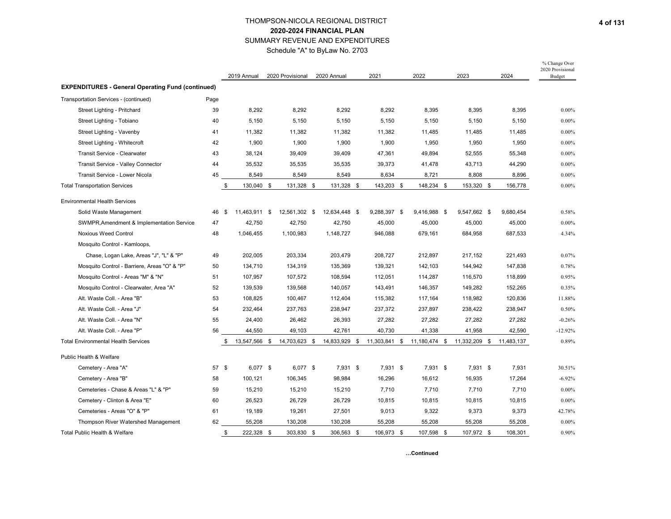Schedule "A" to ByLaw No. 2703

|                                                          |       | 2019 Annual          | 2020 Provisional | 2020 Annual   | 2021          | 2022          | 2023          | 2024       | % Change Over<br>2020 Provisional<br>Budget |
|----------------------------------------------------------|-------|----------------------|------------------|---------------|---------------|---------------|---------------|------------|---------------------------------------------|
| <b>EXPENDITURES - General Operating Fund (continued)</b> |       |                      |                  |               |               |               |               |            |                                             |
| Transportation Services - (continued)                    | Page  |                      |                  |               |               |               |               |            |                                             |
| Street Lighting - Pritchard                              | 39    | 8,292                | 8,292            | 8,292         | 8,292         | 8,395         | 8,395         | 8,395      | $0.00\%$                                    |
| Street Lighting - Tobiano                                | 40    | 5,150                | 5,150            | 5,150         | 5,150         | 5,150         | 5,150         | 5,150      | $0.00\%$                                    |
| Street Lighting - Vavenby                                | 41    | 11,382               | 11,382           | 11,382        | 11,382        | 11,485        | 11,485        | 11,485     | $0.00\%$                                    |
| Street Lighting - Whitecroft                             | 42    | 1,900                | 1,900            | 1,900         | 1,900         | 1,950         | 1,950         | 1,950      | $0.00\%$                                    |
| Transit Service - Clearwater                             | 43    | 38,124               | 39,409           | 39,409        | 47,361        | 49,894        | 52,555        | 55,348     | $0.00\%$                                    |
| Transit Service - Valley Connector                       | 44    | 35,532               | 35,535           | 35,535        | 39,373        | 41,478        | 43,713        | 44,290     | $0.00\%$                                    |
| Transit Service - Lower Nicola                           | 45    | 8,549                | 8,549            | 8,549         | 8,634         | 8,721         | 8,808         | 8,896      | $0.00\%$                                    |
| <b>Total Transportation Services</b>                     |       | 130,040 \$<br>\$     | 131,328 \$       | 131,328 \$    | 143,203 \$    | 148,234 \$    | 153,320 \$    | 156,778    | $0.00\%$                                    |
| <b>Environmental Health Services</b>                     |       |                      |                  |               |               |               |               |            |                                             |
| Solid Waste Management                                   | 46    | 11,463,911 \$<br>-\$ | 12,561,302 \$    | 12,634,448 \$ | 9,288,397 \$  | 9,416,988 \$  | 9,547,662 \$  | 9,680,454  | 0.58%                                       |
| SWMPR, Amendment & Implementation Service                | 47    | 42,750               | 42,750           | 42,750        | 45,000        | 45,000        | 45,000        | 45,000     | $0.00\%$                                    |
| <b>Noxious Weed Control</b>                              | 48    | 1,046,455            | 1,100,983        | 1,148,727     | 946,088       | 679,161       | 684,958       | 687,533    | 4.34%                                       |
| Mosquito Control - Kamloops,                             |       |                      |                  |               |               |               |               |            |                                             |
| Chase, Logan Lake, Areas "J", "L" & "P"                  | 49    | 202,005              | 203,334          | 203,479       | 208,727       | 212,897       | 217,152       | 221,493    | 0.07%                                       |
| Mosquito Control - Barriere, Areas "O" & "P"             | 50    | 134,710              | 134,319          | 135,369       | 139,321       | 142,103       | 144,942       | 147,838    | 0.78%                                       |
| Mosquito Control - Areas "M" & "N"                       | 51    | 107,957              | 107,572          | 108,594       | 112,051       | 114,287       | 116,570       | 118,899    | 0.95%                                       |
| Mosquito Control - Clearwater, Area "A"                  | 52    | 139,539              | 139,568          | 140,057       | 143,491       | 146,357       | 149,282       | 152,265    | 0.35%                                       |
| Alt. Waste Coll. - Area "B"                              | 53    | 108,825              | 100,467          | 112,404       | 115,382       | 117,164       | 118,982       | 120.836    | 11.88%                                      |
| Alt. Waste Coll. - Area "J"                              | 54    | 232,464              | 237,763          | 238,947       | 237,372       | 237,897       | 238,422       | 238,947    | 0.50%                                       |
| Alt. Waste Coll. - Area "N"                              | 55    | 24,400               | 26,462           | 26,393        | 27,282        | 27,282        | 27,282        | 27,282     | $-0.26%$                                    |
| Alt. Waste Coll. - Area "P"                              | 56    | 44,550               | 49,103           | 42,761        | 40,730        | 41,338        | 41,958        | 42,590     | $-12.92%$                                   |
| <b>Total Environmental Health Services</b>               |       | 13,547,566 \$        | 14,703,623 \$    | 14,833,929 \$ | 11,303,841 \$ | 11,180,474 \$ | 11,332,209 \$ | 11,483,137 | 0.89%                                       |
| Public Health & Welfare                                  |       |                      |                  |               |               |               |               |            |                                             |
| Cemetery - Area "A"                                      | 57 \$ | 6,077 \$             | 6,077 \$         | 7,931 \$      | 7,931 \$      | 7,931 \$      | 7,931 \$      | 7,931      | 30.51%                                      |
| Cemetery - Area "B"                                      | 58    | 100,121              | 106,345          | 98,984        | 16,296        | 16,612        | 16,935        | 17,264     | $-6.92%$                                    |
| Cemeteries - Chase & Areas "L" & "P"                     | 59    | 15,210               | 15,210           | 15,210        | 7,710         | 7,710         | 7,710         | 7,710      | $0.00\%$                                    |
| Cemetery - Clinton & Area "E"                            | 60    | 26,523               | 26,729           | 26,729        | 10,815        | 10,815        | 10,815        | 10,815     | $0.00\%$                                    |
| Cemeteries - Areas "O" & "P"                             | 61    | 19,189               | 19,261           | 27,501        | 9,013         | 9,322         | 9,373         | 9,373      | 42.78%                                      |
| Thompson River Watershed Management                      | 62    | 55,208               | 130,208          | 130,208       | 55,208        | 55,208        | 55,208        | 55,208     | $0.00\%$                                    |
| Total Public Health & Welfare                            |       | 222,328 \$<br>\$     | 303,830 \$       | 306,563 \$    | 106,973 \$    | 107,598 \$    | 107,972 \$    | 108,301    | 0.90%                                       |

**…Continued**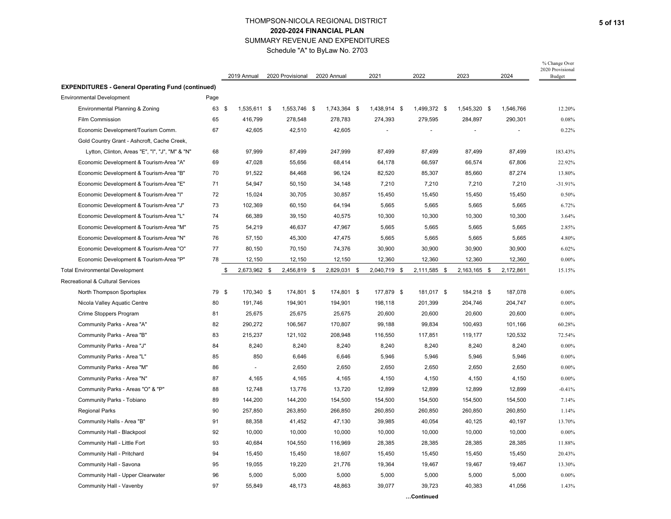Schedule "A" to ByLaw No. 2703

|                                                          |       | 2019 Annual        | 2020 Provisional | 2020 Annual  | 2021         | 2022         | 2023         |            | 2024      | % Change Over<br>2020 Provisional<br>Budget |
|----------------------------------------------------------|-------|--------------------|------------------|--------------|--------------|--------------|--------------|------------|-----------|---------------------------------------------|
| <b>EXPENDITURES - General Operating Fund (continued)</b> |       |                    |                  |              |              |              |              |            |           |                                             |
| <b>Environmental Development</b>                         | Page  |                    |                  |              |              |              |              |            |           |                                             |
| Environmental Planning & Zoning                          | 63 \$ | 1,535,611 \$       | 1,553,746 \$     | 1,743,364 \$ | 1,438,914 \$ | 1,499,372 \$ | 1,545,320 \$ |            | 1,546,766 | 12.20%                                      |
| Film Commission                                          | 65    | 416,799            | 278,548          | 278,783      | 274,393      | 279,595      | 284,897      |            | 290,301   | 0.08%                                       |
| Economic Development/Tourism Comm.                       | 67    | 42,605             | 42,510           | 42,605       |              |              |              |            |           | 0.22%                                       |
| Gold Country Grant - Ashcroft, Cache Creek,              |       |                    |                  |              |              |              |              |            |           |                                             |
| Lytton, Clinton, Areas "E", "I", "J", "M" & "N"          | 68    | 97,999             | 87,499           | 247,999      | 87,499       | 87,499       |              | 87,499     | 87,499    | 183.43%                                     |
| Economic Development & Tourism-Area "A"                  | 69    | 47,028             | 55,656           | 68,414       | 64,178       | 66,597       |              | 66,574     | 67,806    | 22.92%                                      |
| Economic Development & Tourism-Area "B"                  | 70    | 91,522             | 84,468           | 96,124       | 82,520       | 85,307       |              | 85,660     | 87,274    | 13.80%                                      |
| Economic Development & Tourism-Area "E"                  | 71    | 54,947             | 50,150           | 34,148       | 7,210        | 7,210        |              | 7,210      | 7,210     | $-31.91%$                                   |
| Economic Development & Tourism-Area "I"                  | 72    | 15,024             | 30,705           | 30,857       | 15,450       | 15,450       |              | 15,450     | 15,450    | 0.50%                                       |
| Economic Development & Tourism-Area "J"                  | 73    | 102,369            | 60,150           | 64,194       | 5,665        | 5,665        |              | 5,665      | 5,665     | 6.72%                                       |
| Economic Development & Tourism-Area "L"                  | 74    | 66,389             | 39,150           | 40,575       | 10,300       | 10,300       |              | 10,300     | 10,300    | 3.64%                                       |
| Economic Development & Tourism-Area "M"                  | 75    | 54,219             | 46,637           | 47,967       | 5,665        | 5,665        |              | 5,665      | 5,665     | 2.85%                                       |
| Economic Development & Tourism-Area "N"                  | 76    | 57,150             | 45,300           | 47,475       | 5,665        | 5,665        |              | 5,665      | 5,665     | 4.80%                                       |
| Economic Development & Tourism-Area "O"                  | 77    | 80,150             | 70,150           | 74,376       | 30,900       | 30,900       |              | 30,900     | 30,900    | 6.02%                                       |
| Economic Development & Tourism-Area "P"                  | 78    | 12,150             | 12,150           | 12,150       | 12,360       | 12,360       |              | 12,360     | 12,360    | $0.00\%$                                    |
| <b>Total Environmental Development</b>                   |       | 2,673,962 \$<br>\$ | 2,456,819 \$     | 2,829,031 \$ | 2,040,719 \$ | 2,111,585 \$ | 2,163,165 \$ |            | 2,172,861 | 15.15%                                      |
| Recreational & Cultural Services                         |       |                    |                  |              |              |              |              |            |           |                                             |
| North Thompson Sportsplex                                | 79 \$ | 170,340 \$         | 174,801 \$       | 174,801 \$   | 177,879 \$   | 181,017 \$   |              | 184,218 \$ | 187,078   | $0.00\%$                                    |
| Nicola Valley Aquatic Centre                             | 80    | 191,746            | 194,901          | 194,901      | 198,118      | 201,399      |              | 204,746    | 204,747   | $0.00\%$                                    |
| Crime Stoppers Program                                   | 81    | 25,675             | 25,675           | 25,675       | 20,600       | 20,600       |              | 20,600     | 20,600    | $0.00\%$                                    |
| Community Parks - Area "A"                               | 82    | 290,272            | 106,567          | 170,807      | 99,188       | 99,834       |              | 100,493    | 101,166   | 60.28%                                      |
| Community Parks - Area "B"                               | 83    | 215,237            | 121,102          | 208,948      | 116,550      | 117,851      |              | 119,177    | 120,532   | 72.54%                                      |
| Community Parks - Area "J"                               | 84    | 8,240              | 8,240            | 8,240        | 8,240        | 8,240        |              | 8,240      | 8,240     | $0.00\%$                                    |
| Community Parks - Area "L"                               | 85    | 850                | 6,646            | 6,646        | 5,946        | 5,946        |              | 5,946      | 5,946     | $0.00\%$                                    |
| Community Parks - Area "M"                               | 86    | $\sim$             | 2,650            | 2,650        | 2,650        | 2,650        |              | 2,650      | 2,650     | $0.00\%$                                    |
| Community Parks - Area "N"                               | 87    | 4,165              | 4,165            | 4,165        | 4,150        | 4,150        |              | 4,150      | 4,150     | $0.00\%$                                    |
| Community Parks - Areas "O" & "P"                        | 88    | 12,748             | 13,776           | 13,720       | 12,899       | 12,899       |              | 12,899     | 12,899    | $-0.41%$                                    |
| Community Parks - Tobiano                                | 89    | 144,200            | 144,200          | 154,500      | 154,500      | 154,500      |              | 154,500    | 154,500   | 7.14%                                       |
| <b>Regional Parks</b>                                    | 90    | 257,850            | 263,850          | 266,850      | 260,850      | 260,850      |              | 260,850    | 260,850   | 1.14%                                       |
| Community Halls - Area "B"                               | 91    | 88,358             | 41,452           | 47,130       | 39,985       | 40,054       |              | 40,125     | 40,197    | 13.70%                                      |
| Community Hall - Blackpool                               | 92    | 10,000             | 10,000           | 10,000       | 10,000       | 10,000       |              | 10,000     | 10,000    | $0.00\%$                                    |
| Community Hall - Little Fort                             | 93    | 40,684             | 104,550          | 116,969      | 28,385       | 28,385       |              | 28,385     | 28,385    | 11.88%                                      |
| Community Hall - Pritchard                               | 94    | 15,450             | 15,450           | 18,607       | 15,450       | 15,450       |              | 15,450     | 15,450    | 20.43%                                      |
| Community Hall - Savona                                  | 95    | 19,055             | 19,220           | 21,776       | 19,364       | 19,467       |              | 19,467     | 19,467    | 13.30%                                      |
| Community Hall - Upper Clearwater                        | 96    | 5,000              | 5,000            | 5,000        | 5,000        | 5,000        |              | 5,000      | 5,000     | $0.00\%$                                    |
| Community Hall - Vavenby                                 | 97    | 55,849             | 48,173           | 48,863       | 39,077       | 39,723       |              | 40,383     | 41,056    | 1.43%                                       |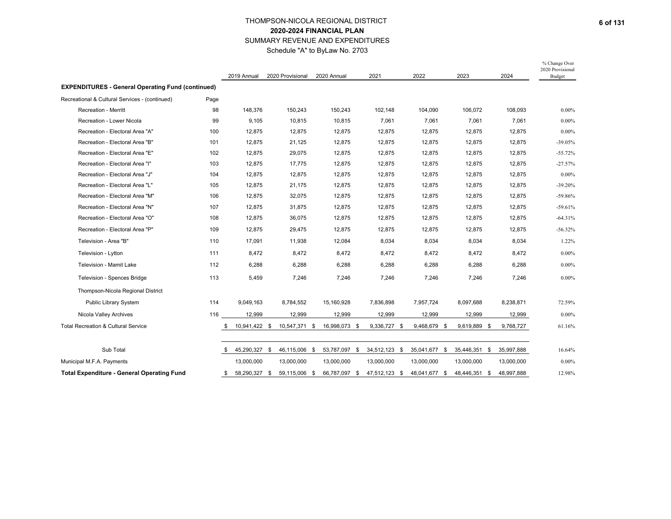## THOMPSON-NICOLA REGIONAL DISTRICT **2020-2024 FINANCIAL PLAN** SUMMARY REVENUE AND EXPENDITURES Schedule "A" to ByLaw No. 2703

|                                                          |      | 2019 Annual         | 2020 Provisional | 2020 Annual           | 2021          |              | 2022          | 2023          | 2024       | % Change Over<br>2020 Provisional<br><b>Budget</b> |
|----------------------------------------------------------|------|---------------------|------------------|-----------------------|---------------|--------------|---------------|---------------|------------|----------------------------------------------------|
| <b>EXPENDITURES - General Operating Fund (continued)</b> |      |                     |                  |                       |               |              |               |               |            |                                                    |
| Recreational & Cultural Services - (continued)           | Page |                     |                  |                       |               |              |               |               |            |                                                    |
| <b>Recreation - Merritt</b>                              | 98   | 148,376             | 150,243          | 150,243               | 102,148       |              | 104,090       | 106,072       | 108,093    | $0.00\%$                                           |
| Recreation - Lower Nicola                                | 99   | 9,105               | 10,815           | 10,815                |               | 7,061        | 7,061         | 7,061         | 7,061      | $0.00\%$                                           |
| Recreation - Electoral Area "A"                          | 100  | 12,875              | 12,875           | 12,875                |               | 12,875       | 12,875        | 12,875        | 12,875     | $0.00\%$                                           |
| Recreation - Electoral Area "B"                          | 101  | 12,875              | 21,125           | 12,875                |               | 12,875       | 12,875        | 12,875        | 12,875     | $-39.05%$                                          |
| Recreation - Electoral Area "E"                          | 102  | 12,875              | 29,075           | 12,875                |               | 12,875       | 12,875        | 12,875        | 12,875     | $-55.72%$                                          |
| Recreation - Electoral Area "I"                          | 103  | 12,875              | 17,775           | 12,875                |               | 12,875       | 12,875        | 12,875        | 12,875     | $-27.57%$                                          |
| Recreation - Electoral Area "J"                          | 104  | 12,875              | 12,875           | 12,875                |               | 12,875       | 12,875        | 12,875        | 12,875     | $0.00\%$                                           |
| Recreation - Electoral Area "L"                          | 105  | 12,875              | 21,175           | 12,875                |               | 12,875       | 12,875        | 12,875        | 12,875     | $-39.20%$                                          |
| Recreation - Electoral Area "M"                          | 106  | 12,875              | 32,075           | 12,875                |               | 12,875       | 12,875        | 12,875        | 12,875     | $-59.86%$                                          |
| Recreation - Electoral Area "N"                          | 107  | 12,875              | 31,875           | 12,875                |               | 12,875       | 12,875        | 12,875        | 12,875     | $-59.61%$                                          |
| Recreation - Electoral Area "O"                          | 108  | 12,875              | 36,075           | 12,875                |               | 12,875       | 12,875        | 12,875        | 12,875     | $-64.31%$                                          |
| Recreation - Electoral Area "P"                          | 109  | 12,875              | 29,475           | 12,875                |               | 12,875       | 12,875        | 12,875        | 12,875     | $-56.32%$                                          |
| Television - Area "B"                                    | 110  | 17,091              | 11,938           | 12,084                |               | 8,034        | 8,034         | 8,034         | 8,034      | 1.22%                                              |
| Television - Lytton                                      | 111  | 8,472               | 8,472            | 8,472                 |               | 8,472        | 8,472         | 8,472         | 8,472      | $0.00\%$                                           |
| <b>Television - Mamit Lake</b>                           | 112  | 6,288               | 6,288            | 6,288                 |               | 6,288        | 6,288         | 6,288         | 6,288      | $0.00\%$                                           |
| Television - Spences Bridge                              | 113  | 5,459               | 7,246            | 7,246                 |               | 7,246        | 7,246         | 7,246         | 7,246      | $0.00\%$                                           |
| Thompson-Nicola Regional District                        |      |                     |                  |                       |               |              |               |               |            |                                                    |
| Public Library System                                    | 114  | 9,049,163           | 8,784,552        | 15,160,928            | 7,836,898     |              | 7,957,724     | 8,097,688     | 8,238,871  | 72.59%                                             |
| Nicola Valley Archives                                   | 116  | 12,999              | 12,999           | 12,999                |               | 12,999       | 12,999        | 12,999        | 12,999     | $0.00\%$                                           |
| <b>Total Recreation &amp; Cultural Service</b>           |      | 10.941.422 \$       | 10,547,371       | 16.998.073 \$<br>- \$ |               | 9.336.727 \$ | 9.468.679 \$  | 9.619.889 \$  | 9,768,727  | 61.16%                                             |
| Sub Total                                                |      | 45,290,327 \$<br>\$ | 46,115,006 \$    | 53,787,097 \$         | 34,512,123 \$ |              | 35,041,677 \$ | 35,446,351 \$ | 35,997,888 | 16.64%                                             |
| Municipal M.F.A. Payments                                |      | 13,000,000          | 13,000,000       | 13,000,000            | 13,000,000    |              | 13,000,000    | 13,000,000    | 13,000,000 | $0.00\%$                                           |
| <b>Total Expenditure - General Operating Fund</b>        |      | 58,290,327 \$<br>\$ | 59,115,006 \$    | 66,787,097 \$         | 47,512,123 \$ |              | 48,041,677 \$ | 48,446,351 \$ | 48,997,888 | 12.98%                                             |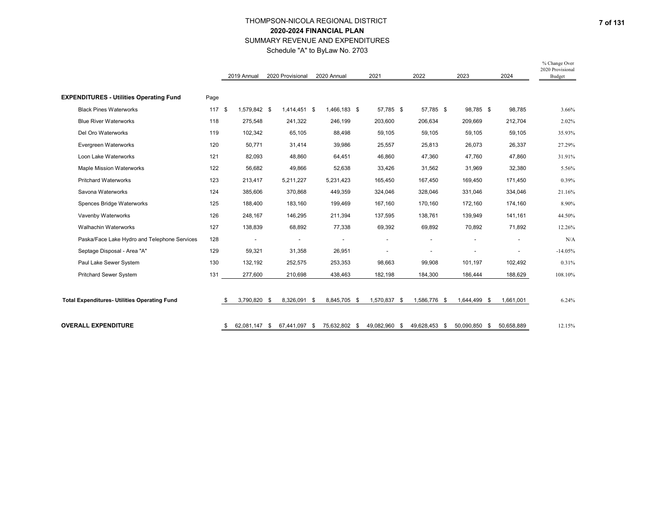Schedule "A" to ByLaw No. 2703

|                                                     |      | 2019 Annual        |     | 2020 Provisional | 2020 Annual         | 2021          | 2022          | 2023          | 2024       | % Change Over<br>2020 Provisional<br><b>Budget</b> |
|-----------------------------------------------------|------|--------------------|-----|------------------|---------------------|---------------|---------------|---------------|------------|----------------------------------------------------|
| <b>EXPENDITURES - Utilities Operating Fund</b>      | Page |                    |     |                  |                     |               |               |               |            |                                                    |
| <b>Black Pines Waterworks</b>                       | 117S | 1.579.842 \$       |     | 1.414.451 \$     | 1.466.183 \$        | 57.785 \$     | 57,785 \$     | 98,785 \$     | 98,785     | 3.66%                                              |
| <b>Blue River Waterworks</b>                        | 118  | 275,548            |     | 241,322          | 246,199             | 203,600       | 206,634       | 209,669       | 212,704    | 2.02%                                              |
| Del Oro Waterworks                                  | 119  | 102,342            |     | 65,105           | 88,498              | 59,105        | 59,105        | 59,105        | 59,105     | 35.93%                                             |
| Evergreen Waterworks                                | 120  | 50,771             |     | 31,414           | 39,986              | 25,557        | 25,813        | 26,073        | 26,337     | 27.29%                                             |
| Loon Lake Waterworks                                | 121  | 82,093             |     | 48,860           | 64,451              | 46,860        | 47,360        | 47,760        | 47,860     | 31.91%                                             |
| Maple Mission Waterworks                            | 122  | 56,682             |     | 49,866           | 52,638              | 33,426        | 31,562        | 31,969        | 32,380     | 5.56%                                              |
| <b>Pritchard Waterworks</b>                         | 123  | 213,417            |     | 5,211,227        | 5,231,423           | 165,450       | 167,450       | 169,450       | 171,450    | 0.39%                                              |
| Savona Waterworks                                   | 124  | 385,606            |     | 370,868          | 449,359             | 324,046       | 328,046       | 331,046       | 334,046    | 21.16%                                             |
| Spences Bridge Waterworks                           | 125  | 188,400            |     | 183,160          | 199,469             | 167,160       | 170,160       | 172,160       | 174,160    | 8.90%                                              |
| Vavenby Waterworks                                  | 126  | 248,167            |     | 146,295          | 211,394             | 137,595       | 138,761       | 139,949       | 141,161    | 44.50%                                             |
| <b>Walhachin Waterworks</b>                         | 127  | 138,839            |     | 68,892           | 77,338              | 69,392        | 69,892        | 70,892        | 71,892     | 12.26%                                             |
| Paska/Face Lake Hydro and Telephone Services        | 128  |                    |     |                  |                     | ÷,            |               |               |            | N/A                                                |
| Septage Disposal - Area "A"                         | 129  | 59,321             |     | 31,358           | 26,951              | ÷,            |               |               |            | $-14.05%$                                          |
| Paul Lake Sewer System                              | 130  | 132,192            |     | 252,575          | 253,353             | 98,663        | 99,908        | 101,197       | 102,492    | 0.31%                                              |
| <b>Pritchard Sewer System</b>                       | 131  | 277,600            |     | 210,698          | 438,463             | 182,198       | 184,300       | 186,444       | 188,629    | 108.10%                                            |
|                                                     |      |                    |     |                  |                     |               |               |               |            |                                                    |
| <b>Total Expenditures- Utilities Operating Fund</b> |      | \$<br>3,790,820 \$ |     | 8,326,091 \$     | 8,845,705 \$        | 1,570,837 \$  | 1,586,776 \$  | 1,644,499 \$  | 1,661,001  | 6.24%                                              |
| <b>OVERALL EXPENDITURE</b>                          |      | \$<br>62,081,147   | -\$ | 67,441,097       | \$<br>75,632,802 \$ | 49,082,960 \$ | 49,628,453 \$ | 50,090,850 \$ | 50,658,889 | 12.15%                                             |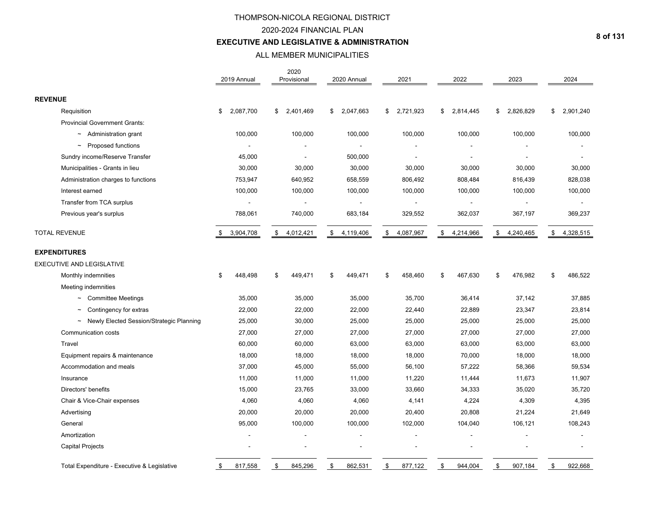### 2020-2024 FINANCIAL PLAN

### **EXECUTIVE AND LEGISLATIVE & ADMINISTRATION**

# ALL MEMBER MUNICIPALITIES

|                                             | 2019 Annual     | 2020<br>Provisional      | 2020 Annual     | 2021            | 2022            | 2023            | 2024            |
|---------------------------------------------|-----------------|--------------------------|-----------------|-----------------|-----------------|-----------------|-----------------|
| <b>REVENUE</b>                              |                 |                          |                 |                 |                 |                 |                 |
| Requisition                                 | 2,087,700<br>\$ | 2,401,469<br>\$          | 2,047,663<br>\$ | 2,721,923<br>\$ | 2,814,445<br>S  | \$<br>2,826,829 | 2,901,240<br>\$ |
| <b>Provincial Government Grants:</b>        |                 |                          |                 |                 |                 |                 |                 |
| $\sim$ Administration grant                 | 100,000         | 100,000                  | 100,000         | 100,000         | 100,000         | 100,000         | 100,000         |
| $\sim$ Proposed functions                   |                 |                          |                 |                 |                 |                 |                 |
| Sundry income/Reserve Transfer              | 45,000          |                          | 500,000         |                 |                 |                 |                 |
| Municipalities - Grants in lieu             | 30,000          | 30,000                   | 30,000          | 30,000          | 30,000          | 30,000          | 30,000          |
| Administration charges to functions         | 753,947         | 640,952                  | 658,559         | 806,492         | 808,484         | 816,439         | 828,038         |
| Interest earned                             | 100,000         | 100,000                  | 100,000         | 100,000         | 100,000         | 100,000         | 100,000         |
| Transfer from TCA surplus                   |                 | $\overline{\phantom{a}}$ | $\overline{a}$  | $\blacksquare$  |                 |                 |                 |
| Previous year's surplus                     | 788,061         | 740,000                  | 683,184         | 329,552         | 362,037         | 367,197         | 369,237         |
| <b>TOTAL REVENUE</b>                        | 3,904,708<br>\$ | \$<br>4,012,421          | \$<br>4,119,406 | 4,087,967<br>\$ | \$<br>4,214,966 | \$<br>4,240,465 | \$<br>4,328,515 |
| <b>EXPENDITURES</b>                         |                 |                          |                 |                 |                 |                 |                 |
| EXECUTIVE AND LEGISLATIVE                   |                 |                          |                 |                 |                 |                 |                 |
| Monthly indemnities                         | \$<br>448,498   | \$<br>449,471            | \$<br>449,471   | 458,460<br>\$   | \$<br>467,630   | \$<br>476,982   | \$<br>486,522   |
| Meeting indemnities                         |                 |                          |                 |                 |                 |                 |                 |
| $\sim$ Committee Meetings                   | 35,000          | 35,000                   | 35,000          | 35,700          | 36,414          | 37,142          | 37,885          |
| Contingency for extras                      | 22,000          | 22,000                   | 22,000          | 22,440          | 22,889          | 23,347          | 23,814          |
| ~ Newly Elected Session/Strategic Planning  | 25,000          | 30,000                   | 25,000          | 25,000          | 25,000          | 25,000          | 25,000          |
| Communication costs                         | 27,000          | 27,000                   | 27,000          | 27,000          | 27,000          | 27,000          | 27,000          |
| Travel                                      | 60,000          | 60,000                   | 63,000          | 63,000          | 63,000          | 63,000          | 63,000          |
| Equipment repairs & maintenance             | 18,000          | 18,000                   | 18,000          | 18,000          | 70,000          | 18,000          | 18,000          |
| Accommodation and meals                     | 37,000          | 45,000                   | 55,000          | 56,100          | 57,222          | 58,366          | 59,534          |
| Insurance                                   | 11,000          | 11,000                   | 11,000          | 11,220          | 11,444          | 11,673          | 11,907          |
| Directors' benefits                         | 15,000          | 23,765                   | 33,000          | 33,660          | 34,333          | 35,020          | 35,720          |
| Chair & Vice-Chair expenses                 | 4,060           | 4,060                    | 4,060           | 4,141           | 4,224           | 4,309           | 4,395           |
| Advertising                                 | 20,000          | 20,000                   | 20,000          | 20,400          | 20,808          | 21,224          | 21,649          |
| General                                     | 95,000          | 100,000                  | 100,000         | 102,000         | 104,040         | 106,121         | 108,243         |
| Amortization                                |                 |                          |                 |                 |                 |                 |                 |
| <b>Capital Projects</b>                     |                 |                          |                 |                 |                 |                 |                 |
| Total Expenditure - Executive & Legislative | \$<br>817,558   | \$<br>845,296            | \$<br>862,531   | \$<br>877,122   | \$<br>944,004   | \$<br>907,184   | \$<br>922,668   |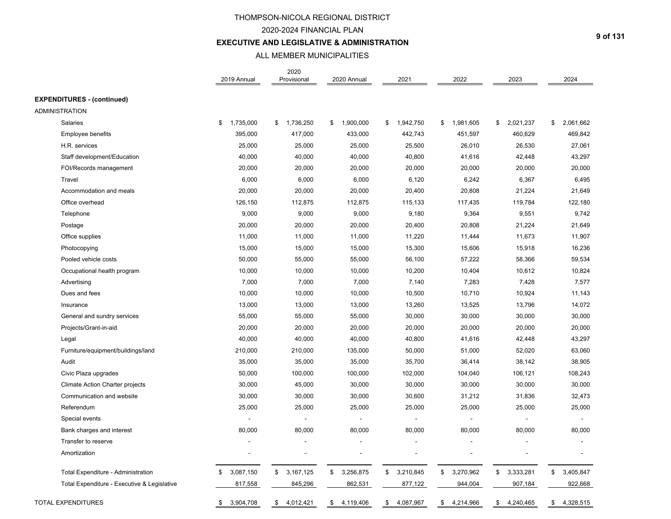## 2020-2024 FINANCIAL PLAN

## **EXECUTIVE AND LEGISLATIVE & ADMINISTRATION**

### ALL MEMBER MUNICIPALITIES

|                                             | 2019 Annual     | 2020<br>Provisional | 2020 Annual     | 2021            | 2022            | 2023            | 2024            |
|---------------------------------------------|-----------------|---------------------|-----------------|-----------------|-----------------|-----------------|-----------------|
| <b>EXPENDITURES - (continued)</b>           |                 |                     |                 |                 |                 |                 |                 |
| <b>ADMINISTRATION</b>                       |                 |                     |                 |                 |                 |                 |                 |
| <b>Salaries</b>                             | \$<br>1,735,000 | 1,736,250<br>\$     | 1,900,000<br>\$ | \$<br>1,942,750 | 1,981,605<br>\$ | \$<br>2,021,237 | \$<br>2,061,662 |
| <b>Employee benefits</b>                    | 395,000         | 417,000             | 433,000         | 442,743         | 451,597         | 460,629         | 469,842         |
| H.R. services                               | 25,000          | 25,000              | 25,000          | 25,500          | 26,010          | 26,530          | 27,061          |
| Staff development/Education                 | 40,000          | 40,000              | 40,000          | 40,800          | 41,616          | 42,448          | 43,297          |
| FOI/Records management                      | 20,000          | 20,000              | 20,000          | 20,000          | 20,000          | 20,000          | 20,000          |
| Travel                                      | 6,000           | 6,000               | 6,000           | 6,120           | 6,242           | 6,367           | 6,495           |
| Accommodation and meals                     | 20,000          | 20,000              | 20,000          | 20,400          | 20,808          | 21,224          | 21,649          |
| Office overhead                             | 126,150         | 112,875             | 112,875         | 115,133         | 117,435         | 119,784         | 122,180         |
| Telephone                                   | 9,000           | 9,000               | 9,000           | 9,180           | 9,364           | 9,551           | 9,742           |
| Postage                                     | 20,000          | 20,000              | 20,000          | 20,400          | 20,808          | 21,224          | 21,649          |
| Office supplies                             | 11,000          | 11,000              | 11,000          | 11,220          | 11,444          | 11,673          | 11,907          |
| Photocopying                                | 15,000          | 15,000              | 15,000          | 15,300          | 15,606          | 15,918          | 16,236          |
| Pooled vehicle costs                        | 50,000          | 55,000              | 55,000          | 56,100          | 57,222          | 58,366          | 59,534          |
| Occupational health program                 | 10,000          | 10,000              | 10,000          | 10,200          | 10,404          | 10,612          | 10,824          |
| Advertising                                 | 7,000           | 7,000               | 7,000           | 7,140           | 7,283           | 7,428           | 7,577           |
| Dues and fees                               | 10,000          | 10,000              | 10,000          | 10,500          | 10,710          | 10,924          | 11,143          |
| Insurance                                   | 13,000          | 13,000              | 13,000          | 13,260          | 13,525          | 13,796          | 14,072          |
| General and sundry services                 | 55,000          | 55,000              | 55,000          | 30,000          | 30,000          | 30,000          | 30,000          |
| Projects/Grant-in-aid                       | 20,000          | 20,000              | 20,000          | 20,000          | 20,000          | 20,000          | 20,000          |
| Legal                                       | 40,000          | 40,000              | 40,000          | 40,800          | 41,616          | 42,448          | 43,297          |
| Furniture/equipment/buildings/land          | 210,000         | 210,000             | 135,000         | 50,000          | 51,000          | 52,020          | 63,060          |
| Audit                                       | 35,000          | 35,000              | 35,000          | 35,700          | 36,414          | 38,142          | 38,905          |
| Civic Plaza upgrades                        | 50,000          | 100,000             | 100,000         | 102,000         | 104,040         | 106,121         | 108,243         |
| Climate Action Charter projects             | 30,000          | 45,000              | 30,000          | 30,000          | 30,000          | 30,000          | 30,000          |
| Communication and website                   | 30,000          | 30,000              | 30,000          | 30,600          | 31,212          | 31,836          | 32,473          |
| Referendum                                  | 25,000          | 25,000              | 25,000          | 25,000          | 25,000          | 25,000          | 25,000          |
| Special events                              |                 | ÷,                  |                 |                 |                 |                 |                 |
| Bank charges and interest                   | 80,000          | 80,000              | 80,000          | 80,000          | 80,000          | 80,000          | 80,000          |
| Transfer to reserve                         | $\blacksquare$  |                     |                 |                 |                 |                 |                 |
| Amortization                                | $\overline{a}$  |                     | $\blacksquare$  |                 | ä,              |                 |                 |
| Total Expenditure - Administration          | 3,087,150<br>\$ | \$<br>3,167,125     | \$<br>3,256,875 | \$<br>3,210,845 | \$<br>3,270,962 | \$<br>3,333,281 | \$<br>3,405,847 |
| Total Expenditure - Executive & Legislative | 817,558         | 845,296             | 862,531         | 877,122         | 944,004         | 907,184         | 922,668         |
| <b>TOTAL EXPENDITURES</b>                   | 3,904,708<br>\$ | 4,012,421<br>\$     | 4,119,406<br>\$ | 4,087,967<br>\$ | 4,214,966<br>\$ | 4,240,465<br>\$ | 4,328,515<br>\$ |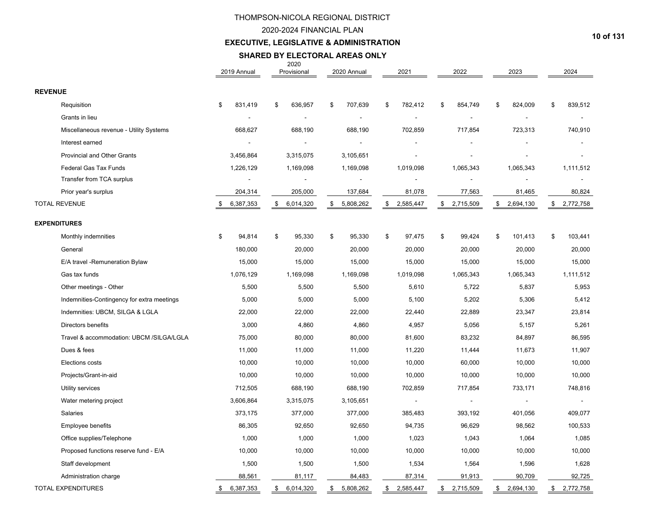## 2020-2024 FINANCIAL PLAN

## **EXECUTIVE, LEGISLATIVE & ADMINISTRATION**

#### 2020 **SHARED BY ELECTORAL AREAS ONLY**

|                                            | 2019 Annual     | Provisional     | 2020 Annual     | 2021                     | 2022            | 2023            | 2024          |
|--------------------------------------------|-----------------|-----------------|-----------------|--------------------------|-----------------|-----------------|---------------|
| <b>REVENUE</b>                             |                 |                 |                 |                          |                 |                 |               |
| Requisition                                | 831,419<br>\$   | \$<br>636,957   | 707,639<br>\$   | 782,412<br>\$            | \$<br>854,749   | 824,009<br>\$   | \$<br>839,512 |
| Grants in lieu                             |                 |                 |                 | $\overline{a}$           |                 |                 |               |
| Miscellaneous revenue - Utility Systems    | 668,627         | 688,190         | 688,190         | 702,859                  | 717,854         | 723,313         | 740,910       |
| Interest earned                            |                 |                 |                 |                          |                 |                 |               |
| Provincial and Other Grants                | 3,456,864       | 3,315,075       | 3,105,651       | $\overline{\phantom{a}}$ |                 |                 |               |
| <b>Federal Gas Tax Funds</b>               | 1,226,129       | 1,169,098       | 1,169,098       | 1,019,098                | 1,065,343       | 1,065,343       | 1,111,512     |
| Transfer from TCA surplus                  | $\overline{a}$  |                 | $\overline{a}$  |                          |                 | $\overline{a}$  |               |
| Prior year's surplus                       | 204,314         | 205,000         | 137,684         | 81,078                   | 77,563          | 81,465          | 80,824        |
| <b>TOTAL REVENUE</b>                       | 6,387,353<br>\$ | \$6,014,320     | 5,808,262<br>\$ | \$2,585,447              | \$2,715,509     | \$2,694,130     | \$2,772,758   |
| <b>EXPENDITURES</b>                        |                 |                 |                 |                          |                 |                 |               |
| Monthly indemnities                        | \$<br>94,814    | 95,330<br>\$    | \$<br>95,330    | \$<br>97,475             | \$<br>99,424    | \$<br>101,413   | \$<br>103,441 |
| General                                    | 180,000         | 20,000          | 20,000          | 20,000                   | 20,000          | 20,000          | 20,000        |
| E/A travel - Remuneration Bylaw            | 15,000          | 15,000          | 15,000          | 15,000                   | 15,000          | 15,000          | 15,000        |
| Gas tax funds                              | 1,076,129       | 1,169,098       | 1,169,098       | 1,019,098                | 1,065,343       | 1,065,343       | 1,111,512     |
| Other meetings - Other                     | 5,500           | 5,500           | 5,500           | 5,610                    | 5,722           | 5,837           | 5,953         |
| Indemnities-Contingency for extra meetings | 5,000           | 5,000           | 5,000           | 5,100                    | 5,202           | 5,306           | 5,412         |
| Indemnities: UBCM, SILGA & LGLA            | 22,000          | 22,000          | 22,000          | 22,440                   | 22,889          | 23,347          | 23,814        |
| Directors benefits                         | 3,000           | 4,860           | 4,860           | 4,957                    | 5,056           | 5,157           | 5,261         |
| Travel & accommodation: UBCM /SILGA/LGLA   | 75,000          | 80,000          | 80,000          | 81,600                   | 83,232          | 84,897          | 86,595        |
| Dues & fees                                | 11,000          | 11,000          | 11,000          | 11,220                   | 11,444          | 11,673          | 11,907        |
| Elections costs                            | 10,000          | 10,000          | 10,000          | 10,000                   | 60,000          | 10,000          | 10,000        |
| Projects/Grant-in-aid                      | 10,000          | 10,000          | 10,000          | 10,000                   | 10,000          | 10,000          | 10,000        |
| Utility services                           | 712,505         | 688,190         | 688,190         | 702,859                  | 717,854         | 733,171         | 748,816       |
| Water metering project                     | 3,606,864       | 3,315,075       | 3,105,651       | $\overline{\phantom{a}}$ |                 | $\blacksquare$  |               |
| Salaries                                   | 373,175         | 377,000         | 377,000         | 385,483                  | 393,192         | 401,056         | 409,077       |
| Employee benefits                          | 86,305          | 92,650          | 92,650          | 94,735                   | 96,629          | 98,562          | 100,533       |
| Office supplies/Telephone                  | 1,000           | 1,000           | 1,000           | 1,023                    | 1,043           | 1,064           | 1,085         |
| Proposed functions reserve fund - E/A      | 10,000          | 10,000          | 10,000          | 10,000                   | 10,000          | 10,000          | 10,000        |
| Staff development                          | 1,500           | 1,500           | 1,500           | 1,534                    | 1,564           | 1,596           | 1,628         |
| Administration charge                      | 88,561          | 81,117          | 84,483          | 87,314                   | 91,913          | 90,709          | 92,725        |
| <b>TOTAL EXPENDITURES</b>                  | 6,387,353<br>\$ | 6,014,320<br>\$ | \$<br>5,808,262 | \$2,585,447              | \$<br>2,715,509 | 2,694,130<br>\$ | \$2,772,758   |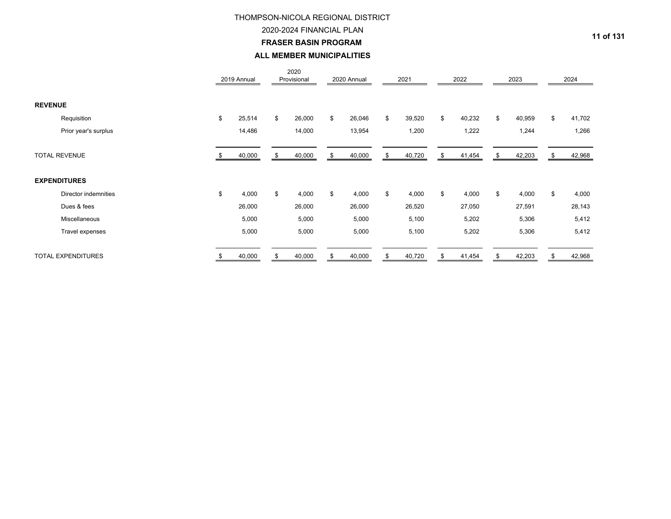## 2020-2024 FINANCIAL PLAN

**FRASER BASIN PROGRAM** 

### **ALL MEMBER MUNICIPALITIES**

|                           | 2019 Annual  | 2020<br>Provisional |     | 2020 Annual |    | 2021   | 2022         | 2023         |    | 2024   |
|---------------------------|--------------|---------------------|-----|-------------|----|--------|--------------|--------------|----|--------|
| <b>REVENUE</b>            |              |                     |     |             |    |        |              |              |    |        |
| Requisition               | \$<br>25,514 | \$<br>26,000        | \$  | 26,046      | \$ | 39,520 | \$<br>40,232 | \$<br>40,959 | \$ | 41,702 |
| Prior year's surplus      | 14,486       | 14,000              |     | 13,954      |    | 1,200  | 1,222        | 1,244        |    | 1,266  |
| <b>TOTAL REVENUE</b>      | 40,000       | 40,000              | \$. | 40,000      | S  | 40,720 | \$<br>41,454 | 42,203       |    | 42,968 |
| <b>EXPENDITURES</b>       |              |                     |     |             |    |        |              |              |    |        |
| Director indemnities      | \$<br>4,000  | \$<br>4,000         | \$  | 4,000       | \$ | 4,000  | \$<br>4,000  | \$<br>4,000  | \$ | 4,000  |
| Dues & fees               | 26,000       | 26,000              |     | 26,000      |    | 26,520 | 27,050       | 27,591       |    | 28,143 |
| Miscellaneous             | 5,000        | 5,000               |     | 5,000       |    | 5,100  | 5,202        | 5,306        |    | 5,412  |
| Travel expenses           | 5,000        | 5,000               |     | 5,000       |    | 5,100  | 5,202        | 5,306        |    | 5,412  |
| <b>TOTAL EXPENDITURES</b> | 40,000       | \$<br>40,000        |     | 40,000      |    | 40,720 | \$<br>41,454 | 42,203       | S  | 42,968 |

**11 of 131**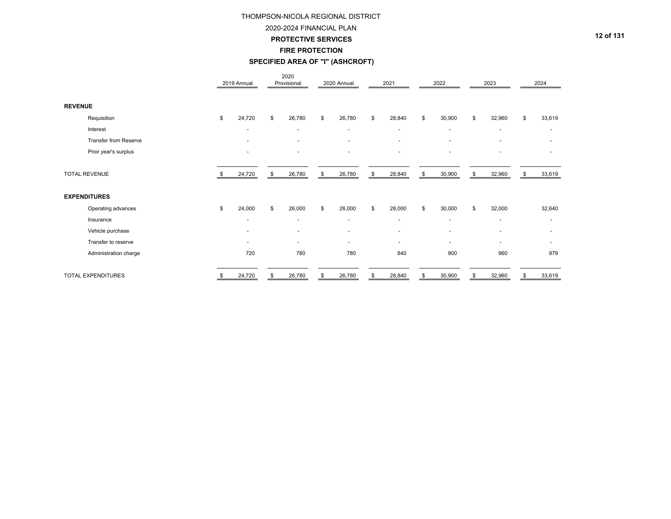2020-2024 FINANCIAL PLAN

#### **PROTECTIVE SERVICES**

**FIRE PROTECTION**

## **SPECIFIED AREA OF "I" (ASHCROFT)**

|                       | 2019 Annual |                          | 2020<br>Provisional      | 2020 Annual              | 2021                     |    | 2022                     | 2023                     | 2024                     |
|-----------------------|-------------|--------------------------|--------------------------|--------------------------|--------------------------|----|--------------------------|--------------------------|--------------------------|
| <b>REVENUE</b>        |             |                          |                          |                          |                          |    |                          |                          |                          |
| Requisition           | \$          | 24,720                   | \$<br>26,780             | \$<br>26,780             | \$<br>28,840             | \$ | 30,900                   | \$<br>32,960             | \$<br>33,619             |
| Interest              |             | $\overline{\phantom{a}}$ | $\overline{\phantom{a}}$ | $\overline{a}$           | $\overline{\phantom{a}}$ |    | $\overline{\phantom{a}}$ | $\overline{a}$           | $\overline{\phantom{0}}$ |
| Transfer from Reserve |             | $\overline{\phantom{a}}$ | $\overline{\phantom{a}}$ | $\overline{\phantom{a}}$ | ٠                        |    |                          |                          |                          |
| Prior year's surplus  |             | $\overline{\phantom{a}}$ | $\overline{\phantom{a}}$ | $\overline{\phantom{a}}$ | $\overline{\phantom{a}}$ |    | $\overline{a}$           |                          |                          |
| <b>TOTAL REVENUE</b>  |             | 24,720                   | \$<br>26,780             | \$<br>26,780             | \$<br>28,840             | \$ | 30,900                   | \$<br>32,960             | \$<br>33,619             |
| <b>EXPENDITURES</b>   |             |                          |                          |                          |                          |    |                          |                          |                          |
| Operating advances    | \$          | 24,000                   | \$<br>26,000             | \$<br>26,000             | \$<br>28,000             | \$ | 30,000                   | \$<br>32,000             | 32,640                   |
| Insurance             |             | $\blacksquare$           | $\blacksquare$           | $\blacksquare$           | $\overline{\phantom{a}}$ |    | $\overline{\phantom{a}}$ | $\overline{a}$           | $\overline{\phantom{0}}$ |
| Vehicle purchase      |             | $\overline{a}$           |                          |                          | $\overline{\phantom{a}}$ |    |                          |                          |                          |
| Transfer to reserve   |             | $\overline{\phantom{a}}$ | $\overline{\phantom{a}}$ | $\overline{\phantom{a}}$ | $\tilde{\phantom{a}}$    |    | $\overline{\phantom{0}}$ | $\overline{\phantom{0}}$ |                          |
| Administration charge |             | 720                      | 780                      | 780                      | 840                      |    | 900                      | 960                      | 979                      |
| TOTAL EXPENDITURES    | \$          | 24,720                   | \$<br>26,780             | \$<br>26,780             | \$<br>28,840             | S  | 30,900                   | \$<br>32,960             | \$<br>33,619             |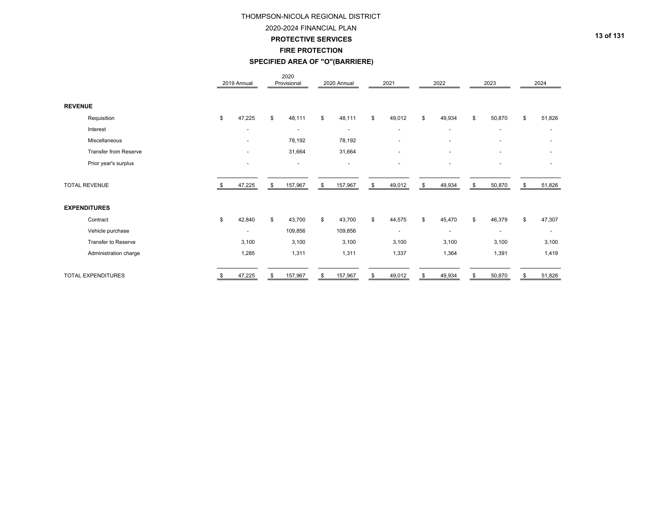#### 2020-2024 FINANCIAL PLAN

**PROTECTIVE SERVICES**

**FIRE PROTECTION**

## **SPECIFIED AREA OF "O"(BARRIERE)**

|                |                              | 2019 Annual              | 2020<br>Provisional      | 2020 Annual              |     | 2021                     | 2022                     | 2023                     | 2024                     |
|----------------|------------------------------|--------------------------|--------------------------|--------------------------|-----|--------------------------|--------------------------|--------------------------|--------------------------|
| <b>REVENUE</b> |                              |                          |                          |                          |     |                          |                          |                          |                          |
|                | Requisition                  | \$<br>47,225             | \$<br>48,111             | \$<br>48,111             | \$  | 49,012                   | \$<br>49,934             | \$<br>50,870             | \$<br>51,826             |
|                | Interest                     | $\overline{\phantom{a}}$ | $\overline{\phantom{a}}$ | $\overline{\phantom{a}}$ |     | $\overline{\phantom{a}}$ | $\sim$                   | $\overline{\phantom{a}}$ | $\overline{\phantom{a}}$ |
|                | Miscellaneous                | ٠                        | 78,192                   | 78,192                   |     | $\overline{\phantom{a}}$ | $\overline{\phantom{0}}$ | $\overline{\phantom{a}}$ | $\overline{\phantom{0}}$ |
|                | <b>Transfer from Reserve</b> | ٠                        | 31,664                   | 31,664                   |     | $\overline{a}$           |                          | $\overline{\phantom{a}}$ | $\overline{\phantom{0}}$ |
|                | Prior year's surplus         | $\overline{\phantom{a}}$ | $\overline{\phantom{a}}$ | $\overline{\phantom{a}}$ |     | $\overline{a}$           |                          | $\overline{a}$           | ٠                        |
|                | <b>TOTAL REVENUE</b>         | 47,225                   | \$<br>157,967            | \$<br>157,967            | \$  | 49,012                   | \$<br>49,934             | \$<br>50,870             | \$<br>51,826             |
|                | <b>EXPENDITURES</b>          |                          |                          |                          |     |                          |                          |                          |                          |
|                | Contract                     | \$<br>42,840             | \$<br>43,700             | \$<br>43,700             | \$. | 44,575                   | \$<br>45,470             | \$<br>46,379             | \$<br>47,307             |
|                | Vehicle purchase             | ٠                        | 109,856                  | 109,856                  |     | $\overline{a}$           | $\sim$                   | $\overline{\phantom{a}}$ | $\overline{\phantom{a}}$ |
|                | Transfer to Reserve          | 3,100                    | 3,100                    | 3,100                    |     | 3,100                    | 3,100                    | 3,100                    | 3,100                    |
|                | Administration charge        | 1,285                    | 1,311                    | 1,311                    |     | 1,337                    | 1,364                    | 1,391                    | 1,419                    |
|                | TOTAL EXPENDITURES           | 47,225                   | \$<br>157,967            | \$<br>157,967            | \$  | 49,012                   | 49,934                   | \$<br>50,870             | \$<br>51,826             |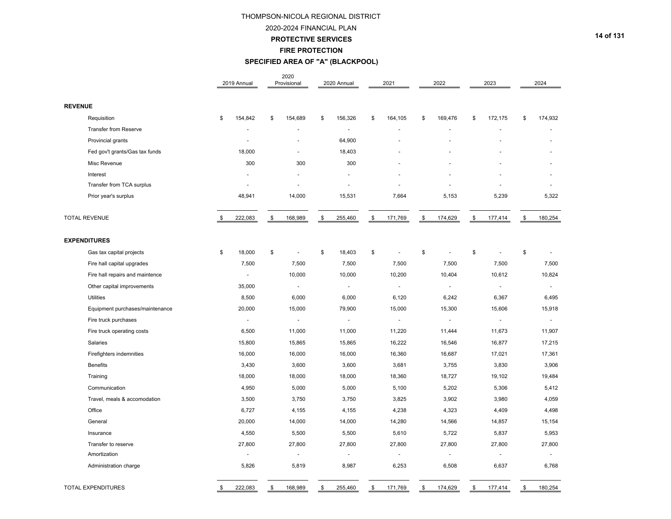#### 2020-2024 FINANCIAL PLAN

#### **PROTECTIVE SERVICES**

**FIRE PROTECTION**

## **SPECIFIED AREA OF "A" (BLACKPOOL)**

|                                 | 2019 Annual           | 2020<br>Provisional            | 2020 Annual    | 2021                        | 2022                           | 2023           | 2024          |
|---------------------------------|-----------------------|--------------------------------|----------------|-----------------------------|--------------------------------|----------------|---------------|
| <b>REVENUE</b>                  |                       |                                |                |                             |                                |                |               |
| Requisition                     | \$<br>154,842         | \$<br>154,689                  | \$<br>156,326  | \$<br>164,105               | \$<br>169,476                  | \$<br>172,175  | \$<br>174,932 |
| <b>Transfer from Reserve</b>    |                       |                                |                |                             |                                |                |               |
| Provincial grants               | $\blacksquare$        |                                | 64,900         |                             |                                |                |               |
| Fed gov't grants/Gas tax funds  | 18,000                | ÷.                             | 18,403         |                             |                                |                |               |
| Misc Revenue                    | 300                   | 300                            | 300            |                             |                                |                |               |
| Interest                        |                       |                                |                |                             |                                |                |               |
| Transfer from TCA surplus       |                       | $\ddot{\phantom{1}}$           |                |                             |                                |                |               |
| Prior year's surplus            | 48,941                | 14,000                         | 15,531         | 7,664                       | 5,153                          | 5,239          | 5,322         |
| <b>TOTAL REVENUE</b>            | \$<br>222,083         | \$<br>168,989                  | \$<br>255,460  | \$<br>171,769               | \$<br>174,629                  | \$<br>177,414  | \$<br>180,254 |
| <b>EXPENDITURES</b>             |                       |                                |                |                             |                                |                |               |
| Gas tax capital projects        | \$<br>18,000          | \$<br>$\overline{\phantom{a}}$ | \$<br>18,403   | \$<br>$\tilde{\phantom{a}}$ | \$<br>$\overline{\phantom{a}}$ | \$<br>÷,       | \$            |
| Fire hall capital upgrades      | 7,500                 | 7,500                          | 7,500          | 7,500                       | 7,500                          | 7,500          | 7,500         |
| Fire hall repairs and maintence | $\overline{a}$        | 10,000                         | 10,000         | 10,200                      | 10,404                         | 10,612         | 10,824        |
| Other capital improvements      | 35,000                | $\blacksquare$                 | $\sim$         | $\sim$                      |                                | $\blacksquare$ | ÷.            |
| <b>Utilities</b>                | 8,500                 | 6,000                          | 6,000          | 6,120                       | 6,242                          | 6,367          | 6,495         |
| Equipment purchases/maintenance | 20,000                | 15,000                         | 79,900         | 15,000                      | 15,300                         | 15,606         | 15,918        |
| Fire truck purchases            | $\tilde{\phantom{a}}$ | $\blacksquare$                 | $\sim$         | $\sim$                      |                                | $\blacksquare$ | $\sim$        |
| Fire truck operating costs      | 6,500                 | 11,000                         | 11,000         | 11,220                      | 11,444                         | 11,673         | 11,907        |
| Salaries                        | 15,800                | 15,865                         | 15,865         | 16,222                      | 16,546                         | 16,877         | 17,215        |
| Firefighters indemnities        | 16,000                | 16,000                         | 16,000         | 16,360                      | 16,687                         | 17,021         | 17,361        |
| <b>Benefits</b>                 | 3,430                 | 3,600                          | 3,600          | 3,681                       | 3,755                          | 3,830          | 3,906         |
| Training                        | 18,000                | 18,000                         | 18,000         | 18,360                      | 18,727                         | 19,102         | 19,484        |
| Communication                   | 4,950                 | 5,000                          | 5,000          | 5,100                       | 5,202                          | 5,306          | 5,412         |
| Travel, meals & accomodation    | 3,500                 | 3,750                          | 3,750          | 3,825                       | 3,902                          | 3,980          | 4,059         |
| Office                          | 6,727                 | 4,155                          | 4,155          | 4,238                       | 4,323                          | 4,409          | 4,498         |
| General                         | 20,000                | 14,000                         | 14,000         | 14,280                      | 14,566                         | 14,857         | 15,154        |
| Insurance                       | 4,550                 | 5,500                          | 5,500          | 5,610                       | 5,722                          | 5,837          | 5,953         |
| Transfer to reserve             | 27,800                | 27,800                         | 27,800         | 27,800                      | 27,800                         | 27,800         | 27,800        |
| Amortization                    | $\tilde{\phantom{a}}$ | $\blacksquare$                 | $\blacksquare$ | $\sim$                      |                                | ä,             |               |
| Administration charge           | 5,826                 | 5,819                          | 8,987          | 6,253                       | 6,508                          | 6,637          | 6,768         |
| <b>TOTAL EXPENDITURES</b>       | \$<br>222,083         | \$<br>168,989                  | \$<br>255,460  | \$<br>171,769               | \$<br>174,629                  | \$<br>177,414  | \$<br>180,254 |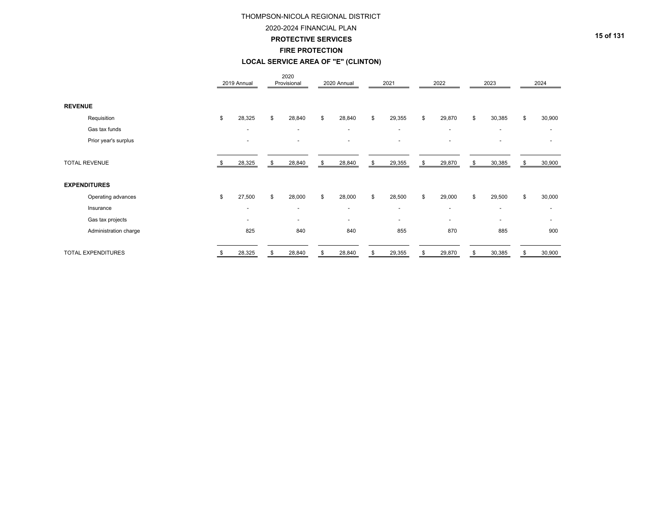#### 2020-2024 FINANCIAL PLAN

**PROTECTIVE SERVICES**

# **FIRE PROTECTION**

## **LOCAL SERVICE AREA OF "E" (CLINTON)**

|                       |      | 2019 Annual              | 2020<br>Provisional      |     | 2020 Annual              | 2021           | 2022                     | 2023                     | 2024         |
|-----------------------|------|--------------------------|--------------------------|-----|--------------------------|----------------|--------------------------|--------------------------|--------------|
| <b>REVENUE</b>        |      |                          |                          |     |                          |                |                          |                          |              |
| Requisition           | \$   | 28,325                   | \$<br>28,840             | \$  | 28,840                   | \$<br>29,355   | \$<br>29,870             | \$<br>30,385             | \$<br>30,900 |
| Gas tax funds         |      | $\overline{\phantom{a}}$ | $\overline{\phantom{a}}$ |     | $\sim$                   | $\sim$         | $\sim$                   | $\tilde{\phantom{a}}$    |              |
| Prior year's surplus  |      | $\overline{\phantom{a}}$ | $\overline{\phantom{a}}$ |     | $\overline{a}$           | $\overline{a}$ | $\overline{\phantom{a}}$ | $\overline{\phantom{a}}$ | ٠            |
| <b>TOTAL REVENUE</b>  | - \$ | 28,325                   | \$<br>28,840             | \$. | 28,840                   | \$<br>29,355   | \$<br>29,870             | \$<br>30,385             | \$<br>30,900 |
| <b>EXPENDITURES</b>   |      |                          |                          |     |                          |                |                          |                          |              |
| Operating advances    | \$   | 27,500                   | \$<br>28,000             | \$. | 28,000                   | \$<br>28,500   | \$<br>29,000             | \$<br>29,500             | \$<br>30,000 |
| Insurance             |      | $\overline{\phantom{a}}$ | $\overline{\phantom{a}}$ |     | $\overline{\phantom{a}}$ | $\sim$         | $\sim$                   | $\tilde{\phantom{a}}$    |              |
| Gas tax projects      |      | $\overline{\phantom{a}}$ | $\sim$                   |     | $\blacksquare$           | $\sim$         | $\sim$                   | $\overline{\phantom{a}}$ | ۰            |
| Administration charge |      | 825                      | 840                      |     | 840                      | 855            | 870                      | 885                      | 900          |
| TOTAL EXPENDITURES    | \$   | 28,325                   | \$<br>28,840             | \$  | 28,840                   | \$<br>29,355   | \$<br>29,870             | \$<br>30,385             | \$<br>30,900 |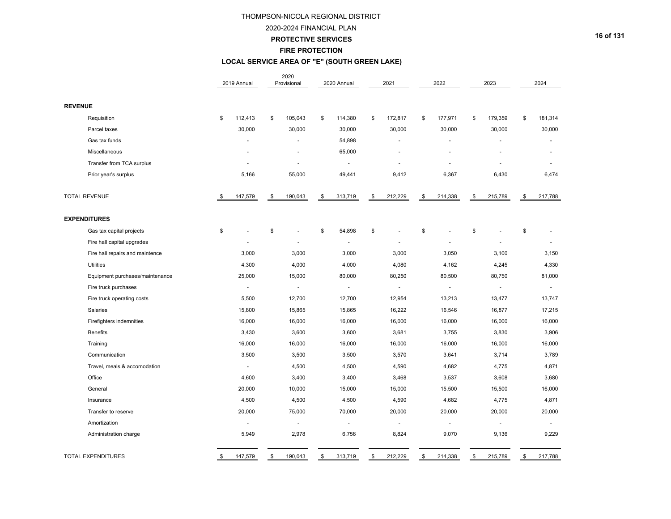#### 2020-2024 FINANCIAL PLAN

**PROTECTIVE SERVICES**

### **FIRE PROTECTION**

## **LOCAL SERVICE AREA OF "E" (SOUTH GREEN LAKE)**

|                                 | 2019 Annual          | 2020<br>Provisional      | 2020 Annual              | 2021          | 2022          | 2023          | 2024          |
|---------------------------------|----------------------|--------------------------|--------------------------|---------------|---------------|---------------|---------------|
| <b>REVENUE</b>                  |                      |                          |                          |               |               |               |               |
| Requisition                     | \$<br>112,413        | \$<br>105,043            | \$<br>114,380            | \$<br>172,817 | \$<br>177,971 | \$<br>179,359 | \$<br>181,314 |
| Parcel taxes                    | 30,000               | 30,000                   | 30,000                   | 30,000        | 30,000        | 30,000        | 30,000        |
| Gas tax funds                   |                      | L.                       | 54,898                   |               |               |               |               |
| Miscellaneous                   |                      |                          | 65,000                   |               |               |               |               |
| Transfer from TCA surplus       |                      | ä,                       | $\blacksquare$           |               |               |               |               |
| Prior year's surplus            | 5,166                | 55,000                   | 49,441                   | 9,412         | 6,367         | 6,430         | 6,474         |
| <b>TOTAL REVENUE</b>            | \$<br>147,579        | \$<br>190,043            | \$<br>313,719            | \$<br>212,229 | \$<br>214,338 | \$<br>215,789 | \$<br>217,788 |
| <b>EXPENDITURES</b>             |                      |                          |                          |               |               |               |               |
| Gas tax capital projects        | \$                   | \$                       | \$<br>54,898             | \$            | \$            | \$            | \$            |
| Fire hall capital upgrades      |                      | ä,                       | ä,                       |               |               |               |               |
| Fire hall repairs and maintence | 3,000                | 3,000                    | 3,000                    | 3,000         | 3,050         | 3,100         | 3,150         |
| <b>Utilities</b>                | 4,300                | 4,000                    | 4,000                    | 4,080         | 4,162         | 4,245         | 4,330         |
| Equipment purchases/maintenance | 25,000               | 15,000                   | 80,000                   | 80,250        | 80,500        | 80,750        | 81,000        |
| Fire truck purchases            |                      | $\overline{\phantom{a}}$ | $\blacksquare$           |               |               |               |               |
| Fire truck operating costs      | 5,500                | 12,700                   | 12,700                   | 12,954        | 13,213        | 13,477        | 13,747        |
| Salaries                        | 15,800               | 15,865                   | 15,865                   | 16,222        | 16,546        | 16,877        | 17,215        |
| Firefighters indemnities        | 16,000               | 16,000                   | 16,000                   | 16,000        | 16,000        | 16,000        | 16,000        |
| <b>Benefits</b>                 | 3,430                | 3,600                    | 3,600                    | 3,681         | 3,755         | 3,830         | 3,906         |
| Training                        | 16,000               | 16,000                   | 16,000                   | 16,000        | 16,000        | 16,000        | 16,000        |
| Communication                   | 3,500                | 3,500                    | 3,500                    | 3,570         | 3,641         | 3,714         | 3,789         |
| Travel, meals & accomodation    | $\mathbf{r}$         | 4,500                    | 4,500                    | 4,590         | 4,682         | 4,775         | 4,871         |
| Office                          | 4,600                | 3,400                    | 3,400                    | 3,468         | 3,537         | 3,608         | 3,680         |
| General                         | 20,000               | 10,000                   | 15,000                   | 15,000        | 15,500        | 15,500        | 16,000        |
| Insurance                       | 4,500                | 4,500                    | 4,500                    | 4,590         | 4,682         | 4,775         | 4,871         |
| Transfer to reserve             | 20,000               | 75,000                   | 70,000                   | 20,000        | 20,000        | 20,000        | 20,000        |
| Amortization                    | $\ddot{\phantom{a}}$ | $\sim$                   | $\overline{\phantom{a}}$ | ä,            |               |               |               |
| Administration charge           | 5,949                | 2,978                    | 6,756                    | 8,824         | 9,070         | 9,136         | 9,229         |
| <b>TOTAL EXPENDITURES</b>       | \$<br>147,579        | \$<br>190,043            | \$<br>313,719            | \$<br>212,229 | \$<br>214,338 | \$<br>215,789 | \$<br>217,788 |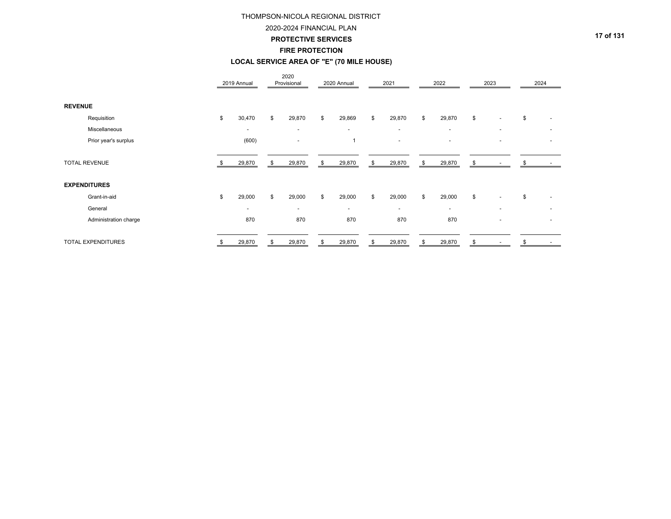#### 2020-2024 FINANCIAL PLAN

**PROTECTIVE SERVICES**

#### **FIRE PROTECTION**

## **LOCAL SERVICE AREA OF "E" (70 MILE HOUSE)**

|                       | 2019 Annual              | 2020<br>Provisional      | 2020 Annual    | 2021                     | 2022                     | 2023                           |    | 2024                     |
|-----------------------|--------------------------|--------------------------|----------------|--------------------------|--------------------------|--------------------------------|----|--------------------------|
| <b>REVENUE</b>        |                          |                          |                |                          |                          |                                |    |                          |
| Requisition           | \$<br>30,470             | \$<br>29,870             | \$<br>29,869   | \$<br>29,870             | \$<br>29,870             | \$<br>$\sim$                   | \$ |                          |
| Miscellaneous         | $\overline{\phantom{a}}$ | $\overline{\phantom{a}}$ | $\overline{a}$ | $\overline{\phantom{a}}$ | $\sim$                   | $\overline{a}$                 |    |                          |
| Prior year's surplus  | (600)                    | $\overline{\phantom{a}}$ | 1              | $\overline{\phantom{0}}$ | $\overline{\phantom{0}}$ | $\overline{\phantom{a}}$       |    | $\overline{\phantom{0}}$ |
| <b>TOTAL REVENUE</b>  | 29,870                   | \$<br>29,870             | \$<br>29,870   | \$<br>29,870             | \$<br>29,870             | \$                             | S  |                          |
| <b>EXPENDITURES</b>   |                          |                          |                |                          |                          |                                |    |                          |
| Grant-in-aid          | \$<br>29,000             | \$<br>29,000             | \$<br>29,000   | \$<br>29,000             | \$<br>29,000             | \$<br>$\sim$                   | \$ |                          |
| General               | $\overline{\phantom{0}}$ | $\overline{\phantom{0}}$ | $\sim$         | $\overline{\phantom{0}}$ | $\sim$                   | $\overline{\phantom{a}}$       |    |                          |
| Administration charge | 870                      | 870                      | 870            | 870                      | 870                      |                                |    |                          |
| TOTAL EXPENDITURES    | \$<br>29,870             | \$<br>29,870             | \$<br>29,870   | \$<br>29,870             | \$<br>29,870             | \$<br>$\overline{\phantom{a}}$ | \$ | $\overline{\phantom{a}}$ |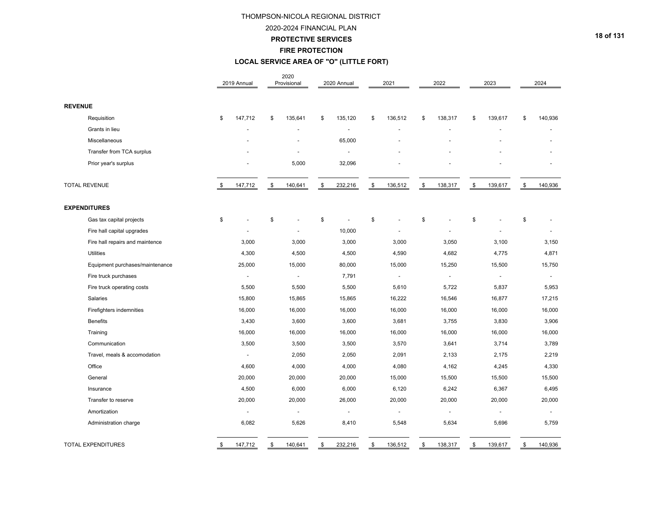## 2020-2024 FINANCIAL PLAN

**PROTECTIVE SERVICES**

#### **FIRE PROTECTION**

## **LOCAL SERVICE AREA OF "O" (LITTLE FORT)**

|                |                                 | 2019 Annual           | 2020<br>Provisional | 2020 Annual           | 2021                     | 2022           | 2023                     | 2024           |
|----------------|---------------------------------|-----------------------|---------------------|-----------------------|--------------------------|----------------|--------------------------|----------------|
| <b>REVENUE</b> |                                 |                       |                     |                       |                          |                |                          |                |
|                | Requisition                     | \$<br>147,712         | \$<br>135,641       | \$<br>135,120         | \$<br>136,512            | \$<br>138,317  | \$<br>139,617            | \$<br>140,936  |
|                | Grants in lieu                  |                       |                     | $\tilde{\phantom{a}}$ |                          |                |                          |                |
|                | Miscellaneous                   |                       |                     | 65,000                |                          |                |                          |                |
|                | Transfer from TCA surplus       |                       |                     | $\sim$                |                          |                |                          |                |
|                | Prior year's surplus            |                       | 5,000               | 32,096                |                          |                |                          |                |
|                | <b>TOTAL REVENUE</b>            | \$<br>147,712         | \$<br>140,641       | \$<br>232,216         | \$<br>136,512            | \$<br>138,317  | \$<br>139,617            | \$<br>140,936  |
|                | <b>EXPENDITURES</b>             |                       |                     |                       |                          |                |                          |                |
|                | Gas tax capital projects        | \$                    | \$                  | \$                    | \$<br>ä,                 | \$             | \$                       | \$             |
|                | Fire hall capital upgrades      | ÷.                    |                     | 10,000                |                          | ä,             |                          |                |
|                | Fire hall repairs and maintence | 3,000                 | 3,000               | 3,000                 | 3,000                    | 3,050          | 3,100                    | 3,150          |
|                | <b>Utilities</b>                | 4,300                 | 4,500               | 4,500                 | 4,590                    | 4,682          | 4,775                    | 4,871          |
|                | Equipment purchases/maintenance | 25,000                | 15,000              | 80,000                | 15,000                   | 15,250         | 15,500                   | 15,750         |
|                | Fire truck purchases            | $\tilde{\phantom{a}}$ | $\blacksquare$      | 7,791                 | $\overline{a}$           | $\blacksquare$ | $\overline{\phantom{a}}$ | $\blacksquare$ |
|                | Fire truck operating costs      | 5,500                 | 5,500               | 5,500                 | 5,610                    | 5,722          | 5,837                    | 5,953          |
|                | Salaries                        | 15,800                | 15,865              | 15,865                | 16,222                   | 16,546         | 16,877                   | 17,215         |
|                | Firefighters indemnities        | 16,000                | 16,000              | 16,000                | 16,000                   | 16,000         | 16,000                   | 16,000         |
|                | <b>Benefits</b>                 | 3,430                 | 3,600               | 3,600                 | 3,681                    | 3,755          | 3,830                    | 3,906          |
|                | Training                        | 16,000                | 16,000              | 16,000                | 16,000                   | 16,000         | 16,000                   | 16,000         |
|                | Communication                   | 3,500                 | 3,500               | 3,500                 | 3,570                    | 3,641          | 3,714                    | 3,789          |
|                | Travel, meals & accomodation    | $\blacksquare$        | 2,050               | 2,050                 | 2,091                    | 2,133          | 2,175                    | 2,219          |
|                | Office                          | 4,600                 | 4,000               | 4,000                 | 4,080                    | 4,162          | 4,245                    | 4,330          |
|                | General                         | 20,000                | 20,000              | 20,000                | 15,000                   | 15,500         | 15,500                   | 15,500         |
|                | Insurance                       | 4,500                 | 6,000               | 6,000                 | 6,120                    | 6,242          | 6,367                    | 6,495          |
|                | Transfer to reserve             | 20,000                | 20,000              | 26,000                | 20,000                   | 20,000         | 20,000                   | 20,000         |
|                | Amortization                    | $\blacksquare$        | $\blacksquare$      | $\blacksquare$        | $\overline{\phantom{a}}$ | $\blacksquare$ | $\blacksquare$           | $\sim$         |
|                | Administration charge           | 6,082                 | 5,626               | 8,410                 | 5,548                    | 5,634          | 5,696                    | 5,759          |
|                | <b>TOTAL EXPENDITURES</b>       | \$<br>147,712         | \$<br>140,641       | \$<br>232,216         | \$<br>136,512            | \$<br>138,317  | \$<br>139,617            | \$<br>140,936  |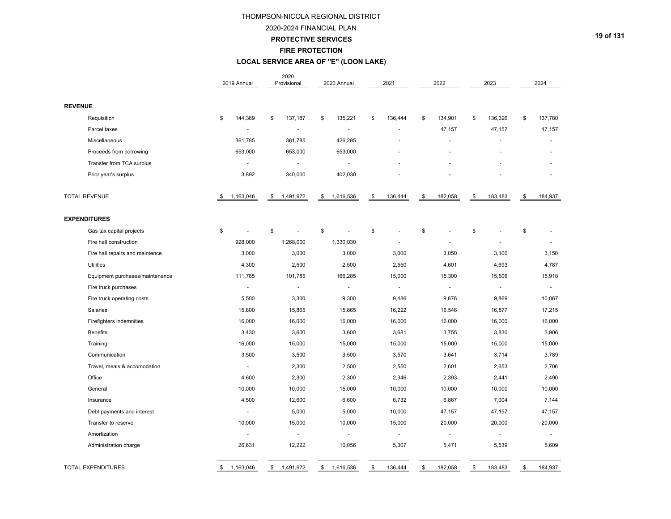#### 2020-2024 FINANCIAL PLAN

#### **PROTECTIVE SERVICES**

#### **FIRE PROTECTION**

## **LOCAL SERVICE AREA OF "E" (LOON LAKE)**

|                                 | 2019 Annual |                          | 2020<br>Provisional | 2020 Annual     | 2021           | 2022                 | 2023           | 2024           |
|---------------------------------|-------------|--------------------------|---------------------|-----------------|----------------|----------------------|----------------|----------------|
| <b>REVENUE</b>                  |             |                          |                     |                 |                |                      |                |                |
| Requisition                     | \$          | 144,369                  | \$<br>137,187       | \$<br>135,221   | \$<br>136,444  | \$<br>134,901        | \$<br>136,326  | \$<br>137,780  |
| Parcel taxes                    |             |                          | ÷,                  |                 |                | 47,157               | 47,157         | 47,157         |
| Miscellaneous                   |             | 361,785                  | 361,785             | 426,285         |                |                      |                |                |
| Proceeds from borrowing         |             | 653,000                  | 653,000             | 653,000         |                | $\ddot{\phantom{1}}$ |                |                |
| Transfer from TCA surplus       |             | $\blacksquare$           | $\blacksquare$      | $\overline{a}$  |                |                      |                |                |
| Prior year's surplus            |             | 3,892                    | 340,000             | 402,030         |                |                      |                |                |
| <b>TOTAL REVENUE</b>            | S.          | 1,163,046                | \$<br>1,491,972     | \$<br>1,616,536 | \$<br>136,444  | \$<br>182,058        | \$<br>183,483  | \$<br>184,937  |
| <b>EXPENDITURES</b>             |             |                          |                     |                 |                |                      |                |                |
| Gas tax capital projects        | \$          | $\overline{\phantom{a}}$ | \$<br>÷,            | \$<br>÷,        | \$             | \$                   | \$             | \$             |
| Fire hall construction          |             | 928,000                  | 1,268,000           | 1,330,030       |                |                      |                |                |
| Fire hall repairs and maintence |             | 3,000                    | 3,000               | 3,000           | 3,000          | 3,050                | 3,100          | 3,150          |
| <b>Utilities</b>                |             | 4,300                    | 2,500               | 2,500           | 2,550          | 4,601                | 4,693          | 4,787          |
| Equipment purchases/maintenance |             | 111,785                  | 101,785             | 166,285         | 15,000         | 15,300               | 15,606         | 15,918         |
| Fire truck purchases            |             | $\blacksquare$           | $\blacksquare$      | $\blacksquare$  | $\blacksquare$ | $\sim$               | $\blacksquare$ | $\blacksquare$ |
| Fire truck operating costs      |             | 5,500                    | 3,300               | 9,300           | 9,486          | 9,676                | 9,869          | 10,067         |
| Salaries                        |             | 15,800                   | 15,865              | 15,865          | 16,222         | 16,546               | 16,877         | 17,215         |
| Firefighters indemnities        |             | 16,000                   | 16,000              | 16,000          | 16,000         | 16,000               | 16,000         | 16,000         |
| <b>Benefits</b>                 |             | 3,430                    | 3,600               | 3,600           | 3,681          | 3,755                | 3,830          | 3,906          |
| Training                        |             | 16,000                   | 15,000              | 15,000          | 15,000         | 15,000               | 15,000         | 15,000         |
| Communication                   |             | 3,500                    | 3,500               | 3,500           | 3,570          | 3,641                | 3,714          | 3,789          |
| Travel, meals & accomodation    |             | $\blacksquare$           | 2,300               | 2,500           | 2,550          | 2,601                | 2,653          | 2,706          |
| Office                          |             | 4,600                    | 2,300               | 2,300           | 2,346          | 2,393                | 2,441          | 2,490          |
| General                         |             | 10,000                   | 10,000              | 15,000          | 10,000         | 10,000               | 10,000         | 10,000         |
| Insurance                       |             | 4,500                    | 12,600              | 6,600           | 6,732          | 6,867                | 7,004          | 7,144          |
| Debt payments and interest      |             | $\sim$                   | 5,000               | 5,000           | 10,000         | 47,157               | 47,157         | 47,157         |
| Transfer to reserve             |             | 10,000                   | 15,000              | 10,000          | 15,000         | 20,000               | 20,000         | 20,000         |
| Amortization                    |             | $\sim$                   | $\mathbf{r}$        | $\sim$          | $\omega$       | $\sim$               | $\omega$       | $\sim$         |
| Administration charge           |             | 26,631                   | 12,222              | 10,056          | 5,307          | 5,471                | 5,539          | 5,609          |
| <b>TOTAL EXPENDITURES</b>       | \$          | 1,163,046                | \$<br>1,491,972     | \$<br>1,616,536 | \$<br>136,444  | \$<br>182,058        | \$<br>183,483  | \$<br>184,937  |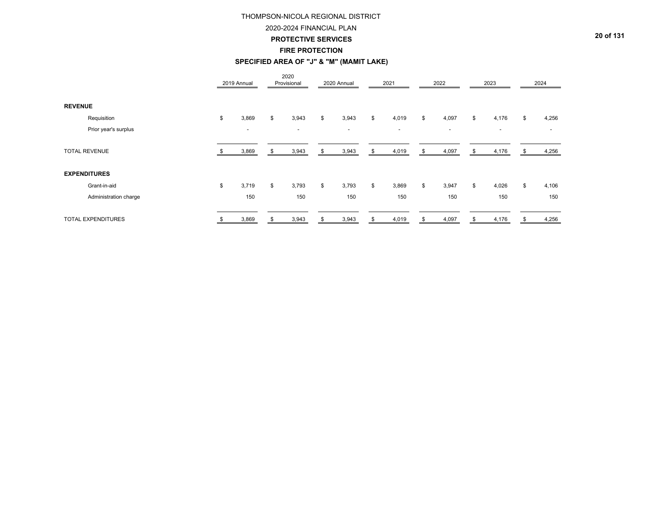## 2020-2024 FINANCIAL PLAN

**PROTECTIVE SERVICES**

#### **FIRE PROTECTION**

## **SPECIFIED AREA OF "J" & "M" (MAMIT LAKE)**

|                           |                       | 2019 Annual              |    | 2020<br>Provisional      |    | 2020 Annual | 2021                     | 2022        | 2023                     | 2024        |
|---------------------------|-----------------------|--------------------------|----|--------------------------|----|-------------|--------------------------|-------------|--------------------------|-------------|
| <b>REVENUE</b>            |                       |                          |    |                          |    |             |                          |             |                          |             |
|                           | Requisition           | \$<br>3,869              | \$ | 3,943                    | \$ | 3,943       | \$<br>4,019              | \$<br>4,097 | \$<br>4,176              | \$<br>4,256 |
|                           | Prior year's surplus  | $\overline{\phantom{a}}$ |    | $\overline{\phantom{0}}$ |    | $\sim$      | $\overline{\phantom{a}}$ | ۰.          | $\overline{\phantom{0}}$ |             |
| <b>TOTAL REVENUE</b>      |                       | 3,869                    | æ. | 3,943                    | ა  | 3,943       | \$<br>4,019              | \$<br>4,097 | \$<br>4,176              | 4,256       |
| <b>EXPENDITURES</b>       |                       |                          |    |                          |    |             |                          |             |                          |             |
|                           | Grant-in-aid          | \$<br>3,719              | \$ | 3,793                    | \$ | 3,793       | \$<br>3,869              | \$<br>3,947 | \$<br>4,026              | \$<br>4,106 |
|                           | Administration charge | 150                      |    | 150                      |    | 150         | 150                      | 150         | 150                      | 150         |
| <b>TOTAL EXPENDITURES</b> |                       | \$<br>3,869              | \$ | 3,943                    | \$ | 3,943       | \$<br>4,019              | \$<br>4,097 | \$<br>4,176              | \$<br>4,256 |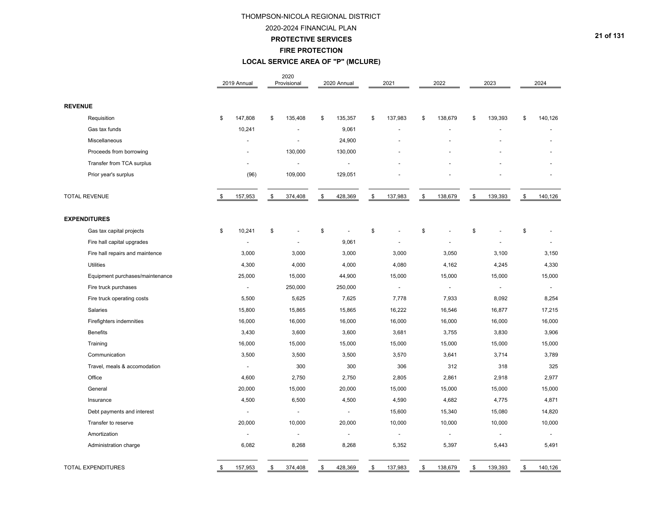## 2020-2024 FINANCIAL PLAN

**PROTECTIVE SERVICES**

#### **FIRE PROTECTION**

## **LOCAL SERVICE AREA OF "P" (MCLURE)**

|                                 | 2019 Annual              | 2020<br>Provisional      | 2020 Annual          | 2021                     |                  | 2022           | 2023                     | 2024           |
|---------------------------------|--------------------------|--------------------------|----------------------|--------------------------|------------------|----------------|--------------------------|----------------|
| <b>REVENUE</b>                  |                          |                          |                      |                          |                  |                |                          |                |
| Requisition                     | \$<br>147,808            | \$<br>135,408            | \$<br>135,357        | \$<br>137,983            | \$               | 138,679        | \$<br>139,393            | \$<br>140,126  |
| Gas tax funds                   | 10,241                   | ä,                       | 9,061                |                          |                  |                | ä,                       |                |
| Miscellaneous                   | $\ddot{\phantom{1}}$     | $\ddot{\phantom{1}}$     | 24,900               |                          |                  |                |                          |                |
| Proceeds from borrowing         |                          | 130,000                  | 130,000              |                          |                  |                |                          |                |
| Transfer from TCA surplus       |                          | ÷,                       | $\overline{a}$       |                          |                  |                |                          |                |
| Prior year's surplus            | (96)                     | 109,000                  | 129,051              |                          |                  |                |                          |                |
| <b>TOTAL REVENUE</b>            | \$<br>157,953            | \$<br>374,408            | \$<br>428,369        | \$<br>137,983            | \$               | 138,679        | \$<br>139,393            | \$<br>140,126  |
| <b>EXPENDITURES</b>             |                          |                          |                      |                          |                  |                |                          |                |
| Gas tax capital projects        | \$<br>10,241             | \$                       | \$<br>$\blacksquare$ | \$<br>÷,                 | \$               |                | \$                       | \$             |
| Fire hall capital upgrades      | $\tilde{\phantom{a}}$    | $\overline{\phantom{a}}$ | 9,061                |                          |                  |                |                          |                |
| Fire hall repairs and maintence | 3,000                    | 3,000                    | 3,000                | 3,000                    |                  | 3,050          | 3,100                    | 3,150          |
| Utilities                       | 4,300                    | 4,000                    | 4,000                | 4,080                    |                  | 4,162          | 4,245                    | 4,330          |
| Equipment purchases/maintenance | 25,000                   | 15,000                   | 44,900               | 15,000                   |                  | 15,000         | 15,000                   | 15,000         |
| Fire truck purchases            | $\overline{\phantom{a}}$ | 250,000                  | 250,000              | $\overline{\phantom{a}}$ |                  | $\overline{a}$ | $\overline{a}$           | $\blacksquare$ |
| Fire truck operating costs      | 5,500                    | 5,625                    | 7,625                | 7,778                    |                  | 7,933          | 8,092                    | 8,254          |
| Salaries                        | 15,800                   | 15,865                   | 15,865               | 16,222                   |                  | 16,546         | 16,877                   | 17,215         |
| Firefighters indemnities        | 16,000                   | 16,000                   | 16,000               | 16,000                   |                  | 16,000         | 16,000                   | 16,000         |
| <b>Benefits</b>                 | 3,430                    | 3,600                    | 3,600                | 3,681                    |                  | 3,755          | 3,830                    | 3,906          |
| Training                        | 16,000                   | 15,000                   | 15,000               | 15,000                   |                  | 15,000         | 15,000                   | 15,000         |
| Communication                   | 3,500                    | 3,500                    | 3,500                | 3,570                    |                  | 3,641          | 3,714                    | 3,789          |
| Travel, meals & accomodation    | ÷.                       | 300                      | 300                  | 306                      |                  | 312            | 318                      | 325            |
| Office                          | 4,600                    | 2,750                    | 2,750                | 2,805                    |                  | 2,861          | 2,918                    | 2,977          |
| General                         | 20,000                   | 15,000                   | 20,000               | 15,000                   |                  | 15,000         | 15,000                   | 15,000         |
| Insurance                       | 4,500                    | 6,500                    | 4,500                | 4,590                    |                  | 4,682          | 4,775                    | 4,871          |
| Debt payments and interest      | $\tilde{\phantom{a}}$    | $\blacksquare$           | $\blacksquare$       | 15,600                   |                  | 15,340         | 15,080                   | 14,820         |
| Transfer to reserve             | 20,000                   | 10,000                   | 20,000               | 10,000                   |                  | 10,000         | 10,000                   | 10,000         |
| Amortization                    | $\overline{\phantom{a}}$ | $\omega$                 | $\blacksquare$       | $\overline{\phantom{a}}$ |                  | $\blacksquare$ | $\overline{\phantom{a}}$ | ÷              |
| Administration charge           | 6,082                    | 8,268                    | 8,268                | 5,352                    |                  | 5,397          | 5,443                    | 5,491          |
| <b>TOTAL EXPENDITURES</b>       | \$<br>157,953            | \$<br>374,408            | \$<br>428,369        | \$<br>137,983            | $\underline{\$}$ | 138,679        | \$<br>139,393            | \$<br>140,126  |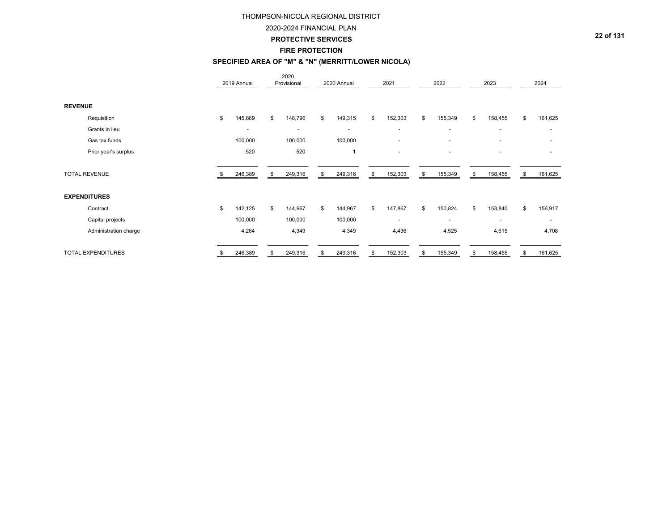#### 2020-2024 FINANCIAL PLAN

#### **PROTECTIVE SERVICES**

#### **FIRE PROTECTION**

## **SPECIFIED AREA OF "M" & "N" (MERRITT/LOWER NICOLA)**

|                |                       | 2019 Annual   | 2020<br>Provisional      | 2020 Annual              | 2021                     | 2022           | 2023                     | 2024                     |
|----------------|-----------------------|---------------|--------------------------|--------------------------|--------------------------|----------------|--------------------------|--------------------------|
| <b>REVENUE</b> |                       |               |                          |                          |                          |                |                          |                          |
|                | Requisition           | \$<br>145,869 | \$<br>148,796            | \$<br>149,315            | \$<br>152,303            | \$<br>155,349  | \$<br>158,455            | \$<br>161,625            |
|                | Grants in lieu        | ٠             | $\overline{\phantom{a}}$ | $\overline{\phantom{a}}$ | $\overline{\phantom{a}}$ | $\sim$         | $\overline{\phantom{a}}$ |                          |
|                | Gas tax funds         | 100,000       | 100,000                  | 100,000                  | $\overline{a}$           | $\sim$         | $\overline{\phantom{a}}$ | $\overline{\phantom{0}}$ |
|                | Prior year's surplus  | 520           | 520                      | $\overline{1}$           | $\overline{a}$           | $\overline{a}$ | $\overline{a}$           | $\overline{\phantom{0}}$ |
|                | <b>TOTAL REVENUE</b>  | 246,389       | \$<br>249,316            | \$<br>249,316            | \$<br>152,303            | \$<br>155,349  | \$<br>158,455            | \$<br>161,625            |
|                | <b>EXPENDITURES</b>   |               |                          |                          |                          |                |                          |                          |
|                | Contract              | \$<br>142,125 | \$<br>144,967            | \$<br>144,967            | \$<br>147,867            | \$<br>150,824  | \$<br>153,840            | \$<br>156,917            |
|                | Capital projects      | 100,000       | 100,000                  | 100,000                  | $\overline{\phantom{a}}$ | $\sim$         | $\overline{\phantom{a}}$ | ٠                        |
|                | Administration charge | 4,264         | 4,349                    | 4,349                    | 4,436                    | 4,525          | 4,615                    | 4,708                    |
|                | TOTAL EXPENDITURES    | \$<br>246,389 | \$<br>249,316            | \$<br>249,316            | \$<br>152,303            | \$<br>155,349  | \$<br>158,455            | \$<br>161,625            |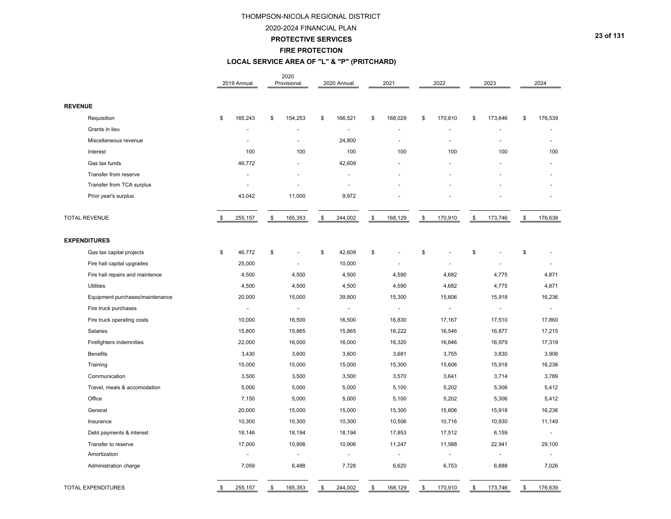#### 2020-2024 FINANCIAL PLAN

### **PROTECTIVE SERVICES**

**FIRE PROTECTION**

## **LOCAL SERVICE AREA OF "L" & "P" (PRITCHARD)**

|                                 | 2019 Annual              | 2020<br>Provisional      | 2020 Annual           |                    | 2021                  | 2022           |      | 2023                     |               | 2024           |
|---------------------------------|--------------------------|--------------------------|-----------------------|--------------------|-----------------------|----------------|------|--------------------------|---------------|----------------|
| <b>REVENUE</b>                  |                          |                          |                       |                    |                       |                |      |                          |               |                |
| Requisition                     | \$<br>165,243            | \$<br>154,253            | \$<br>166,521         | \$                 | 168,029               | \$<br>170,810  | \$   | 173,646                  | \$            | 176,539        |
| Grants in lieu                  |                          |                          |                       |                    |                       |                |      |                          |               |                |
| Miscellaneous revenue           |                          | $\blacksquare$           | 24,800                |                    |                       | ä,             |      |                          |               |                |
| Interest                        | 100                      | 100                      | 100                   |                    | 100                   | 100            |      | 100                      |               | 100            |
| Gas tax funds                   | 46,772                   |                          | 42,609                |                    |                       |                |      |                          |               |                |
| Transfer from reserve           |                          |                          |                       |                    |                       |                |      |                          |               |                |
| Transfer from TCA surplus       |                          | ä,                       |                       |                    |                       |                |      |                          |               |                |
| Prior year's surplus            | 43,042                   | 11,000                   | 9,972                 |                    |                       |                |      |                          |               |                |
| <b>TOTAL REVENUE</b>            | \$<br>255,157            | \$<br>165,353            | \$<br>244,002         | $\pmb{\mathbb{S}}$ | 168,129               | \$<br>170,910  | $\,$ | 173,746                  | $\sqrt[6]{3}$ | 176,639        |
| <b>EXPENDITURES</b>             |                          |                          |                       |                    |                       |                |      |                          |               |                |
| Gas tax capital projects        | \$<br>46,772             | \$<br>÷,                 | \$<br>42,609          | \$                 |                       | \$<br>L,       | \$   |                          | \$            |                |
| Fire hall capital upgrades      | 25,000                   | $\blacksquare$           | 10,000                |                    |                       |                |      |                          |               |                |
| Fire hall repairs and maintence | 4,500                    | 4,500                    | 4,500                 |                    | 4,590                 | 4,682          |      | 4,775                    |               | 4,871          |
| <b>Utilities</b>                | 4,500                    | 4,500                    | 4,500                 |                    | 4,590                 | 4,682          |      | 4,775                    |               | 4,871          |
| Equipment purchases/maintenance | 20,000                   | 15,000                   | 39,800                |                    | 15,300                | 15,606         |      | 15,918                   |               | 16,236         |
| Fire truck purchases            | $\overline{\phantom{a}}$ | $\overline{\phantom{a}}$ | $\sim$                |                    | $\tilde{\phantom{a}}$ | $\blacksquare$ |      | $\overline{\phantom{a}}$ |               | $\blacksquare$ |
| Fire truck operating costs      | 10,000                   | 16,500                   | 16,500                |                    | 16,830                | 17,167         |      | 17,510                   |               | 17,860         |
| Salaries                        | 15,800                   | 15,865                   | 15,865                |                    | 16,222                | 16,546         |      | 16,877                   |               | 17,215         |
| Firefighters indemnities        | 22,000                   | 16,000                   | 16,000                |                    | 16,320                | 16,646         |      | 16,979                   |               | 17,319         |
| <b>Benefits</b>                 | 3,430                    | 3,600                    | 3,600                 |                    | 3,681                 | 3,755          |      | 3,830                    |               | 3,906          |
| Training                        | 15,000                   | 15,000                   | 15,000                |                    | 15,300                | 15,606         |      | 15,918                   |               | 16,236         |
| Communication                   | 3,500                    | 3,500                    | 3,500                 |                    | 3,570                 | 3,641          |      | 3,714                    |               | 3,789          |
| Travel, meals & accomodation    | 5,000                    | 5,000                    | 5,000                 |                    | 5,100                 | 5,202          |      | 5,306                    |               | 5,412          |
| Office                          | 7,150                    | 5,000                    | 5,000                 |                    | 5,100                 | 5,202          |      | 5,306                    |               | 5,412          |
| General                         | 20,000                   | 15,000                   | 15,000                |                    | 15,300                | 15,606         |      | 15,918                   |               | 16,236         |
| Insurance                       | 10,300                   | 10,300                   | 10,300                |                    | 10,506                | 10,716         |      | 10,930                   |               | 11,149         |
| Debt payments & interest        | 18,146                   | 18,194                   | 18,194                |                    | 17,853                | 17,512         |      | 6,159                    |               | $\blacksquare$ |
| Transfer to reserve             | 17,000                   | 10,906                   | 10,906                |                    | 11,247                | 11,588         |      | 22,941                   |               | 29,100         |
| Amortization                    | $\overline{a}$           | $\blacksquare$           | $\tilde{\phantom{a}}$ |                    | ÷,                    | ÷,             |      | $\tilde{\phantom{a}}$    |               | $\frac{1}{2}$  |
| Administration charge           | 7,059                    | 6,488                    | 7,728                 |                    | 6,620                 | 6,753          |      | 6,888                    |               | 7,026          |
| TOTAL EXPENDITURES              | \$<br>255,157            | \$<br>165,353            | \$<br>244,002         | \$                 | 168,129               | \$<br>170,910  | \$   | 173,746                  | \$            | 176,639        |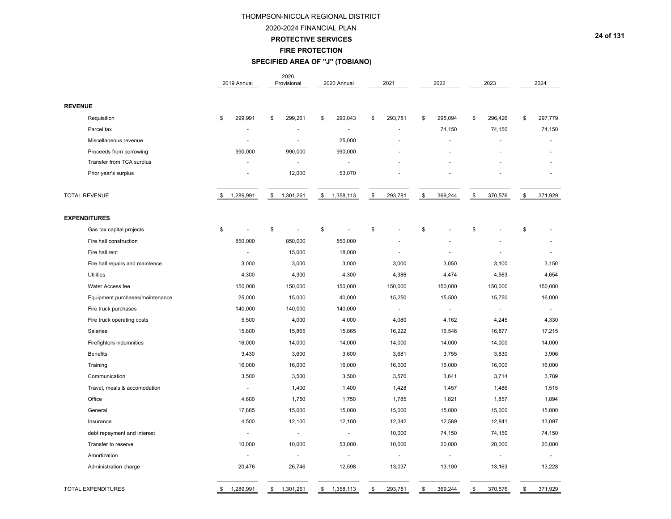2020-2024 FINANCIAL PLAN

**PROTECTIVE SERVICES**

**FIRE PROTECTION**

**SPECIFIED AREA OF "J" (TOBIANO)**

|                                 | 2019 Annual           | 2020<br>Provisional | 2020 Annual     | 2021                     | 2022           | 2023                     | 2024           |
|---------------------------------|-----------------------|---------------------|-----------------|--------------------------|----------------|--------------------------|----------------|
| <b>REVENUE</b>                  |                       |                     |                 |                          |                |                          |                |
| Requisition                     | \$<br>299,991         | \$<br>299,261       | 290,043<br>\$   | \$<br>293,781            | 295,094<br>\$  | \$<br>296,426            | 297,779<br>\$  |
| Parcel tax                      |                       |                     |                 |                          | 74,150         | 74,150                   | 74,150         |
| Miscellaneous revenue           |                       |                     | 25,000          |                          |                |                          |                |
| Proceeds from borrowing         | 990,000               | 990,000             | 990,000         |                          |                |                          |                |
| Transfer from TCA surplus       |                       | $\blacksquare$      |                 |                          |                |                          |                |
| Prior year's surplus            |                       | 12,000              | 53,070          |                          |                |                          |                |
| <b>TOTAL REVENUE</b>            | 1,289,991<br>\$       | 1,301,261<br>\$     | 1,358,113<br>\$ | \$<br>293,781            | \$<br>369,244  | \$<br>370,576            | \$<br>371,929  |
| <b>EXPENDITURES</b>             |                       |                     |                 |                          |                |                          |                |
| Gas tax capital projects        | \$                    | \$<br>÷,            | \$<br>L,        | \$                       | \$             | \$                       | \$             |
| Fire hall construction          | 850,000               | 850,000             | 850,000         |                          |                |                          |                |
| Fire hall rent                  | $\tilde{\phantom{a}}$ | 15,000              | 18,000          |                          |                |                          |                |
| Fire hall repairs and maintence | 3,000                 | 3,000               | 3,000           | 3,000                    | 3,050          | 3,100                    | 3,150          |
| <b>Utilities</b>                | 4,300                 | 4,300               | 4,300           | 4,386                    | 4,474          | 4,563                    | 4,654          |
| Water Access fee                | 150,000               | 150,000             | 150,000         | 150,000                  | 150,000        | 150,000                  | 150,000        |
| Equipment purchases/maintenance | 25,000                | 15,000              | 40,000          | 15,250                   | 15,500         | 15,750                   | 16,000         |
| Fire truck purchases            | 140,000               | 140,000             | 140,000         | $\blacksquare$           | $\overline{a}$ | $\blacksquare$           | $\blacksquare$ |
| Fire truck operating costs      | 5,500                 | 4,000               | 4,000           | 4,080                    | 4,162          | 4,245                    | 4,330          |
| Salaries                        | 15,800                | 15,865              | 15,865          | 16,222                   | 16,546         | 16,877                   | 17,215         |
| Firefighters indemnities        | 16,000                | 14,000              | 14,000          | 14,000                   | 14,000         | 14,000                   | 14,000         |
| <b>Benefits</b>                 | 3,430                 | 3,600               | 3,600           | 3,681                    | 3,755          | 3,830                    | 3,906          |
| Training                        | 16,000                | 16,000              | 16,000          | 16,000                   | 16,000         | 16,000                   | 16,000         |
| Communication                   | 3,500                 | 3,500               | 3,500           | 3,570                    | 3,641          | 3,714                    | 3,789          |
| Travel, meals & accomodation    | $\blacksquare$        | 1,400               | 1,400           | 1,428                    | 1,457          | 1,486                    | 1,515          |
| Office                          | 4,600                 | 1,750               | 1,750           | 1,785                    | 1,821          | 1,857                    | 1,894          |
| General                         | 17,885                | 15,000              | 15,000          | 15,000                   | 15,000         | 15,000                   | 15,000         |
| Insurance                       | 4,500                 | 12,100              | 12,100          | 12,342                   | 12,589         | 12,841                   | 13,097         |
| debt repayment and interest     | $\tilde{\phantom{a}}$ | $\blacksquare$      | $\blacksquare$  | 10,000                   | 74,150         | 74,150                   | 74,150         |
| Transfer to reserve             | 10,000                | 10,000              | 53,000          | 10,000                   | 20,000         | 20,000                   | 20,000         |
| Amortization                    | $\blacksquare$        | $\blacksquare$      | $\frac{1}{2}$   | $\overline{\phantom{a}}$ | $\blacksquare$ | $\overline{\phantom{a}}$ | $\blacksquare$ |
| Administration charge           | 20,476                | 26,746              | 12,598          | 13,037                   | 13,100         | 13,163                   | 13,228         |
| <b>TOTAL EXPENDITURES</b>       | 1,289,991<br>\$       | \$<br>1,301,261     | \$<br>1,358,113 | 293,781<br>\$            | \$<br>369,244  | \$<br>370,576            | 371,929<br>\$  |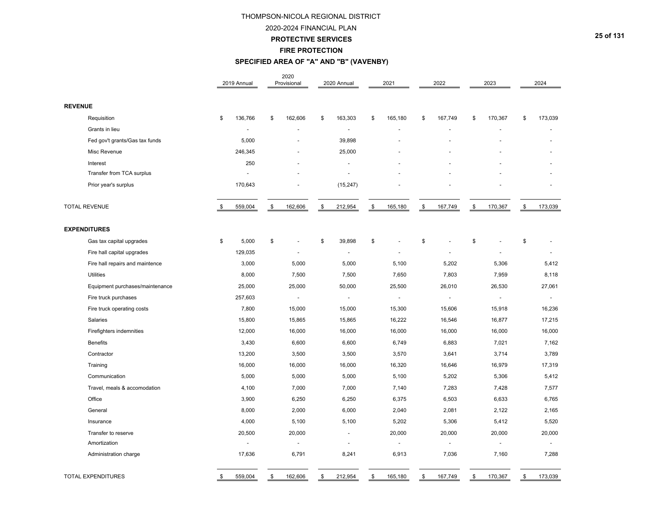#### 2020-2024 FINANCIAL PLAN

**PROTECTIVE SERVICES**

#### **FIRE PROTECTION**

## **SPECIFIED AREA OF "A" AND "B" (VAVENBY)**

|                                 | 2019 Annual           | 2020<br>Provisional      | 2020 Annual              | 2021           | 2022           | 2023           | 2024           |
|---------------------------------|-----------------------|--------------------------|--------------------------|----------------|----------------|----------------|----------------|
| <b>REVENUE</b>                  |                       |                          |                          |                |                |                |                |
| Requisition                     | \$<br>136,766         | \$<br>162,606            | \$<br>163,303            | \$<br>165,180  | \$<br>167,749  | \$<br>170,367  | \$<br>173,039  |
| Grants in lieu                  |                       |                          | ä,                       |                |                |                |                |
| Fed gov't grants/Gas tax funds  | 5,000                 |                          | 39,898                   |                |                |                |                |
| Misc Revenue                    | 246,345               |                          | 25,000                   |                |                |                |                |
| Interest                        | 250                   |                          |                          |                |                |                |                |
| Transfer from TCA surplus       |                       |                          |                          |                |                |                |                |
| Prior year's surplus            | 170,643               |                          | (15, 247)                |                |                |                |                |
| <b>TOTAL REVENUE</b>            | \$<br>559,004         | \$<br>162,606            | \$<br>212,954            | \$<br>165,180  | \$<br>167,749  | \$<br>170,367  | \$<br>173,039  |
| <b>EXPENDITURES</b>             |                       |                          |                          |                |                |                |                |
| Gas tax capital upgrades        | \$<br>5,000           | \$                       | \$<br>39,898             | \$             | \$             | \$             | \$             |
| Fire hall capital upgrades      | 129,035               | ÷.                       | ä,                       |                |                |                |                |
| Fire hall repairs and maintence | 3,000                 | 5,000                    | 5,000                    | 5,100          | 5,202          | 5,306          | 5,412          |
| <b>Utilities</b>                | 8,000                 | 7,500                    | 7,500                    | 7,650          | 7,803          | 7,959          | 8,118          |
| Equipment purchases/maintenance | 25,000                | 25,000                   | 50,000                   | 25,500         | 26,010         | 26,530         | 27,061         |
| Fire truck purchases            | 257,603               | $\overline{\phantom{a}}$ | $\blacksquare$           | $\blacksquare$ | $\blacksquare$ | $\blacksquare$ | $\blacksquare$ |
| Fire truck operating costs      | 7,800                 | 15,000                   | 15,000                   | 15,300         | 15,606         | 15,918         | 16,236         |
| Salaries                        | 15,800                | 15,865                   | 15,865                   | 16,222         | 16,546         | 16,877         | 17,215         |
| Firefighters indemnities        | 12,000                | 16,000                   | 16,000                   | 16,000         | 16,000         | 16,000         | 16,000         |
| <b>Benefits</b>                 | 3,430                 | 6,600                    | 6,600                    | 6,749          | 6,883          | 7,021          | 7,162          |
| Contractor                      | 13,200                | 3,500                    | 3,500                    | 3,570          | 3,641          | 3,714          | 3,789          |
| Training                        | 16,000                | 16,000                   | 16,000                   | 16,320         | 16,646         | 16,979         | 17,319         |
| Communication                   | 5,000                 | 5,000                    | 5,000                    | 5,100          | 5,202          | 5,306          | 5,412          |
| Travel, meals & accomodation    | 4,100                 | 7,000                    | 7,000                    | 7,140          | 7,283          | 7,428          | 7,577          |
| Office                          | 3,900                 | 6,250                    | 6,250                    | 6,375          | 6,503          | 6,633          | 6,765          |
| General                         | 8,000                 | 2,000                    | 6,000                    | 2,040          | 2,081          | 2,122          | 2,165          |
| Insurance                       | 4,000                 | 5,100                    | 5,100                    | 5,202          | 5,306          | 5,412          | 5,520          |
| Transfer to reserve             | 20,500                | 20,000                   | ä,                       | 20,000         | 20,000         | 20,000         | 20,000         |
| Amortization                    | $\tilde{\phantom{a}}$ | $\overline{\phantom{a}}$ | $\overline{\phantom{a}}$ | $\blacksquare$ |                | $\overline{a}$ |                |
| Administration charge           | 17,636                | 6,791                    | 8,241                    | 6,913          | 7,036          | 7,160          | 7,288          |
| <b>TOTAL EXPENDITURES</b>       | \$<br>559,004         | \$<br>162,606            | \$<br>212,954            | \$<br>165,180  | \$<br>167,749  | \$<br>170,367  | \$<br>173,039  |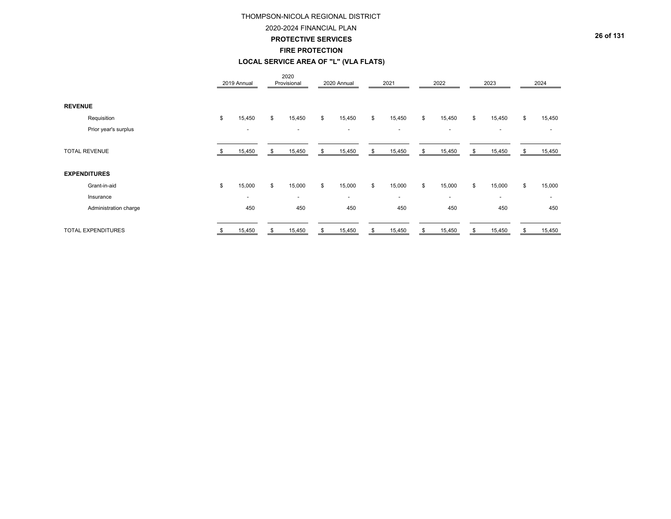#### 2020-2024 FINANCIAL PLAN

**PROTECTIVE SERVICES**

#### **FIRE PROTECTION**

## **LOCAL SERVICE AREA OF "L" (VLA FLATS)**

|                |                       |      | 2019 Annual              | 2020<br>Provisional      |    | 2020 Annual              | 2021                     |     | 2022                     |     | 2023                     |     | 2024           |
|----------------|-----------------------|------|--------------------------|--------------------------|----|--------------------------|--------------------------|-----|--------------------------|-----|--------------------------|-----|----------------|
| <b>REVENUE</b> |                       |      |                          |                          |    |                          |                          |     |                          |     |                          |     |                |
|                | Requisition           | \$   | 15,450                   | \$<br>15,450             | \$ | 15,450                   | \$<br>15,450             | \$  | 15,450                   | \$  | 15,450                   | \$  | 15,450         |
|                | Prior year's surplus  |      | $\overline{\phantom{a}}$ | $\overline{\phantom{a}}$ |    | $\overline{\phantom{a}}$ | $\overline{\phantom{a}}$ |     | $\overline{\phantom{a}}$ |     | $\overline{\phantom{a}}$ |     |                |
|                | <b>TOTAL REVENUE</b>  | - 35 | 15,450                   | \$<br>15,450             | \$ | 15,450                   | \$<br>15,450             | \$  | 15,450                   | \$. | 15,450                   | \$  | 15,450         |
|                | <b>EXPENDITURES</b>   |      |                          |                          |    |                          |                          |     |                          |     |                          |     |                |
|                | Grant-in-aid          | \$   | 15,000                   | \$<br>15,000             | \$ | 15,000                   | \$<br>15,000             | \$  | 15,000                   | \$  | 15,000                   | \$  | 15,000         |
|                | Insurance             |      | $\overline{\phantom{a}}$ | $\overline{\phantom{a}}$ |    | $\overline{\phantom{a}}$ | $\overline{\phantom{a}}$ |     | $\sim$                   |     | $\overline{\phantom{0}}$ |     | $\overline{a}$ |
|                | Administration charge |      | 450                      | 450                      |    | 450                      | 450                      |     | 450                      |     | 450                      |     | 450            |
|                | TOTAL EXPENDITURES    |      | 15,450                   | \$<br>15,450             | S. | 15,450                   | \$<br>15,450             | \$. | 15,450                   | \$. | 15,450                   | \$. | 15,450         |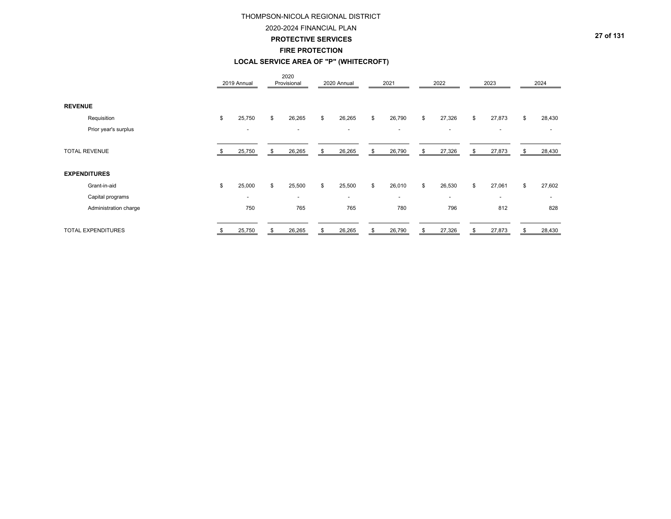## 2020-2024 FINANCIAL PLAN

**PROTECTIVE SERVICES**

#### **FIRE PROTECTION**

## **LOCAL SERVICE AREA OF "P" (WHITECROFT)**

|                       |    | 2019 Annual              |    | 2020<br>Provisional      | 2020 Annual              | 2021                     | 2022         | 2023                     | 2024         |
|-----------------------|----|--------------------------|----|--------------------------|--------------------------|--------------------------|--------------|--------------------------|--------------|
| <b>REVENUE</b>        |    |                          |    |                          |                          |                          |              |                          |              |
| Requisition           | \$ | 25,750                   | \$ | 26,265                   | \$<br>26,265             | \$<br>26,790             | \$<br>27,326 | \$<br>27,873             | \$<br>28,430 |
| Prior year's surplus  |    | $\overline{\phantom{a}}$ |    | $\overline{a}$           | $\overline{\phantom{a}}$ | $\overline{\phantom{a}}$ | -            | $\overline{\phantom{0}}$ |              |
| <b>TOTAL REVENUE</b>  | -S | 25,750                   | S  | 26,265                   | \$<br>26,265             | \$<br>26,790             | \$<br>27,326 | \$<br>27,873             | \$<br>28,430 |
| <b>EXPENDITURES</b>   |    |                          |    |                          |                          |                          |              |                          |              |
| Grant-in-aid          | \$ | 25,000                   | \$ | 25,500                   | \$<br>25,500             | \$<br>26,010             | \$<br>26,530 | \$<br>27,061             | \$<br>27,602 |
| Capital programs      |    | $\overline{\phantom{a}}$ |    | $\overline{\phantom{a}}$ | $\overline{a}$           | $\sim$                   | $\sim$       | $\sim$                   | $\sim$       |
| Administration charge |    | 750                      |    | 765                      | 765                      | 780                      | 796          | 812                      | 828          |
| TOTAL EXPENDITURES    | \$ | 25,750                   | \$ | 26,265                   | \$<br>26,265             | \$<br>26,790             | \$<br>27,326 | \$<br>27,873             | \$<br>28,430 |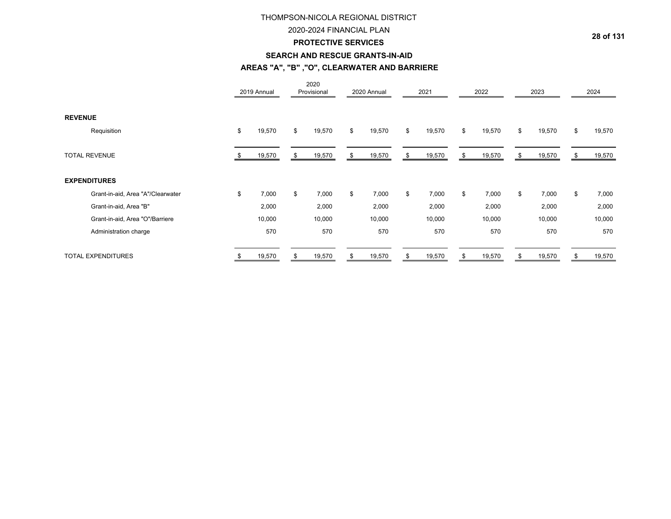### 2020-2024 FINANCIAL PLAN

### **PROTECTIVE SERVICES**

#### **SEARCH AND RESCUE GRANTS-IN-AID**

## **AREAS "A", "B" ,"O", CLEARWATER AND BARRIERE**

|                                   |    | 2019 Annual |    | 2020<br>Provisional | 2020 Annual  | 2021         | 2022         |    | 2023   |    | 2024   |
|-----------------------------------|----|-------------|----|---------------------|--------------|--------------|--------------|----|--------|----|--------|
| <b>REVENUE</b>                    |    |             |    |                     |              |              |              |    |        |    |        |
| Requisition                       | \$ | 19,570      | \$ | 19,570              | \$<br>19,570 | \$<br>19,570 | \$<br>19,570 | \$ | 19,570 | \$ | 19,570 |
| <b>TOTAL REVENUE</b>              |    | 19,570      | ა  | 19,570              | \$<br>19,570 | \$<br>19,570 | \$<br>19,570 | S  | 19,570 | J. | 19,570 |
| <b>EXPENDITURES</b>               |    |             |    |                     |              |              |              |    |        |    |        |
| Grant-in-aid, Area "A"/Clearwater | \$ | 7,000       | \$ | 7,000               | \$<br>7,000  | \$<br>7,000  | \$<br>7,000  | \$ | 7,000  | \$ | 7,000  |
| Grant-in-aid, Area "B"            |    | 2,000       |    | 2,000               | 2,000        | 2,000        | 2,000        |    | 2,000  |    | 2,000  |
| Grant-in-aid, Area "O"/Barriere   |    | 10,000      |    | 10,000              | 10,000       | 10,000       | 10,000       |    | 10,000 |    | 10,000 |
| Administration charge             |    | 570         |    | 570                 | 570          | 570          | 570          |    | 570    |    | 570    |
| <b>TOTAL EXPENDITURES</b>         | S. | 19,570      | \$ | 19,570              | \$<br>19,570 | \$<br>19,570 | \$<br>19,570 |    | 19,570 | S  | 19,570 |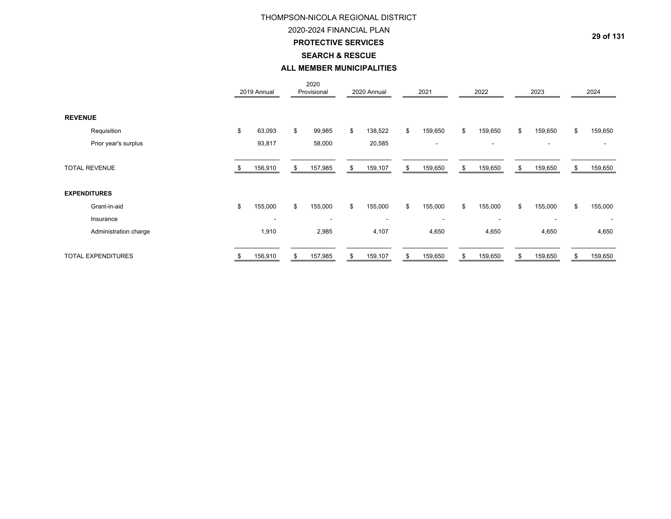# 2020-2024 FINANCIAL PLANTHOMPSON-NICOLA REGIONAL DISTRICT

# **PROTECTIVE SERVICES**

## **SEARCH & RESCUE**

## **ALL MEMBER MUNICIPALITIES**

|                           | 2019 Annual              | 2020<br>Provisional      | 2020 Annual              | 2021                     | 2022                     | 2023                     |    | 2024                     |
|---------------------------|--------------------------|--------------------------|--------------------------|--------------------------|--------------------------|--------------------------|----|--------------------------|
| <b>REVENUE</b>            |                          |                          |                          |                          |                          |                          |    |                          |
| Requisition               | \$<br>63,093             | \$<br>99,985             | \$<br>138,522            | \$<br>159,650            | \$<br>159,650            | \$<br>159,650            | \$ | 159,650                  |
| Prior year's surplus      | 93,817                   | 58,000                   | 20,585                   | $\overline{\phantom{a}}$ | ٠                        | $\overline{\phantom{a}}$ |    |                          |
| <b>TOTAL REVENUE</b>      | 156,910                  | \$<br>157,985            | \$<br>159,107            | \$<br>159,650            | \$<br>159,650            | \$<br>159,650            | S  | 159,650                  |
| <b>EXPENDITURES</b>       |                          |                          |                          |                          |                          |                          |    |                          |
| Grant-in-aid              | \$<br>155,000            | \$<br>155,000            | \$<br>155,000            | \$<br>155,000            | \$<br>155,000            | \$<br>155,000            | \$ | 155,000                  |
| Insurance                 | $\overline{\phantom{a}}$ | $\overline{\phantom{a}}$ | $\overline{\phantom{a}}$ | $\overline{\phantom{a}}$ | $\overline{\phantom{a}}$ | $\overline{\phantom{a}}$ |    | $\overline{\phantom{a}}$ |
| Administration charge     | 1,910                    | 2,985                    | 4,107                    | 4,650                    | 4,650                    | 4,650                    |    | 4,650                    |
| <b>TOTAL EXPENDITURES</b> | 156,910                  | \$<br>157,985            | \$<br>159,107            | \$<br>159,650            | \$<br>159,650            | \$<br>159,650            | \$ | 159,650                  |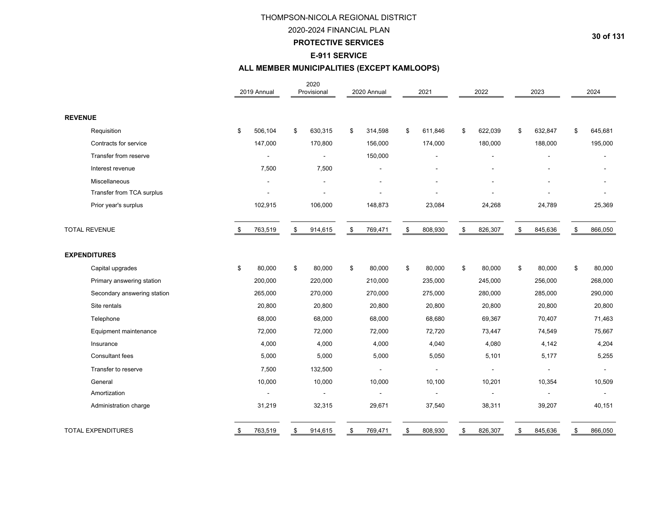# 2020-2024 FINANCIAL PLAN

### **PROTECTIVE SERVICES**

### **E-911 SERVICE**

# **ALL MEMBER MUNICIPALITIES (EXCEPT KAMLOOPS)**

|                             | 2019 Annual   | 2020<br>Provisional | 2020 Annual              | 2021                         | 2022          | 2023          | 2024          |
|-----------------------------|---------------|---------------------|--------------------------|------------------------------|---------------|---------------|---------------|
| <b>REVENUE</b>              |               |                     |                          |                              |               |               |               |
| Requisition                 | \$<br>506,104 | \$<br>630,315       | \$<br>314,598            | \$<br>611,846                | \$<br>622,039 | \$<br>632,847 | \$<br>645,681 |
| Contracts for service       | 147,000       | 170,800             | 156,000                  | 174,000                      | 180,000       | 188,000       | 195,000       |
| Transfer from reserve       |               |                     | 150,000                  |                              |               |               |               |
| Interest revenue            | 7,500         | 7,500               |                          | $\qquad \qquad \blacksquare$ |               |               |               |
| Miscellaneous               |               |                     |                          |                              |               |               |               |
| Transfer from TCA surplus   |               |                     |                          |                              |               |               |               |
| Prior year's surplus        | 102,915       | 106,000             | 148,873                  | 23,084                       | 24,268        | 24,789        | 25,369        |
| <b>TOTAL REVENUE</b>        | \$<br>763,519 | \$<br>914,615       | \$<br>769,471            | \$<br>808,930                | \$<br>826,307 | \$<br>845,636 | \$<br>866,050 |
| <b>EXPENDITURES</b>         |               |                     |                          |                              |               |               |               |
| Capital upgrades            | \$<br>80,000  | \$<br>80,000        | \$<br>80.000             | \$<br>80,000                 | \$<br>80,000  | \$<br>80,000  | \$<br>80,000  |
| Primary answering station   | 200,000       | 220,000             | 210,000                  | 235,000                      | 245,000       | 256,000       | 268,000       |
| Secondary answering station | 265,000       | 270,000             | 270,000                  | 275,000                      | 280,000       | 285,000       | 290,000       |
| Site rentals                | 20,800        | 20,800              | 20,800                   | 20,800                       | 20,800        | 20,800        | 20,800        |
| Telephone                   | 68,000        | 68,000              | 68,000                   | 68,680                       | 69,367        | 70,407        | 71,463        |
| Equipment maintenance       | 72,000        | 72,000              | 72,000                   | 72,720                       | 73,447        | 74,549        | 75,667        |
| Insurance                   | 4,000         | 4,000               | 4,000                    | 4,040                        | 4,080         | 4,142         | 4,204         |
| Consultant fees             | 5,000         | 5,000               | 5,000                    | 5,050                        | 5,101         | 5,177         | 5,255         |
| Transfer to reserve         | 7,500         | 132,500             | $\overline{\phantom{a}}$ | $\blacksquare$               | ÷             | $\sim$        | $\sim$        |
| General                     | 10,000        | 10,000              | 10,000                   | 10,100                       | 10,201        | 10,354        | 10,509        |
| Amortization                |               |                     |                          |                              |               |               |               |
| Administration charge       | 31,219        | 32,315              | 29,671                   | 37,540                       | 38,311        | 39,207        | 40,151        |
| <b>TOTAL EXPENDITURES</b>   | \$<br>763,519 | \$<br>914,615       | \$<br>769,471            | \$<br>808,930                | \$<br>826,307 | \$<br>845,636 | \$<br>866,050 |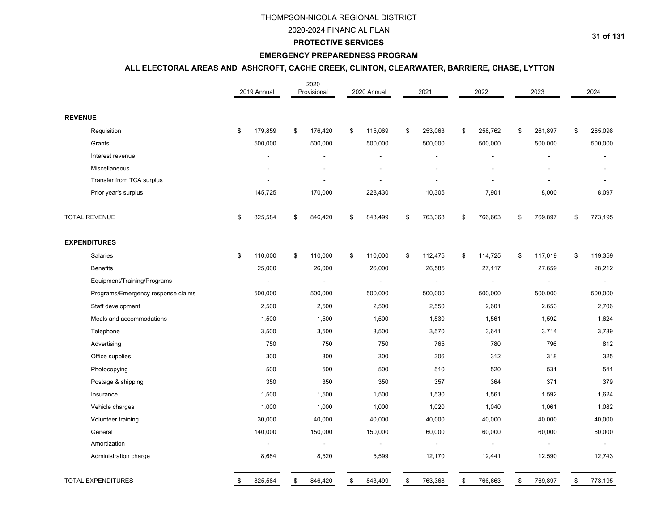### 2020-2024 FINANCIAL PLAN

#### **PROTECTIVE SERVICES**

#### **EMERGENCY PREPAREDNESS PROGRAM**

# **ALL ELECTORAL AREAS AND ASHCROFT, CACHE CREEK, CLINTON, CLEARWATER, BARRIERE, CHASE, LYTTON**

|                                    | 2019 Annual |                | 2020<br>Provisional      | 2020 Annual              | 2021          |               | 2022                     |               | 2023                     |               | 2024           |
|------------------------------------|-------------|----------------|--------------------------|--------------------------|---------------|---------------|--------------------------|---------------|--------------------------|---------------|----------------|
| <b>REVENUE</b>                     |             |                |                          |                          |               |               |                          |               |                          |               |                |
| Requisition                        | \$          | 179,859        | \$<br>176,420            | \$<br>115,069            | \$<br>253,063 | \$            | 258,762                  | \$            | 261,897                  | \$            | 265,098        |
| Grants                             |             | 500,000        | 500,000                  | 500,000                  | 500,000       |               | 500,000                  |               | 500,000                  |               | 500,000        |
| Interest revenue                   |             |                | L,                       |                          |               |               |                          |               |                          |               |                |
| Miscellaneous                      |             |                |                          |                          |               |               |                          |               |                          |               |                |
| Transfer from TCA surplus          |             |                |                          |                          |               |               |                          |               |                          |               |                |
| Prior year's surplus               |             | 145,725        | 170,000                  | 228,430                  | 10,305        |               | 7,901                    |               | 8,000                    |               | 8,097          |
| <b>TOTAL REVENUE</b>               | \$          | 825,584        | \$<br>846,420            | \$<br>843,499            | \$<br>763,368 | $\mathfrak s$ | 766,663                  | $\mathfrak s$ | 769,897                  | $\mathfrak s$ | 773,195        |
| <b>EXPENDITURES</b>                |             |                |                          |                          |               |               |                          |               |                          |               |                |
| Salaries                           | \$          | 110,000        | \$<br>110,000            | \$<br>110,000            | \$<br>112,475 | \$            | 114,725                  | \$            | 117,019                  | \$            | 119,359        |
| <b>Benefits</b>                    |             | 25,000         | 26,000                   | 26,000                   | 26,585        |               | 27,117                   |               | 27,659                   |               | 28,212         |
| Equipment/Training/Programs        |             | $\blacksquare$ | $\overline{\phantom{a}}$ | $\blacksquare$           |               |               | $\overline{\phantom{a}}$ |               | $\blacksquare$           |               | $\blacksquare$ |
| Programs/Emergency response claims |             | 500,000        | 500,000                  | 500,000                  | 500,000       |               | 500,000                  |               | 500,000                  |               | 500,000        |
| Staff development                  |             | 2,500          | 2,500                    | 2,500                    | 2,550         |               | 2,601                    |               | 2,653                    |               | 2,706          |
| Meals and accommodations           |             | 1,500          | 1,500                    | 1,500                    | 1,530         |               | 1,561                    |               | 1,592                    |               | 1,624          |
| Telephone                          |             | 3,500          | 3,500                    | 3,500                    | 3,570         |               | 3,641                    |               | 3,714                    |               | 3,789          |
| Advertising                        |             | 750            | 750                      | 750                      | 765           |               | 780                      |               | 796                      |               | 812            |
| Office supplies                    |             | 300            | 300                      | 300                      | 306           |               | 312                      |               | 318                      |               | 325            |
| Photocopying                       |             | 500            | 500                      | 500                      | 510           |               | 520                      |               | 531                      |               | 541            |
| Postage & shipping                 |             | 350            | 350                      | 350                      | 357           |               | 364                      |               | 371                      |               | 379            |
| Insurance                          |             | 1,500          | 1,500                    | 1,500                    | 1,530         |               | 1,561                    |               | 1,592                    |               | 1,624          |
| Vehicle charges                    |             | 1,000          | 1,000                    | 1,000                    | 1,020         |               | 1,040                    |               | 1,061                    |               | 1,082          |
| Volunteer training                 |             | 30,000         | 40,000                   | 40,000                   | 40,000        |               | 40,000                   |               | 40,000                   |               | 40,000         |
| General                            |             | 140,000        | 150,000                  | 150,000                  | 60,000        |               | 60,000                   |               | 60,000                   |               | 60,000         |
| Amortization                       |             | $\blacksquare$ | $\blacksquare$           | $\overline{\phantom{a}}$ |               |               |                          |               | $\overline{\phantom{a}}$ |               | $\sim$         |
| Administration charge              |             | 8,684          | 8,520                    | 5,599                    | 12,170        |               | 12,441                   |               | 12,590                   |               | 12,743         |
| <b>TOTAL EXPENDITURES</b>          | \$          | 825,584        | \$<br>846,420            | \$<br>843,499            | \$<br>763,368 | \$            | 766,663                  | \$            | 769,897                  | \$            | 773,195        |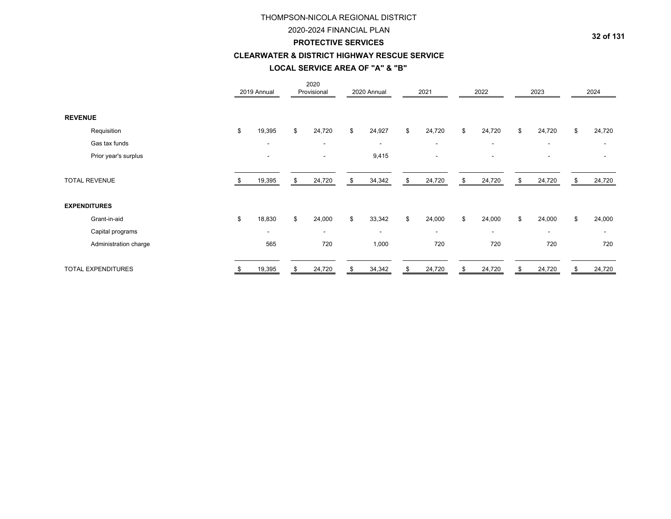#### 2020-2024 FINANCIAL PLAN

#### **PROTECTIVE SERVICES**

## **CLEARWATER & DISTRICT HIGHWAY RESCUE SERVICE**

### **LOCAL SERVICE AREA OF "A" & "B"**

|                           | 2019 Annual              |    | 2020<br>Provisional      | 2020 Annual              | 2021           | 2022                     | 2023                     | 2024           |
|---------------------------|--------------------------|----|--------------------------|--------------------------|----------------|--------------------------|--------------------------|----------------|
| <b>REVENUE</b>            |                          |    |                          |                          |                |                          |                          |                |
| Requisition               | \$<br>19,395             | \$ | 24,720                   | \$<br>24,927             | \$<br>24,720   | \$<br>24,720             | \$<br>24,720             | \$<br>24,720   |
| Gas tax funds             | $\overline{\phantom{a}}$ |    | $\overline{\phantom{a}}$ | $\overline{\phantom{a}}$ | $\blacksquare$ | $\overline{\phantom{a}}$ | $\overline{\phantom{a}}$ | $\blacksquare$ |
| Prior year's surplus      | $\blacksquare$           |    | $\overline{\phantom{a}}$ | 9,415                    | $\blacksquare$ |                          |                          |                |
| <b>TOTAL REVENUE</b>      | 19,395                   | S  | 24,720                   | \$<br>34,342             | \$<br>24,720   | \$<br>24,720             | \$<br>24,720             | \$<br>24,720   |
| <b>EXPENDITURES</b>       |                          |    |                          |                          |                |                          |                          |                |
| Grant-in-aid              | \$<br>18,830             | \$ | 24,000                   | \$<br>33,342             | \$<br>24,000   | \$<br>24,000             | \$<br>24,000             | \$<br>24,000   |
| Capital programs          | $\blacksquare$           |    | $\blacksquare$           | $\sim$                   | $\blacksquare$ | $\overline{\phantom{a}}$ | $\overline{\phantom{a}}$ | $\blacksquare$ |
| Administration charge     | 565                      |    | 720                      | 1,000                    | 720            | 720                      | 720                      | 720            |
| <b>TOTAL EXPENDITURES</b> | 19,395                   | \$ | 24,720                   | \$<br>34,342             | \$<br>24,720   | \$<br>24,720             | \$<br>24,720             | \$<br>24,720   |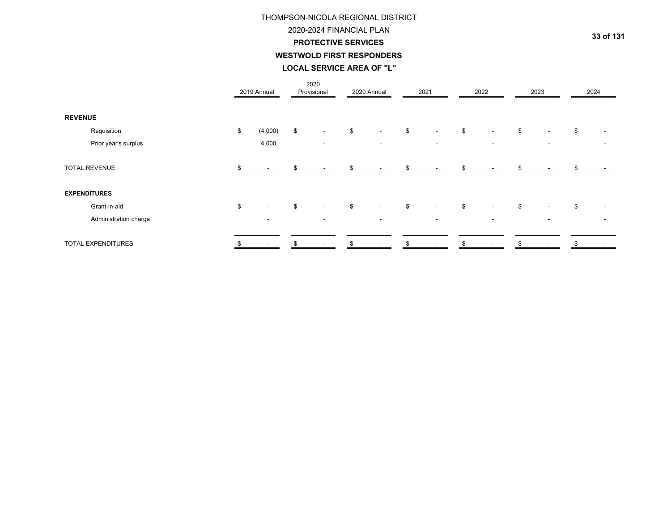# **WESTWOLD FIRST RESPONDERS LOCAL SERVICE AREA OF "L"**THOMPSON-NICOLA REGIONAL DISTRICT 2020-2024 FINANCIAL PLAN**PROTECTIVE SERVICES**

|                       | 2019 Annual                    | 2020<br>Provisional      | 2020 Annual  |                           | 2021                     | 2022                     | 2023                           | 2024 |
|-----------------------|--------------------------------|--------------------------|--------------|---------------------------|--------------------------|--------------------------|--------------------------------|------|
| <b>REVENUE</b>        |                                |                          |              |                           |                          |                          |                                |      |
| Requisition           | \$<br>(4,000)                  | \$<br>$\sim$             | \$<br>$\sim$ | \$                        | $\sim$                   | \$<br>$\blacksquare$     | \$<br>$\overline{\phantom{a}}$ | \$   |
| Prior year's surplus  | 4,000                          | $\overline{\phantom{0}}$ | $\sim$       |                           | $\sim$                   | $\overline{\phantom{a}}$ | $\overline{\phantom{a}}$       |      |
| <b>TOTAL REVENUE</b>  |                                |                          |              |                           |                          |                          |                                |      |
| <b>EXPENDITURES</b>   |                                |                          |              |                           |                          |                          |                                |      |
| Grant-in-aid          | \$<br>$\overline{\phantom{a}}$ | \$<br>$\sim$             | \$<br>$\sim$ | $\boldsymbol{\mathsf{S}}$ | $\sim$                   | \$                       | \$<br>$\overline{\phantom{a}}$ | \$   |
| Administration charge | <b>.</b>                       |                          | ۰            |                           | $\overline{\phantom{a}}$ |                          |                                |      |
| TOTAL EXPENDITURES    | $\blacksquare$                 | $\sim$                   | \$<br>$\sim$ | \$.                       | $\overline{\phantom{a}}$ | $\overline{\phantom{a}}$ | $\overline{\phantom{a}}$       |      |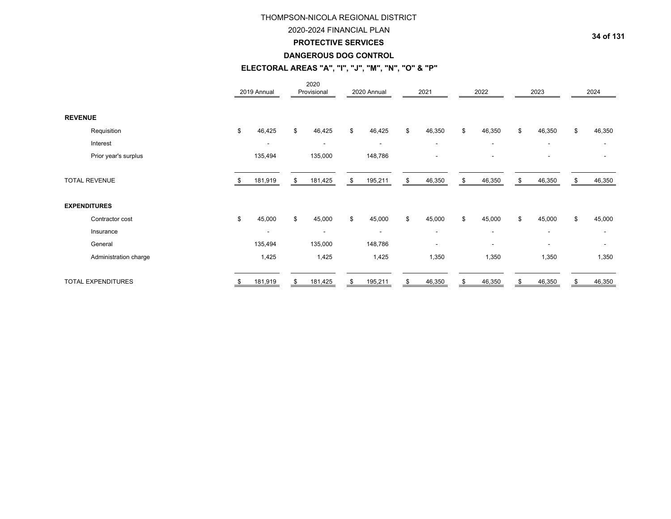## 2020-2024 FINANCIAL PLAN

### **PROTECTIVE SERVICES**

#### **DANGEROUS DOG CONTROL**

# **ELECTORAL AREAS "A", "I", "J", "M", "N", "O" & "P"**

|                           | 2019 Annual              |    | 2020<br>Provisional      | 2020 Annual              | 2021                     | 2022                     | 2023                     | 2024           |
|---------------------------|--------------------------|----|--------------------------|--------------------------|--------------------------|--------------------------|--------------------------|----------------|
| <b>REVENUE</b>            |                          |    |                          |                          |                          |                          |                          |                |
| Requisition               | \$<br>46,425             | \$ | 46,425                   | \$<br>46,425             | \$<br>46,350             | \$<br>46,350             | \$<br>46,350             | \$<br>46,350   |
| Interest                  | $\overline{\phantom{a}}$ |    | $\overline{\phantom{a}}$ | $\overline{\phantom{a}}$ | $\overline{\phantom{a}}$ | $\overline{\phantom{a}}$ | $\overline{\phantom{a}}$ |                |
| Prior year's surplus      | 135,494                  |    | 135,000                  | 148,786                  | $\blacksquare$           | $\overline{\phantom{a}}$ |                          |                |
| <b>TOTAL REVENUE</b>      | 181,919                  | \$ | 181,425                  | \$<br>195,211            | \$<br>46,350             | \$<br>46,350             | \$<br>46,350             | \$<br>46,350   |
| <b>EXPENDITURES</b>       |                          |    |                          |                          |                          |                          |                          |                |
| Contractor cost           | \$<br>45,000             | \$ | 45,000                   | \$<br>45,000             | \$<br>45,000             | \$<br>45,000             | \$<br>45,000             | \$<br>45,000   |
| Insurance                 | $\overline{\phantom{a}}$ |    | ٠                        | $\sim$                   | $\overline{\phantom{a}}$ | $\overline{\phantom{a}}$ | $\overline{\phantom{a}}$ | $\blacksquare$ |
| General                   | 135,494                  |    | 135,000                  | 148,786                  | $\blacksquare$           | $\overline{\phantom{a}}$ |                          |                |
| Administration charge     | 1,425                    |    | 1,425                    | 1,425                    | 1,350                    | 1,350                    | 1,350                    | 1,350          |
| <b>TOTAL EXPENDITURES</b> | 181,919                  | S  | 181,425                  | \$<br>195,211            | \$<br>46,350             | 46,350                   | 46,350                   | 46,350         |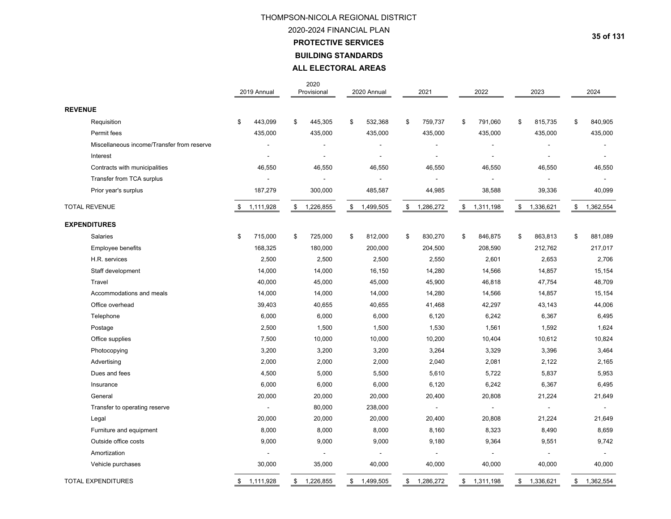# **PROTECTIVE SERVICES BUILDING STANDARDS** THOMPSON-NICOLA REGIONAL DISTRICT 2020-2024 FINANCIAL PLAN**ALL ELECTORAL AREAS**

|                                            | 2019 Annual     | 2020<br>Provisional | 2020 Annual     | 2021            | 2022            | 2023                     | 2024            |
|--------------------------------------------|-----------------|---------------------|-----------------|-----------------|-----------------|--------------------------|-----------------|
| <b>REVENUE</b>                             |                 |                     |                 |                 |                 |                          |                 |
| Requisition                                | \$<br>443,099   | \$<br>445,305       | \$<br>532,368   | \$<br>759,737   | \$<br>791,060   | \$<br>815,735            | \$<br>840,905   |
| Permit fees                                | 435,000         | 435,000             | 435,000         | 435,000         | 435,000         | 435,000                  | 435,000         |
| Miscellaneous income/Transfer from reserve |                 | $\overline{a}$      |                 |                 |                 |                          | $\blacksquare$  |
| Interest                                   |                 | $\overline{a}$      |                 |                 |                 | ٠                        | $\overline{a}$  |
| Contracts with municipalities              | 46,550          | 46,550              | 46,550          | 46,550          | 46,550          | 46,550                   | 46,550          |
| Transfer from TCA surplus                  |                 |                     |                 |                 |                 |                          |                 |
| Prior year's surplus                       | 187,279         | 300,000             | 485,587         | 44,985          | 38,588          | 39,336                   | 40,099          |
| <b>TOTAL REVENUE</b>                       | \$<br>1,111,928 | \$<br>1,226,855     | \$<br>1,499,505 | \$<br>1,286,272 | \$<br>1,311,198 | \$<br>1,336,621          | \$<br>1,362,554 |
| <b>EXPENDITURES</b>                        |                 |                     |                 |                 |                 |                          |                 |
| Salaries                                   | \$<br>715,000   | \$<br>725,000       | \$<br>812,000   | \$<br>830,270   | \$<br>846,875   | \$<br>863,813            | \$<br>881,089   |
| Employee benefits                          | 168,325         | 180,000             | 200,000         | 204,500         | 208,590         | 212,762                  | 217,017         |
| H.R. services                              | 2,500           | 2,500               | 2,500           | 2,550           | 2,601           | 2,653                    | 2,706           |
| Staff development                          | 14,000          | 14,000              | 16,150          | 14,280          | 14,566          | 14,857                   | 15,154          |
| Travel                                     | 40,000          | 45,000              | 45,000          | 45,900          | 46,818          | 47,754                   | 48,709          |
| Accommodations and meals                   | 14,000          | 14,000              | 14,000          | 14,280          | 14,566          | 14,857                   | 15,154          |
| Office overhead                            | 39,403          | 40,655              | 40,655          | 41,468          | 42,297          | 43,143                   | 44,006          |
| Telephone                                  | 6,000           | 6,000               | 6,000           | 6,120           | 6,242           | 6,367                    | 6,495           |
| Postage                                    | 2,500           | 1,500               | 1,500           | 1,530           | 1,561           | 1,592                    | 1,624           |
| Office supplies                            | 7,500           | 10,000              | 10,000          | 10,200          | 10,404          | 10,612                   | 10,824          |
| Photocopying                               | 3,200           | 3,200               | 3,200           | 3,264           | 3,329           | 3,396                    | 3,464           |
| Advertising                                | 2,000           | 2,000               | 2,000           | 2,040           | 2,081           | 2,122                    | 2,165           |
| Dues and fees                              | 4,500           | 5,000               | 5,500           | 5,610           | 5,722           | 5,837                    | 5,953           |
| Insurance                                  | 6,000           | 6,000               | 6,000           | 6,120           | 6,242           | 6,367                    | 6,495           |
| General                                    | 20,000          | 20,000              | 20,000          | 20,400          | 20,808          | 21,224                   | 21,649          |
| Transfer to operating reserve              | $\sim$          | 80,000              | 238,000         |                 |                 | $\overline{\phantom{a}}$ | $\sim$          |
| Legal                                      | 20,000          | 20,000              | 20,000          | 20,400          | 20,808          | 21,224                   | 21,649          |
| Furniture and equipment                    | 8,000           | 8,000               | 8,000           | 8,160           | 8,323           | 8,490                    | 8,659           |
| Outside office costs                       | 9,000           | 9,000               | 9,000           | 9,180           | 9,364           | 9,551                    | 9,742           |
| Amortization                               |                 | $\overline{a}$      |                 |                 |                 |                          | $\blacksquare$  |
| Vehicle purchases                          | 30,000          | 35,000              | 40,000          | 40,000          | 40,000          | 40,000                   | 40,000          |
| <b>TOTAL EXPENDITURES</b>                  | \$<br>1,111,928 | \$<br>1,226,855     | \$<br>1,499,505 | \$<br>1,286,272 | \$<br>1,311,198 | \$<br>1,336,621          | \$<br>1,362,554 |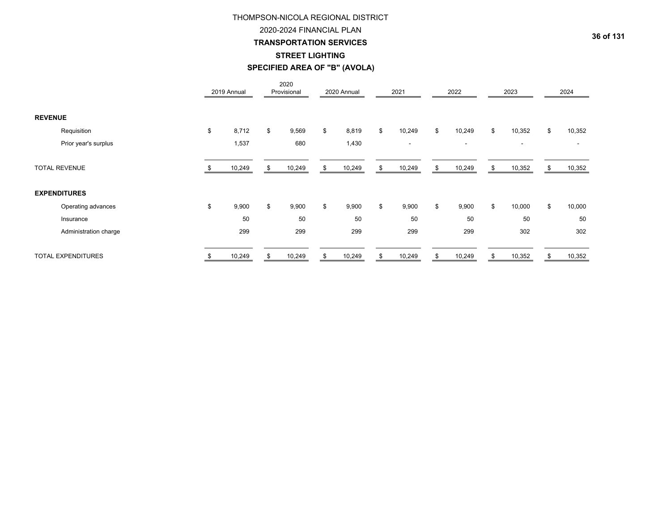## 2020-2024 FINANCIAL PLAN

## **TRANSPORTATION SERVICES**

## **STREET LIGHTING**

**SPECIFIED AREA OF "B" (AVOLA)**

|                |                           | 2019 Annual | 2020<br>Provisional | 2020 Annual | 2021         | 2022           |    | 2023                     | 2024                     |
|----------------|---------------------------|-------------|---------------------|-------------|--------------|----------------|----|--------------------------|--------------------------|
| <b>REVENUE</b> |                           |             |                     |             |              |                |    |                          |                          |
|                | Requisition               | \$<br>8,712 | \$<br>9,569         | \$<br>8,819 | \$<br>10,249 | \$<br>10,249   | \$ | 10,352                   | \$<br>10,352             |
|                | Prior year's surplus      | 1,537       | 680                 | 1,430       | $\sim$       | $\blacksquare$ |    | $\overline{\phantom{a}}$ | $\overline{\phantom{a}}$ |
|                | <b>TOTAL REVENUE</b>      | 10,249      | 10,249              | 10,249      | \$<br>10,249 | \$<br>10,249   | S  | 10,352                   | 10,352                   |
|                | <b>EXPENDITURES</b>       |             |                     |             |              |                |    |                          |                          |
|                | Operating advances        | \$<br>9,900 | \$<br>9,900         | \$<br>9,900 | \$<br>9,900  | \$<br>9,900    | \$ | 10,000                   | \$<br>10,000             |
|                | Insurance                 | 50          | 50                  | 50          | 50           | 50             |    | 50                       | 50                       |
|                | Administration charge     | 299         | 299                 | 299         | 299          | 299            |    | 302                      | 302                      |
|                | <b>TOTAL EXPENDITURES</b> | 10,249      | 10,249              | 10,249      | \$<br>10,249 | \$<br>10,249   |    | 10,352                   | 10,352                   |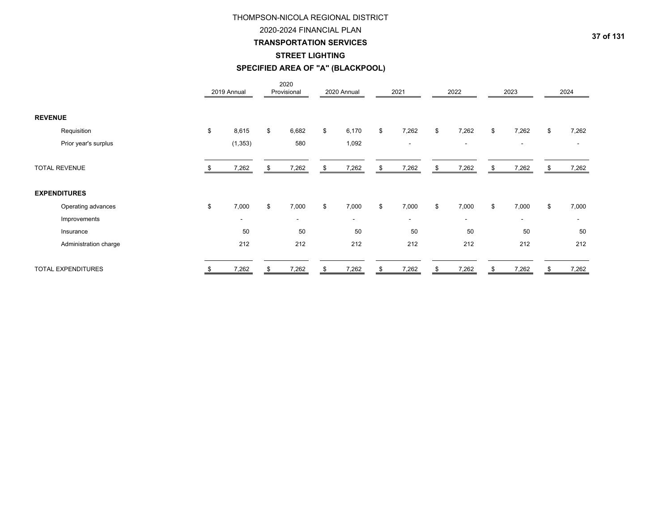## 2020-2024 FINANCIAL PLAN

## **TRANSPORTATION SERVICES**

# **STREET LIGHTING**

# **SPECIFIED AREA OF "A" (BLACKPOOL)**

|                           |                       | 2019 Annual | 2020<br>Provisional      | 2020 Annual    | 2021           |    | 2022                     | 2023                     | 2024                     |
|---------------------------|-----------------------|-------------|--------------------------|----------------|----------------|----|--------------------------|--------------------------|--------------------------|
| <b>REVENUE</b>            |                       |             |                          |                |                |    |                          |                          |                          |
| Requisition               |                       | \$<br>8,615 | \$<br>6,682              | \$<br>6,170    | \$<br>7,262    | \$ | 7,262                    | \$<br>7,262              | \$<br>7,262              |
|                           | Prior year's surplus  | (1, 353)    | 580                      | 1,092          | $\blacksquare$ |    | $\overline{\phantom{a}}$ | $\overline{\phantom{a}}$ | $\overline{\phantom{a}}$ |
| <b>TOTAL REVENUE</b>      |                       | 7,262       | \$<br>7,262              | \$<br>7,262    | \$<br>7,262    | S  | 7,262                    | \$<br>7,262              | \$<br>7,262              |
| <b>EXPENDITURES</b>       |                       |             |                          |                |                |    |                          |                          |                          |
|                           | Operating advances    | \$<br>7,000 | \$<br>7,000              | \$<br>7,000    | \$<br>7,000    | \$ | 7,000                    | \$<br>7,000              | \$<br>7,000              |
|                           | Improvements          | ٠           | $\overline{\phantom{a}}$ | $\blacksquare$ | $\blacksquare$ |    | $\overline{\phantom{a}}$ | $\overline{\phantom{a}}$ | ۰                        |
| Insurance                 |                       | 50          | 50                       | 50             | 50             |    | 50                       | 50                       | 50                       |
|                           | Administration charge | 212         | 212                      | 212            | 212            |    | 212                      | 212                      | 212                      |
| <b>TOTAL EXPENDITURES</b> |                       | \$<br>7,262 | \$<br>7,262              | \$<br>7,262    | \$<br>7,262    | \$ | 7,262                    | \$<br>7,262              | \$<br>7,262              |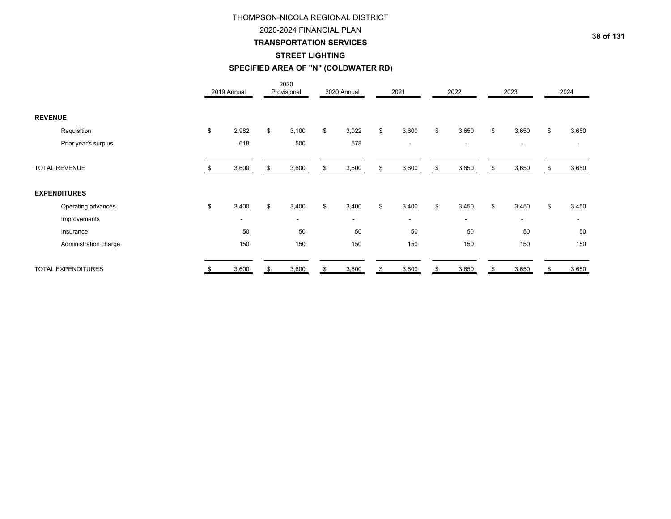## 2020-2024 FINANCIAL PLAN

## **TRANSPORTATION SERVICES**

## **STREET LIGHTING**

# **SPECIFIED AREA OF "N" (COLDWATER RD)**

|                           |     | 2019 Annual              | 2020<br>Provisional | 2020 Annual              | 2021                     | 2022        | 2023                     |    | 2024   |
|---------------------------|-----|--------------------------|---------------------|--------------------------|--------------------------|-------------|--------------------------|----|--------|
| <b>REVENUE</b>            |     |                          |                     |                          |                          |             |                          |    |        |
| Requisition               | \$  | 2,982                    | \$<br>3,100         | \$<br>3,022              | \$<br>3,600              | \$<br>3,650 | \$<br>3,650              | \$ | 3,650  |
| Prior year's surplus      |     | 618                      | 500                 | 578                      | $\overline{\phantom{a}}$ | $\sim$      | $\blacksquare$           |    | $\sim$ |
| <b>TOTAL REVENUE</b>      |     | 3,600                    | \$<br>3,600         | \$<br>3,600              | \$<br>3,600              | \$<br>3,650 | \$<br>3,650              | S  | 3,650  |
| <b>EXPENDITURES</b>       |     |                          |                     |                          |                          |             |                          |    |        |
| Operating advances        | \$  | 3,400                    | \$<br>3,400         | \$<br>3,400              | \$<br>3,400              | \$<br>3,450 | \$<br>3,450              | \$ | 3,450  |
| Improvements              |     | $\overline{\phantom{a}}$ | $\blacksquare$      | $\overline{\phantom{a}}$ | $\overline{\phantom{a}}$ | $\sim$      | $\overline{\phantom{a}}$ |    |        |
| Insurance                 |     | 50                       | 50                  | 50                       | 50                       | 50          | 50                       |    | 50     |
| Administration charge     |     | 150                      | 150                 | 150                      | 150                      | 150         | 150                      |    | 150    |
| <b>TOTAL EXPENDITURES</b> | \$. | 3,600                    | \$<br>3,600         | \$<br>3,600              | \$<br>3,600              | \$<br>3,650 | \$<br>3,650              | S  | 3,650  |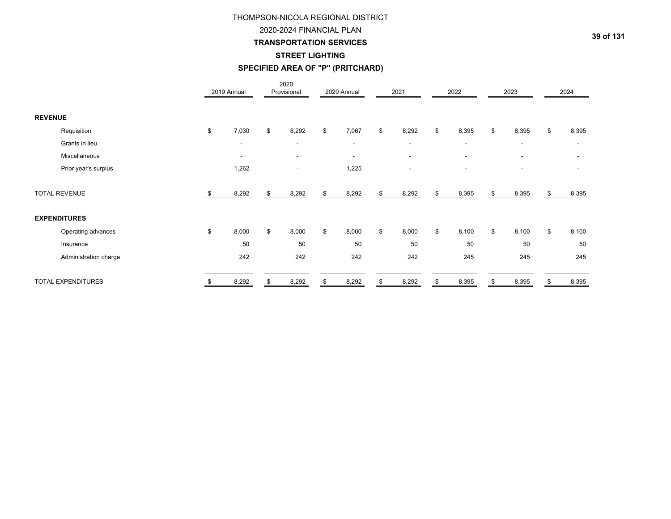## 2020-2024 FINANCIAL PLAN

## **TRANSPORTATION SERVICES**

## **STREET LIGHTING**

# **SPECIFIED AREA OF "P" (PRITCHARD)**

|                           |                | 2019 Annual              | 2020<br>Provisional      |    | 2020 Annual              |    | 2021                     | 2022                     | 2023                     | 2024        |
|---------------------------|----------------|--------------------------|--------------------------|----|--------------------------|----|--------------------------|--------------------------|--------------------------|-------------|
| <b>REVENUE</b>            |                |                          |                          |    |                          |    |                          |                          |                          |             |
| Requisition               | $\mathfrak{S}$ | 7,030                    | \$<br>8,292              | \$ | 7,067                    | \$ | 8,292                    | \$<br>8,395              | \$<br>8,395              | \$<br>8,395 |
| Grants in lieu            |                | $\overline{\phantom{a}}$ | $\overline{\phantom{a}}$ |    | $\overline{\phantom{a}}$ |    | $\overline{\phantom{a}}$ | $\overline{\phantom{a}}$ | $\overline{\phantom{a}}$ |             |
| Miscellaneous             |                | $\overline{\phantom{a}}$ | $\blacksquare$           |    | $\overline{\phantom{a}}$ |    | $\overline{\phantom{a}}$ | $\overline{\phantom{a}}$ | $\blacksquare$           |             |
| Prior year's surplus      |                | 1,262                    | ۰                        |    | 1,225                    |    | ٠                        |                          | $\blacksquare$           |             |
| <b>TOTAL REVENUE</b>      |                | 8,292                    | \$<br>8,292              | \$ | 8,292                    | \$ | 8,292                    | \$<br>8,395              | \$<br>8,395              | 8,395       |
| <b>EXPENDITURES</b>       |                |                          |                          |    |                          |    |                          |                          |                          |             |
| Operating advances        | $\mathfrak{S}$ | 8,000                    | \$<br>8,000              | \$ | 8,000                    | \$ | 8,000                    | \$<br>8,100              | \$<br>8,100              | \$<br>8,100 |
| Insurance                 |                | 50                       | 50                       |    | 50                       |    | 50                       | 50                       | 50                       | 50          |
| Administration charge     |                | 242                      | 242                      |    | 242                      |    | 242                      | 245                      | 245                      | 245         |
| <b>TOTAL EXPENDITURES</b> |                | 8,292                    | 8,292                    | £. | 8,292                    | ደ  | 8,292                    | 8,395                    | 8,395                    | 8,395       |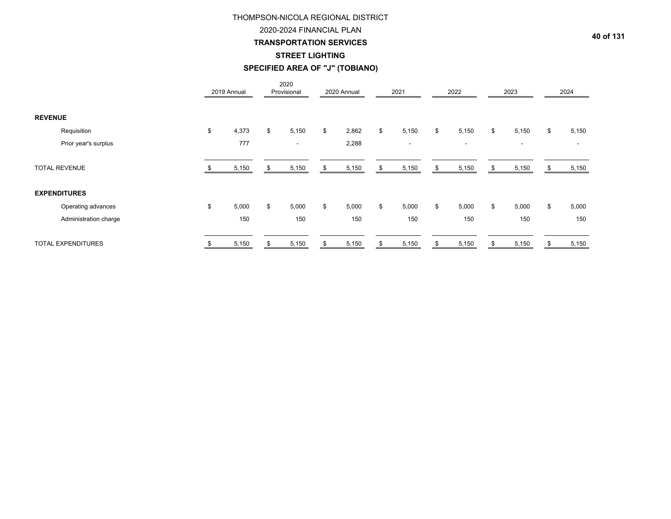## 2020-2024 FINANCIAL PLAN

## **TRANSPORTATION SERVICES**

## **STREET LIGHTING**

# **SPECIFIED AREA OF "J" (TOBIANO)**

|                           |    | 2019 Annual |    | 2020<br>Provisional |    | 2020 Annual | 2021                     | 2022                     | 2023                     |    | 2024  |
|---------------------------|----|-------------|----|---------------------|----|-------------|--------------------------|--------------------------|--------------------------|----|-------|
| <b>REVENUE</b>            |    |             |    |                     |    |             |                          |                          |                          |    |       |
| Requisition               | \$ | 4,373       | \$ | 5,150               | \$ | 2,862       | \$<br>5,150              | \$<br>5,150              | \$<br>5,150              | \$ | 5,150 |
| Prior year's surplus      |    | 777         |    | $\blacksquare$      |    | 2,288       | $\overline{\phantom{a}}$ | $\overline{\phantom{a}}$ | $\overline{\phantom{a}}$ |    |       |
| <b>TOTAL REVENUE</b>      |    | 5,150       | S  | 5,150               | ა  | 5,150       | 5,150                    | \$<br>5,150              | \$<br>5,150              |    | 5,150 |
| <b>EXPENDITURES</b>       |    |             |    |                     |    |             |                          |                          |                          |    |       |
| Operating advances        | \$ | 5,000       | \$ | 5,000               | \$ | 5,000       | \$<br>5,000              | \$<br>5,000              | \$<br>5,000              | \$ | 5,000 |
| Administration charge     |    | 150         |    | 150                 |    | 150         | 150                      | 150                      | 150                      |    | 150   |
| <b>TOTAL EXPENDITURES</b> | S  | 5,150       | \$ | 5,150               | \$ | 5,150       | \$<br>5,150              | \$<br>5,150              | \$<br>5,150              | S  | 5,150 |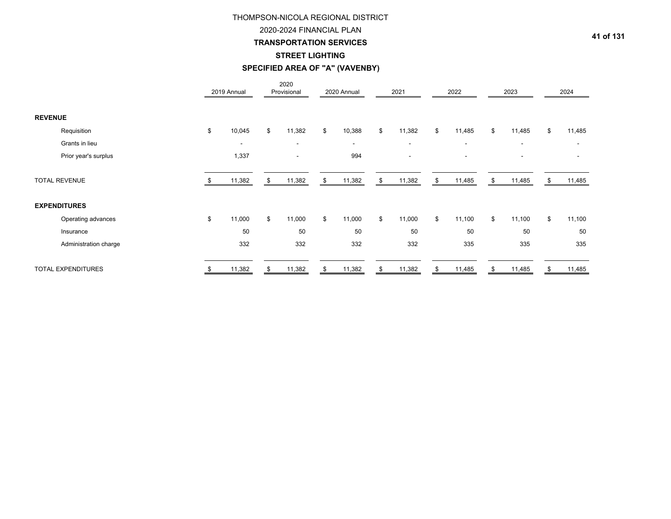# 2020-2024 FINANCIAL PLAN

**TRANSPORTATION SERVICES**

## **STREET LIGHTING**

# **SPECIFIED AREA OF "A" (VAVENBY)**

|                           | 2019 Annual  | 2020<br>Provisional      | 2020 Annual              | 2021                     | 2022                     | 2023           |    | 2024   |
|---------------------------|--------------|--------------------------|--------------------------|--------------------------|--------------------------|----------------|----|--------|
| <b>REVENUE</b>            |              |                          |                          |                          |                          |                |    |        |
| Requisition               | \$<br>10,045 | \$<br>11,382             | \$<br>10,388             | \$<br>11,382             | \$<br>11,485             | \$<br>11,485   | \$ | 11,485 |
| Grants in lieu            | ۰            | $\blacksquare$           | $\overline{\phantom{a}}$ | $\blacksquare$           | $\overline{\phantom{a}}$ | $\blacksquare$ |    |        |
| Prior year's surplus      | 1,337        | $\overline{\phantom{a}}$ | 994                      | $\overline{\phantom{a}}$ |                          | $\blacksquare$ |    |        |
| <b>TOTAL REVENUE</b>      | 11,382       | \$<br>11,382             | \$<br>11,382             | \$<br>11,382             | \$<br>11,485             | \$<br>11,485   | S. | 11,485 |
| <b>EXPENDITURES</b>       |              |                          |                          |                          |                          |                |    |        |
| Operating advances        | \$<br>11,000 | \$<br>11,000             | \$<br>11,000             | \$<br>11,000             | \$<br>11,100             | \$<br>11,100   | \$ | 11,100 |
| Insurance                 | 50           | 50                       | 50                       | 50                       | 50                       | 50             |    | 50     |
| Administration charge     | 332          | 332                      | 332                      | 332                      | 335                      | 335            |    | 335    |
| <b>TOTAL EXPENDITURES</b> | 11,382       | 11,382                   | 11,382                   | 11,382                   | 11,485                   | 11,485         |    | 11,485 |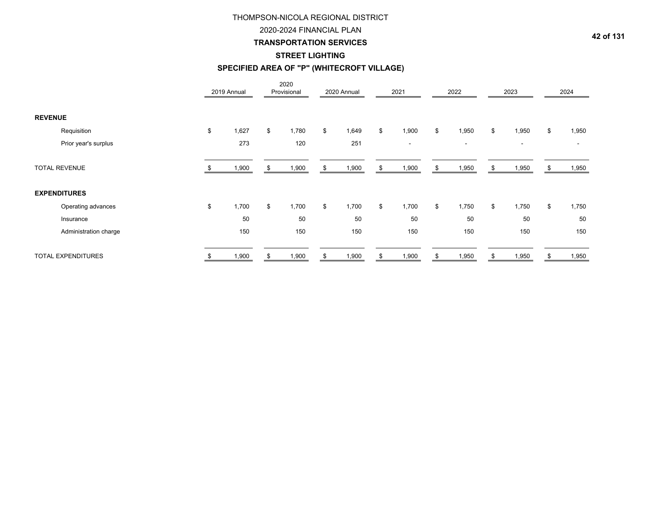## 2020-2024 FINANCIAL PLAN

## **TRANSPORTATION SERVICES**

# **STREET LIGHTING**

# **SPECIFIED AREA OF "P" (WHITECROFT VILLAGE)**

|                           |    | 2019 Annual |    | 2020<br>Provisional | 2020 Annual | 2021                     |    | 2022                     | 2023                     | 2024                     |
|---------------------------|----|-------------|----|---------------------|-------------|--------------------------|----|--------------------------|--------------------------|--------------------------|
| <b>REVENUE</b>            |    |             |    |                     |             |                          |    |                          |                          |                          |
| Requisition               | \$ | 1,627       | \$ | 1,780               | \$<br>1,649 | \$<br>1,900              | \$ | 1,950                    | \$<br>1,950              | \$<br>1,950              |
| Prior year's surplus      |    | 273         |    | 120                 | 251         | $\overline{\phantom{a}}$ |    | $\overline{\phantom{a}}$ | $\overline{\phantom{a}}$ | $\overline{\phantom{a}}$ |
| <b>TOTAL REVENUE</b>      |    | 1,900       | £. | 1,900               | 1,900       | 1,900                    | S  | 1,950                    | \$<br>1,950              | 1,950                    |
| <b>EXPENDITURES</b>       |    |             |    |                     |             |                          |    |                          |                          |                          |
| Operating advances        | \$ | 1,700       | \$ | 1,700               | \$<br>1,700 | \$<br>1,700              | \$ | 1,750                    | \$<br>1,750              | \$<br>1,750              |
| Insurance                 |    | 50          |    | 50                  | 50          | 50                       |    | 50                       | 50                       | 50                       |
| Administration charge     |    | 150         |    | 150                 | 150         | 150                      |    | 150                      | 150                      | 150                      |
| <b>TOTAL EXPENDITURES</b> |    | 1,900       | S  | 1,900               | 1,900       | 1,900                    |    | 1,950                    | \$<br>1,950              | 1,950                    |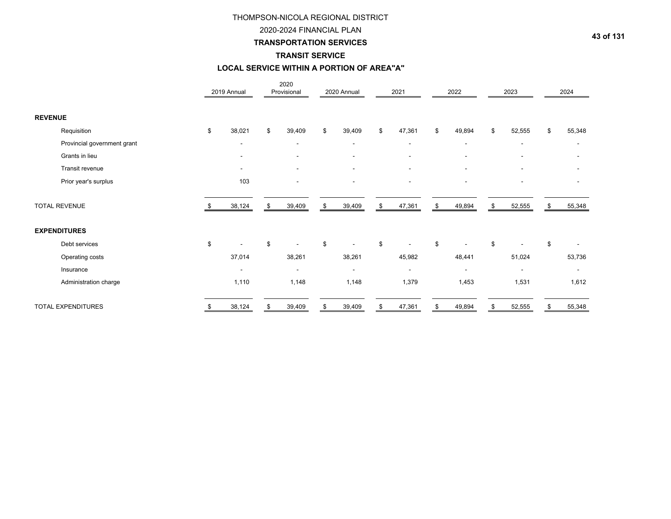## 2020-2024 FINANCIAL PLAN

# **TRANSPORTATION SERVICES**

## **TRANSIT SERVICE**

# **LOCAL SERVICE WITHIN A PORTION OF AREA"A"**

|                             | 2019 Annual              | 2020<br>Provisional      | 2020 Annual              | 2021                     | 2022                     |                | 2023                     |    | 2024                     |
|-----------------------------|--------------------------|--------------------------|--------------------------|--------------------------|--------------------------|----------------|--------------------------|----|--------------------------|
| <b>REVENUE</b>              |                          |                          |                          |                          |                          |                |                          |    |                          |
| Requisition                 | \$<br>38,021             | \$<br>39,409             | \$<br>39,409             | \$<br>47,361             | \$<br>49,894             | \$             | 52,555                   | \$ | 55,348                   |
| Provincial government grant | $\overline{\phantom{a}}$ | $\overline{\phantom{a}}$ | $\overline{\phantom{a}}$ | $\overline{\phantom{a}}$ | $\overline{\phantom{a}}$ |                | $\overline{\phantom{a}}$ |    | $\overline{\phantom{a}}$ |
| Grants in lieu              | ٠                        | ٠                        | $\overline{\phantom{a}}$ | $\overline{\phantom{a}}$ | ٠                        |                | $\overline{\phantom{a}}$ |    |                          |
| Transit revenue             | ٠                        | $\overline{\phantom{a}}$ | $\overline{\phantom{a}}$ | $\overline{\phantom{a}}$ | $\overline{\phantom{a}}$ |                | $\overline{\phantom{a}}$ |    |                          |
| Prior year's surplus        | 103                      | $\overline{\phantom{a}}$ | $\overline{\phantom{a}}$ | $\overline{\phantom{a}}$ | ٠                        |                | $\overline{\phantom{a}}$ |    |                          |
| <b>TOTAL REVENUE</b>        | 38,124                   | \$<br>39,409             | \$<br>39,409             | \$<br>47,361             | \$<br>49,894             | Я.             | 52,555                   | £. | 55,348                   |
| <b>EXPENDITURES</b>         |                          |                          |                          |                          |                          |                |                          |    |                          |
| Debt services               | \$                       | \$                       | \$                       | \$                       | \$                       | $\mathfrak{L}$ |                          | \$ |                          |
| Operating costs             | 37,014                   | 38,261                   | 38,261                   | 45,982                   | 48,441                   |                | 51,024                   |    | 53,736                   |
| Insurance                   | ٠                        | $\overline{\phantom{a}}$ | $\blacksquare$           | ۰                        | $\overline{\phantom{a}}$ |                | $\overline{\phantom{a}}$ |    | $\overline{\phantom{a}}$ |
| Administration charge       | 1,110                    | 1,148                    | 1,148                    | 1,379                    | 1,453                    |                | 1,531                    |    | 1,612                    |
| <b>TOTAL EXPENDITURES</b>   | 38,124                   | 39,409                   | 39,409                   | 47,361                   | 49,894                   |                | 52,555                   |    | 55,348                   |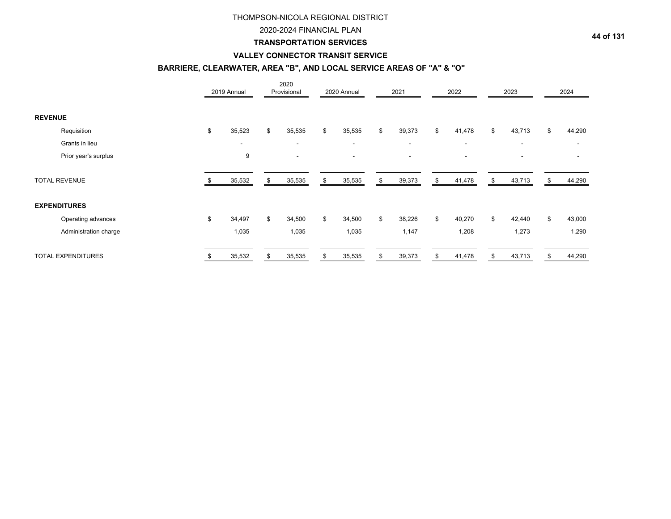## 2020-2024 FINANCIAL PLAN

## **TRANSPORTATION SERVICES**

## **VALLEY CONNECTOR TRANSIT SERVICE**

# **BARRIERE, CLEARWATER, AREA "B", AND LOCAL SERVICE AREAS OF "A" & "O"**

|                |                           | 2019 Annual  | 2020<br>Provisional      | 2020 Annual              | 2021                     | 2022                     |    | 2023                     |    | 2024   |
|----------------|---------------------------|--------------|--------------------------|--------------------------|--------------------------|--------------------------|----|--------------------------|----|--------|
| <b>REVENUE</b> |                           |              |                          |                          |                          |                          |    |                          |    |        |
|                | Requisition               | \$<br>35,523 | \$<br>35,535             | \$<br>35,535             | \$<br>39,373             | \$<br>41,478             | \$ | 43,713                   | \$ | 44,290 |
|                | Grants in lieu            | ۰            | $\overline{\phantom{a}}$ | $\overline{\phantom{a}}$ | $\overline{\phantom{a}}$ | $\overline{\phantom{a}}$ |    | $\overline{\phantom{a}}$ |    | ۰      |
|                | Prior year's surplus      | 9            | ۰                        |                          | $\overline{\phantom{a}}$ |                          |    | $\overline{\phantom{a}}$ |    |        |
|                | <b>TOTAL REVENUE</b>      | 35,532       | \$<br>35,535             | \$<br>35,535             | \$<br>39,373             | \$<br>41,478             | S. | 43,713                   | S  | 44,290 |
|                | <b>EXPENDITURES</b>       |              |                          |                          |                          |                          |    |                          |    |        |
|                | Operating advances        | \$<br>34,497 | \$<br>34,500             | \$<br>34,500             | \$<br>38,226             | \$<br>40,270             | \$ | 42,440                   | \$ | 43,000 |
|                | Administration charge     | 1,035        | 1,035                    | 1,035                    | 1,147                    | 1,208                    |    | 1,273                    |    | 1,290  |
|                | <b>TOTAL EXPENDITURES</b> | 35,532       | 35,535                   | 35,535                   | 39,373                   | 41,478                   |    | 43,713                   |    | 44,290 |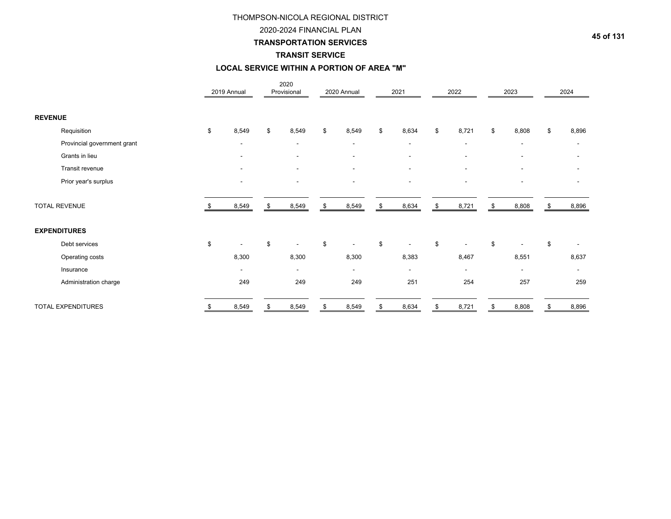## 2020-2024 FINANCIAL PLAN

## **TRANSPORTATION SERVICES**

# **TRANSIT SERVICE**

# **LOCAL SERVICE WITHIN A PORTION OF AREA "M"**

|                             |    | 2019 Annual              | 2020<br>Provisional      | 2020 Annual              | 2021                     |                | 2022                     |                | 2023                     | 2024                     |
|-----------------------------|----|--------------------------|--------------------------|--------------------------|--------------------------|----------------|--------------------------|----------------|--------------------------|--------------------------|
| <b>REVENUE</b>              |    |                          |                          |                          |                          |                |                          |                |                          |                          |
| Requisition                 | \$ | 8,549                    | \$<br>8,549              | \$<br>8,549              | \$<br>8,634              | \$             | 8,721                    | \$             | 8,808                    | \$<br>8,896              |
| Provincial government grant |    | ۰                        | $\blacksquare$           | $\blacksquare$           | $\overline{\phantom{a}}$ |                | $\overline{\phantom{a}}$ |                |                          | $\overline{\phantom{a}}$ |
| Grants in lieu              |    | ۰                        | $\blacksquare$           | $\blacksquare$           | $\overline{\phantom{a}}$ |                | $\overline{\phantom{a}}$ |                |                          |                          |
| Transit revenue             |    | $\blacksquare$           | $\overline{\phantom{a}}$ | $\overline{a}$           | $\blacksquare$           |                |                          |                |                          |                          |
| Prior year's surplus        |    | ٠                        | ۰                        |                          | $\blacksquare$           |                |                          |                |                          |                          |
| <b>TOTAL REVENUE</b>        |    | 8,549                    | \$<br>8,549              | 8,549                    | \$<br>8,634              | \$             | 8,721                    |                | 8,808                    | 8,896                    |
| <b>EXPENDITURES</b>         |    |                          |                          |                          |                          |                |                          |                |                          |                          |
| Debt services               | \$ |                          | \$                       | \$                       | \$                       | $\mathfrak{L}$ |                          | $\mathfrak{L}$ |                          | \$                       |
| Operating costs             |    | 8,300                    | 8,300                    | 8,300                    | 8,383                    |                | 8,467                    |                | 8,551                    | 8,637                    |
| Insurance                   |    | $\overline{\phantom{0}}$ | $\blacksquare$           | $\overline{\phantom{a}}$ | $\overline{\phantom{a}}$ |                | $\overline{\phantom{a}}$ |                | $\overline{\phantom{a}}$ | $\blacksquare$           |
| Administration charge       |    | 249                      | 249                      | 249                      | 251                      |                | 254                      |                | 257                      | 259                      |
| <b>TOTAL EXPENDITURES</b>   |    | 8,549                    | 8,549                    | 8,549                    | 8,634                    |                | 8,721                    |                | 8,808                    | 8,896                    |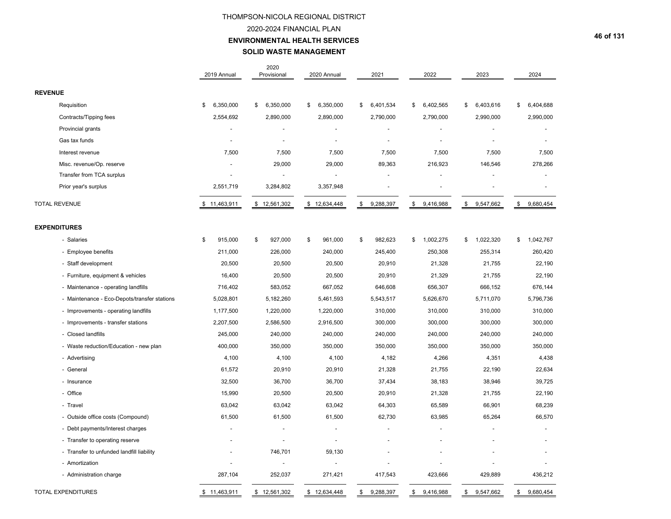#### 2020-2024 FINANCIAL PLAN

#### **ENVIRONMENTAL HEALTH SERVICES**

## **SOLID WASTE MANAGEMENT**

|                                              | 2019 Annual     | 2020<br>Provisional | 2020 Annual     | 2021            | 2022            | 2023            | 2024            |
|----------------------------------------------|-----------------|---------------------|-----------------|-----------------|-----------------|-----------------|-----------------|
| <b>REVENUE</b>                               |                 |                     |                 |                 |                 |                 |                 |
| Requisition                                  | 6,350,000<br>\$ | 6,350,000<br>\$     | 6,350,000<br>\$ | 6,401,534<br>\$ | 6,402,565<br>\$ | 6,403,616<br>\$ | 6,404,688<br>\$ |
| Contracts/Tipping fees                       | 2,554,692       | 2,890,000           | 2,890,000       | 2,790,000       | 2,790,000       | 2,990,000       | 2,990,000       |
| Provincial grants                            |                 |                     |                 |                 |                 |                 |                 |
| Gas tax funds                                |                 |                     | ÷,              |                 |                 |                 |                 |
| Interest revenue                             | 7,500           | 7,500               | 7,500           | 7,500           | 7,500           | 7,500           | 7,500           |
| Misc. revenue/Op. reserve                    |                 | 29,000              | 29,000          | 89,363          | 216,923         | 146,546         | 278,266         |
| Transfer from TCA surplus                    |                 |                     | $\blacksquare$  |                 |                 |                 |                 |
| Prior year's surplus                         | 2,551,719       | 3,284,802           | 3,357,948       |                 |                 |                 |                 |
| <b>TOTAL REVENUE</b>                         | \$11,463,911    | \$12,561,302        | \$12,634,448    | \$<br>9,288,397 | \$<br>9,416,988 | \$<br>9,547,662 | \$<br>9,680,454 |
| <b>EXPENDITURES</b>                          |                 |                     |                 |                 |                 |                 |                 |
| - Salaries                                   | \$<br>915,000   | \$<br>927,000       | \$<br>961,000   | \$<br>982,623   | 1,002,275<br>\$ | 1,022,320<br>\$ | 1,042,767<br>\$ |
| - Employee benefits                          | 211,000         | 226,000             | 240,000         | 245,400         | 250,308         | 255,314         | 260,420         |
| - Staff development                          | 20,500          | 20,500              | 20,500          | 20,910          | 21,328          | 21,755          | 22,190          |
| - Furniture, equipment & vehicles            | 16,400          | 20,500              | 20,500          | 20,910          | 21,329          | 21,755          | 22,190          |
| - Maintenance - operating landfills          | 716,402         | 583,052             | 667,052         | 646,608         | 656,307         | 666,152         | 676,144         |
| - Maintenance - Eco-Depots/transfer stations | 5,028,801       | 5,182,260           | 5,461,593       | 5,543,517       | 5,626,670       | 5,711,070       | 5,796,736       |
| - Improvements - operating landfills         | 1,177,500       | 1,220,000           | 1,220,000       | 310,000         | 310,000         | 310,000         | 310,000         |
| - Improvements - transfer stations           | 2,207,500       | 2,586,500           | 2,916,500       | 300,000         | 300,000         | 300,000         | 300,000         |
| - Closed landfills                           | 245,000         | 240,000             | 240,000         | 240,000         | 240,000         | 240,000         | 240,000         |
| - Waste reduction/Education - new plan       | 400,000         | 350,000             | 350,000         | 350,000         | 350,000         | 350,000         | 350,000         |
| - Advertising                                | 4,100           | 4,100               | 4,100           | 4,182           | 4,266           | 4,351           | 4,438           |
| - General                                    | 61,572          | 20,910              | 20,910          | 21,328          | 21,755          | 22,190          | 22,634          |
| - Insurance                                  | 32,500          | 36,700              | 36,700          | 37,434          | 38,183          | 38,946          | 39,725          |
| - Office                                     | 15,990          | 20,500              | 20,500          | 20,910          | 21,328          | 21,755          | 22,190          |
| - Travel                                     | 63,042          | 63,042              | 63,042          | 64,303          | 65,589          | 66,901          | 68,239          |
| - Outside office costs (Compound)            | 61,500          | 61,500              | 61,500          | 62,730          | 63,985          | 65,264          | 66,570          |
| - Debt payments/Interest charges             |                 |                     |                 |                 |                 |                 |                 |
| - Transfer to operating reserve              |                 |                     |                 |                 |                 |                 |                 |
| - Transfer to unfunded landfill liability    |                 | 746,701             | 59,130          |                 |                 |                 |                 |
| - Amortization                               |                 |                     |                 |                 |                 |                 |                 |
| - Administration charge                      | 287,104         | 252,037             | 271,421         | 417,543         | 423,666         | 429,889         | 436,212         |
| <b>TOTAL EXPENDITURES</b>                    | \$11,463,911    | \$12,561,302        | \$12,634,448    | 9,288,397<br>\$ | 9,416,988<br>\$ | 9,547,662<br>\$ | \$<br>9,680,454 |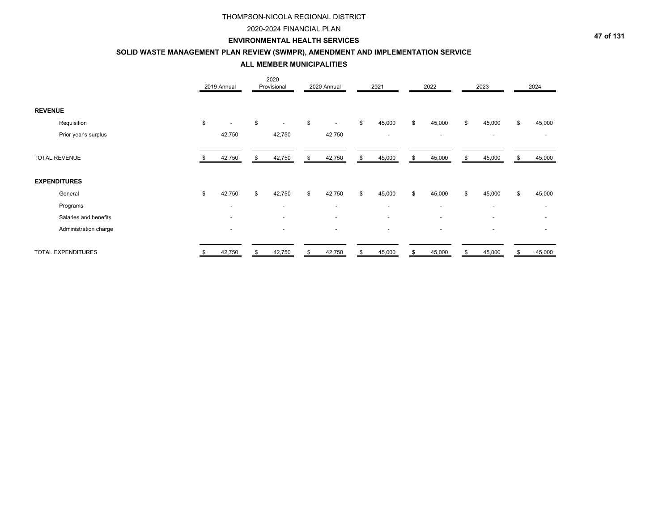## 2020-2024 FINANCIAL PLAN

### **ENVIRONMENTAL HEALTH SERVICES**

## **SOLID WASTE MANAGEMENT PLAN REVIEW (SWMPR), AMENDMENT AND IMPLEMENTATION SERVICE**

**ALL MEMBER MUNICIPALITIES**

|                           | 2019 Annual              | 2020<br>Provisional            | 2020 Annual                    | 2021                     | 2022                     | 2023                     | 2024         |
|---------------------------|--------------------------|--------------------------------|--------------------------------|--------------------------|--------------------------|--------------------------|--------------|
| <b>REVENUE</b>            |                          |                                |                                |                          |                          |                          |              |
| Requisition               | \$                       | \$<br>$\overline{\phantom{0}}$ | \$<br>$\overline{\phantom{a}}$ | \$<br>45,000             | \$<br>45,000             | \$<br>45,000             | \$<br>45,000 |
| Prior year's surplus      | 42,750                   | 42,750                         | 42,750                         | $\overline{\phantom{a}}$ | $\overline{\phantom{a}}$ | $\sim$                   |              |
| <b>TOTAL REVENUE</b>      | 42,750                   | \$<br>42,750                   | \$<br>42,750                   | \$<br>45,000             | \$<br>45,000             | \$<br>45,000             | \$<br>45,000 |
| <b>EXPENDITURES</b>       |                          |                                |                                |                          |                          |                          |              |
| General                   | \$<br>42,750             | \$<br>42,750                   | \$<br>42,750                   | \$<br>45,000             | \$<br>45,000             | \$<br>45,000             | \$<br>45,000 |
| Programs                  | $\overline{\phantom{a}}$ | $\overline{\phantom{0}}$       | $\overline{\phantom{a}}$       | $\overline{\phantom{a}}$ | $\sim$                   | $\sim$                   |              |
| Salaries and benefits     | $\overline{\phantom{a}}$ | $\overline{\phantom{0}}$       | $\overline{\phantom{a}}$       | $\overline{\phantom{a}}$ | $\overline{\phantom{a}}$ | $\overline{\phantom{a}}$ |              |
| Administration charge     | $\overline{\phantom{a}}$ | $\overline{\phantom{a}}$       | $\overline{\phantom{a}}$       | $\overline{\phantom{a}}$ | $\overline{\phantom{a}}$ | $\overline{\phantom{a}}$ |              |
| <b>TOTAL EXPENDITURES</b> | \$<br>42,750             | \$<br>42,750                   | \$<br>42,750                   | \$<br>45,000             | \$<br>45,000             | \$<br>45,000             | \$<br>45,000 |

**47 of 131**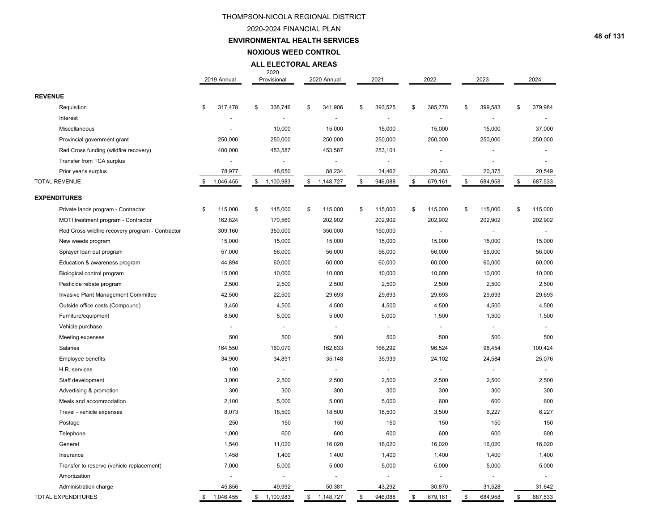## 2020-2024 FINANCIAL PLAN

#### **ENVIRONMENTAL HEALTH SERVICES**

**NOXIOUS WEED CONTROL**

#### **ALL ELECTORAL AREAS**

|                                                  | 2019 Annual     | 2020<br>Provisional | 2020 Annual              | 2021                     | 2022           | 2023           | 2024           |
|--------------------------------------------------|-----------------|---------------------|--------------------------|--------------------------|----------------|----------------|----------------|
| <b>REVENUE</b>                                   |                 |                     |                          |                          |                |                |                |
| Requisition                                      | \$<br>317,478   | \$<br>338,746       | \$<br>341,906            | \$<br>393,525            | \$<br>385,778  | \$<br>399,583  | \$<br>379,984  |
| Interest                                         |                 |                     | $\blacksquare$           | $\blacksquare$           |                |                |                |
| Miscellaneous                                    |                 | 10,000              | 15,000                   | 15,000                   | 15,000         | 15,000         | 37,000         |
| Provincial government grant                      | 250,000         | 250,000             | 250,000                  | 250,000                  | 250,000        | 250,000        | 250,000        |
| Red Cross funding (wildfire recovery)            | 400,000         | 453,587             | 453,587                  | 253,101                  |                |                |                |
| Transfer from TCA surplus                        |                 |                     |                          |                          |                |                |                |
| Prior year's surplus                             | 78,977          | 48,650              | 88,234                   | 34,462                   | 28,383         | 20,375         | 20,549         |
| <b>TOTAL REVENUE</b>                             | \$<br>1,046,455 | \$<br>1,100,983     | \$<br>1,148,727          | \$<br>946,088            | \$<br>679,161  | \$<br>684,958  | \$<br>687,533  |
| <b>EXPENDITURES</b>                              |                 |                     |                          |                          |                |                |                |
| Private lands program - Contractor               | \$<br>115,000   | \$<br>115,000       | \$<br>115,000            | \$<br>115,000            | \$<br>115,000  | \$<br>115,000  | \$<br>115,000  |
| MOTI treatment program - Contractor              | 162,824         | 170,560             | 202,902                  | 202,902                  | 202,902        | 202,902        | 202,902        |
| Red Cross wildfire recovery program - Contractor | 309,160         | 350,000             | 350,000                  | 150,000                  |                |                |                |
| New weeds program                                | 15,000          | 15,000              | 15,000                   | 15,000                   | 15,000         | 15,000         | 15,000         |
| Sprayer loan out program                         | 57,000          | 56,000              | 56,000                   | 56,000                   | 56,000         | 56,000         | 56,000         |
| Education & awareness program                    | 44,894          | 60,000              | 60,000                   | 60,000                   | 60,000         | 60,000         | 60,000         |
| Biological control program                       | 15,000          | 10,000              | 10,000                   | 10,000                   | 10,000         | 10,000         | 10,000         |
| Pesticide rebate program                         | 2,500           | 2,500               | 2,500                    | 2,500                    | 2,500          | 2,500          | 2,500          |
| Invasive Plant Management Committee              | 42,500          | 22,500              | 29,693                   | 29,693                   | 29,693         | 29,693         | 29,693         |
| Outside office costs (Compound)                  | 3,450           | 4,500               | 4,500                    | 4,500                    | 4,500          | 4,500          | 4,500          |
| Furniture/equipment                              | 8,500           | 5,000               | 5,000                    | 5,000                    | 1,500          | 1,500          | 1,500          |
| Vehicle purchase                                 | $\sim$          | $\overline{a}$      | $\overline{\phantom{a}}$ | $\overline{a}$           | $\overline{a}$ | $\blacksquare$ | $\overline{a}$ |
| Meeting expenses                                 | 500             | 500                 | 500                      | 500                      | 500            | 500            | 500            |
| Salaries                                         | 164,550         | 160,070             | 162,633                  | 166,292                  | 96,524         | 98,454         | 100,424        |
| Employee benefits                                | 34,900          | 34,891              | 35,148                   | 35,939                   | 24,102         | 24,584         | 25,076         |
| H.R. services                                    | 100             |                     |                          |                          |                |                | $\overline{a}$ |
| Staff development                                | 3,000           | 2,500               | 2,500                    | 2,500                    | 2,500          | 2,500          | 2,500          |
| Advertising & promotion                          | 300             | 300                 | 300                      | 300                      | 300            | 300            | 300            |
| Meals and accommodation                          | 2,100           | 5,000               | 5,000                    | 5,000                    | 600            | 600            | 600            |
| Travel - vehicle expenses                        | 8,073           | 18,500              | 18,500                   | 18,500                   | 3,500          | 6,227          | 6,227          |
| Postage                                          | 250             | 150                 | 150                      | 150                      | 150            | 150            | 150            |
| Telephone                                        | 1,000           | 600                 | 600                      | 600                      | 600            | 600            | 600            |
| General                                          | 1,540           | 11,020              | 16,020                   | 16,020                   | 16,020         | 16,020         | 16,020         |
| Insurance                                        | 1,458           | 1,400               | 1,400                    | 1,400                    | 1,400          | 1,400          | 1,400          |
| Transfer to reserve (vehicle replacement)        | 7,000           | 5,000               | 5,000                    | 5,000                    | 5,000          | 5,000          | 5,000          |
| Amortization                                     | $\sim$          |                     | $\blacksquare$           | $\overline{\phantom{a}}$ | $\blacksquare$ |                | $\overline{a}$ |
| Administration charge                            | 45,856          | 49,992              | 50,381                   | 43,292                   | 30,870         | 31,528         | 31,642         |
| <b>TOTAL EXPENDITURES</b>                        | \$<br>1,046,455 | \$<br>1,100,983     | \$<br>1,148,727          | \$<br>946,088            | \$<br>679,161  | \$<br>684,958  | \$<br>687,533  |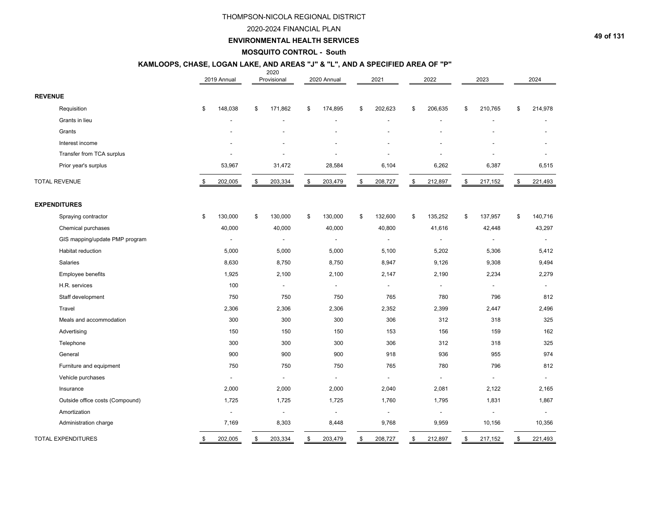#### 2020-2024 FINANCIAL PLAN

## **ENVIRONMENTAL HEALTH SERVICES**

#### **MOSQUITO CONTROL - South**

#### $2022$ **KAMLOOPS, CHASE, LOGAN LAKE, AND AREAS "J" & "L", AND A SPECIFIED AREA OF "P"**

|                                 | 2019 Annual              | ZUZU<br>Provisional      | 2020 Annual              | 2021                     | 2022                     | 2023                     | 2024                     |
|---------------------------------|--------------------------|--------------------------|--------------------------|--------------------------|--------------------------|--------------------------|--------------------------|
| <b>REVENUE</b>                  |                          |                          |                          |                          |                          |                          |                          |
| Requisition                     | \$<br>148,038            | \$<br>171,862            | \$<br>174,895            | \$<br>202,623            | \$<br>206,635            | \$<br>210,765            | \$<br>214,978            |
| Grants in lieu                  |                          |                          |                          |                          |                          |                          |                          |
| Grants                          |                          |                          |                          |                          |                          |                          |                          |
| Interest income                 |                          |                          |                          |                          |                          |                          |                          |
| Transfer from TCA surplus       |                          |                          |                          |                          |                          |                          |                          |
| Prior year's surplus            | 53,967                   | 31,472                   | 28,584                   | 6,104                    | 6,262                    | 6,387                    | 6,515                    |
| <b>TOTAL REVENUE</b>            | 202,005                  | \$<br>203,334            | \$<br>203,479            | \$<br>208,727            | \$<br>212,897            | \$<br>217,152            | \$<br>221,493            |
| <b>EXPENDITURES</b>             |                          |                          |                          |                          |                          |                          |                          |
| Spraying contractor             | \$<br>130,000            | \$<br>130,000            | \$<br>130,000            | \$<br>132,600            | \$<br>135,252            | \$<br>137,957            | \$<br>140,716            |
| Chemical purchases              | 40,000                   | 40,000                   | 40,000                   | 40,800                   | 41,616                   | 42,448                   | 43,297                   |
| GIS mapping/update PMP program  | $\overline{a}$           | $\blacksquare$           | $\overline{\phantom{a}}$ | $\blacksquare$           | $\overline{\phantom{a}}$ | $\overline{\phantom{a}}$ |                          |
| Habitat reduction               | 5,000                    | 5,000                    | 5,000                    | 5,100                    | 5,202                    | 5,306                    | 5,412                    |
| Salaries                        | 8,630                    | 8,750                    | 8,750                    | 8,947                    | 9,126                    | 9,308                    | 9,494                    |
| Employee benefits               | 1,925                    | 2,100                    | 2,100                    | 2,147                    | 2,190                    | 2,234                    | 2,279                    |
| H.R. services                   | 100                      | $\overline{\phantom{a}}$ | $\blacksquare$           | $\overline{\phantom{a}}$ | $\overline{a}$           | $\blacksquare$           | $\overline{a}$           |
| Staff development               | 750                      | 750                      | 750                      | 765                      | 780                      | 796                      | 812                      |
| Travel                          | 2,306                    | 2,306                    | 2,306                    | 2,352                    | 2,399                    | 2,447                    | 2,496                    |
| Meals and accommodation         | 300                      | 300                      | 300                      | 306                      | 312                      | 318                      | 325                      |
| Advertising                     | 150                      | 150                      | 150                      | 153                      | 156                      | 159                      | 162                      |
| Telephone                       | 300                      | 300                      | 300                      | 306                      | 312                      | 318                      | 325                      |
| General                         | 900                      | 900                      | 900                      | 918                      | 936                      | 955                      | 974                      |
| Furniture and equipment         | 750                      | 750                      | 750                      | 765                      | 780                      | 796                      | 812                      |
| Vehicle purchases               | $\blacksquare$           | $\blacksquare$           | $\overline{a}$           | $\blacksquare$           | $\blacksquare$           | $\blacksquare$           | $\blacksquare$           |
| Insurance                       | 2,000                    | 2,000                    | 2,000                    | 2,040                    | 2,081                    | 2,122                    | 2,165                    |
| Outside office costs (Compound) | 1,725                    | 1,725                    | 1,725                    | 1,760                    | 1,795                    | 1,831                    | 1,867                    |
| Amortization                    | $\overline{\phantom{a}}$ | $\overline{\phantom{a}}$ | $\overline{\phantom{a}}$ | $\overline{\phantom{a}}$ | $\overline{\phantom{a}}$ | $\overline{\phantom{a}}$ | $\overline{\phantom{a}}$ |
| Administration charge           | 7,169                    | 8,303                    | 8,448                    | 9,768                    | 9,959                    | 10,156                   | 10,356                   |
| <b>TOTAL EXPENDITURES</b>       | \$<br>202,005            | \$<br>203,334            | \$<br>203,479            | \$<br>208,727            | \$<br>212,897            | \$<br>217,152            | \$<br>221,493            |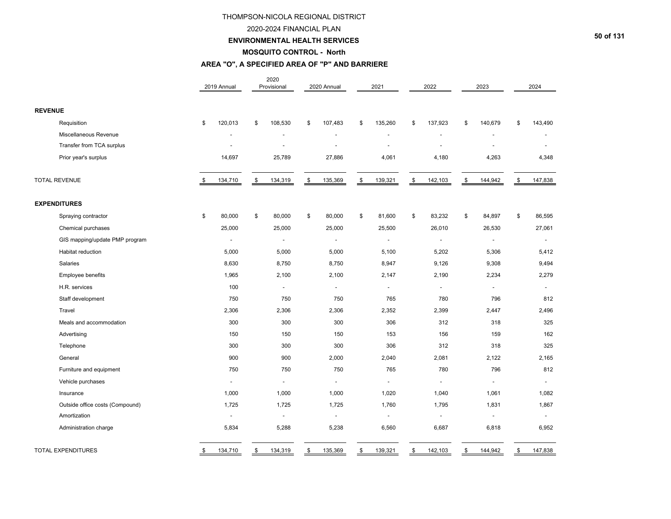#### 2020-2024 FINANCIAL PLAN

#### **ENVIRONMENTAL HEALTH SERVICES**

#### **MOSQUITO CONTROL - North**

## **AREA "O", A SPECIFIED AREA OF "P" AND BARRIERE**

|                                 | 2019 Annual    | 2020<br>Provisional      | 2020 Annual              | 2021                     | 2022                     | 2023                     | 2024           |
|---------------------------------|----------------|--------------------------|--------------------------|--------------------------|--------------------------|--------------------------|----------------|
| <b>REVENUE</b>                  |                |                          |                          |                          |                          |                          |                |
| Requisition                     | \$<br>120,013  | \$<br>108,530            | \$<br>107,483            | \$<br>135,260            | \$<br>137,923            | \$<br>140,679            | \$<br>143,490  |
| Miscellaneous Revenue           |                |                          |                          |                          |                          |                          |                |
| Transfer from TCA surplus       |                |                          |                          |                          |                          |                          |                |
| Prior year's surplus            | 14,697         | 25,789                   | 27,886                   | 4,061                    | 4,180                    | 4,263                    | 4,348          |
| <b>TOTAL REVENUE</b>            | 134,710        | \$<br>134,319            | \$<br>135,369            | \$<br>139,321            | \$<br>142,103            | \$<br>144,942            | \$<br>147,838  |
| <b>EXPENDITURES</b>             |                |                          |                          |                          |                          |                          |                |
| Spraying contractor             | \$<br>80,000   | \$<br>80,000             | \$<br>80,000             | \$<br>81,600             | \$<br>83,232             | \$<br>84,897             | \$<br>86,595   |
| Chemical purchases              | 25,000         | 25,000                   | 25,000                   | 25,500                   | 26,010                   | 26,530                   | 27,061         |
| GIS mapping/update PMP program  | $\blacksquare$ | $\overline{\phantom{a}}$ | $\overline{\phantom{a}}$ | $\overline{\phantom{a}}$ | $\overline{\phantom{a}}$ | $\overline{\phantom{a}}$ | $\blacksquare$ |
| <b>Habitat reduction</b>        | 5,000          | 5,000                    | 5,000                    | 5,100                    | 5,202                    | 5,306                    | 5,412          |
| Salaries                        | 8,630          | 8,750                    | 8,750                    | 8,947                    | 9,126                    | 9,308                    | 9,494          |
| Employee benefits               | 1,965          | 2,100                    | 2,100                    | 2,147                    | 2,190                    | 2,234                    | 2,279          |
| H.R. services                   | 100            | $\sim$                   | $\blacksquare$           | $\overline{\phantom{a}}$ | $\overline{\phantom{a}}$ | $\blacksquare$           | $\blacksquare$ |
| Staff development               | 750            | 750                      | 750                      | 765                      | 780                      | 796                      | 812            |
| Travel                          | 2,306          | 2,306                    | 2,306                    | 2,352                    | 2,399                    | 2,447                    | 2,496          |
| Meals and accommodation         | 300            | 300                      | 300                      | 306                      | 312                      | 318                      | 325            |
| Advertising                     | 150            | 150                      | 150                      | 153                      | 156                      | 159                      | 162            |
| Telephone                       | 300            | 300                      | 300                      | 306                      | 312                      | 318                      | 325            |
| General                         | 900            | 900                      | 2,000                    | 2,040                    | 2,081                    | 2,122                    | 2,165          |
| Furniture and equipment         | 750            | 750                      | 750                      | 765                      | 780                      | 796                      | 812            |
| Vehicle purchases               | $\blacksquare$ | $\blacksquare$           | $\blacksquare$           | $\overline{\phantom{a}}$ | $\overline{\phantom{a}}$ | $\blacksquare$           | $\blacksquare$ |
| Insurance                       | 1,000          | 1,000                    | 1,000                    | 1,020                    | 1,040                    | 1,061                    | 1,082          |
| Outside office costs (Compound) | 1,725          | 1,725                    | 1,725                    | 1,760                    | 1,795                    | 1,831                    | 1,867          |
| Amortization                    |                | $\blacksquare$           | $\blacksquare$           |                          |                          |                          |                |
| Administration charge           | 5,834          | 5,288                    | 5,238                    | 6,560                    | 6,687                    | 6,818                    | 6,952          |
| <b>TOTAL EXPENDITURES</b>       | \$<br>134,710  | \$<br>134,319            | \$<br>135,369            | \$<br>139,321            | \$<br>142,103            | \$<br>144,942            | \$<br>147,838  |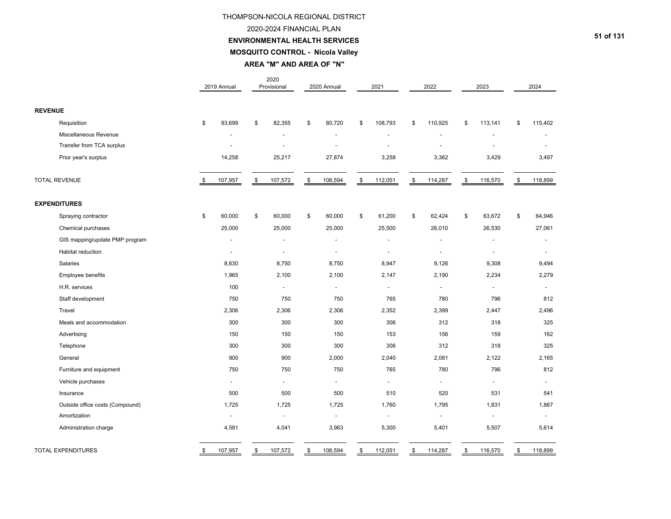#### 2020-2024 FINANCIAL PLAN

#### **ENVIRONMENTAL HEALTH SERVICES**

**MOSQUITO CONTROL - Nicola Valley**

**AREA "M" AND AREA OF "N"**

|                                 | 2019 Annual              | 2020<br>Provisional      | 2020 Annual              | 2021                     | 2022                     | 2023                     | 2024                     |
|---------------------------------|--------------------------|--------------------------|--------------------------|--------------------------|--------------------------|--------------------------|--------------------------|
| <b>REVENUE</b>                  |                          |                          |                          |                          |                          |                          |                          |
| Requisition                     | \$<br>93,699             | \$<br>82,355             | \$<br>80,720             | \$<br>108,793            | \$<br>110,925            | \$<br>113,141            | \$<br>115,402            |
| Miscellaneous Revenue           |                          |                          |                          |                          |                          |                          |                          |
| Transfer from TCA surplus       | $\overline{\phantom{a}}$ |                          | $\overline{\phantom{a}}$ |                          | $\overline{a}$           |                          |                          |
| Prior year's surplus            | 14,258                   | 25,217                   | 27,874                   | 3,258                    | 3,362                    | 3,429                    | 3,497                    |
| <b>TOTAL REVENUE</b>            | \$<br>107,957            | \$<br>107,572            | \$<br>108,594            | \$<br>112,051            | \$<br>114,287            | \$<br>116,570            | \$<br>118,899            |
| <b>EXPENDITURES</b>             |                          |                          |                          |                          |                          |                          |                          |
| Spraying contractor             | \$<br>60,000             | \$<br>60,000             | \$<br>60,000             | \$<br>61,200             | \$<br>62,424             | \$<br>63,672             | \$<br>64,946             |
| Chemical purchases              | 25,000                   | 25,000                   | 25,000                   | 25,500                   | 26,010                   | 26,530                   | 27,061                   |
| GIS mapping/update PMP program  | ÷,                       |                          | $\overline{\phantom{a}}$ | ÷                        | $\blacksquare$           |                          | $\overline{\phantom{a}}$ |
| Habitat reduction               | $\blacksquare$           | $\overline{\phantom{a}}$ | $\overline{\phantom{a}}$ | $\overline{\phantom{a}}$ | $\overline{\phantom{a}}$ | $\overline{\phantom{a}}$ | $\blacksquare$           |
| <b>Salaries</b>                 | 8,630                    | 8,750                    | 8,750                    | 8,947                    | 9,126                    | 9,308                    | 9,494                    |
| Employee benefits               | 1,965                    | 2,100                    | 2,100                    | 2,147                    | 2,190                    | 2,234                    | 2,279                    |
| H.R. services                   | 100                      | $\sim$                   | $\blacksquare$           | $\overline{a}$           | $\overline{\phantom{a}}$ | $\sim$                   | $\overline{\phantom{a}}$ |
| Staff development               | 750                      | 750                      | 750                      | 765                      | 780                      | 796                      | 812                      |
| Travel                          | 2,306                    | 2,306                    | 2,306                    | 2,352                    | 2,399                    | 2,447                    | 2,496                    |
| Meals and accommodation         | 300                      | 300                      | 300                      | 306                      | 312                      | 318                      | 325                      |
| Advertising                     | 150                      | 150                      | 150                      | 153                      | 156                      | 159                      | 162                      |
| Telephone                       | 300                      | 300                      | 300                      | 306                      | 312                      | 318                      | 325                      |
| General                         | 900                      | 900                      | 2,000                    | 2,040                    | 2,081                    | 2,122                    | 2,165                    |
| Furniture and equipment         | 750                      | 750                      | 750                      | 765                      | 780                      | 796                      | 812                      |
| Vehicle purchases               | $\blacksquare$           | $\sim$                   | $\blacksquare$           | $\overline{a}$           | $\overline{a}$           | $\blacksquare$           | $\blacksquare$           |
| Insurance                       | 500                      | 500                      | 500                      | 510                      | 520                      | 531                      | 541                      |
| Outside office costs (Compound) | 1,725                    | 1,725                    | 1,725                    | 1,760                    | 1,795                    | 1,831                    | 1,867                    |
| Amortization                    | $\overline{a}$           | $\sim$                   | $\overline{\phantom{a}}$ | $\overline{a}$           | $\overline{\phantom{a}}$ | $\overline{a}$           | $\overline{a}$           |
| Administration charge           | 4,581                    | 4,041                    | 3,963                    | 5,300                    | 5,401                    | 5,507                    | 5,614                    |
| <b>TOTAL EXPENDITURES</b>       | \$<br>107,957            | \$<br>107,572            | \$<br>108,594            | \$<br>112,051            | \$<br>114,287            | \$<br>116,570            | \$<br>118,899            |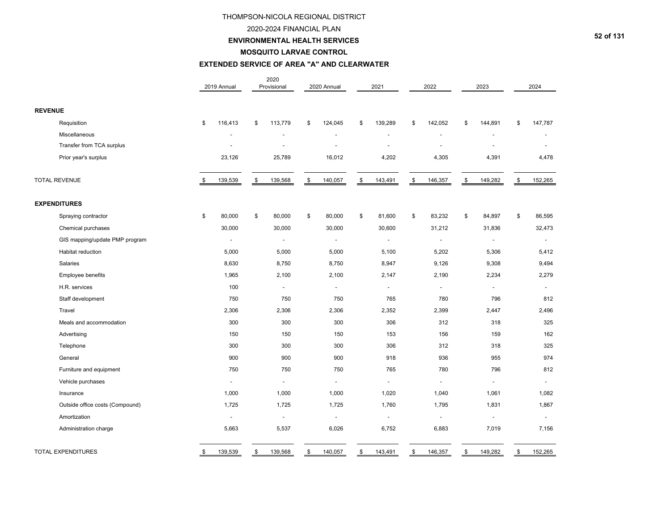#### 2020-2024 FINANCIAL PLAN

## **ENVIRONMENTAL HEALTH SERVICES**

#### **MOSQUITO LARVAE CONTROL**

#### **EXTENDED SERVICE OF AREA "A" AND CLEARWATER**

|                                 | 2019 Annual              | 2020<br>Provisional      | 2020 Annual              | 2021                     | 2022                     | 2023                     | 2024                     |
|---------------------------------|--------------------------|--------------------------|--------------------------|--------------------------|--------------------------|--------------------------|--------------------------|
| <b>REVENUE</b>                  |                          |                          |                          |                          |                          |                          |                          |
| Requisition                     | \$<br>116,413            | \$<br>113,779            | \$<br>124,045            | \$<br>139,289            | \$<br>142,052            | \$<br>144,891            | \$<br>147,787            |
| Miscellaneous                   |                          |                          |                          |                          |                          |                          |                          |
| Transfer from TCA surplus       |                          |                          |                          |                          |                          |                          |                          |
| Prior year's surplus            | 23,126                   | 25,789                   | 16,012                   | 4,202                    | 4,305                    | 4,391                    | 4,478                    |
| <b>TOTAL REVENUE</b>            | 139,539                  | \$<br>139,568            | \$<br>140,057            | \$<br>143,491            | \$<br>146,357            | \$<br>149,282            | \$<br>152,265            |
| <b>EXPENDITURES</b>             |                          |                          |                          |                          |                          |                          |                          |
| Spraying contractor             | \$<br>80,000             | \$<br>80,000             | \$<br>80,000             | \$<br>81,600             | \$<br>83,232             | \$<br>84,897             | \$<br>86,595             |
| Chemical purchases              | 30,000                   | 30,000                   | 30,000                   | 30,600                   | 31,212                   | 31,836                   | 32,473                   |
| GIS mapping/update PMP program  | $\overline{\phantom{a}}$ | $\overline{\phantom{a}}$ | $\overline{\phantom{a}}$ | $\overline{\phantom{a}}$ | $\overline{\phantom{a}}$ | $\overline{\phantom{a}}$ | $\overline{\phantom{a}}$ |
| Habitat reduction               | 5,000                    | 5,000                    | 5,000                    | 5,100                    | 5,202                    | 5,306                    | 5,412                    |
| Salaries                        | 8,630                    | 8,750                    | 8,750                    | 8,947                    | 9,126                    | 9,308                    | 9,494                    |
| Employee benefits               | 1,965                    | 2,100                    | 2,100                    | 2,147                    | 2,190                    | 2,234                    | 2,279                    |
| H.R. services                   | 100                      | $\overline{\phantom{a}}$ | $\overline{\phantom{a}}$ | $\blacksquare$           | $\blacksquare$           | $\overline{\phantom{a}}$ | $\blacksquare$           |
| Staff development               | 750                      | 750                      | 750                      | 765                      | 780                      | 796                      | 812                      |
| Travel                          | 2,306                    | 2,306                    | 2,306                    | 2,352                    | 2,399                    | 2,447                    | 2,496                    |
| Meals and accommodation         | 300                      | 300                      | 300                      | 306                      | 312                      | 318                      | 325                      |
| Advertising                     | 150                      | 150                      | 150                      | 153                      | 156                      | 159                      | 162                      |
| Telephone                       | 300                      | 300                      | 300                      | 306                      | 312                      | 318                      | 325                      |
| General                         | 900                      | 900                      | 900                      | 918                      | 936                      | 955                      | 974                      |
| Furniture and equipment         | 750                      | 750                      | 750                      | 765                      | 780                      | 796                      | 812                      |
| Vehicle purchases               | $\blacksquare$           | $\overline{\phantom{a}}$ | $\overline{\phantom{a}}$ | $\overline{\phantom{a}}$ | $\overline{\phantom{a}}$ | $\overline{\phantom{a}}$ | $\blacksquare$           |
| Insurance                       | 1,000                    | 1,000                    | 1,000                    | 1,020                    | 1,040                    | 1,061                    | 1,082                    |
| Outside office costs (Compound) | 1,725                    | 1,725                    | 1,725                    | 1,760                    | 1,795                    | 1,831                    | 1,867                    |
| Amortization                    | $\blacksquare$           | $\overline{\phantom{a}}$ | $\blacksquare$           |                          |                          |                          |                          |
| Administration charge           | 5,663                    | 5,537                    | 6,026                    | 6,752                    | 6,883                    | 7,019                    | 7,156                    |
| <b>TOTAL EXPENDITURES</b>       | \$<br>139,539            | \$<br>139,568            | \$<br>140,057            | \$<br>143,491            | \$<br>146,357            | \$<br>149,282            | \$<br>152,265            |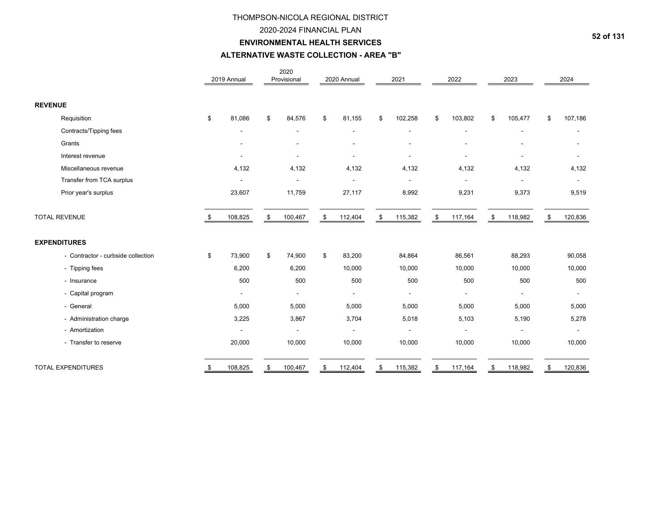## 2020-2024 FINANCIAL PLAN

# **ENVIRONMENTAL HEALTH SERVICES**

## **ALTERNATIVE WASTE COLLECTION - AREA "B"**

|                                    |    | 2019 Annual | 2020<br>Provisional | 2020 Annual    | 2021          | 2022                     | 2023           | 2024          |
|------------------------------------|----|-------------|---------------------|----------------|---------------|--------------------------|----------------|---------------|
| <b>REVENUE</b>                     |    |             |                     |                |               |                          |                |               |
| Requisition                        | \$ | 81,086      | \$<br>84,576        | \$<br>81,155   | \$<br>102,258 | \$<br>103,802            | \$<br>105,477  | \$<br>107,186 |
| Contracts/Tipping fees             |    |             |                     |                |               |                          |                |               |
| Grants                             |    |             |                     |                |               |                          |                |               |
| Interest revenue                   |    |             |                     |                |               | $\overline{\phantom{a}}$ |                |               |
| Miscellaneous revenue              |    | 4,132       | 4,132               | 4,132          | 4,132         | 4,132                    | 4,132          | 4,132         |
| Transfer from TCA surplus          |    |             |                     |                |               |                          |                |               |
| Prior year's surplus               |    | 23,607      | 11,759              | 27,117         | 8,992         | 9,231                    | 9,373          | 9,519         |
| <b>TOTAL REVENUE</b>               | -S | 108,825     | \$<br>100,467       | \$<br>112,404  | \$<br>115,382 | \$<br>117,164            | \$<br>118,982  | \$<br>120,836 |
| <b>EXPENDITURES</b>                |    |             |                     |                |               |                          |                |               |
| - Contractor - curbside collection | \$ | 73,900      | \$<br>74,900        | \$<br>83,200   | 84,864        | 86,561                   | 88,293         | 90,058        |
| - Tipping fees                     |    | 6,200       | 6,200               | 10,000         | 10,000        | 10,000                   | 10,000         | 10,000        |
| - Insurance                        |    | 500         | 500                 | 500            | 500           | 500                      | 500            | 500           |
| - Capital program                  |    |             |                     | $\blacksquare$ |               |                          |                |               |
| - General                          |    | 5,000       | 5,000               | 5,000          | 5,000         | 5,000                    | 5,000          | 5,000         |
| - Administration charge            |    | 3,225       | 3,867               | 3,704          | 5,018         | 5,103                    | 5,190          | 5,278         |
| - Amortization                     |    |             | $\blacksquare$      |                |               |                          | $\blacksquare$ | $\mathbf{r}$  |
| - Transfer to reserve              |    | 20,000      | 10,000              | 10,000         | 10,000        | 10,000                   | 10,000         | 10,000        |
| TOTAL EXPENDITURES                 | \$ | 108,825     | \$<br>100,467       | \$<br>112,404  | \$<br>115,382 | \$<br>117,164            | \$<br>118,982  | \$<br>120,836 |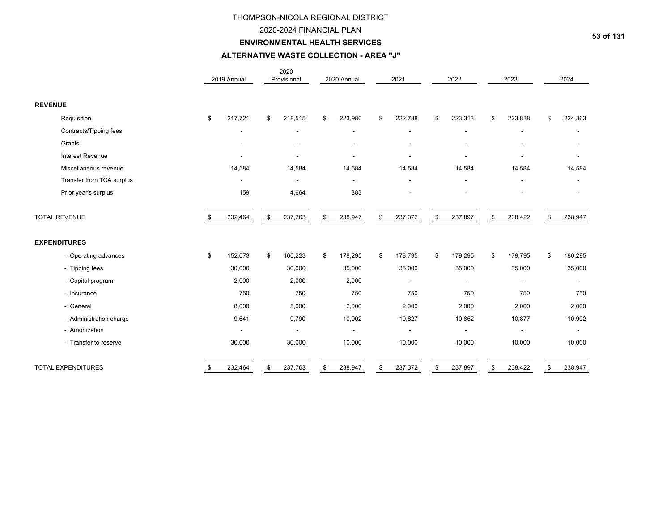## 2020-2024 FINANCIAL PLAN

## **ENVIRONMENTAL HEALTH SERVICES**

## **ALTERNATIVE WASTE COLLECTION - AREA "J"**

|                           |    | 2019 Annual | 2020<br>Provisional      | 2020 Annual   | 2021          | 2022          | 2023           | 2024                     |
|---------------------------|----|-------------|--------------------------|---------------|---------------|---------------|----------------|--------------------------|
| <b>REVENUE</b>            |    |             |                          |               |               |               |                |                          |
| Requisition               | \$ | 217,721     | \$<br>218,515            | \$<br>223,980 | \$<br>222,788 | \$<br>223,313 | \$<br>223,838  | \$<br>224,363            |
| Contracts/Tipping fees    |    |             |                          |               |               |               |                |                          |
| Grants                    |    |             |                          |               |               |               |                |                          |
| Interest Revenue          |    |             |                          |               |               |               |                |                          |
| Miscellaneous revenue     |    | 14,584      | 14,584                   | 14,584        | 14,584        | 14,584        | 14,584         | 14,584                   |
| Transfer from TCA surplus |    |             |                          |               |               |               |                |                          |
| Prior year's surplus      |    | 159         | 4,664                    | 383           |               |               |                |                          |
| <b>TOTAL REVENUE</b>      | -S | 232,464     | \$<br>237,763            | \$<br>238,947 | \$<br>237,372 | \$<br>237,897 | \$<br>238,422  | \$<br>238,947            |
| <b>EXPENDITURES</b>       |    |             |                          |               |               |               |                |                          |
| - Operating advances      | \$ | 152,073     | \$<br>160,223            | \$<br>178,295 | \$<br>178,795 | \$<br>179,295 | \$<br>179,795  | \$<br>180,295            |
| - Tipping fees            |    | 30,000      | 30,000                   | 35,000        | 35,000        | 35,000        | 35,000         | 35,000                   |
| - Capital program         |    | 2,000       | 2,000                    | 2,000         |               |               | $\blacksquare$ | $\mathbf{r}$             |
| - Insurance               |    | 750         | 750                      | 750           | 750           | 750           | 750            | 750                      |
| - General                 |    | 8,000       | 5,000                    | 2,000         | 2,000         | 2,000         | 2,000          | 2,000                    |
| - Administration charge   |    | 9,641       | 9,790                    | 10,902        | 10,827        | 10,852        | 10,877         | 10,902                   |
| - Amortization            |    |             | $\overline{\phantom{a}}$ |               |               |               |                | $\overline{\phantom{a}}$ |
| - Transfer to reserve     |    | 30,000      | 30,000                   | 10,000        | 10,000        | 10,000        | 10,000         | 10,000                   |
| <b>TOTAL EXPENDITURES</b> | \$ | 232,464     | \$<br>237,763            | \$<br>238,947 | \$<br>237,372 | \$<br>237,897 | \$<br>238,422  | \$<br>238,947            |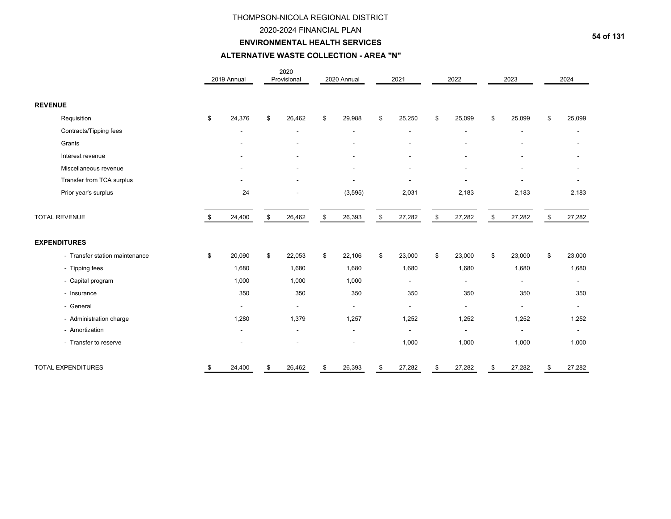## 2020-2024 FINANCIAL PLAN

## **ENVIRONMENTAL HEALTH SERVICES**

# **ALTERNATIVE WASTE COLLECTION - AREA "N"**

|                                |      | 2019 Annual    | 2020<br>Provisional | 2020 Annual    | 2021                     | 2022           | 2023                     | 2024           |
|--------------------------------|------|----------------|---------------------|----------------|--------------------------|----------------|--------------------------|----------------|
| <b>REVENUE</b>                 |      |                |                     |                |                          |                |                          |                |
| Requisition                    | \$   | 24,376         | \$<br>26,462        | \$<br>29,988   | \$<br>25,250             | \$<br>25,099   | \$<br>25,099             | \$<br>25,099   |
| Contracts/Tipping fees         |      |                |                     |                |                          | $\overline{a}$ |                          | ÷.             |
| Grants                         |      |                |                     |                |                          |                |                          |                |
| Interest revenue               |      |                |                     |                |                          |                |                          |                |
| Miscellaneous revenue          |      |                |                     |                | $\overline{\phantom{a}}$ |                |                          |                |
| Transfer from TCA surplus      |      |                |                     |                |                          |                |                          |                |
| Prior year's surplus           |      | 24             |                     | (3, 595)       | 2,031                    | 2,183          | 2,183                    | 2,183          |
| <b>TOTAL REVENUE</b>           | - \$ | 24,400         | \$<br>26,462        | \$<br>26,393   | \$<br>27,282             | \$<br>27,282   | \$<br>27,282             | \$<br>27,282   |
| <b>EXPENDITURES</b>            |      |                |                     |                |                          |                |                          |                |
| - Transfer station maintenance | \$   | 20,090         | \$<br>22,053        | \$<br>22,106   | \$<br>23,000             | \$<br>23,000   | \$<br>23,000             | \$<br>23,000   |
| - Tipping fees                 |      | 1,680          | 1,680               | 1,680          | 1,680                    | 1,680          | 1,680                    | 1,680          |
| - Capital program              |      | 1,000          | 1,000               | 1,000          | $\blacksquare$           |                | $\blacksquare$           | $\mathbf{r}$   |
| - Insurance                    |      | 350            | 350                 | 350            | 350                      | 350            | 350                      | 350            |
| - General                      |      | $\blacksquare$ | $\blacksquare$      | $\blacksquare$ | $\blacksquare$           | $\blacksquare$ | $\blacksquare$           | $\blacksquare$ |
| - Administration charge        |      | 1,280          | 1,379               | 1,257          | 1,252                    | 1,252          | 1,252                    | 1,252          |
| - Amortization                 |      |                |                     |                |                          |                | $\overline{\phantom{a}}$ | $\blacksquare$ |
| - Transfer to reserve          |      |                |                     |                | 1,000                    | 1,000          | 1,000                    | 1,000          |
| <b>TOTAL EXPENDITURES</b>      | - \$ | 24,400         | \$<br>26,462        | \$<br>26,393   | \$<br>27,282             | \$<br>27,282   | \$<br>27,282             | \$<br>27,282   |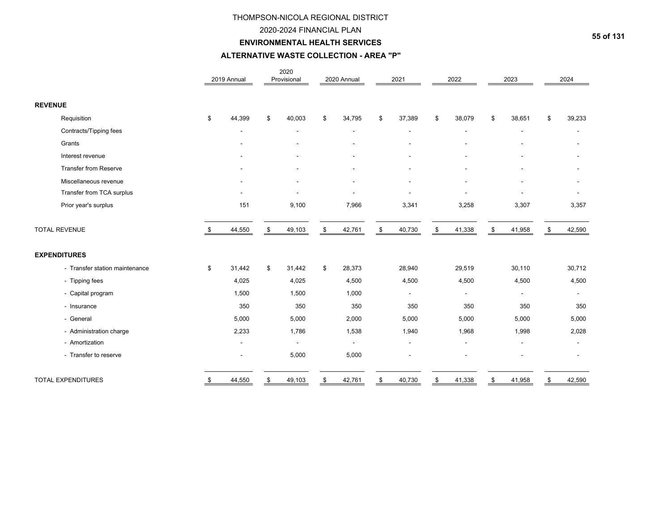## 2020-2024 FINANCIAL PLAN

# **ENVIRONMENTAL HEALTH SERVICES**

## **ALTERNATIVE WASTE COLLECTION - AREA "P"**

|                                | 2019 Annual  | 2020<br>Provisional      | 2020 Annual  | 2021                     | 2022                     | 2023           | 2024           |
|--------------------------------|--------------|--------------------------|--------------|--------------------------|--------------------------|----------------|----------------|
| <b>REVENUE</b>                 |              |                          |              |                          |                          |                |                |
| Requisition                    | \$<br>44,399 | \$<br>40,003             | \$<br>34,795 | \$<br>37,389             | \$<br>38,079             | \$<br>38,651   | \$<br>39,233   |
| Contracts/Tipping fees         |              | $\overline{\phantom{a}}$ |              | $\overline{\phantom{a}}$ | $\overline{\phantom{a}}$ | $\blacksquare$ | $\blacksquare$ |
| Grants                         |              |                          |              |                          |                          |                |                |
| Interest revenue               |              |                          |              |                          |                          |                |                |
| <b>Transfer from Reserve</b>   |              |                          |              |                          |                          |                |                |
| Miscellaneous revenue          |              |                          |              |                          |                          |                |                |
| Transfer from TCA surplus      |              |                          |              |                          |                          |                |                |
| Prior year's surplus           | 151          | 9,100                    | 7,966        | 3,341                    | 3,258                    | 3,307          | 3,357          |
| <b>TOTAL REVENUE</b>           | \$<br>44,550 | \$<br>49,103             | \$<br>42,761 | \$<br>40,730             | \$<br>41,338             | \$<br>41,958   | \$<br>42,590   |
| <b>EXPENDITURES</b>            |              |                          |              |                          |                          |                |                |
| - Transfer station maintenance | \$<br>31,442 | \$<br>31,442             | \$<br>28,373 | 28,940                   | 29,519                   | 30,110         | 30,712         |
| - Tipping fees                 | 4,025        | 4,025                    | 4,500        | 4,500                    | 4,500                    | 4,500          | 4,500          |
| - Capital program              | 1,500        | 1,500                    | 1,000        | $\mathbf{r}$             |                          | $\blacksquare$ |                |
| - Insurance                    | 350          | 350                      | 350          | 350                      | 350                      | 350            | 350            |
| - General                      | 5,000        | 5,000                    | 2,000        | 5,000                    | 5,000                    | 5,000          | 5,000          |
| - Administration charge        | 2,233        | 1,786                    | 1,538        | 1,940                    | 1,968                    | 1,998          | 2,028          |
| - Amortization                 |              | $\overline{\phantom{a}}$ |              | $\blacksquare$           |                          | $\blacksquare$ |                |
| - Transfer to reserve          |              | 5,000                    | 5,000        |                          |                          |                |                |
| <b>TOTAL EXPENDITURES</b>      | \$<br>44,550 | \$<br>49,103             | \$<br>42,761 | \$<br>40,730             | \$<br>41,338             | \$<br>41,958   | \$<br>42,590   |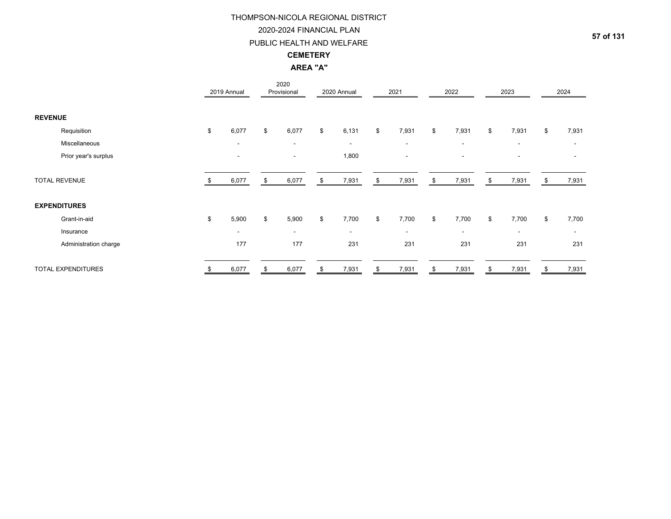## 2020-2024 FINANCIAL PLAN

## PUBLIC HEALTH AND WELFARE

## **CEMETERY**

**AREA "A"**

|                       | 2019 Annual              |    | 2020<br>Provisional      |    | 2020 Annual              | 2021                     | 2022                     | 2023                     |    | 2024                     |
|-----------------------|--------------------------|----|--------------------------|----|--------------------------|--------------------------|--------------------------|--------------------------|----|--------------------------|
| <b>REVENUE</b>        |                          |    |                          |    |                          |                          |                          |                          |    |                          |
| Requisition           | \$<br>6,077              | \$ | 6,077                    | \$ | 6,131                    | \$<br>7,931              | \$<br>7,931              | \$<br>7,931              | \$ | 7,931                    |
| Miscellaneous         | $\overline{\phantom{a}}$ |    | $\overline{\phantom{a}}$ |    | $\overline{\phantom{a}}$ | $\overline{\phantom{a}}$ | $\overline{\phantom{a}}$ | $\blacksquare$           |    |                          |
| Prior year's surplus  | $\overline{\phantom{a}}$ |    | $\overline{\phantom{a}}$ |    | 1,800                    | $\overline{\phantom{a}}$ | $\blacksquare$           | ۰                        |    |                          |
| <b>TOTAL REVENUE</b>  | 6,077                    | £. | 6,077                    | \$ | 7,931                    | \$<br>7,931              | \$<br>7,931              | \$<br>7,931              | S  | 7,931                    |
| <b>EXPENDITURES</b>   |                          |    |                          |    |                          |                          |                          |                          |    |                          |
| Grant-in-aid          | \$<br>5,900              | \$ | 5,900                    | \$ | 7,700                    | \$<br>7,700              | \$<br>7,700              | \$<br>7,700              | \$ | 7,700                    |
| Insurance             | $\overline{\phantom{a}}$ |    | $\overline{\phantom{a}}$ |    | $\sim$                   | $\sim$                   | ۰.                       | $\overline{\phantom{a}}$ |    | $\overline{\phantom{a}}$ |
| Administration charge | 177                      |    | 177                      |    | 231                      | 231                      | 231                      | 231                      |    | 231                      |
| TOTAL EXPENDITURES    | \$<br>6,077              | \$ | 6,077                    | S  | 7,931                    | \$<br>7,931              | \$<br>7,931              | \$<br>7,931              | \$ | 7,931                    |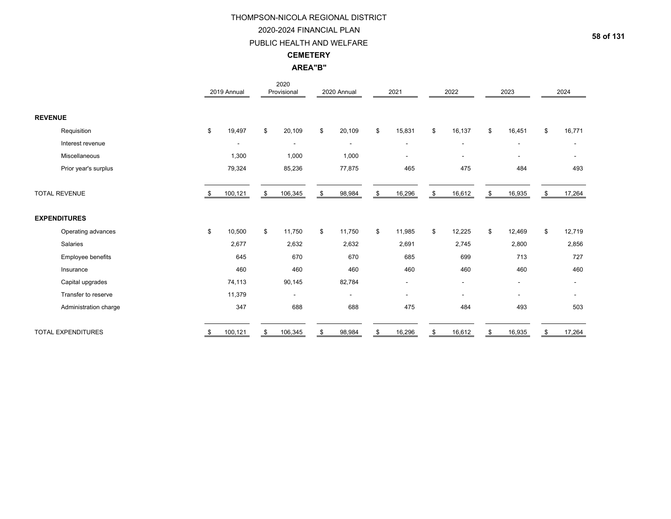## 2020-2024 FINANCIAL PLAN

## PUBLIC HEALTH AND WELFARE

## **CEMETERY**

**AREA"B"**

|                           |    | 2019 Annual    | 2020<br>Provisional      | 2020 Annual              | 2021                     | 2022                         | 2023                     | 2024           |
|---------------------------|----|----------------|--------------------------|--------------------------|--------------------------|------------------------------|--------------------------|----------------|
| <b>REVENUE</b>            |    |                |                          |                          |                          |                              |                          |                |
| Requisition               | \$ | 19,497         | \$<br>20,109             | \$<br>20,109             | \$<br>15,831             | \$<br>16,137                 | \$<br>16,451             | \$<br>16,771   |
| Interest revenue          |    | $\blacksquare$ | $\blacksquare$           | $\overline{\phantom{a}}$ | $\overline{\phantom{a}}$ | $\qquad \qquad \blacksquare$ | $\overline{\phantom{a}}$ |                |
| Miscellaneous             |    | 1,300          | 1,000                    | 1,000                    | $\overline{\phantom{a}}$ | ٠                            | $\overline{\phantom{a}}$ |                |
| Prior year's surplus      |    | 79,324         | 85,236                   | 77,875                   | 465                      | 475                          | 484                      | 493            |
| <b>TOTAL REVENUE</b>      | S  | 100,121        | \$<br>106,345            | 98,984                   | \$<br>16,296             | \$<br>16,612                 | \$<br>16,935             | 17,264         |
| <b>EXPENDITURES</b>       |    |                |                          |                          |                          |                              |                          |                |
| Operating advances        | \$ | 10,500         | \$<br>11,750             | \$<br>11,750             | \$<br>11,985             | \$<br>12,225                 | \$<br>12,469             | \$<br>12,719   |
| Salaries                  |    | 2,677          | 2,632                    | 2,632                    | 2,691                    | 2,745                        | 2,800                    | 2,856          |
| Employee benefits         |    | 645            | 670                      | 670                      | 685                      | 699                          | 713                      | 727            |
| Insurance                 |    | 460            | 460                      | 460                      | 460                      | 460                          | 460                      | 460            |
| Capital upgrades          |    | 74,113         | 90,145                   | 82,784                   | $\overline{\phantom{a}}$ | Ξ.                           | $\blacksquare$           | $\blacksquare$ |
| Transfer to reserve       |    | 11,379         | $\overline{\phantom{a}}$ | $\sim$                   | $\overline{\phantom{a}}$ | ٠                            |                          |                |
| Administration charge     |    | 347            | 688                      | 688                      | 475                      | 484                          | 493                      | 503            |
| <b>TOTAL EXPENDITURES</b> |    | 100,121        | \$<br>106,345            | 98,984                   | \$<br>16,296             | \$<br>16,612                 | \$<br>16,935             | 17,264         |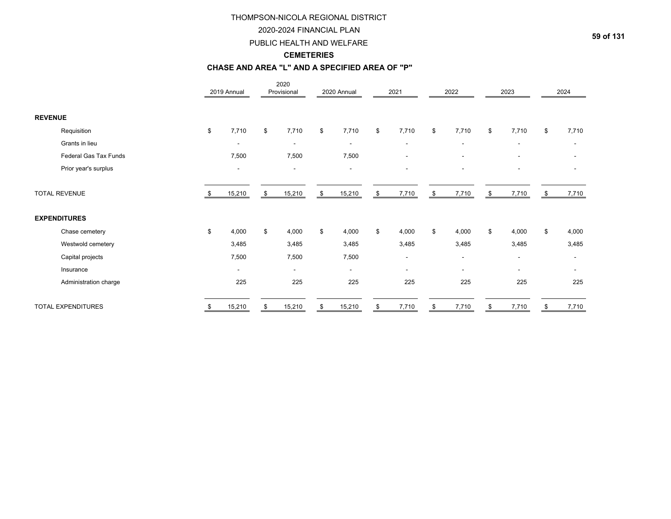## 2020-2024 FINANCIAL PLAN

## PUBLIC HEALTH AND WELFARE

## **CEMETERIES**

### **CHASE AND AREA "L" AND A SPECIFIED AREA OF "P"**

|                       | 2019 Annual              | 2020<br>Provisional      | 2020 Annual              |     | 2021                     |     | 2022                     | 2023                     |    | 2024                     |
|-----------------------|--------------------------|--------------------------|--------------------------|-----|--------------------------|-----|--------------------------|--------------------------|----|--------------------------|
| <b>REVENUE</b>        |                          |                          |                          |     |                          |     |                          |                          |    |                          |
| Requisition           | \$<br>7,710              | \$<br>7,710              | \$<br>7,710              | \$  | 7,710                    | \$  | 7,710                    | \$<br>7,710              | \$ | 7,710                    |
| Grants in lieu        | $\blacksquare$           | $\overline{\phantom{a}}$ | $\overline{\phantom{a}}$ |     | $\overline{\phantom{a}}$ |     |                          |                          |    |                          |
| Federal Gas Tax Funds | 7,500                    | 7,500                    | 7,500                    |     |                          |     |                          |                          |    |                          |
| Prior year's surplus  | $\blacksquare$           |                          |                          |     |                          |     |                          |                          |    |                          |
| <b>TOTAL REVENUE</b>  | 15,210                   | \$<br>15,210             | \$<br>15,210             | -\$ | 7,710                    | -\$ | 7,710                    | \$<br>7,710              | S. | 7,710                    |
| <b>EXPENDITURES</b>   |                          |                          |                          |     |                          |     |                          |                          |    |                          |
| Chase cemetery        | \$<br>4,000              | \$<br>4,000              | \$<br>4,000              | \$  | 4,000                    | \$  | 4,000                    | \$<br>4,000              | \$ | 4,000                    |
| Westwold cemetery     | 3,485                    | 3,485                    | 3,485                    |     | 3,485                    |     | 3,485                    | 3,485                    |    | 3,485                    |
| Capital projects      | 7,500                    | 7,500                    | 7,500                    |     | $\overline{\phantom{a}}$ |     | $\overline{\phantom{a}}$ | $\overline{\phantom{a}}$ |    | $\overline{\phantom{a}}$ |
| Insurance             | $\overline{\phantom{a}}$ | $\overline{\phantom{a}}$ | $\overline{\phantom{0}}$ |     | -                        |     | $\overline{\phantom{a}}$ |                          |    | $\overline{\phantom{a}}$ |
| Administration charge | 225                      | 225                      | 225                      |     | 225                      |     | 225                      | 225                      |    | 225                      |
| TOTAL EXPENDITURES    | 15,210                   | \$<br>15,210             | \$<br>15,210             | \$  | 7,710                    |     | 7,710                    | 7,710                    |    | 7,710                    |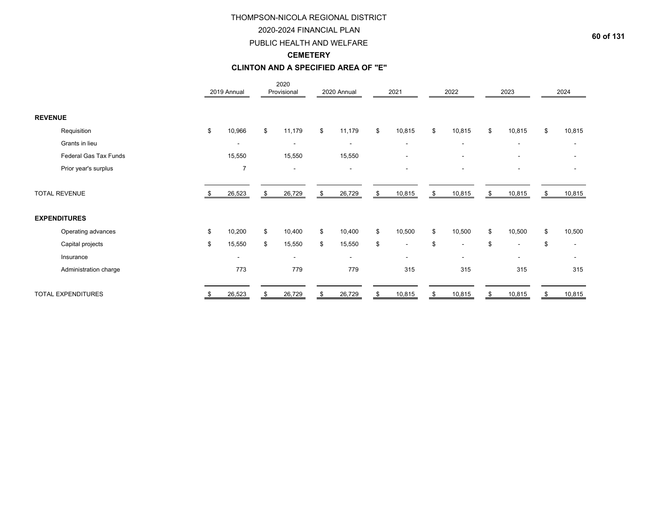## 2020-2024 FINANCIAL PLAN

## PUBLIC HEALTH AND WELFARE

## **CEMETERY**

## **CLINTON AND A SPECIFIED AREA OF "E"**

|                       | 2019 Annual              | 2020<br>Provisional      | 2020 Annual              | 2021                           | 2022                           | 2023                           | 2024         |
|-----------------------|--------------------------|--------------------------|--------------------------|--------------------------------|--------------------------------|--------------------------------|--------------|
| <b>REVENUE</b>        |                          |                          |                          |                                |                                |                                |              |
| Requisition           | \$<br>10,966             | \$<br>11,179             | \$<br>11,179             | \$<br>10,815                   | \$<br>10,815                   | \$<br>10,815                   | \$<br>10,815 |
| Grants in lieu        |                          | $\overline{\phantom{a}}$ | $\overline{\phantom{a}}$ | $\overline{\phantom{a}}$       | $\overline{\phantom{a}}$       | $\overline{\phantom{a}}$       |              |
| Federal Gas Tax Funds | 15,550                   | 15,550                   | 15,550                   | $\blacksquare$                 | $\overline{\phantom{a}}$       | $\overline{\phantom{a}}$       |              |
| Prior year's surplus  | $\overline{7}$           |                          |                          | ۰                              |                                |                                |              |
| <b>TOTAL REVENUE</b>  | 26,523                   | \$<br>26,729             | \$<br>26,729             | \$<br>10,815                   | \$<br>10,815                   | \$<br>10,815                   | \$<br>10,815 |
| <b>EXPENDITURES</b>   |                          |                          |                          |                                |                                |                                |              |
| Operating advances    | \$<br>10,200             | \$<br>10,400             | \$<br>10,400             | \$<br>10,500                   | \$<br>10,500                   | \$<br>10,500                   | \$<br>10,500 |
| Capital projects      | \$<br>15,550             | \$<br>15,550             | \$<br>15,550             | \$<br>$\overline{\phantom{a}}$ | \$<br>$\overline{\phantom{a}}$ | \$<br>$\overline{\phantom{a}}$ | \$           |
| Insurance             | $\overline{\phantom{a}}$ | $\overline{\phantom{a}}$ | $\overline{\phantom{a}}$ | $\overline{\phantom{a}}$       | $\overline{\phantom{a}}$       | $\overline{\phantom{a}}$       |              |
| Administration charge | 773                      | 779                      | 779                      | 315                            | 315                            | 315                            | 315          |
| TOTAL EXPENDITURES    | \$<br>26,523             | \$<br>26,729             | \$<br>26,729             | \$<br>10,815                   | \$<br>10,815                   | \$<br>10,815                   | \$<br>10,815 |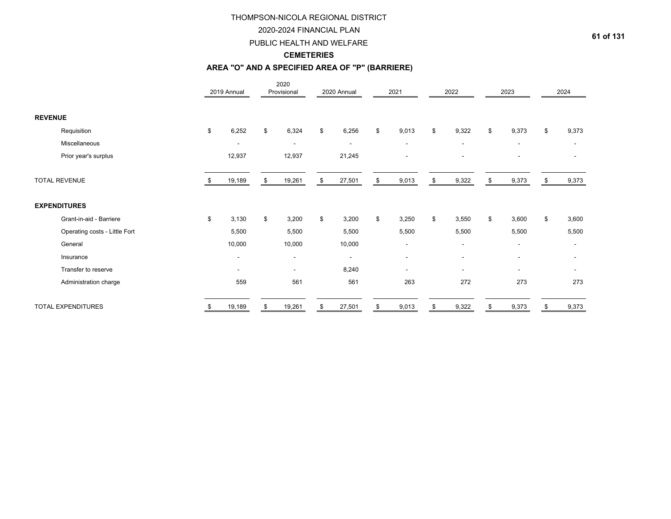## 2020-2024 FINANCIAL PLAN

## PUBLIC HEALTH AND WELFARE

## **CEMETERIES**

# **AREA "O" AND A SPECIFIED AREA OF "P" (BARRIERE)**

|                               | 2019 Annual              | 2020<br>Provisional      |    | 2020 Annual              | 2021                     | 2022                     | 2023                     |     | 2024                     |
|-------------------------------|--------------------------|--------------------------|----|--------------------------|--------------------------|--------------------------|--------------------------|-----|--------------------------|
| <b>REVENUE</b>                |                          |                          |    |                          |                          |                          |                          |     |                          |
| Requisition                   | \$<br>6,252              | \$<br>6,324              | \$ | 6,256                    | \$<br>9,013              | \$<br>9,322              | \$<br>9,373              | \$  | 9,373                    |
| Miscellaneous                 | $\overline{\phantom{a}}$ | $\blacksquare$           |    | $\overline{\phantom{a}}$ | $\overline{\phantom{a}}$ | $\blacksquare$           | $\overline{\phantom{a}}$ |     | $\blacksquare$           |
| Prior year's surplus          | 12,937                   | 12,937                   |    | 21,245                   |                          |                          |                          |     |                          |
| <b>TOTAL REVENUE</b>          | 19,189                   | \$<br>19,261             | \$ | 27,501                   | \$<br>9,013              | \$<br>9,322              | \$<br>9,373              | -SS | 9,373                    |
| <b>EXPENDITURES</b>           |                          |                          |    |                          |                          |                          |                          |     |                          |
| Grant-in-aid - Barriere       | \$<br>3,130              | \$<br>3,200              | \$ | 3,200                    | \$<br>3,250              | \$<br>3,550              | \$<br>3,600              | \$  | 3,600                    |
| Operating costs - Little Fort | 5,500                    | 5,500                    |    | 5,500                    | 5,500                    | 5,500                    | 5,500                    |     | 5,500                    |
| General                       | 10,000                   | 10,000                   |    | 10,000                   | $\blacksquare$           | $\overline{\phantom{a}}$ | $\overline{\phantom{a}}$ |     | $\blacksquare$           |
| Insurance                     | $\blacksquare$           | $\blacksquare$           |    | $\overline{\phantom{a}}$ | $\blacksquare$           | $\blacksquare$           | $\overline{\phantom{a}}$ |     |                          |
| Transfer to reserve           | $\overline{\phantom{a}}$ | $\overline{\phantom{a}}$ |    | 8,240                    | $\overline{\phantom{0}}$ | $\overline{\phantom{a}}$ |                          |     | $\overline{\phantom{a}}$ |
| Administration charge         | 559                      | 561                      |    | 561                      | 263                      | 272                      | 273                      |     | 273                      |
| <b>TOTAL EXPENDITURES</b>     | 19,189                   | \$<br>19,261             | S  | 27,501                   | \$<br>9,013              | 9,322                    | 9,373                    |     | 9,373                    |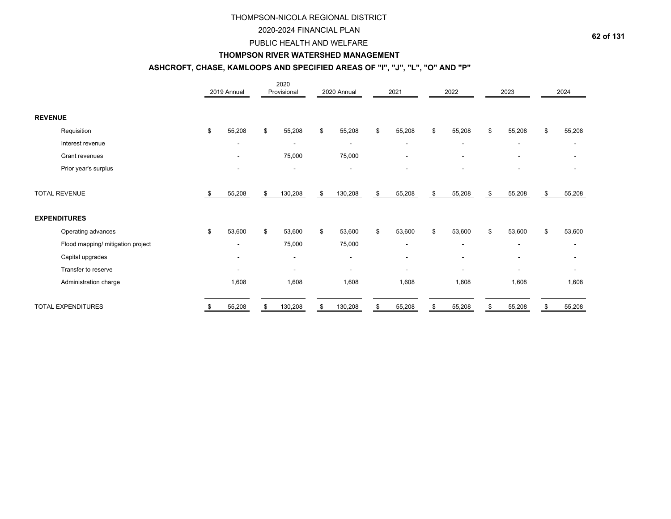## 2020-2024 FINANCIAL PLAN

## PUBLIC HEALTH AND WELFARE

## **THOMPSON RIVER WATERSHED MANAGEMENT**

# **ASHCROFT, CHASE, KAMLOOPS AND SPECIFIED AREAS OF "I", "J", "L", "O" AND "P"**

|                                   | 2019 Annual              | 2020<br>Provisional      |              | 2020 Annual              | 2021                     | 2022                     | 2023         |    | 2024           |
|-----------------------------------|--------------------------|--------------------------|--------------|--------------------------|--------------------------|--------------------------|--------------|----|----------------|
| <b>REVENUE</b>                    |                          |                          |              |                          |                          |                          |              |    |                |
| Requisition                       | \$<br>55,208             | \$<br>55,208             | $\mathbb{S}$ | 55,208                   | \$<br>55,208             | \$<br>55,208             | \$<br>55,208 | \$ | 55,208         |
| Interest revenue                  | $\overline{\phantom{a}}$ |                          |              |                          | $\blacksquare$           |                          |              |    |                |
| Grant revenues                    |                          | 75,000                   |              | 75,000                   | $\overline{\phantom{a}}$ | $\overline{\phantom{a}}$ |              |    |                |
| Prior year's surplus              | $\blacksquare$           | $\blacksquare$           |              | $\overline{\phantom{a}}$ | $\blacksquare$           |                          |              |    |                |
| <b>TOTAL REVENUE</b>              | 55,208                   | \$<br>130,208            | \$           | 130,208                  | \$<br>55,208             | \$<br>55,208             | \$<br>55,208 | S  | 55,208         |
| <b>EXPENDITURES</b>               |                          |                          |              |                          |                          |                          |              |    |                |
| Operating advances                | \$<br>53,600             | \$<br>53,600             | \$           | 53,600                   | \$<br>53,600             | \$<br>53,600             | \$<br>53,600 | \$ | 53,600         |
| Flood mapping/ mitigation project |                          | 75,000                   |              | 75,000                   | $\blacksquare$           | $\blacksquare$           |              |    | $\blacksquare$ |
| Capital upgrades                  | ۰                        | $\overline{\phantom{a}}$ |              | $\sim$                   | $\blacksquare$           | $\overline{\phantom{a}}$ |              |    |                |
| Transfer to reserve               |                          |                          |              |                          | $\overline{\phantom{0}}$ |                          |              |    |                |
| Administration charge             | 1,608                    | 1,608                    |              | 1,608                    | 1,608                    | 1,608                    | 1,608        |    | 1,608          |
| TOTAL EXPENDITURES                | 55,208                   | \$<br>130,208            | \$           | 130,208                  | 55,208                   | 55,208                   | 55,208       |    | 55,208         |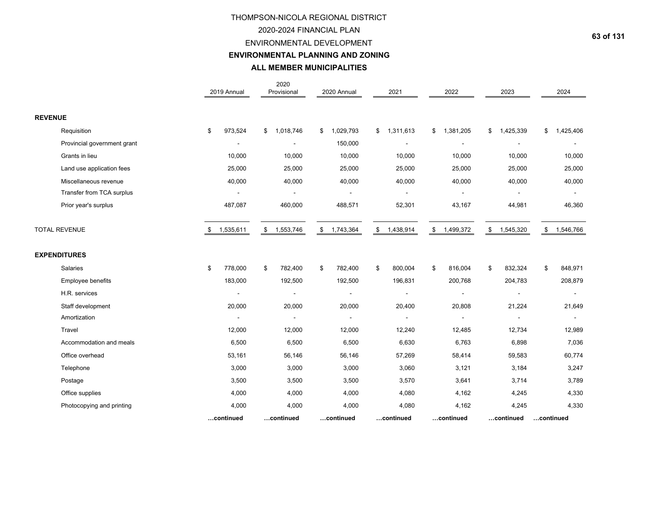## 2020-2024 FINANCIAL PLAN

## ENVIRONMENTAL DEVELOPMENT

**ENVIRONMENTAL PLANNING AND ZONING**

|                             | 2019 Annual     | 2020<br>Provisional      | 2020 Annual                | 2021          | 2022                      | 2023            | 2024            |
|-----------------------------|-----------------|--------------------------|----------------------------|---------------|---------------------------|-----------------|-----------------|
| <b>REVENUE</b>              |                 |                          |                            |               |                           |                 |                 |
| Requisition                 | 973,524<br>\$   | 1,018,746<br>\$          | $\mathsf{\$}$<br>1,029,793 | \$1,311,613   | 1,381,205<br>\$           | 1,425,339<br>\$ | 1,425,406<br>\$ |
| Provincial government grant |                 | $\overline{\phantom{a}}$ | 150,000                    |               |                           |                 |                 |
| Grants in lieu              | 10,000          | 10,000                   | 10,000                     | 10,000        | 10,000                    | 10,000          | 10,000          |
| Land use application fees   | 25,000          | 25,000                   | 25,000                     | 25,000        | 25,000                    | 25,000          | 25,000          |
| Miscellaneous revenue       | 40,000          | 40,000                   | 40,000                     | 40,000        | 40,000                    | 40,000          | 40,000          |
| Transfer from TCA surplus   |                 | $\overline{a}$           |                            |               |                           |                 |                 |
| Prior year's surplus        | 487,087         | 460,000                  | 488,571                    | 52,301        | 43,167                    | 44,981          | 46,360          |
| <b>TOTAL REVENUE</b>        | 1,535,611<br>\$ | 1,553,746<br>\$          | \$ 1,743,364               | \$ 1,438,914  | $\mathbb{S}$<br>1,499,372 | \$<br>1,545,320 | \$<br>1,546,766 |
| <b>EXPENDITURES</b>         |                 |                          |                            |               |                           |                 |                 |
| Salaries                    | \$<br>778,000   | 782,400<br>\$            | 782,400<br>\$              | \$<br>800,004 | 816,004<br>\$             | \$<br>832,324   | \$<br>848,971   |
| Employee benefits           | 183,000         | 192,500                  | 192,500                    | 196,831       | 200,768                   | 204,783         | 208,879         |
| H.R. services               |                 | $\blacksquare$           |                            |               |                           |                 |                 |
| Staff development           | 20,000          | 20,000                   | 20,000                     | 20,400        | 20,808                    | 21,224          | 21,649          |
| Amortization                |                 | $\overline{\phantom{a}}$ |                            |               |                           |                 | $\blacksquare$  |
| Travel                      | 12,000          | 12,000                   | 12,000                     | 12,240        | 12,485                    | 12,734          | 12,989          |
| Accommodation and meals     | 6,500           | 6,500                    | 6,500                      | 6,630         | 6,763                     | 6,898           | 7,036           |
| Office overhead             | 53,161          | 56,146                   | 56,146                     | 57,269        | 58,414                    | 59,583          | 60,774          |
| Telephone                   | 3,000           | 3,000                    | 3,000                      | 3,060         | 3,121                     | 3,184           | 3,247           |
| Postage                     | 3,500           | 3,500                    | 3,500                      | 3,570         | 3,641                     | 3,714           | 3,789           |
| Office supplies             | 4,000           | 4,000                    | 4,000                      | 4,080         | 4,162                     | 4,245           | 4,330           |
| Photocopying and printing   | 4,000           | 4,000                    | 4,000                      | 4,080         | 4,162                     | 4,245           | 4,330           |
|                             | continued       | continued                | continued                  | continued     | continued                 | continued       | continued       |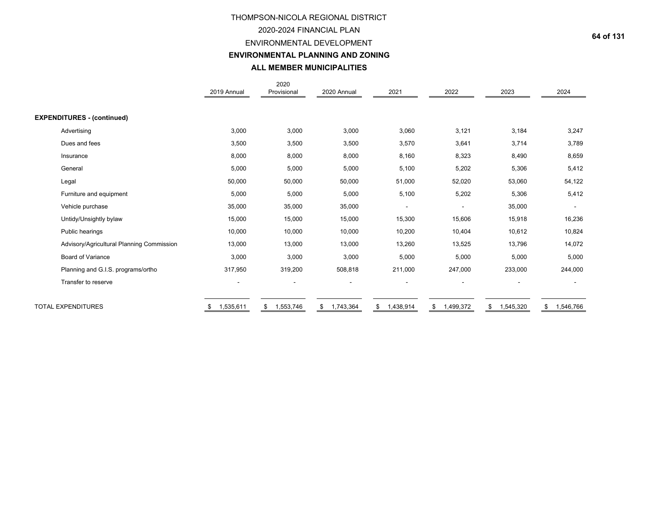## 2020-2024 FINANCIAL PLAN

## ENVIRONMENTAL DEVELOPMENT

**ENVIRONMENTAL PLANNING AND ZONING**

|                                           | 2019 Annual | 2020<br>Provisional | 2020 Annual              | 2021                     | 2022           | 2023            | 2024                     |
|-------------------------------------------|-------------|---------------------|--------------------------|--------------------------|----------------|-----------------|--------------------------|
|                                           |             |                     |                          |                          |                |                 |                          |
| <b>EXPENDITURES - (continued)</b>         |             |                     |                          |                          |                |                 |                          |
| Advertising                               | 3,000       | 3,000               | 3,000                    | 3,060                    | 3,121          | 3,184           | 3,247                    |
| Dues and fees                             | 3,500       | 3,500               | 3,500                    | 3,570                    | 3,641          | 3,714           | 3,789                    |
| Insurance                                 | 8,000       | 8,000               | 8,000                    | 8,160                    | 8,323          | 8,490           | 8,659                    |
| General                                   | 5,000       | 5,000               | 5,000                    | 5,100                    | 5,202          | 5,306           | 5,412                    |
| Legal                                     | 50,000      | 50,000              | 50,000                   | 51,000                   | 52,020         | 53,060          | 54,122                   |
| Furniture and equipment                   | 5,000       | 5,000               | 5,000                    | 5,100                    | 5,202          | 5,306           | 5,412                    |
| Vehicle purchase                          | 35,000      | 35,000              | 35,000                   | $\overline{\phantom{a}}$ |                | 35,000          | $\overline{\phantom{a}}$ |
| Untidy/Unsightly bylaw                    | 15,000      | 15,000              | 15,000                   | 15,300                   | 15,606         | 15,918          | 16,236                   |
| Public hearings                           | 10,000      | 10,000              | 10,000                   | 10,200                   | 10,404         | 10,612          | 10,824                   |
| Advisory/Agricultural Planning Commission | 13,000      | 13,000              | 13,000                   | 13,260                   | 13,525         | 13,796          | 14,072                   |
| <b>Board of Variance</b>                  | 3,000       | 3,000               | 3,000                    | 5,000                    | 5,000          | 5,000           | 5,000                    |
| Planning and G.I.S. programs/ortho        | 317,950     | 319,200             | 508,818                  | 211,000                  | 247,000        | 233,000         | 244,000                  |
| Transfer to reserve                       |             |                     | $\overline{\phantom{a}}$ | $\overline{\phantom{a}}$ |                |                 | $\overline{\phantom{a}}$ |
| <b>TOTAL EXPENDITURES</b>                 | 1,535,611   | 1,553,746<br>\$     | 1,743,364<br>\$          | 1,438,914<br>\$          | 1,499,372<br>S | 1,545,320<br>\$ | 1,546,766<br>S           |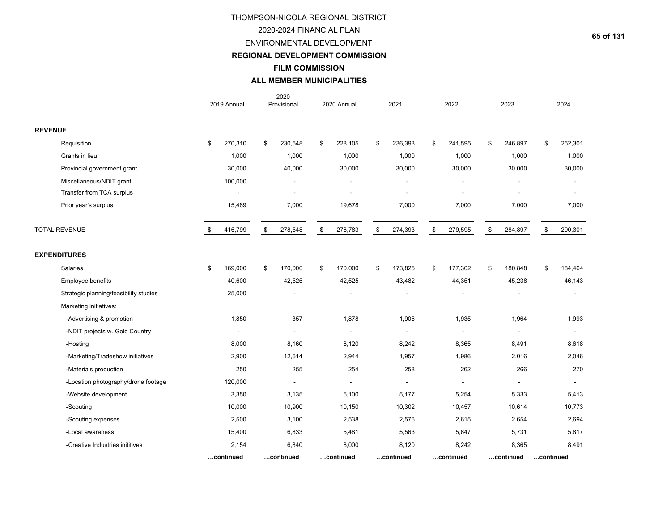## 2020-2024 FINANCIAL PLAN

ENVIRONMENTAL DEVELOPMENT

**REGIONAL DEVELOPMENT COMMISSION**

**FILM COMMISSION**

|                                        | 2019 Annual              | 2020<br>Provisional | 2020 Annual              | 2021          | 2022           | 2023           |           | 2024           |
|----------------------------------------|--------------------------|---------------------|--------------------------|---------------|----------------|----------------|-----------|----------------|
| <b>REVENUE</b>                         |                          |                     |                          |               |                |                |           |                |
| Requisition                            | \$<br>270,310            | \$<br>230,548       | \$<br>228,105            | \$<br>236,393 | \$<br>241,595  | \$<br>246,897  | \$        | 252,301        |
| Grants in lieu                         | 1,000                    | 1,000               | 1,000                    | 1,000         | 1,000          | 1,000          |           | 1,000          |
| Provincial government grant            | 30,000                   | 40,000              | 30,000                   | 30,000        | 30,000         | 30,000         |           | 30,000         |
| Miscellaneous/NDIT grant               | 100,000                  |                     |                          |               |                |                |           |                |
| Transfer from TCA surplus              |                          |                     |                          |               |                |                |           |                |
| Prior year's surplus                   | 15,489                   | 7,000               | 19,678                   | 7,000         | 7,000          | 7,000          |           | 7,000          |
| <b>TOTAL REVENUE</b>                   | \$<br>416,799            | \$<br>278,548       | \$<br>278,783            | \$<br>274,393 | \$<br>279,595  | \$<br>284,897  | \$        | 290,301        |
| <b>EXPENDITURES</b>                    |                          |                     |                          |               |                |                |           |                |
| <b>Salaries</b>                        | \$<br>169,000            | \$<br>170,000       | \$<br>170,000            | \$<br>173,825 | \$<br>177,302  | \$<br>180,848  | \$        | 184,464        |
| Employee benefits                      | 40,600                   | 42,525              | 42,525                   | 43,482        | 44,351         | 45,238         |           | 46,143         |
| Strategic planning/feasibility studies | 25,000                   | ٠                   |                          |               | $\overline{a}$ |                |           |                |
| Marketing initiatives:                 |                          |                     |                          |               |                |                |           |                |
| -Advertising & promotion               | 1,850                    | 357                 | 1,878                    | 1,906         | 1,935          | 1,964          |           | 1,993          |
| -NDIT projects w. Gold Country         | $\overline{\phantom{a}}$ | $\blacksquare$      | $\blacksquare$           | $\sim$        | $\overline{a}$ | $\blacksquare$ |           | $\blacksquare$ |
| -Hosting                               | 8,000                    | 8,160               | 8,120                    | 8,242         | 8,365          | 8,491          |           | 8,618          |
| -Marketing/Tradeshow initiatives       | 2,900                    | 12,614              | 2,944                    | 1,957         | 1,986          | 2,016          |           | 2,046          |
| -Materials production                  | 250                      | 255                 | 254                      | 258           | 262            | 266            |           | 270            |
| -Location photography/drone footage    | 120,000                  | $\blacksquare$      | $\overline{\phantom{a}}$ | $\frac{1}{2}$ |                |                |           |                |
| -Website development                   | 3,350                    | 3,135               | 5,100                    | 5,177         | 5,254          | 5,333          |           | 5,413          |
| -Scouting                              | 10,000                   | 10,900              | 10,150                   | 10,302        | 10,457         | 10,614         |           | 10,773         |
| -Scouting expenses                     | 2,500                    | 3,100               | 2,538                    | 2,576         | 2,615          | 2,654          |           | 2,694          |
| -Local awareness                       | 15,400                   | 6,833               | 5,481                    | 5,563         | 5,647          | 5,731          |           | 5,817          |
| -Creative Industries inititives        | 2,154                    | 6,840               | 8,000                    | 8,120         | 8,242          | 8,365          |           | 8,491          |
|                                        | continued                | continued           | continued                | continued     | continued      | continued      | continued |                |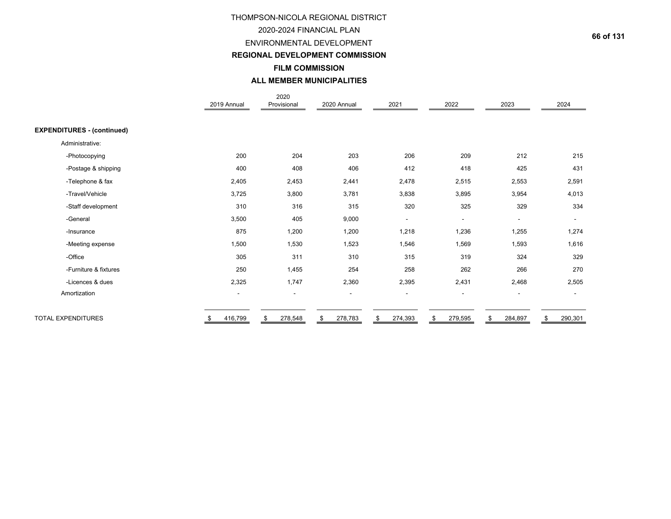## 2020-2024 FINANCIAL PLAN

ENVIRONMENTAL DEVELOPMENT

**REGIONAL DEVELOPMENT COMMISSION**

**FILM COMMISSION**

|                                   | 2019 Annual              | 2020<br>Provisional | 2020 Annual | 2021                     | 2022                     | 2023                     | 2024           |
|-----------------------------------|--------------------------|---------------------|-------------|--------------------------|--------------------------|--------------------------|----------------|
|                                   |                          |                     |             |                          |                          |                          |                |
| <b>EXPENDITURES - (continued)</b> |                          |                     |             |                          |                          |                          |                |
| Administrative:                   |                          |                     |             |                          |                          |                          |                |
| -Photocopying                     | 200                      | 204                 | 203         | 206                      | 209                      | 212                      | 215            |
| -Postage & shipping               | 400                      | 408                 | 406         | 412                      | 418                      | 425                      | 431            |
| -Telephone & fax                  | 2,405                    | 2,453               | 2,441       | 2,478                    | 2,515                    | 2,553                    | 2,591          |
| -Travel/Vehicle                   | 3,725                    | 3,800               | 3,781       | 3,838                    | 3,895                    | 3,954                    | 4,013          |
| -Staff development                | 310                      | 316                 | 315         | 320                      | 325                      | 329                      | 334            |
| -General                          | 3,500                    | 405                 | 9,000       | $\overline{\phantom{a}}$ | $\overline{\phantom{a}}$ | $\overline{\phantom{a}}$ | $\blacksquare$ |
| -Insurance                        | 875                      | 1,200               | 1,200       | 1,218                    | 1,236                    | 1,255                    | 1,274          |
| -Meeting expense                  | 1,500                    | 1,530               | 1,523       | 1,546                    | 1,569                    | 1,593                    | 1,616          |
| -Office                           | 305                      | 311                 | 310         | 315                      | 319                      | 324                      | 329            |
| -Furniture & fixtures             | 250                      | 1,455               | 254         | 258                      | 262                      | 266                      | 270            |
| -Licences & dues                  | 2,325                    | 1,747               | 2,360       | 2,395                    | 2,431                    | 2,468                    | 2,505          |
| Amortization                      | $\overline{\phantom{a}}$ | $\blacksquare$      | $\sim$      | $\overline{\phantom{a}}$ | $\blacksquare$           | $\blacksquare$           | $\blacksquare$ |
|                                   |                          |                     |             |                          |                          |                          |                |
| <b>TOTAL EXPENDITURES</b>         | 416,799                  | 278,548<br>\$       | 278,783     | 274,393<br>\$            | 279,595                  | 284,897                  | 290,301<br>\$  |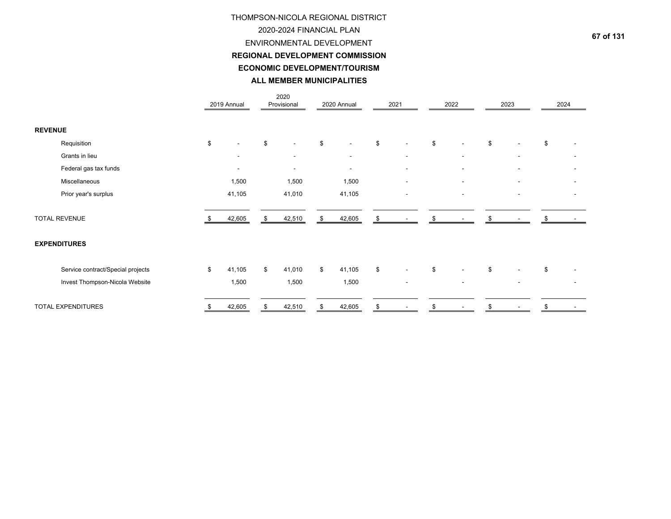# THOMPSON-NICOLA REGIONAL DISTRICT 2020-2024 FINANCIAL PLANENVIRONMENTAL DEVELOPMENT **ECONOMIC DEVELOPMENT/TOURISMALL MEMBER MUNICIPALITIESREGIONAL DEVELOPMENT COMMISSION**

|                |                                   | 2019 Annual              |    | 2020<br>Provisional      |    | 2020 Annual              |      | 2021                     | 2022                     | 2023                     | 2024 |  |
|----------------|-----------------------------------|--------------------------|----|--------------------------|----|--------------------------|------|--------------------------|--------------------------|--------------------------|------|--|
| <b>REVENUE</b> |                                   |                          |    |                          |    |                          |      |                          |                          |                          |      |  |
|                | Requisition                       | \$                       | \$ |                          | \$ |                          | \$   | $\blacksquare$           | \$                       | \$                       | \$   |  |
|                | Grants in lieu                    |                          |    | $\overline{\phantom{a}}$ |    | $\sim$                   |      | $\blacksquare$           | $\overline{\phantom{a}}$ | $\overline{\phantom{a}}$ |      |  |
|                | Federal gas tax funds             | $\overline{\phantom{0}}$ |    |                          |    | $\overline{\phantom{a}}$ |      | $\blacksquare$           |                          |                          |      |  |
|                | Miscellaneous                     | 1,500                    |    | 1,500                    |    | 1,500                    |      |                          |                          |                          |      |  |
|                | Prior year's surplus              | 41,105                   |    | 41,010                   |    | 41,105                   |      | $\overline{\phantom{a}}$ | $\overline{\phantom{a}}$ | $\overline{\phantom{a}}$ |      |  |
|                | <b>TOTAL REVENUE</b>              | 42,605                   | Я. | 42,510                   | \$ | 42,605                   | \$   |                          | \$                       |                          |      |  |
|                | <b>EXPENDITURES</b>               |                          |    |                          |    |                          |      |                          |                          |                          |      |  |
|                | Service contract/Special projects | \$<br>41,105             | \$ | 41,010                   | \$ | 41,105                   | $\,$ | $\blacksquare$           | \$                       | \$                       | \$   |  |
|                | Invest Thompson-Nicola Website    | 1,500                    |    | 1,500                    |    | 1,500                    |      | $\overline{\phantom{a}}$ | $\overline{\phantom{a}}$ |                          |      |  |
|                | TOTAL EXPENDITURES                | 42,605                   |    | 42,510                   | S  | 42,605                   | £.   |                          |                          |                          |      |  |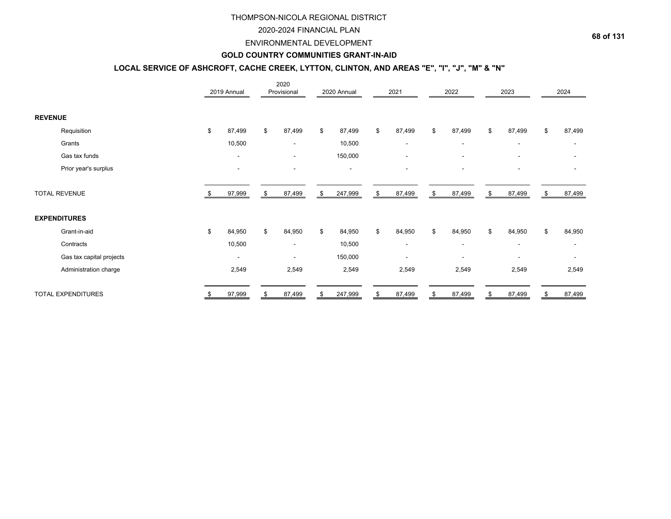## 2020-2024 FINANCIAL PLAN

## ENVIRONMENTAL DEVELOPMENT

## **GOLD COUNTRY COMMUNITIES GRANT-IN-AID**

# **LOCAL SERVICE OF ASHCROFT, CACHE CREEK, LYTTON, CLINTON, AND AREAS "E", "I", "J", "M" & "N"**

|                           |      | 2019 Annual              | 2020<br>Provisional      | 2020 Annual   | 2021                     |    | 2022                     | 2023                     |    | 2024                     |
|---------------------------|------|--------------------------|--------------------------|---------------|--------------------------|----|--------------------------|--------------------------|----|--------------------------|
| <b>REVENUE</b>            |      |                          |                          |               |                          |    |                          |                          |    |                          |
| Requisition               | \$   | 87,499                   | \$<br>87,499             | \$<br>87,499  | \$<br>87,499             | \$ | 87,499                   | \$<br>87,499             | \$ | 87,499                   |
| Grants                    |      | 10,500                   | $\overline{\phantom{a}}$ | 10,500        | $\overline{\phantom{a}}$ |    | $\overline{\phantom{a}}$ | $\overline{\phantom{a}}$ |    | $\overline{\phantom{a}}$ |
| Gas tax funds             |      | $\blacksquare$           | $\overline{\phantom{a}}$ | 150,000       | $\overline{\phantom{a}}$ |    | $\overline{\phantom{a}}$ | $\blacksquare$           |    |                          |
| Prior year's surplus      |      | $\blacksquare$           | $\overline{\phantom{a}}$ | ٠             | $\blacksquare$           |    |                          |                          |    |                          |
| <b>TOTAL REVENUE</b>      | - \$ | 97,999                   | \$<br>87,499             | \$<br>247,999 | \$<br>87,499             | \$ | 87,499                   | \$<br>87,499             | S  | 87,499                   |
| <b>EXPENDITURES</b>       |      |                          |                          |               |                          |    |                          |                          |    |                          |
| Grant-in-aid              | \$   | 84,950                   | \$<br>84,950             | \$<br>84,950  | \$<br>84,950             | \$ | 84,950                   | \$<br>84,950             | \$ | 84,950                   |
| Contracts                 |      | 10,500                   | $\overline{\phantom{a}}$ | 10,500        | $\overline{\phantom{a}}$ |    | $\overline{\phantom{a}}$ | $\overline{\phantom{a}}$ |    |                          |
| Gas tax capital projects  |      | $\overline{\phantom{a}}$ | $\overline{\phantom{a}}$ | 150,000       | $\blacksquare$           |    | $\overline{\phantom{a}}$ | $\overline{\phantom{a}}$ |    |                          |
| Administration charge     |      | 2,549                    | 2,549                    | 2,549         | 2,549                    |    | 2,549                    | 2,549                    |    | 2,549                    |
| <b>TOTAL EXPENDITURES</b> |      | 97,999                   | \$<br>87,499             | \$<br>247,999 | \$<br>87,499             | S  | 87,499                   | \$<br>87,499             |    | 87,499                   |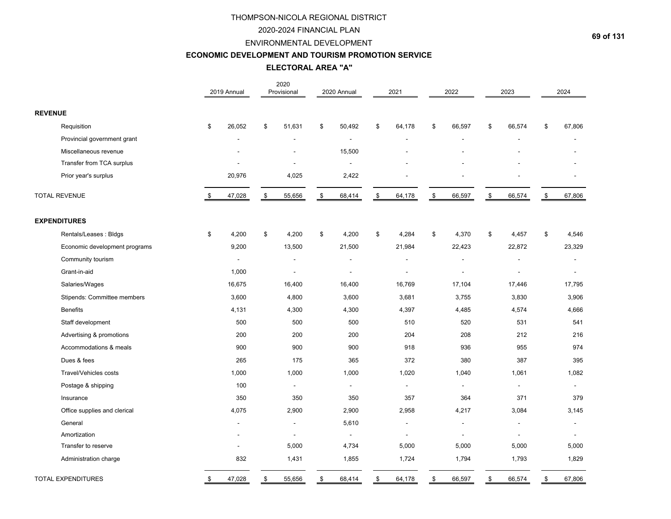# 2020-2024 FINANCIAL PLAN

## ENVIRONMENTAL DEVELOPMENT

# **ECONOMIC DEVELOPMENT AND TOURISM PROMOTION SERVICE**

**ELECTORAL AREA "A"**

|                               | 2019 Annual  | 2020<br>Provisional      | 2020 Annual              |      | 2021           |                | 2022                     | 2023                     | 2024         |
|-------------------------------|--------------|--------------------------|--------------------------|------|----------------|----------------|--------------------------|--------------------------|--------------|
| <b>REVENUE</b>                |              |                          |                          |      |                |                |                          |                          |              |
| Requisition                   | \$<br>26,052 | \$<br>51,631             | \$<br>50,492             | \$   | 64,178         | \$             | 66,597                   | \$<br>66,574             | \$<br>67,806 |
| Provincial government grant   |              |                          | $\overline{a}$           |      |                |                |                          |                          |              |
| Miscellaneous revenue         |              |                          | 15,500                   |      |                |                |                          |                          |              |
| Transfer from TCA surplus     |              | ÷                        | $\overline{\phantom{a}}$ |      |                |                |                          |                          |              |
| Prior year's surplus          | 20,976       | 4,025                    | 2,422                    |      |                |                |                          |                          |              |
| <b>TOTAL REVENUE</b>          | \$<br>47,028 | \$<br>55,656             | \$<br>68,414             | \$   | 64,178         | $$\mathbb{S}$$ | 66,597                   | \$<br>66,574             | \$<br>67,806 |
| <b>EXPENDITURES</b>           |              |                          |                          |      |                |                |                          |                          |              |
| Rentals/Leases: Bldgs         | \$<br>4,200  | \$<br>4,200              | \$<br>4,200              | $\$$ | 4,284          | \$             | 4,370                    | \$<br>4,457              | \$<br>4,546  |
| Economic development programs | 9,200        | 13,500                   | 21,500                   |      | 21,984         |                | 22,423                   | 22,872                   | 23,329       |
| Community tourism             |              | L,                       | ä,                       |      |                |                |                          |                          |              |
| Grant-in-aid                  | 1,000        | $\overline{\phantom{a}}$ | $\overline{a}$           |      |                |                | $\overline{a}$           |                          |              |
| Salaries/Wages                | 16,675       | 16,400                   | 16,400                   |      | 16,769         |                | 17,104                   | 17,446                   | 17,795       |
| Stipends: Committee members   | 3,600        | 4,800                    | 3,600                    |      | 3,681          |                | 3,755                    | 3,830                    | 3,906        |
| <b>Benefits</b>               | 4,131        | 4,300                    | 4,300                    |      | 4,397          |                | 4,485                    | 4,574                    | 4,666        |
| Staff development             | 500          | 500                      | 500                      |      | 510            |                | 520                      | 531                      | 541          |
| Advertising & promotions      | 200          | 200                      | 200                      |      | 204            |                | 208                      | 212                      | 216          |
| Accommodations & meals        | 900          | 900                      | 900                      |      | 918            |                | 936                      | 955                      | 974          |
| Dues & fees                   | 265          | 175                      | 365                      |      | 372            |                | 380                      | 387                      | 395          |
| Travel/Vehicles costs         | 1,000        | 1,000                    | 1,000                    |      | 1,020          |                | 1,040                    | 1,061                    | 1,082        |
| Postage & shipping            | 100          | $\sim$                   | $\blacksquare$           |      | $\blacksquare$ |                | $\overline{a}$           | $\overline{a}$           | $\sim$       |
| Insurance                     | 350          | 350                      | 350                      |      | 357            |                | 364                      | 371                      | 379          |
| Office supplies and clerical  | 4,075        | 2,900                    | 2,900                    |      | 2,958          |                | 4,217                    | 3,084                    | 3,145        |
| General                       |              | $\blacksquare$           | 5,610                    |      |                |                | $\overline{\phantom{a}}$ | $\overline{\phantom{a}}$ |              |
| Amortization                  |              | $\overline{\phantom{a}}$ |                          |      |                |                |                          |                          |              |
| Transfer to reserve           |              | 5,000                    | 4,734                    |      | 5,000          |                | 5,000                    | 5,000                    | 5,000        |
| Administration charge         | 832          | 1,431                    | 1,855                    |      | 1,724          |                | 1,794                    | 1,793                    | 1,829        |
| <b>TOTAL EXPENDITURES</b>     | \$<br>47,028 | \$<br>55,656             | \$<br>68,414             | \$   | 64,178         | \$             | 66,597                   | \$<br>66,574             | \$<br>67,806 |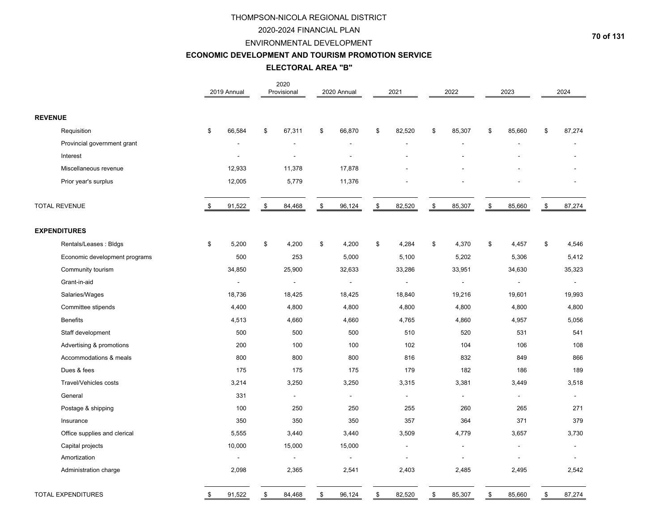# 2020-2024 FINANCIAL PLAN

# ENVIRONMENTAL DEVELOPMENT

### **ECONOMIC DEVELOPMENT AND TOURISM PROMOTION SERVICE**

## **ELECTORAL AREA "B"**

|                |                               | 2019 Annual              | 2020<br>Provisional      | 2020 Annual    | 2021           |               | 2022           | 2023           | 2024                     |
|----------------|-------------------------------|--------------------------|--------------------------|----------------|----------------|---------------|----------------|----------------|--------------------------|
| <b>REVENUE</b> |                               |                          |                          |                |                |               |                |                |                          |
|                | Requisition                   | \$<br>66,584             | \$<br>67,311             | \$<br>66,870   | \$<br>82,520   | \$            | 85,307         | \$<br>85,660   | \$<br>87,274             |
|                | Provincial government grant   |                          |                          |                | ÷.             |               |                |                |                          |
|                | Interest                      | $\overline{\phantom{a}}$ | ÷.                       | ÷              |                |               |                |                |                          |
|                | Miscellaneous revenue         | 12,933                   | 11,378                   | 17,878         |                |               |                |                |                          |
|                | Prior year's surplus          | 12,005                   | 5,779                    | 11,376         |                |               |                |                |                          |
|                | <b>TOTAL REVENUE</b>          | \$<br>91,522             | \$<br>84,468             | \$<br>96,124   | \$<br>82,520   | $\sqrt[6]{3}$ | 85,307         | \$<br>85,660   | \$<br>87,274             |
|                | <b>EXPENDITURES</b>           |                          |                          |                |                |               |                |                |                          |
|                | Rentals/Leases: Bldgs         | \$<br>5,200              | \$<br>4,200              | \$<br>4,200    | \$<br>4,284    | \$            | 4,370          | \$<br>4,457    | \$<br>4,546              |
|                | Economic development programs | 500                      | 253                      | 5,000          | 5,100          |               | 5,202          | 5,306          | 5,412                    |
|                | Community tourism             | 34,850                   | 25,900                   | 32,633         | 33,286         |               | 33,951         | 34,630         | 35,323                   |
|                | Grant-in-aid                  | $\blacksquare$           | $\overline{\phantom{a}}$ | $\blacksquare$ | $\overline{a}$ |               | $\blacksquare$ | $\blacksquare$ | $\overline{\phantom{a}}$ |
|                | Salaries/Wages                | 18,736                   | 18,425                   | 18,425         | 18,840         |               | 19,216         | 19,601         | 19,993                   |
|                | Committee stipends            | 4,400                    | 4,800                    | 4,800          | 4,800          |               | 4,800          | 4,800          | 4,800                    |
|                | <b>Benefits</b>               | 4,513                    | 4,660                    | 4,660          | 4,765          |               | 4,860          | 4,957          | 5,056                    |
|                | Staff development             | 500                      | 500                      | 500            | 510            |               | 520            | 531            | 541                      |
|                | Advertising & promotions      | 200                      | 100                      | 100            | 102            |               | 104            | 106            | 108                      |
|                | Accommodations & meals        | 800                      | 800                      | 800            | 816            |               | 832            | 849            | 866                      |
|                | Dues & fees                   | 175                      | 175                      | 175            | 179            |               | 182            | 186            | 189                      |
|                | Travel/Vehicles costs         | 3,214                    | 3,250                    | 3,250          | 3,315          |               | 3,381          | 3,449          | 3,518                    |
|                | General                       | 331                      | $\blacksquare$           | $\blacksquare$ | $\overline{a}$ |               | $\blacksquare$ | $\blacksquare$ | $\blacksquare$           |
|                | Postage & shipping            | 100                      | 250                      | 250            | 255            |               | 260            | 265            | 271                      |
|                | Insurance                     | 350                      | 350                      | 350            | 357            |               | 364            | 371            | 379                      |
|                | Office supplies and clerical  | 5,555                    | 3,440                    | 3,440          | 3,509          |               | 4,779          | 3,657          | 3,730                    |
|                | Capital projects              | 10,000                   | 15,000                   | 15,000         | $\overline{a}$ |               |                |                |                          |
|                | Amortization                  | $\blacksquare$           | $\blacksquare$           | $\blacksquare$ | ÷.             |               |                |                |                          |
|                | Administration charge         | 2,098                    | 2,365                    | 2,541          | 2,403          |               | 2,485          | 2,495          | 2,542                    |
|                | <b>TOTAL EXPENDITURES</b>     | \$<br>91,522             | \$<br>84,468             | \$<br>96,124   | \$<br>82,520   | \$            | 85,307         | \$<br>85,660   | \$<br>87,274             |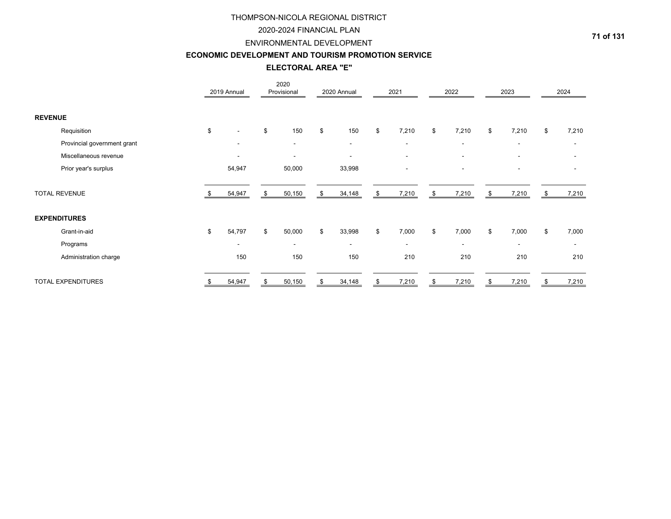# 2020-2024 FINANCIAL PLAN

## ENVIRONMENTAL DEVELOPMENT

## **ECONOMIC DEVELOPMENT AND TOURISM PROMOTION SERVICE**

# **ELECTORAL AREA "E"**

|                             |    | 2019 Annual              | 2020<br>Provisional | 2020 Annual              | 2021                     | 2022                     |    | 2023                     | 2024                     |
|-----------------------------|----|--------------------------|---------------------|--------------------------|--------------------------|--------------------------|----|--------------------------|--------------------------|
| <b>REVENUE</b>              |    |                          |                     |                          |                          |                          |    |                          |                          |
| Requisition                 | \$ |                          | \$<br>150           | \$<br>150                | \$<br>7,210              | \$<br>7,210              | \$ | 7,210                    | \$<br>7,210              |
| Provincial government grant |    | $\overline{\phantom{a}}$ | $\sim$              | $\overline{\phantom{a}}$ | $\overline{\phantom{a}}$ | $\overline{\phantom{a}}$ |    | $\blacksquare$           | ۰                        |
| Miscellaneous revenue       |    |                          |                     | $\blacksquare$           | $\overline{\phantom{a}}$ | $\overline{\phantom{a}}$ |    | $\overline{\phantom{a}}$ |                          |
| Prior year's surplus        |    | 54,947                   | 50,000              | 33,998                   | $\overline{\phantom{a}}$ | $\overline{\phantom{a}}$ |    | $\overline{\phantom{a}}$ |                          |
| <b>TOTAL REVENUE</b>        |    | 54,947                   | \$<br>50,150        | \$<br>34,148             | \$<br>7,210              | \$<br>7,210              | Я. | 7,210                    | 7,210                    |
| <b>EXPENDITURES</b>         |    |                          |                     |                          |                          |                          |    |                          |                          |
| Grant-in-aid                | \$ | 54,797                   | \$<br>50,000        | \$<br>33,998             | \$<br>7,000              | \$<br>7,000              | \$ | 7,000                    | \$<br>7,000              |
| Programs                    |    | $\overline{\phantom{0}}$ | $\sim$              | $\overline{\phantom{a}}$ | $\overline{\phantom{a}}$ | $\overline{\phantom{a}}$ |    | $\overline{\phantom{a}}$ | $\overline{\phantom{a}}$ |
| Administration charge       |    | 150                      | 150                 | 150                      | 210                      | 210                      |    | 210                      | 210                      |
| <b>TOTAL EXPENDITURES</b>   |    | 54,947                   | \$<br>50,150        | 34,148                   | \$<br>7,210              | \$<br>7,210              |    | 7,210                    | 7,210                    |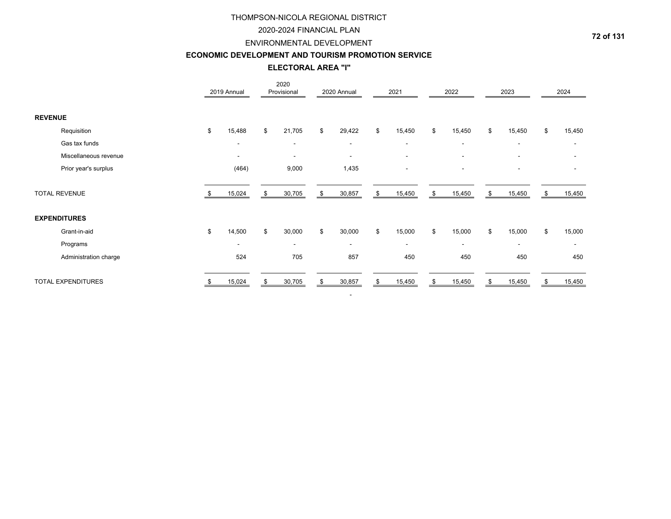## 2020-2024 FINANCIAL PLAN

# ENVIRONMENTAL DEVELOPMENT

## **ECONOMIC DEVELOPMENT AND TOURISM PROMOTION SERVICE**

## **ELECTORAL AREA "I"**

|                           |    | 2019 Annual              |    | 2020<br>Provisional      | 2020 Annual              | 2021                     | 2022                     |     | 2023                     |    | 2024                     |
|---------------------------|----|--------------------------|----|--------------------------|--------------------------|--------------------------|--------------------------|-----|--------------------------|----|--------------------------|
| <b>REVENUE</b>            |    |                          |    |                          |                          |                          |                          |     |                          |    |                          |
| Requisition               | \$ | 15,488                   | \$ | 21,705                   | \$<br>29,422             | \$<br>15,450             | \$<br>15,450             | \$  | 15,450                   | \$ | 15,450                   |
| Gas tax funds             |    | $\overline{\phantom{a}}$ |    | $\overline{\phantom{a}}$ | $\overline{\phantom{a}}$ | $\overline{\phantom{a}}$ | $\overline{\phantom{a}}$ |     | $\overline{\phantom{a}}$ |    |                          |
| Miscellaneous revenue     |    | $\overline{\phantom{a}}$ |    | $\blacksquare$           | $\blacksquare$           | $\overline{\phantom{a}}$ | $\overline{\phantom{a}}$ |     | $\blacksquare$           |    |                          |
| Prior year's surplus      |    | (464)                    |    | 9,000                    | 1,435                    | $\overline{\phantom{a}}$ | ۰                        |     |                          |    |                          |
| <b>TOTAL REVENUE</b>      |    | 15,024                   | S  | 30,705                   | \$<br>30,857             | \$<br>15,450             | \$<br>15,450             | \$  | 15,450                   | S  | 15,450                   |
| <b>EXPENDITURES</b>       |    |                          |    |                          |                          |                          |                          |     |                          |    |                          |
| Grant-in-aid              | \$ | 14,500                   | \$ | 30,000                   | \$<br>30,000             | \$<br>15,000             | \$<br>15,000             | \$  | 15,000                   | \$ | 15,000                   |
| Programs                  |    | $\overline{\phantom{a}}$ |    | $\overline{\phantom{a}}$ | $\sim$                   | $\overline{\phantom{a}}$ | $\overline{\phantom{a}}$ |     | $\blacksquare$           |    | $\overline{\phantom{a}}$ |
| Administration charge     |    | 524                      |    | 705                      | 857                      | 450                      | 450                      |     | 450                      |    | 450                      |
| <b>TOTAL EXPENDITURES</b> |    | 15,024                   |    | 30,705                   | 30,857                   | \$<br>15,450             | 15,450                   | \$. | 15,450                   |    | 15,450                   |

-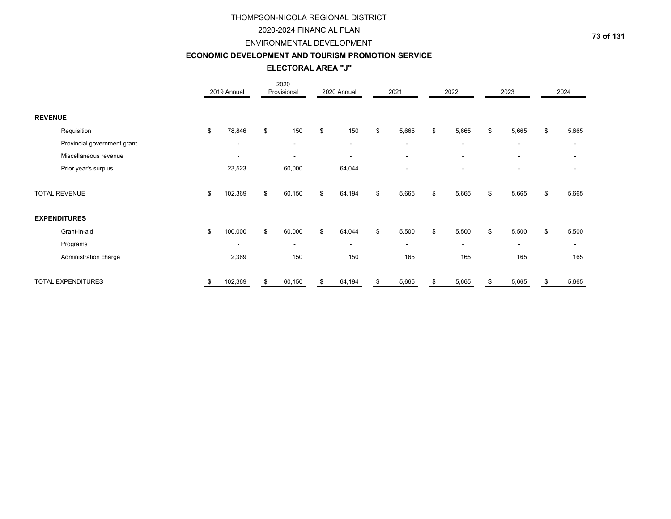### 2020-2024 FINANCIAL PLAN

#### ENVIRONMENTAL DEVELOPMENT

# **ECONOMIC DEVELOPMENT AND TOURISM PROMOTION SERVICE**

**ELECTORAL AREA "J"**

|                |                             |     | 2019 Annual              | 2020<br>Provisional      | 2020 Annual  | 2021                     | 2022                     |    | 2023                     |    | 2024                     |
|----------------|-----------------------------|-----|--------------------------|--------------------------|--------------|--------------------------|--------------------------|----|--------------------------|----|--------------------------|
| <b>REVENUE</b> |                             |     |                          |                          |              |                          |                          |    |                          |    |                          |
|                | Requisition                 | \$  | 78,846                   | \$<br>150                | \$<br>150    | \$<br>5,665              | \$<br>5,665              | \$ | 5,665                    | \$ | 5,665                    |
|                | Provincial government grant |     | $\blacksquare$           | $\overline{\phantom{a}}$ | $\sim$       | $\blacksquare$           | ۰                        |    |                          |    |                          |
|                | Miscellaneous revenue       |     | $\overline{\phantom{a}}$ | ٠                        |              | $\blacksquare$           |                          |    |                          |    |                          |
|                | Prior year's surplus        |     | 23,523                   | 60,000                   | 64,044       | $\blacksquare$           | ۰                        |    | $\overline{\phantom{a}}$ |    |                          |
|                | <b>TOTAL REVENUE</b>        | -SS | 102,369                  | \$<br>60,150             | \$<br>64,194 | \$<br>5,665              | \$<br>5,665              | S  | 5,665                    | S  | 5,665                    |
|                | <b>EXPENDITURES</b>         |     |                          |                          |              |                          |                          |    |                          |    |                          |
|                | Grant-in-aid                | \$  | 100,000                  | \$<br>60,000             | \$<br>64,044 | \$<br>5,500              | \$<br>5,500              | \$ | 5,500                    | \$ | 5,500                    |
|                | Programs                    |     | $\blacksquare$           | $\overline{\phantom{a}}$ | $\sim$       | $\overline{\phantom{a}}$ | $\overline{\phantom{a}}$ |    | $\overline{\phantom{a}}$ |    | $\overline{\phantom{a}}$ |
|                | Administration charge       |     | 2,369                    | 150                      | 150          | 165                      | 165                      |    | 165                      |    | 165                      |
|                | <b>TOTAL EXPENDITURES</b>   |     | 102,369                  | 60,150                   | 64,194       | \$<br>5,665              | \$<br>5,665              |    | 5,665                    |    | 5,665                    |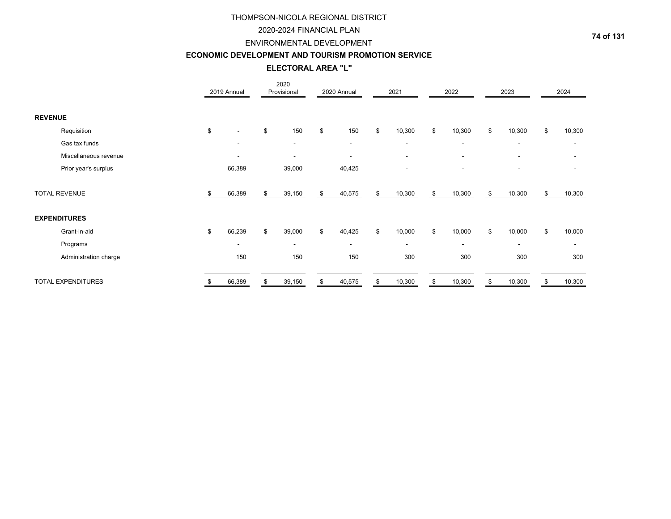### 2020-2024 FINANCIAL PLAN

#### ENVIRONMENTAL DEVELOPMENT

# **ECONOMIC DEVELOPMENT AND TOURISM PROMOTION SERVICE**

**ELECTORAL AREA "L"**

|                |                           | 2019 Annual              | 2020<br>Provisional      | 2020 Annual  | 2021                     | 2022                     | 2023                     |    | 2024           |
|----------------|---------------------------|--------------------------|--------------------------|--------------|--------------------------|--------------------------|--------------------------|----|----------------|
| <b>REVENUE</b> |                           |                          |                          |              |                          |                          |                          |    |                |
|                | Requisition               | \$                       | \$<br>150                | \$<br>150    | \$<br>10,300             | \$<br>10,300             | \$<br>10,300             | \$ | 10,300         |
|                | Gas tax funds             |                          | $\overline{\phantom{a}}$ | $\sim$       | $\blacksquare$           | $\overline{\phantom{a}}$ | $\overline{\phantom{a}}$ |    |                |
|                | Miscellaneous revenue     | $\overline{\phantom{a}}$ | ٠                        |              | $\blacksquare$           | $\overline{\phantom{a}}$ |                          |    |                |
|                | Prior year's surplus      | 66,389                   | 39,000                   | 40,425       | $\overline{\phantom{a}}$ | $\overline{\phantom{a}}$ | $\overline{\phantom{a}}$ |    |                |
|                | <b>TOTAL REVENUE</b>      | 66,389                   | \$<br>39,150             | \$<br>40,575 | \$<br>10,300             | \$<br>10,300             | \$<br>10,300             | S. | 10,300         |
|                | <b>EXPENDITURES</b>       |                          |                          |              |                          |                          |                          |    |                |
|                | Grant-in-aid              | \$<br>66,239             | \$<br>39,000             | \$<br>40,425 | \$<br>10,000             | \$<br>10,000             | \$<br>10,000             | \$ | 10,000         |
|                | Programs                  | $\overline{\phantom{a}}$ | ٠                        | $\sim$       | $\overline{\phantom{a}}$ | ٠                        | $\overline{\phantom{a}}$ |    | $\blacksquare$ |
|                | Administration charge     | 150                      | 150                      | 150          | 300                      | 300                      | 300                      |    | 300            |
|                | <b>TOTAL EXPENDITURES</b> | 66,389                   | 39,150                   | \$<br>40,575 | \$<br>10,300             | \$<br>10,300             | \$<br>10,300             |    | 10,300         |

**74 of 131**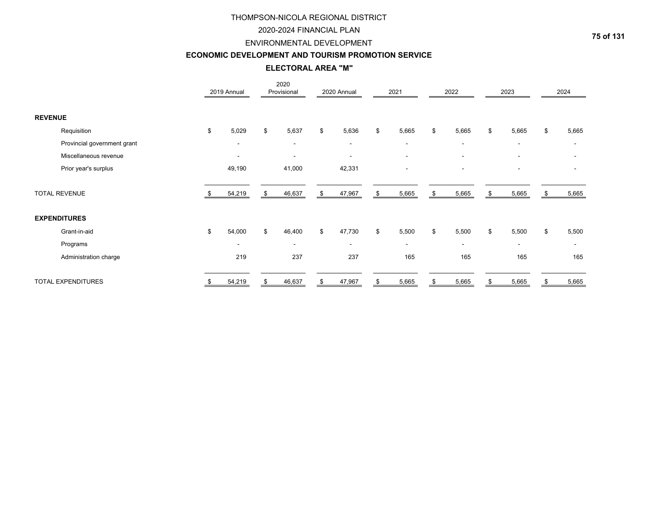### 2020-2024 FINANCIAL PLAN

# ENVIRONMENTAL DEVELOPMENT

#### **ECONOMIC DEVELOPMENT AND TOURISM PROMOTION SERVICE**

**ELECTORAL AREA "M"**

|                |                             | 2019 Annual              | 2020<br>Provisional      | 2020 Annual              | 2021                     | 2022                     |              | 2023                     | 2024                     |
|----------------|-----------------------------|--------------------------|--------------------------|--------------------------|--------------------------|--------------------------|--------------|--------------------------|--------------------------|
| <b>REVENUE</b> |                             |                          |                          |                          |                          |                          |              |                          |                          |
|                | Requisition                 | \$<br>5,029              | \$<br>5,637              | \$<br>5,636              | \$<br>5,665              | \$<br>5,665              | \$           | 5,665                    | \$<br>5,665              |
|                | Provincial government grant | $\overline{\phantom{a}}$ | $\overline{\phantom{a}}$ | $\overline{\phantom{0}}$ | $\blacksquare$           | $\overline{\phantom{a}}$ |              | $\overline{\phantom{a}}$ |                          |
|                | Miscellaneous revenue       | $\overline{\phantom{a}}$ | $\overline{\phantom{a}}$ | ٠                        | $\overline{\phantom{a}}$ |                          |              |                          |                          |
|                | Prior year's surplus        | 49,190                   | 41,000                   | 42,331                   | $\blacksquare$           |                          |              | $\overline{\phantom{a}}$ |                          |
|                | <b>TOTAL REVENUE</b>        | 54,219                   | \$<br>46,637             | \$<br>47,967             | \$<br>5,665              | \$<br>5,665              | \$           | 5,665                    | 5,665                    |
|                | <b>EXPENDITURES</b>         |                          |                          |                          |                          |                          |              |                          |                          |
|                | Grant-in-aid                | \$<br>54,000             | \$<br>46,400             | \$<br>47,730             | \$<br>5,500              | \$<br>5,500              | $\mathbb{S}$ | 5,500                    | \$<br>5,500              |
|                | Programs                    | $\overline{\phantom{a}}$ | $\overline{\phantom{a}}$ | ۰                        | $\overline{\phantom{a}}$ | $\overline{\phantom{a}}$ |              | $\overline{\phantom{a}}$ | $\overline{\phantom{a}}$ |
|                | Administration charge       | 219                      | 237                      | 237                      | 165                      | 165                      |              | 165                      | 165                      |
|                | <b>TOTAL EXPENDITURES</b>   | 54,219                   | 46,637                   | \$<br>47,967             | \$<br>5,665              | \$<br>5,665              | \$           | 5,665                    | 5,665                    |

**75 of 131**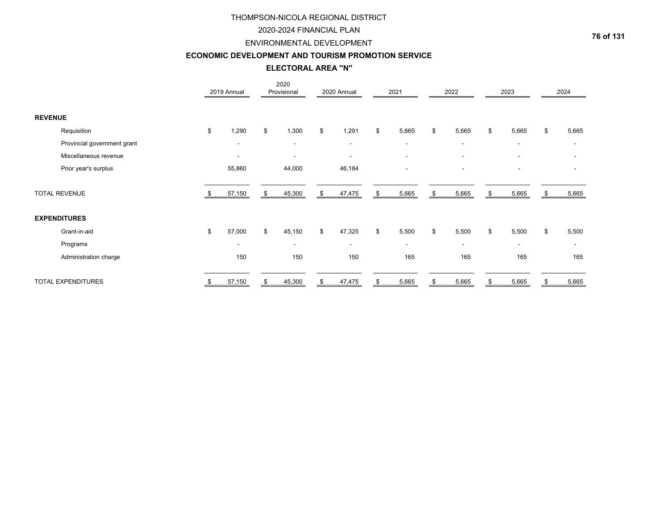### 2020-2024 FINANCIAL PLAN

#### ENVIRONMENTAL DEVELOPMENT

#### **ECONOMIC DEVELOPMENT AND TOURISM PROMOTION SERVICE**

**ELECTORAL AREA "N"**

|                      |                             | 2019 Annual              | 2020<br>Provisional      | 2020 Annual              | 2021                     | 2022                     | 2023                     |    | 2024           |
|----------------------|-----------------------------|--------------------------|--------------------------|--------------------------|--------------------------|--------------------------|--------------------------|----|----------------|
| <b>REVENUE</b>       |                             |                          |                          |                          |                          |                          |                          |    |                |
|                      | Requisition                 | \$<br>1,290              | \$<br>1,300              | \$<br>1,291              | \$<br>5,665              | \$<br>5,665              | \$<br>5,665              | \$ | 5,665          |
|                      | Provincial government grant |                          | $\overline{\phantom{a}}$ | $\overline{\phantom{0}}$ | $\overline{\phantom{a}}$ | $\overline{\phantom{a}}$ |                          |    |                |
|                      | Miscellaneous revenue       | $\overline{\phantom{a}}$ | $\overline{\phantom{a}}$ | $\overline{\phantom{a}}$ | $\overline{\phantom{a}}$ | $\overline{\phantom{a}}$ |                          |    |                |
|                      | Prior year's surplus        | 55,860                   | 44,000                   | 46,184                   | $\overline{\phantom{a}}$ | $\overline{\phantom{a}}$ | $\overline{\phantom{a}}$ |    |                |
| <b>TOTAL REVENUE</b> |                             | 57,150                   | \$<br>45,300             | \$<br>47,475             | \$<br>5,665              | \$<br>5,665              | \$<br>5,665              | S  | 5,665          |
| <b>EXPENDITURES</b>  |                             |                          |                          |                          |                          |                          |                          |    |                |
|                      | Grant-in-aid                | \$<br>57,000             | \$<br>45,150             | \$<br>47,325             | \$<br>5,500              | \$<br>5,500              | \$<br>5,500              | \$ | 5,500          |
|                      | Programs                    | $\overline{\phantom{a}}$ | $\overline{\phantom{a}}$ | ۰                        | $\overline{\phantom{a}}$ | ۰                        | $\overline{\phantom{a}}$ |    | $\blacksquare$ |
|                      | Administration charge       | 150                      | 150                      | 150                      | 165                      | 165                      | 165                      |    | 165            |
|                      | TOTAL EXPENDITURES          | 57,150                   | 45,300                   | \$<br>47,475             | \$<br>5,665              | \$<br>5,665              | 5,665                    |    | 5,665          |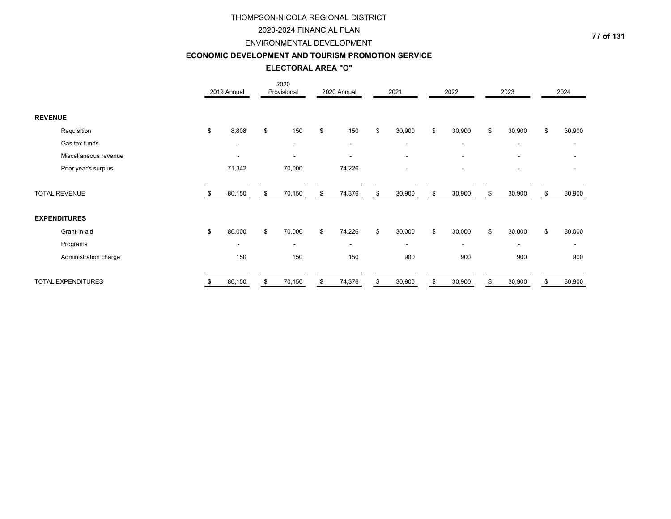### 2020-2024 FINANCIAL PLAN

# ENVIRONMENTAL DEVELOPMENT

#### **ECONOMIC DEVELOPMENT AND TOURISM PROMOTION SERVICE**

**ELECTORAL AREA "O"**

|                |                       | 2019 Annual              |    | 2020<br>Provisional      | 2020 Annual              | 2021                     | 2022                     | 2023                     |    | 2024           |
|----------------|-----------------------|--------------------------|----|--------------------------|--------------------------|--------------------------|--------------------------|--------------------------|----|----------------|
| <b>REVENUE</b> |                       |                          |    |                          |                          |                          |                          |                          |    |                |
|                | Requisition           | \$<br>8,808              | \$ | 150                      | \$<br>150                | \$<br>30,900             | \$<br>30,900             | \$<br>30,900             | \$ | 30,900         |
|                | Gas tax funds         |                          |    | $\overline{\phantom{a}}$ | $\overline{\phantom{0}}$ | $\blacksquare$           | $\overline{\phantom{a}}$ | $\overline{\phantom{a}}$ |    |                |
|                | Miscellaneous revenue | $\overline{\phantom{a}}$ |    | $\overline{\phantom{a}}$ | $\overline{\phantom{a}}$ | $\overline{\phantom{a}}$ | $\overline{\phantom{a}}$ |                          |    |                |
|                | Prior year's surplus  | 71,342                   |    | 70,000                   | 74,226                   | $\overline{\phantom{a}}$ | $\overline{\phantom{a}}$ | $\overline{\phantom{a}}$ |    |                |
|                | <b>TOTAL REVENUE</b>  | 80,150                   | \$ | 70,150                   | \$<br>74,376             | \$<br>30,900             | \$<br>30,900             | \$<br>30,900             | S  | 30,900         |
|                | <b>EXPENDITURES</b>   |                          |    |                          |                          |                          |                          |                          |    |                |
|                | Grant-in-aid          | \$<br>80,000             | \$ | 70,000                   | \$<br>74,226             | \$<br>30,000             | \$<br>30,000             | \$<br>30,000             | \$ | 30,000         |
|                | Programs              | $\overline{\phantom{a}}$ |    | $\overline{\phantom{a}}$ | ۰                        | $\overline{\phantom{a}}$ | ۰                        | $\overline{\phantom{a}}$ |    | $\blacksquare$ |
|                | Administration charge | 150                      |    | 150                      | 150                      | 900                      | 900                      | 900                      |    | 900            |
|                | TOTAL EXPENDITURES    | 80,150                   | S  | 70,150                   | \$<br>74,376             | \$<br>30,900             | \$<br>30,900             | \$<br>30,900             |    | 30,900         |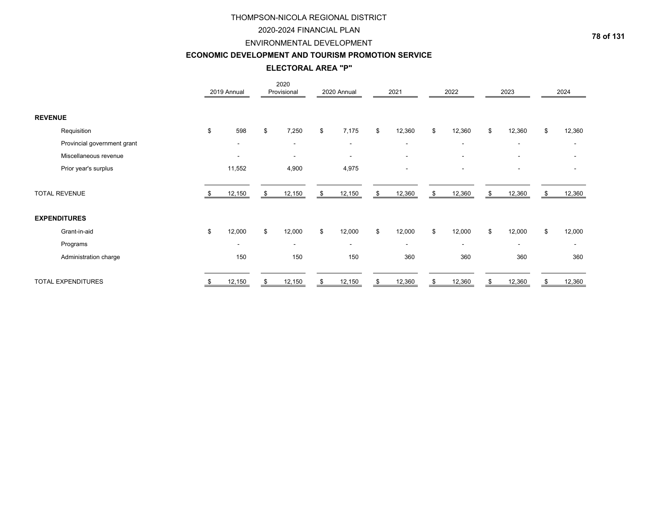# 2020-2024 FINANCIAL PLAN

#### ENVIRONMENTAL DEVELOPMENT

#### **ECONOMIC DEVELOPMENT AND TOURISM PROMOTION SERVICE**

**ELECTORAL AREA "P"**

|                             | 2019 Annual              | 2020<br>Provisional      | 2020 Annual              | 2021                     | 2022                     | 2023                     |    | 2024                     |
|-----------------------------|--------------------------|--------------------------|--------------------------|--------------------------|--------------------------|--------------------------|----|--------------------------|
| <b>REVENUE</b>              |                          |                          |                          |                          |                          |                          |    |                          |
| Requisition                 | \$<br>598                | \$<br>7,250              | \$<br>7,175              | \$<br>12,360             | \$<br>12,360             | \$<br>12,360             | \$ | 12,360                   |
| Provincial government grant |                          | $\overline{\phantom{a}}$ | $\overline{\phantom{0}}$ | $\overline{\phantom{a}}$ | $\overline{\phantom{a}}$ | $\overline{\phantom{a}}$ |    |                          |
| Miscellaneous revenue       | $\overline{\phantom{a}}$ | $\overline{\phantom{a}}$ | $\overline{\phantom{a}}$ | $\overline{\phantom{0}}$ | $\overline{\phantom{a}}$ |                          |    |                          |
| Prior year's surplus        | 11,552                   | 4,900                    | 4,975                    | $\blacksquare$           | $\overline{\phantom{a}}$ | $\overline{\phantom{a}}$ |    |                          |
| <b>TOTAL REVENUE</b>        | 12,150                   | \$<br>12,150             | \$<br>12,150             | \$<br>12,360             | \$<br>12,360             | \$<br>12,360             | S. | 12,360                   |
| <b>EXPENDITURES</b>         |                          |                          |                          |                          |                          |                          |    |                          |
| Grant-in-aid                | \$<br>12,000             | \$<br>12,000             | \$<br>12,000             | \$<br>12,000             | \$<br>12,000             | \$<br>12,000             | \$ | 12,000                   |
| Programs                    | $\overline{\phantom{a}}$ | $\overline{\phantom{a}}$ | ۰                        | $\overline{\phantom{a}}$ | ۰                        | $\overline{\phantom{a}}$ |    | $\overline{\phantom{a}}$ |
| Administration charge       | 150                      | 150                      | 150                      | 360                      | 360                      | 360                      |    | 360                      |
| TOTAL EXPENDITURES          | 12,150                   | 12,150                   | \$<br>12,150             | \$<br>12,360             | \$<br>12,360             | 12,360                   |    | 12,360                   |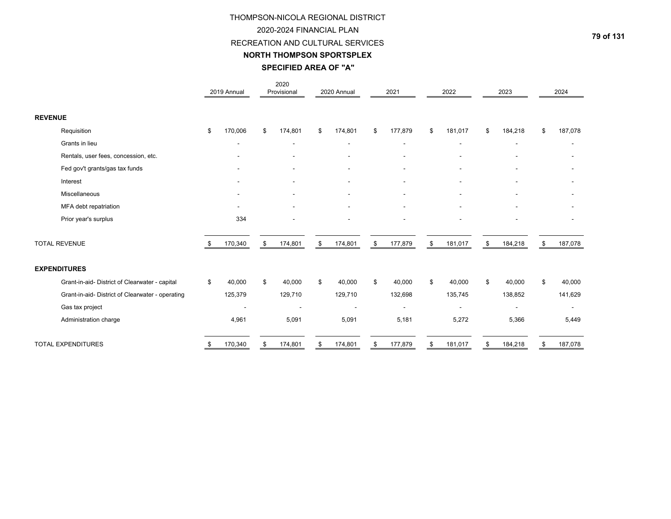# THOMPSON-NICOLA REGIONAL DISTRICT 2020-2024 FINANCIAL PLANRECREATION AND CULTURAL SERVICES

### **NORTH THOMPSON SPORTSPLEX**

# **SPECIFIED AREA OF "A"**

|                                                  | 2019 Annual              | 2020<br>Provisional | 2020 Annual    | 2021                         | 2022          | 2023                     | 2024          |
|--------------------------------------------------|--------------------------|---------------------|----------------|------------------------------|---------------|--------------------------|---------------|
| <b>REVENUE</b>                                   |                          |                     |                |                              |               |                          |               |
| Requisition                                      | \$<br>170,006            | \$<br>174,801       | \$<br>174,801  | \$<br>177,879                | \$<br>181,017 | \$<br>184,218            | \$<br>187,078 |
| Grants in lieu                                   | ۰                        | $\blacksquare$      | ۰              | $\blacksquare$               |               | ٠                        |               |
| Rentals, user fees, concession, etc.             |                          | -                   |                | $\qquad \qquad \blacksquare$ |               |                          |               |
| Fed gov't grants/gas tax funds                   |                          | ۰                   |                | ٠                            |               | ۰                        |               |
| Interest                                         | $\overline{\phantom{a}}$ | $\blacksquare$      | $\blacksquare$ | $\overline{\phantom{a}}$     |               | $\overline{\phantom{a}}$ |               |
| Miscellaneous                                    |                          |                     |                |                              |               |                          |               |
| MFA debt repatriation                            |                          |                     |                |                              |               |                          |               |
| Prior year's surplus                             | 334                      |                     |                | ۰                            |               | ٠                        |               |
| <b>TOTAL REVENUE</b>                             | 170,340                  | \$<br>174,801       | \$<br>174,801  | \$<br>177,879                | \$<br>181,017 | \$<br>184,218            | \$<br>187,078 |
| <b>EXPENDITURES</b>                              |                          |                     |                |                              |               |                          |               |
| Grant-in-aid- District of Clearwater - capital   | \$<br>40,000             | \$<br>40,000        | \$<br>40,000   | \$<br>40,000                 | \$<br>40,000  | \$<br>40,000             | \$<br>40,000  |
| Grant-in-aid- District of Clearwater - operating | 125,379                  | 129,710             | 129,710        | 132,698                      | 135,745       | 138,852                  | 141,629       |
| Gas tax project                                  |                          |                     |                | $\blacksquare$               |               | $\overline{\phantom{a}}$ |               |
| Administration charge                            | 4,961                    | 5,091               | 5,091          | 5,181                        | 5,272         | 5,366                    | 5,449         |
| <b>TOTAL EXPENDITURES</b>                        | \$<br>170,340            | \$<br>174,801       | \$<br>174,801  | \$<br>177,879                | 181,017       | \$<br>184,218            | \$<br>187,078 |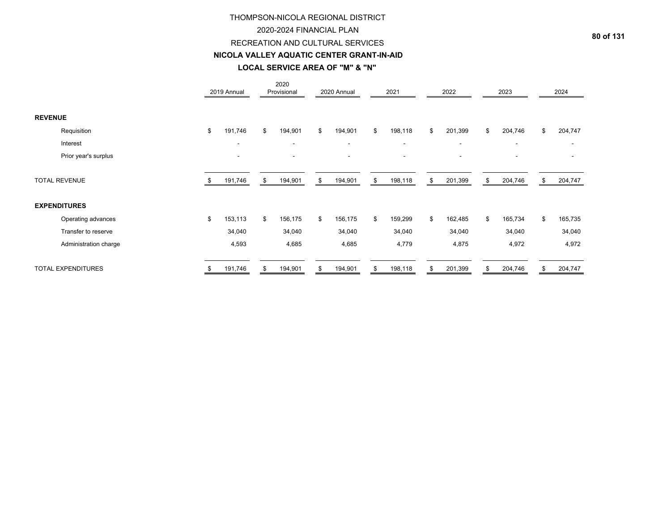#### 2020-2024 FINANCIAL PLAN

### RECREATION AND CULTURAL SERVICES

#### **NICOLA VALLEY AQUATIC CENTER GRANT-IN-AID**

# **LOCAL SERVICE AREA OF "M" & "N"**

|                           |    | 2019 Annual |     | 2020<br>Provisional |    | 2020 Annual |     | 2021                     | 2022                     | 2023                     | 2024          |
|---------------------------|----|-------------|-----|---------------------|----|-------------|-----|--------------------------|--------------------------|--------------------------|---------------|
| <b>REVENUE</b>            |    |             |     |                     |    |             |     |                          |                          |                          |               |
| Requisition               | \$ | 191,746     | \$  | 194,901             | \$ | 194,901     | \$  | 198,118                  | \$<br>201,399            | \$<br>204,746            | \$<br>204,747 |
| Interest                  |    |             |     |                     |    |             |     | $\overline{\phantom{a}}$ | $\blacksquare$           | $\overline{\phantom{a}}$ |               |
| Prior year's surplus      |    |             |     |                     |    |             |     | $\sim$                   | $\overline{\phantom{a}}$ | $\overline{\phantom{a}}$ |               |
| <b>TOTAL REVENUE</b>      |    | 191,746     | \$. | 194,901             | S  | 194,901     | \$  | 198,118                  | \$<br>201,399            | \$<br>204,746            | \$<br>204,747 |
| <b>EXPENDITURES</b>       |    |             |     |                     |    |             |     |                          |                          |                          |               |
| Operating advances        | \$ | 153,113     | \$  | 156,175             | \$ | 156,175     | \$  | 159,299                  | \$<br>162,485            | \$<br>165,734            | \$<br>165,735 |
| Transfer to reserve       |    | 34,040      |     | 34,040              |    | 34,040      |     | 34,040                   | 34,040                   | 34,040                   | 34,040        |
| Administration charge     |    | 4,593       |     | 4,685               |    | 4,685       |     | 4,779                    | 4,875                    | 4,972                    | 4,972         |
| <b>TOTAL EXPENDITURES</b> | ъ  | 191,746     | \$. | 194,901             |    | 194,901     | \$. | 198,118                  | \$<br>201,399            | \$<br>204,746            | \$<br>204,747 |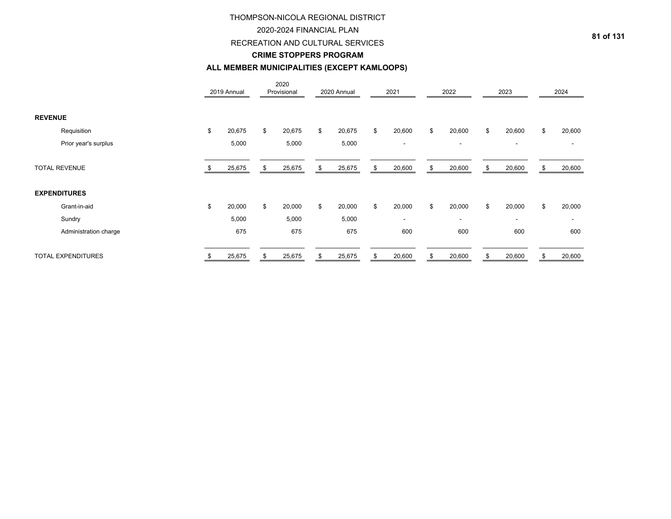### 2020-2024 FINANCIAL PLAN

RECREATION AND CULTURAL SERVICES

#### **CRIME STOPPERS PROGRAM**

# **ALL MEMBER MUNICIPALITIES (EXCEPT KAMLOOPS)**

|                |                           |    | 2019 Annual |    | 2020<br>Provisional | 2020 Annual  | 2021                     | 2022                     | 2023                     |    | 2024   |
|----------------|---------------------------|----|-------------|----|---------------------|--------------|--------------------------|--------------------------|--------------------------|----|--------|
| <b>REVENUE</b> |                           |    |             |    |                     |              |                          |                          |                          |    |        |
|                | Requisition               | \$ | 20,675      | \$ | 20,675              | \$<br>20,675 | \$<br>20,600             | \$<br>20,600             | \$<br>20,600             | \$ | 20,600 |
|                | Prior year's surplus      |    | 5,000       |    | 5,000               | 5,000        | $\overline{\phantom{a}}$ | $\overline{\phantom{a}}$ | $\overline{\phantom{a}}$ |    |        |
|                | <b>TOTAL REVENUE</b>      |    | 25,675      | S  | 25,675              | \$<br>25,675 | \$<br>20,600             | \$<br>20,600             | \$<br>20,600             | \$ | 20,600 |
|                | <b>EXPENDITURES</b>       |    |             |    |                     |              |                          |                          |                          |    |        |
|                | Grant-in-aid              | \$ | 20,000      | \$ | 20,000              | \$<br>20,000 | \$<br>20,000             | \$<br>20,000             | \$<br>20,000             | \$ | 20,000 |
|                | Sundry                    |    | 5,000       |    | 5,000               | 5,000        | $\overline{\phantom{a}}$ | $\blacksquare$           | $\overline{\phantom{a}}$ |    |        |
|                | Administration charge     |    | 675         |    | 675                 | 675          | 600                      | 600                      | 600                      |    | 600    |
|                | <b>TOTAL EXPENDITURES</b> | ა  | 25,675      | \$ | 25,675              | \$<br>25,675 | \$<br>20,600             | \$<br>20,600             | \$<br>20,600             | S  | 20,600 |

**81 of 131**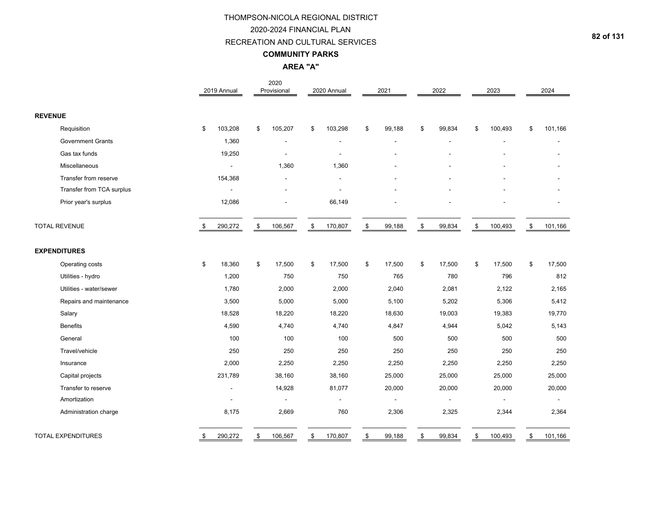#### RECREATION AND CULTURAL SERVICES

#### **COMMUNITY PARKS**

# **AREA "A"**

|                |                           | 2019 Annual   | 2020<br>Provisional      | 2020 Annual   | 2021                         | 2022           | 2023                     | 2024           |
|----------------|---------------------------|---------------|--------------------------|---------------|------------------------------|----------------|--------------------------|----------------|
| <b>REVENUE</b> |                           |               |                          |               |                              |                |                          |                |
|                | Requisition               | \$<br>103,208 | \$<br>105,207            | \$<br>103,298 | \$<br>99,188                 | \$<br>99,834   | \$<br>100,493            | \$<br>101,166  |
|                | <b>Government Grants</b>  | 1,360         | ÷,                       | ٠             |                              |                |                          |                |
|                | Gas tax funds             | 19,250        | $\overline{\phantom{a}}$ |               |                              |                |                          |                |
|                | Miscellaneous             | ÷,            | 1,360                    | 1,360         |                              |                |                          |                |
|                | Transfer from reserve     | 154,368       | L,                       | ÷,            |                              |                |                          |                |
|                | Transfer from TCA surplus |               |                          |               |                              |                |                          |                |
|                | Prior year's surplus      | 12,086        |                          | 66,149        |                              |                |                          |                |
|                | <b>TOTAL REVENUE</b>      | \$<br>290,272 | \$<br>106,567            | \$<br>170,807 | \$<br>99,188                 | \$<br>99,834   | \$<br>100,493            | \$<br>101,166  |
|                | <b>EXPENDITURES</b>       |               |                          |               |                              |                |                          |                |
|                | Operating costs           | \$<br>18,360  | \$<br>17,500             | \$<br>17,500  | \$<br>17,500                 | \$<br>17,500   | \$<br>17,500             | \$<br>17,500   |
|                | Utilities - hydro         | 1,200         | 750                      | 750           | 765                          | 780            | 796                      | 812            |
|                | Utilities - water/sewer   | 1,780         | 2,000                    | 2,000         | 2,040                        | 2,081          | 2,122                    | 2,165          |
|                | Repairs and maintenance   | 3,500         | 5,000                    | 5,000         | 5,100                        | 5,202          | 5,306                    | 5,412          |
|                | Salary                    | 18,528        | 18,220                   | 18,220        | 18,630                       | 19,003         | 19,383                   | 19,770         |
|                | <b>Benefits</b>           | 4,590         | 4,740                    | 4,740         | 4,847                        | 4,944          | 5,042                    | 5,143          |
|                | General                   | 100           | 100                      | 100           | 500                          | 500            | 500                      | 500            |
|                | Travel/vehicle            | 250           | 250                      | 250           | 250                          | 250            | 250                      | 250            |
|                | Insurance                 | 2,000         | 2,250                    | 2,250         | 2,250                        | 2,250          | 2,250                    | 2,250          |
|                | Capital projects          | 231,789       | 38,160                   | 38,160        | 25,000                       | 25,000         | 25,000                   | 25,000         |
|                | Transfer to reserve       |               | 14,928                   | 81,077        | 20,000                       | 20,000         | 20,000                   | 20,000         |
|                | Amortization              |               | $\tilde{\phantom{a}}$    | $\frac{1}{2}$ | $\qquad \qquad \blacksquare$ | $\blacksquare$ | $\overline{\phantom{a}}$ | $\blacksquare$ |
|                | Administration charge     | 8,175         | 2,669                    | 760           | 2,306                        | 2,325          | 2,344                    | 2,364          |
|                | <b>TOTAL EXPENDITURES</b> | \$<br>290,272 | \$<br>106,567            | \$<br>170,807 | \$<br>99,188                 | \$<br>99,834   | \$<br>100,493            | \$<br>101,166  |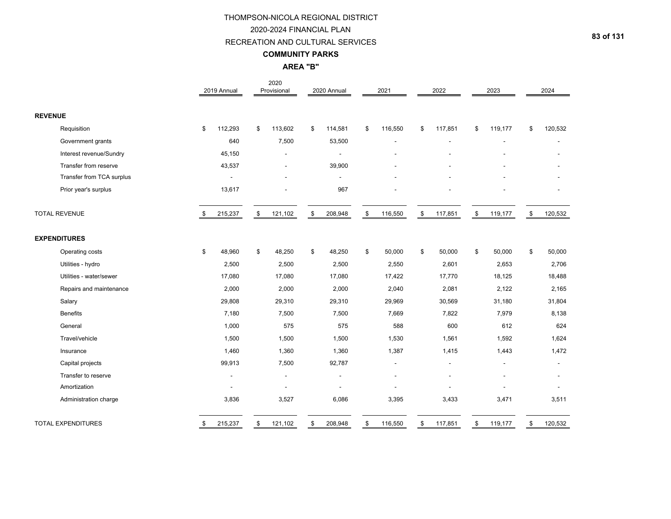#### RECREATION AND CULTURAL SERVICES

#### **COMMUNITY PARKS**

**AREA "B"**

|                           | 2019 Annual              |               | 2020<br>Provisional      | 2020 Annual    | 2021           | 2022           | 2023           | 2024          |
|---------------------------|--------------------------|---------------|--------------------------|----------------|----------------|----------------|----------------|---------------|
| <b>REVENUE</b>            |                          |               |                          |                |                |                |                |               |
| Requisition               | \$<br>112,293            | \$            | 113,602                  | \$<br>114,581  | \$<br>116,550  | \$<br>117,851  | \$<br>119,177  | \$<br>120,532 |
| Government grants         | 640                      |               | 7,500                    | 53,500         |                |                |                |               |
| Interest revenue/Sundry   | 45,150                   |               |                          |                |                |                |                |               |
| Transfer from reserve     | 43,537                   |               | $\overline{\phantom{a}}$ | 39,900         |                |                |                |               |
| Transfer from TCA surplus | $\overline{a}$           |               |                          |                |                |                |                |               |
| Prior year's surplus      | 13,617                   |               |                          | 967            |                |                |                |               |
| <b>TOTAL REVENUE</b>      | \$<br>215,237            | $\mathfrak s$ | 121,102                  | \$<br>208,948  | \$<br>116,550  | \$<br>117,851  | \$<br>119,177  | \$<br>120,532 |
| <b>EXPENDITURES</b>       |                          |               |                          |                |                |                |                |               |
| Operating costs           | \$<br>48,960             | \$            | 48,250                   | \$<br>48,250   | \$<br>50,000   | \$<br>50,000   | \$<br>50,000   | \$<br>50,000  |
| Utilities - hydro         | 2,500                    |               | 2,500                    | 2,500          | 2,550          | 2,601          | 2,653          | 2,706         |
| Utilities - water/sewer   | 17,080                   |               | 17,080                   | 17,080         | 17,422         | 17,770         | 18,125         | 18,488        |
| Repairs and maintenance   | 2,000                    |               | 2,000                    | 2,000          | 2,040          | 2,081          | 2,122          | 2,165         |
| Salary                    | 29,808                   |               | 29,310                   | 29,310         | 29,969         | 30,569         | 31,180         | 31,804        |
| <b>Benefits</b>           | 7,180                    |               | 7,500                    | 7,500          | 7,669          | 7,822          | 7,979          | 8,138         |
| General                   | 1,000                    |               | 575                      | 575            | 588            | 600            | 612            | 624           |
| Travel/vehicle            | 1,500                    |               | 1,500                    | 1,500          | 1,530          | 1,561          | 1,592          | 1,624         |
| Insurance                 | 1,460                    |               | 1,360                    | 1,360          | 1,387          | 1,415          | 1,443          | 1,472         |
| Capital projects          | 99,913                   |               | 7,500                    | 92,787         | $\overline{a}$ | $\blacksquare$ | $\blacksquare$ |               |
| Transfer to reserve       | $\overline{\phantom{a}}$ |               | $\overline{\phantom{a}}$ | $\blacksquare$ |                |                |                |               |
| Amortization              |                          |               |                          |                |                |                |                |               |
| Administration charge     | 3,836                    |               | 3,527                    | 6,086          | 3,395          | 3,433          | 3,471          | 3,511         |
| <b>TOTAL EXPENDITURES</b> | \$<br>215,237            | \$            | 121,102                  | \$<br>208,948  | \$<br>116,550  | \$<br>117,851  | \$<br>119,177  | \$<br>120,532 |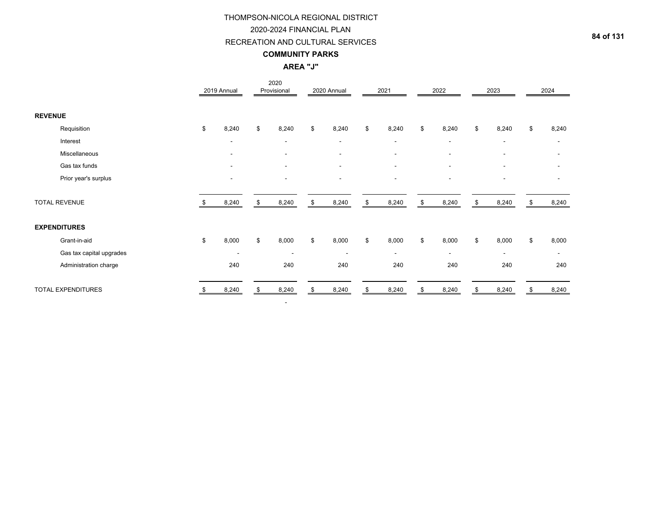#### RECREATION AND CULTURAL SERVICES

### **COMMUNITY PARKS**

### **AREA "J"**

|                |                           |    | 2019 Annual              | 2020<br>Provisional      | 2020 Annual              | 2021                     | 2022                     | 2023                     |     | 2024                     |
|----------------|---------------------------|----|--------------------------|--------------------------|--------------------------|--------------------------|--------------------------|--------------------------|-----|--------------------------|
| <b>REVENUE</b> |                           |    |                          |                          |                          |                          |                          |                          |     |                          |
|                | Requisition               | \$ | 8,240                    | \$<br>8,240              | \$<br>8,240              | \$<br>8,240              | \$<br>8,240              | \$<br>8,240              | \$  | 8,240                    |
|                | Interest                  |    | $\overline{\phantom{a}}$ | $\overline{\phantom{a}}$ | $\blacksquare$           | $\overline{\phantom{a}}$ | $\overline{\phantom{a}}$ | $\overline{\phantom{a}}$ |     |                          |
|                | Miscellaneous             |    | $\overline{\phantom{a}}$ | $\overline{\phantom{a}}$ | $\overline{\phantom{a}}$ | $\overline{\phantom{a}}$ | $\overline{\phantom{a}}$ | $\overline{\phantom{a}}$ |     |                          |
|                | Gas tax funds             |    | $\overline{\phantom{a}}$ | $\overline{\phantom{a}}$ | $\overline{\phantom{a}}$ | $\overline{\phantom{a}}$ | $\overline{\phantom{a}}$ | $\blacksquare$           |     |                          |
|                | Prior year's surplus      |    | $\overline{\phantom{a}}$ | $\overline{\phantom{a}}$ | $\overline{\phantom{a}}$ | $\overline{\phantom{a}}$ | $\overline{\phantom{a}}$ | $\blacksquare$           |     |                          |
|                | <b>TOTAL REVENUE</b>      |    | 8,240                    | \$<br>8,240              | \$<br>8,240              | \$<br>8,240              | \$<br>8,240              | \$<br>8,240              | \$. | 8,240                    |
|                | <b>EXPENDITURES</b>       |    |                          |                          |                          |                          |                          |                          |     |                          |
|                | Grant-in-aid              | \$ | 8,000                    | \$<br>8,000              | \$<br>8,000              | \$<br>8,000              | \$<br>8,000              | \$<br>8,000              | \$  | 8,000                    |
|                | Gas tax capital upgrades  |    | $\overline{\phantom{a}}$ | $\overline{\phantom{a}}$ | $\overline{\phantom{a}}$ | ۰.                       | $\sim$                   | $\overline{\phantom{a}}$ |     | $\overline{\phantom{a}}$ |
|                | Administration charge     |    | 240                      | 240                      | 240                      | 240                      | 240                      | 240                      |     | 240                      |
|                | <b>TOTAL EXPENDITURES</b> |    | 8,240                    | 8,240                    | 8,240                    | 8,240                    | 8,240                    | 8,240                    |     | 8,240                    |

-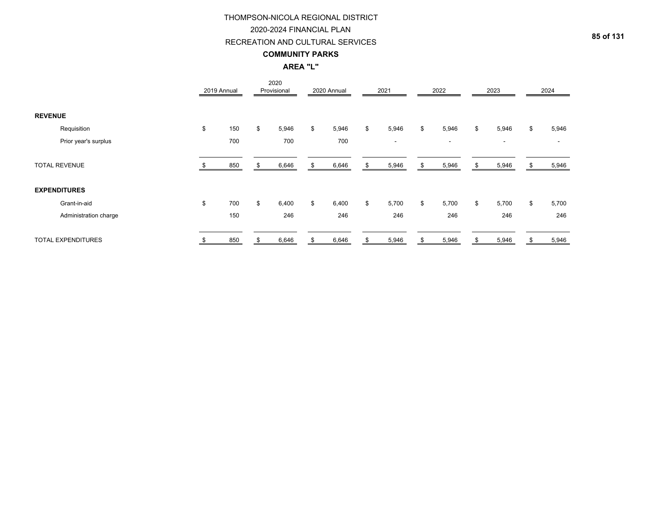### RECREATION AND CULTURAL SERVICES

#### **COMMUNITY PARKS**

# **AREA "L"**

|                |                           | 2019 Annual |     | 2020<br>Provisional | 2020 Annual |    | 2021                     |    | 2022                     |    | 2023                     | 2024           |
|----------------|---------------------------|-------------|-----|---------------------|-------------|----|--------------------------|----|--------------------------|----|--------------------------|----------------|
| <b>REVENUE</b> |                           |             |     |                     |             |    |                          |    |                          |    |                          |                |
|                | Requisition               | \$          | 150 | \$<br>5,946         | \$<br>5,946 | \$ | 5,946                    | \$ | 5,946                    | \$ | 5,946                    | \$<br>5,946    |
|                | Prior year's surplus      |             | 700 | 700                 | 700         |    | $\overline{\phantom{a}}$ |    | $\overline{\phantom{a}}$ |    | $\overline{\phantom{a}}$ | $\blacksquare$ |
|                | <b>TOTAL REVENUE</b>      |             | 850 | 6,646               | 6,646       | S  | 5,946                    | S  | 5,946                    | S. | 5,946                    | 5,946          |
|                | <b>EXPENDITURES</b>       |             |     |                     |             |    |                          |    |                          |    |                          |                |
|                | Grant-in-aid              | \$          | 700 | \$<br>6,400         | \$<br>6,400 | \$ | 5,700                    | \$ | 5,700                    | \$ | 5,700                    | \$<br>5,700    |
|                | Administration charge     |             | 150 | 246                 | 246         |    | 246                      |    | 246                      |    | 246                      | 246            |
|                | <b>TOTAL EXPENDITURES</b> |             | 850 | 6,646               | 6,646       | ደ  | 5,946                    |    | 5,946                    |    | 5,946                    | 5,946          |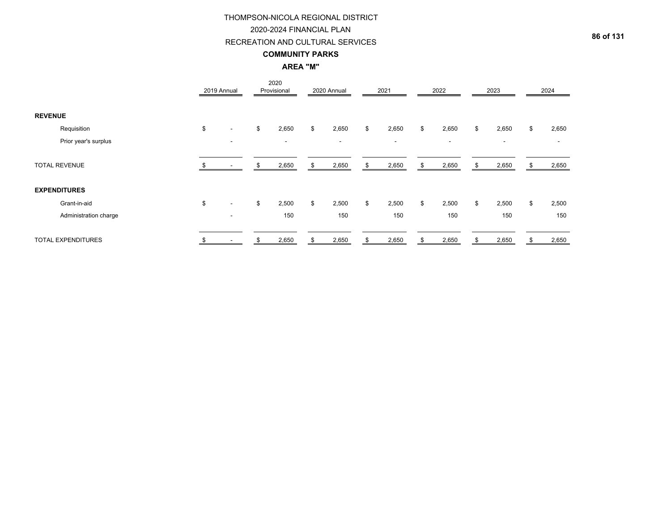# RECREATION AND CULTURAL SERVICES

### **COMMUNITY PARKS**

**AREA "M"**

|                |                           | 2019 Annual                    | 2020<br>Provisional      |    | 2020 Annual              |     | 2021                     |    | 2022                     |     | 2023                     | 2024        |
|----------------|---------------------------|--------------------------------|--------------------------|----|--------------------------|-----|--------------------------|----|--------------------------|-----|--------------------------|-------------|
| <b>REVENUE</b> |                           |                                |                          |    |                          |     |                          |    |                          |     |                          |             |
|                | Requisition               | \$<br>$\blacksquare$           | \$<br>2,650              | \$ | 2,650                    | \$  | 2,650                    | \$ | 2,650                    | \$  | 2,650                    | \$<br>2,650 |
|                | Prior year's surplus      | $\overline{\phantom{a}}$       | $\overline{\phantom{a}}$ |    | $\overline{\phantom{a}}$ |     | $\overline{\phantom{a}}$ |    | $\overline{\phantom{a}}$ |     | $\overline{\phantom{a}}$ |             |
|                | <b>TOTAL REVENUE</b>      |                                | 2,650                    | S. | 2,650                    | S   | 2,650                    | S. | 2,650                    | -SS | 2,650                    | 2,650       |
|                | <b>EXPENDITURES</b>       |                                |                          |    |                          |     |                          |    |                          |     |                          |             |
|                | Grant-in-aid              | \$<br>$\overline{\phantom{a}}$ | \$<br>2,500              | \$ | 2,500                    | \$  | 2,500                    | \$ | 2,500                    | \$  | 2,500                    | \$<br>2,500 |
|                | Administration charge     | $\overline{\phantom{a}}$       | 150                      |    | 150                      |     | 150                      |    | 150                      |     | 150                      | 150         |
|                | <b>TOTAL EXPENDITURES</b> |                                | 2,650                    | S  | 2,650                    | \$. | 2,650                    |    | 2,650                    |     | 2,650                    | 2,650       |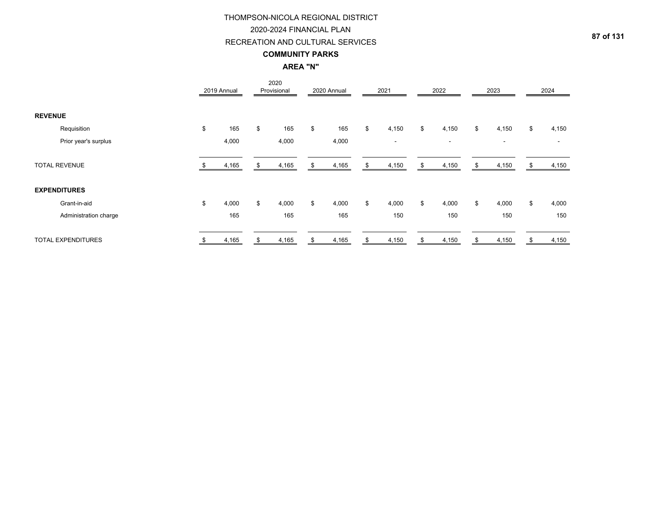### RECREATION AND CULTURAL SERVICES

### **COMMUNITY PARKS**

# **AREA "N"**

|                |                           | 2019 Annual | 2020<br>Provisional | 2020 Annual |     | 2021                     |    | 2022   |    | 2023                     | 2024                     |
|----------------|---------------------------|-------------|---------------------|-------------|-----|--------------------------|----|--------|----|--------------------------|--------------------------|
| <b>REVENUE</b> |                           |             |                     |             |     |                          |    |        |    |                          |                          |
|                | Requisition               | \$<br>165   | \$<br>165           | \$<br>165   | \$  | 4,150                    | \$ | 4,150  | \$ | 4,150                    | \$<br>4,150              |
|                | Prior year's surplus      | 4,000       | 4,000               | 4,000       |     | $\overline{\phantom{a}}$ |    | $\sim$ |    | $\overline{\phantom{a}}$ | $\overline{\phantom{a}}$ |
|                | <b>TOTAL REVENUE</b>      | 4,165       | 4,165               | 4,165       | S   | 4,150                    | £. | 4,150  | £. | 4,150                    | 4,150                    |
|                | <b>EXPENDITURES</b>       |             |                     |             |     |                          |    |        |    |                          |                          |
|                | Grant-in-aid              | \$<br>4,000 | \$<br>4,000         | \$<br>4,000 | \$  | 4,000                    | \$ | 4,000  | \$ | 4,000                    | \$<br>4,000              |
|                | Administration charge     | 165         | 165                 | 165         |     | 150                      |    | 150    |    | 150                      | 150                      |
|                | <b>TOTAL EXPENDITURES</b> | 4,165       | 4,165               | 4,165       | \$. | 4,150                    | ж, | 4,150  |    | 4,150                    | 4,150                    |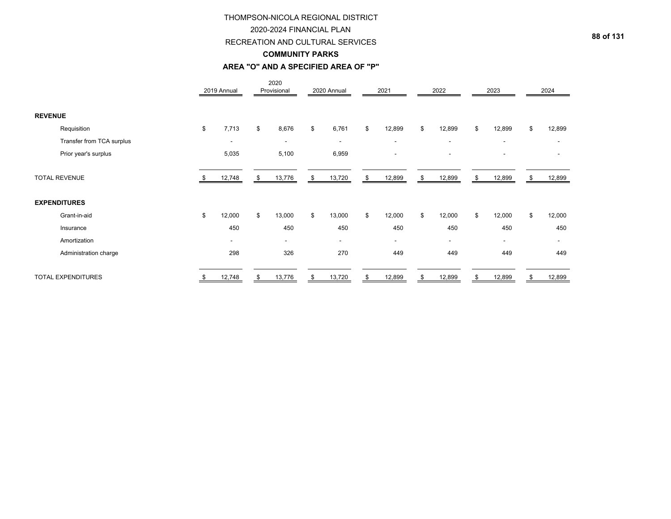### RECREATION AND CULTURAL SERVICES

### **COMMUNITY PARKS**

#### **AREA "O" AND A SPECIFIED AREA OF "P"**

|                           | 2019 Annual |                          |    | 2020<br>Provisional      |      | 2020 Annual              | 2021                     | 2022                     | 2023                     |    | 2024                     |
|---------------------------|-------------|--------------------------|----|--------------------------|------|--------------------------|--------------------------|--------------------------|--------------------------|----|--------------------------|
| <b>REVENUE</b>            |             |                          |    |                          |      |                          |                          |                          |                          |    |                          |
| Requisition               | \$          | 7,713                    | \$ | 8,676                    | \$   | 6,761                    | \$<br>12,899             | \$<br>12,899             | \$<br>12,899             | \$ | 12,899                   |
| Transfer from TCA surplus |             | $\overline{\phantom{a}}$ |    | $\overline{\phantom{a}}$ |      | $\overline{\phantom{a}}$ | $\overline{\phantom{a}}$ | $\overline{\phantom{a}}$ | $\overline{\phantom{a}}$ |    |                          |
| Prior year's surplus      |             | 5,035                    |    | 5,100                    |      | 6,959                    | $\overline{\phantom{a}}$ | ٠                        | $\overline{\phantom{a}}$ |    |                          |
| <b>TOTAL REVENUE</b>      |             | 12,748                   | S  | 13,776                   | - \$ | 13,720                   | \$<br>12,899             | \$<br>12,899             | \$<br>12,899             | S. | 12,899                   |
| <b>EXPENDITURES</b>       |             |                          |    |                          |      |                          |                          |                          |                          |    |                          |
| Grant-in-aid              | \$          | 12,000                   | \$ | 13,000                   | \$   | 13,000                   | \$<br>12,000             | \$<br>12,000             | \$<br>12,000             | \$ | 12,000                   |
| Insurance                 |             | 450                      |    | 450                      |      | 450                      | 450                      | 450                      | 450                      |    | 450                      |
| Amortization              |             | $\overline{\phantom{a}}$ |    | ۰                        |      | $\overline{\phantom{a}}$ | $\overline{\phantom{a}}$ | $\overline{\phantom{0}}$ | $\overline{\phantom{a}}$ |    | $\overline{\phantom{a}}$ |
| Administration charge     |             | 298                      |    | 326                      |      | 270                      | 449                      | 449                      | 449                      |    | 449                      |
| <b>TOTAL EXPENDITURES</b> | \$          | 12,748                   | \$ | 13,776                   | \$   | 13,720                   | \$<br>12,899             | \$<br>12,899             | \$<br>12,899             |    | 12,899                   |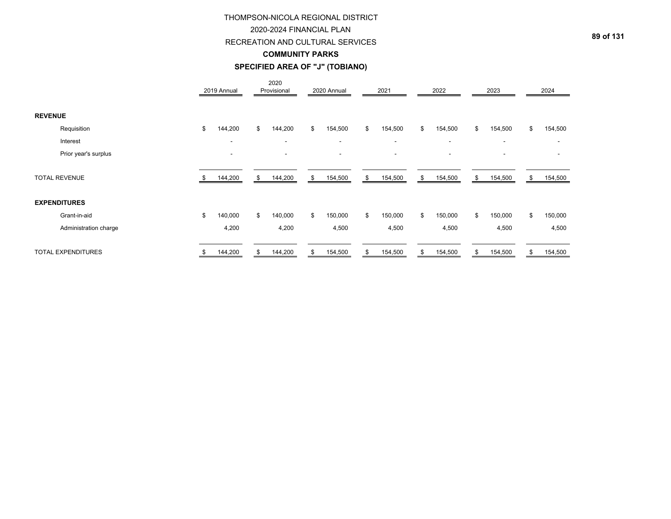### RECREATION AND CULTURAL SERVICES

## **COMMUNITY PARKS**

# **SPECIFIED AREA OF "J" (TOBIANO)**

|                |                           | 2019 Annual              | 2020<br>Provisional      | 2020 Annual              | 2021                     | 2022                     | 2023                     |    | 2024    |
|----------------|---------------------------|--------------------------|--------------------------|--------------------------|--------------------------|--------------------------|--------------------------|----|---------|
| <b>REVENUE</b> |                           |                          |                          |                          |                          |                          |                          |    |         |
|                | Requisition               | \$<br>144,200            | \$<br>144,200            | \$<br>154,500            | \$<br>154,500            | \$<br>154,500            | \$<br>154,500            | \$ | 154,500 |
|                | Interest                  | $\overline{\phantom{a}}$ | $\overline{\phantom{a}}$ | $\blacksquare$           | $\overline{\phantom{a}}$ | $\overline{\phantom{a}}$ | $\overline{\phantom{a}}$ |    |         |
|                | Prior year's surplus      | $\overline{\phantom{a}}$ |                          | $\overline{\phantom{a}}$ | $\overline{\phantom{a}}$ | ۰                        | $\overline{\phantom{a}}$ |    |         |
|                | <b>TOTAL REVENUE</b>      | 144,200                  | \$<br>144,200            | \$<br>154,500            | \$<br>154,500            | \$<br>154,500            | \$<br>154,500            | S. | 154,500 |
|                | <b>EXPENDITURES</b>       |                          |                          |                          |                          |                          |                          |    |         |
|                | Grant-in-aid              | \$<br>140,000            | \$<br>140,000            | \$<br>150,000            | \$<br>150,000            | \$<br>150,000            | \$<br>150,000            | \$ | 150,000 |
|                | Administration charge     | 4,200                    | 4,200                    | 4,500                    | 4,500                    | 4,500                    | 4,500                    |    | 4,500   |
|                | <b>TOTAL EXPENDITURES</b> | \$<br>144,200            | \$<br>144,200            | \$<br>154,500            | \$<br>154,500            | \$<br>154,500            | \$<br>154,500            | \$ | 154,500 |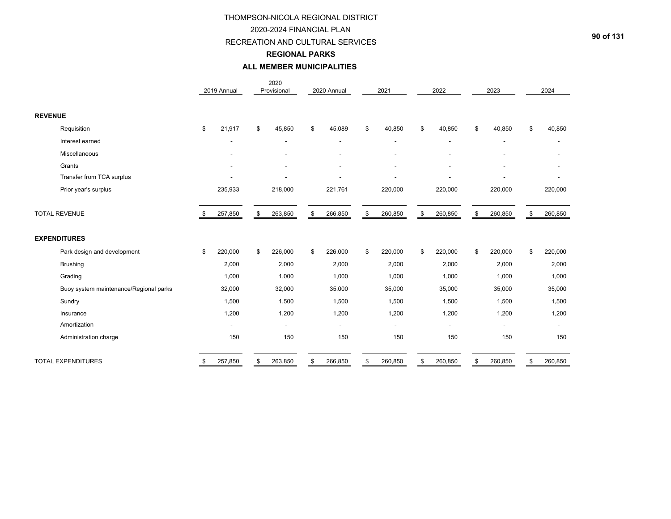### RECREATION AND CULTURAL SERVICES

# **REGIONAL PARKS**

#### **ALL MEMBER MUNICIPALITIES**

|                                        |     | 2019 Annual              | 2020<br>Provisional | 2020 Annual              | 2021           | 2022                     | 2023                     | 2024                     |
|----------------------------------------|-----|--------------------------|---------------------|--------------------------|----------------|--------------------------|--------------------------|--------------------------|
| <b>REVENUE</b>                         |     |                          |                     |                          |                |                          |                          |                          |
| Requisition                            | \$  | 21,917                   | \$<br>45,850        | \$<br>45,089             | \$<br>40,850   | \$<br>40,850             | \$<br>40,850             | \$<br>40,850             |
| Interest earned                        |     | $\overline{\phantom{a}}$ | $\blacksquare$      | $\overline{\phantom{a}}$ | $\blacksquare$ | $\overline{\phantom{a}}$ | $\overline{\phantom{a}}$ | $\sim$                   |
| Miscellaneous                          |     |                          |                     |                          |                |                          |                          |                          |
| Grants                                 |     |                          |                     |                          |                |                          |                          |                          |
| Transfer from TCA surplus              |     |                          |                     |                          |                |                          |                          |                          |
| Prior year's surplus                   |     | 235,933                  | 218,000             | 221,761                  | 220,000        | 220,000                  | 220,000                  | 220,000                  |
| <b>TOTAL REVENUE</b>                   | \$. | 257,850                  | \$<br>263,850       | \$<br>266,850            | \$<br>260,850  | \$<br>260,850            | \$<br>260,850            | \$<br>260,850            |
| <b>EXPENDITURES</b>                    |     |                          |                     |                          |                |                          |                          |                          |
| Park design and development            | \$  | 220,000                  | \$<br>226,000       | \$<br>226,000            | \$<br>220,000  | \$<br>220,000            | \$<br>220,000            | \$<br>220,000            |
| <b>Brushing</b>                        |     | 2,000                    | 2,000               | 2,000                    | 2,000          | 2,000                    | 2,000                    | 2,000                    |
| Grading                                |     | 1,000                    | 1,000               | 1,000                    | 1,000          | 1,000                    | 1,000                    | 1,000                    |
| Buoy system maintenance/Regional parks |     | 32,000                   | 32,000              | 35,000                   | 35,000         | 35,000                   | 35,000                   | 35,000                   |
| Sundry                                 |     | 1,500                    | 1,500               | 1,500                    | 1,500          | 1,500                    | 1,500                    | 1,500                    |
| Insurance                              |     | 1,200                    | 1,200               | 1,200                    | 1,200          | 1,200                    | 1,200                    | 1,200                    |
| Amortization                           |     |                          | $\blacksquare$      | $\blacksquare$           |                | ٠                        |                          | $\overline{\phantom{a}}$ |
| Administration charge                  |     | 150                      | 150                 | 150                      | 150            | 150                      | 150                      | 150                      |
| <b>TOTAL EXPENDITURES</b>              | \$  | 257,850                  | \$<br>263,850       | \$<br>266,850            | \$<br>260,850  | \$<br>260,850            | \$<br>260,850            | \$<br>260,850            |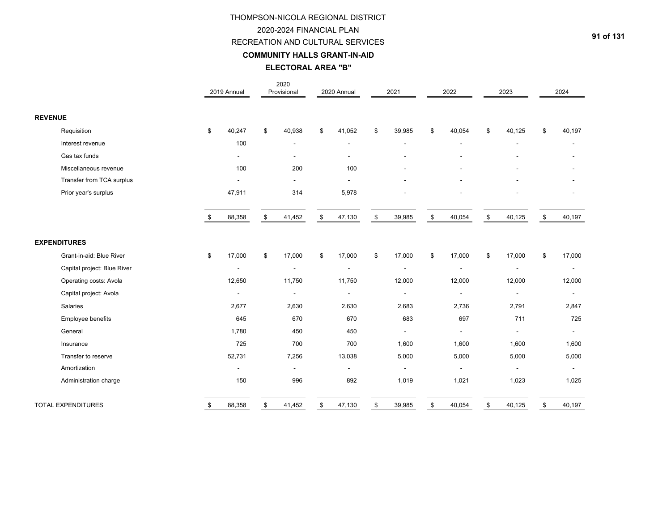# 2020-2024 FINANCIAL PLAN

# RECREATION AND CULTURAL SERVICES

**COMMUNITY HALLS GRANT-IN-AID**

**ELECTORAL AREA "B"**

|                             | 2019 Annual    | 2020<br>Provisional      | 2020 Annual              | 2021                     | 2022           | 2023                     | 2024                     |
|-----------------------------|----------------|--------------------------|--------------------------|--------------------------|----------------|--------------------------|--------------------------|
| <b>REVENUE</b>              |                |                          |                          |                          |                |                          |                          |
| Requisition                 | \$<br>40,247   | \$<br>40,938             | \$<br>41,052             | \$<br>39,985             | \$<br>40,054   | \$<br>40,125             | \$<br>40,197             |
| Interest revenue            | 100            | $\blacksquare$           | $\overline{\phantom{a}}$ | $\overline{\phantom{a}}$ |                | Ē,                       |                          |
| Gas tax funds               | $\blacksquare$ | $\blacksquare$           | $\overline{\phantom{a}}$ |                          |                |                          |                          |
| Miscellaneous revenue       | 100            | 200                      | 100                      |                          |                |                          |                          |
| Transfer from TCA surplus   |                | $\mathbf{r}$             |                          |                          |                |                          |                          |
| Prior year's surplus        | 47,911         | 314                      | 5,978                    |                          |                |                          |                          |
|                             | \$<br>88,358   | \$<br>41,452             | \$<br>47,130             | \$<br>39,985             | \$<br>40,054   | \$<br>40,125             | \$<br>40,197             |
| <b>EXPENDITURES</b>         |                |                          |                          |                          |                |                          |                          |
| Grant-in-aid: Blue River    | \$<br>17,000   | \$<br>17,000             | \$<br>17,000             | \$<br>17,000             | \$<br>17,000   | \$<br>17,000             | \$<br>17,000             |
| Capital project: Blue River | $\blacksquare$ | $\overline{\phantom{a}}$ |                          | $\overline{\phantom{a}}$ |                | $\overline{\phantom{a}}$ | $\overline{\phantom{a}}$ |
| Operating costs: Avola      | 12,650         | 11,750                   | 11,750                   | 12,000                   | 12,000         | 12,000                   | 12,000                   |
| Capital project: Avola      | $\blacksquare$ | $\blacksquare$           | $\blacksquare$           | $\sim$                   | $\blacksquare$ | $\overline{a}$           | $\blacksquare$           |
| Salaries                    | 2,677          | 2,630                    | 2,630                    | 2,683                    | 2,736          | 2,791                    | 2,847                    |
| Employee benefits           | 645            | 670                      | 670                      | 683                      | 697            | 711                      | 725                      |
| General                     | 1,780          | 450                      | 450                      | $\overline{a}$           |                | $\blacksquare$           | $\sim$                   |
| Insurance                   | 725            | 700                      | 700                      | 1,600                    | 1,600          | 1,600                    | 1,600                    |
| Transfer to reserve         | 52,731         | 7,256                    | 13,038                   | 5,000                    | 5,000          | 5,000                    | 5,000                    |
| Amortization                |                | $\blacksquare$           |                          |                          |                |                          |                          |
| Administration charge       | 150            | 996                      | 892                      | 1,019                    | 1,021          | 1,023                    | 1,025                    |
| <b>TOTAL EXPENDITURES</b>   | \$<br>88,358   | \$<br>41,452             | \$<br>47,130             | \$<br>39,985             | \$<br>40,054   | \$<br>40,125             | \$<br>40,197             |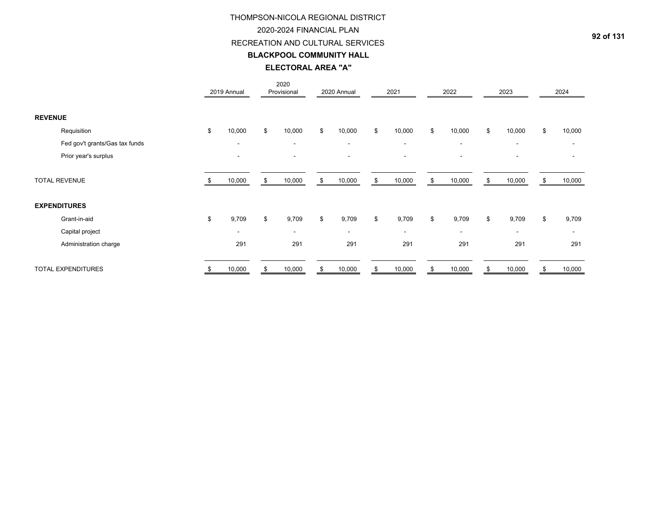#### 2020-2024 FINANCIAL PLAN

### RECREATION AND CULTURAL SERVICES

### **BLACKPOOL COMMUNITY HALL**

# **ELECTORAL AREA "A"**

|                                | 2019 Annual              |    | 2020<br>Provisional      | 2020 Annual              | 2021                     | 2022                     | 2023                     | 2024         |
|--------------------------------|--------------------------|----|--------------------------|--------------------------|--------------------------|--------------------------|--------------------------|--------------|
| <b>REVENUE</b>                 |                          |    |                          |                          |                          |                          |                          |              |
| Requisition                    | \$<br>10,000             | \$ | 10,000                   | \$<br>10,000             | \$<br>10,000             | \$<br>10,000             | \$<br>10,000             | \$<br>10,000 |
| Fed gov't grants/Gas tax funds | $\overline{\phantom{a}}$ |    | $\blacksquare$           | $\overline{\phantom{a}}$ | $\overline{\phantom{a}}$ | $\sim$                   | $\overline{\phantom{a}}$ |              |
| Prior year's surplus           |                          |    |                          |                          |                          |                          | $\overline{\phantom{0}}$ |              |
| <b>TOTAL REVENUE</b>           | 10,000                   | S  | 10,000                   | \$<br>10,000             | \$<br>10,000             | \$<br>10,000             | \$<br>10,000             | 10,000       |
| <b>EXPENDITURES</b>            |                          |    |                          |                          |                          |                          |                          |              |
| Grant-in-aid                   | \$<br>9,709              | \$ | 9,709                    | \$<br>9,709              | \$<br>9,709              | \$<br>9,709              | \$<br>9,709              | \$<br>9,709  |
| Capital project                | $\overline{\phantom{a}}$ |    | $\overline{\phantom{a}}$ | $\overline{\phantom{a}}$ | $\overline{\phantom{a}}$ | $\overline{\phantom{a}}$ | $\overline{\phantom{a}}$ |              |
| Administration charge          | 291                      |    | 291                      | 291                      | 291                      | 291                      | 291                      | 291          |
| <b>TOTAL EXPENDITURES</b>      | \$<br>10,000             | \$ | 10,000                   | \$<br>10,000             | \$<br>10,000             | \$<br>10,000             | \$<br>10,000             | \$<br>10,000 |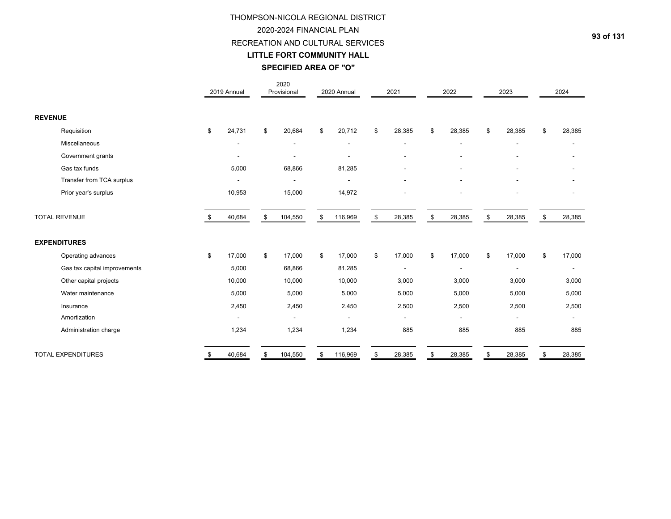# RECREATION AND CULTURAL SERVICES

### **LITTLE FORT COMMUNITY HALL**

# **SPECIFIED AREA OF "O"**

|                              |    | 2019 Annual    | 2020<br>Provisional | 2020 Annual              | 2021                     |    | 2022   | 2023           | 2024                     |
|------------------------------|----|----------------|---------------------|--------------------------|--------------------------|----|--------|----------------|--------------------------|
| <b>REVENUE</b>               |    |                |                     |                          |                          |    |        |                |                          |
| Requisition                  | \$ | 24,731         | \$<br>20,684        | \$<br>20,712             | \$<br>28,385             | \$ | 28,385 | \$<br>28,385   | \$<br>28,385             |
| Miscellaneous                |    | ٠              |                     | $\blacksquare$           | $\overline{a}$           |    |        | $\blacksquare$ |                          |
| Government grants            |    |                |                     | $\overline{\phantom{0}}$ | ۰                        |    |        | $\blacksquare$ |                          |
| Gas tax funds                |    | 5,000          | 68,866              | 81,285                   |                          |    |        |                |                          |
| Transfer from TCA surplus    |    |                |                     |                          |                          |    |        |                |                          |
| Prior year's surplus         |    | 10,953         | 15,000              | 14,972                   |                          |    |        | $\blacksquare$ |                          |
| <b>TOTAL REVENUE</b>         |    | 40,684         | \$<br>104,550       | \$<br>116,969            | \$<br>28,385             |    | 28,385 | \$<br>28,385   | \$<br>28,385             |
| <b>EXPENDITURES</b>          |    |                |                     |                          |                          |    |        |                |                          |
| Operating advances           | \$ | 17,000         | \$<br>17,000        | \$<br>17,000             | \$<br>17,000             | \$ | 17,000 | \$<br>17,000   | \$<br>17,000             |
| Gas tax capital improvements |    | 5,000          | 68,866              | 81,285                   |                          |    |        | $\blacksquare$ | $\overline{\phantom{a}}$ |
| Other capital projects       |    | 10,000         | 10,000              | 10,000                   | 3,000                    |    | 3,000  | 3,000          | 3,000                    |
| Water maintenance            |    | 5,000          | 5,000               | 5,000                    | 5,000                    |    | 5,000  | 5,000          | 5,000                    |
| Insurance                    |    | 2,450          | 2,450               | 2,450                    | 2,500                    |    | 2,500  | 2,500          | 2,500                    |
| Amortization                 |    | $\blacksquare$ | $\blacksquare$      | $\blacksquare$           | $\overline{\phantom{a}}$ |    |        | $\blacksquare$ |                          |
| Administration charge        |    | 1,234          | 1,234               | 1,234                    | 885                      |    | 885    | 885            | 885                      |
| <b>TOTAL EXPENDITURES</b>    | -S | 40,684         | \$<br>104,550       | \$<br>116,969            | \$<br>28,385             | S. | 28,385 | \$<br>28,385   | \$<br>28,385             |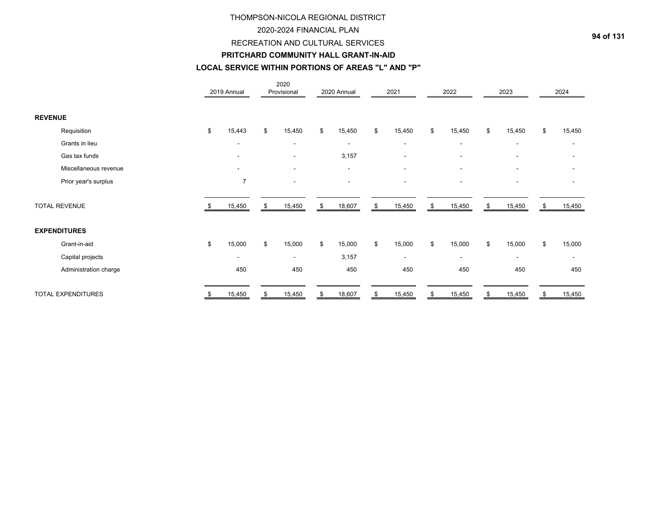#### 2020-2024 FINANCIAL PLAN

#### RECREATION AND CULTURAL SERVICES

#### **PRITCHARD COMMUNITY HALL GRANT-IN-AID**

# **LOCAL SERVICE WITHIN PORTIONS OF AREAS "L" AND "P"**

|                           |     | 2019 Annual              | 2020<br>Provisional      | 2020 Annual              | 2021                     | 2022                     | 2023                     | 2024                     |
|---------------------------|-----|--------------------------|--------------------------|--------------------------|--------------------------|--------------------------|--------------------------|--------------------------|
| <b>REVENUE</b>            |     |                          |                          |                          |                          |                          |                          |                          |
| Requisition               | \$  | 15,443                   | \$<br>15,450             | \$<br>15,450             | \$<br>15,450             | \$<br>15,450             | \$<br>15,450             | \$<br>15,450             |
| Grants in lieu            |     | $\overline{\phantom{a}}$ | $\overline{\phantom{a}}$ | $\overline{\phantom{a}}$ | $\overline{\phantom{a}}$ | $\sim$                   | $\overline{\phantom{a}}$ | $\overline{\phantom{a}}$ |
| Gas tax funds             |     | $\blacksquare$           | $\overline{\phantom{a}}$ | 3,157                    | $\overline{\phantom{a}}$ | $\overline{\phantom{a}}$ | $\blacksquare$           |                          |
| Miscellaneous revenue     |     | $\blacksquare$           | $\overline{\phantom{a}}$ | $\overline{\phantom{a}}$ | $\blacksquare$           | $\overline{\phantom{a}}$ | $\blacksquare$           |                          |
| Prior year's surplus      |     | $\overline{7}$           |                          | $\blacksquare$           | $\overline{\phantom{a}}$ | $\overline{\phantom{a}}$ | $\overline{\phantom{a}}$ |                          |
| <b>TOTAL REVENUE</b>      | \$. | 15,450                   | \$<br>15,450             | \$<br>18,607             | \$<br>15,450             | \$<br>15,450             | \$<br>15,450             | \$<br>15,450             |
| <b>EXPENDITURES</b>       |     |                          |                          |                          |                          |                          |                          |                          |
| Grant-in-aid              | \$  | 15,000                   | \$<br>15,000             | \$<br>15,000             | \$<br>15,000             | \$<br>15,000             | \$<br>15,000             | \$<br>15,000             |
| Capital projects          |     | $\blacksquare$           | $\overline{\phantom{a}}$ | 3,157                    | $\blacksquare$           | $\overline{\phantom{0}}$ | $\blacksquare$           |                          |
| Administration charge     |     | 450                      | 450                      | 450                      | 450                      | 450                      | 450                      | 450                      |
| <b>TOTAL EXPENDITURES</b> | \$  | 15,450                   | \$<br>15,450             | \$<br>18,607             | \$<br>15,450             | \$<br>15,450             | \$<br>15,450             | \$<br>15,450             |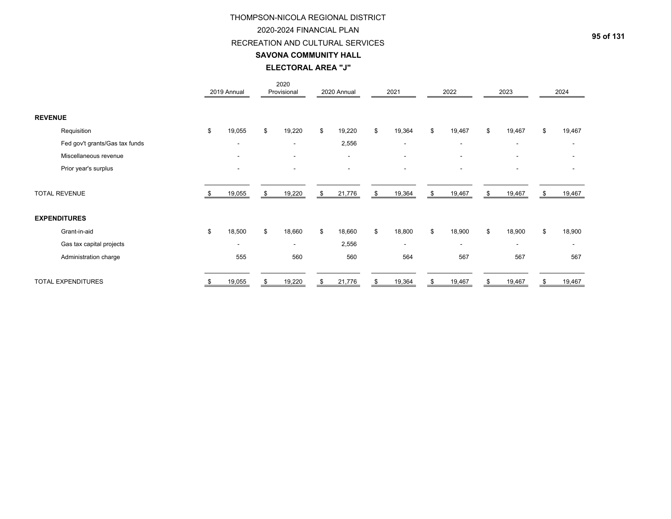#### 2020-2024 FINANCIAL PLAN

### RECREATION AND CULTURAL SERVICES

#### **SAVONA COMMUNITY HALL**

# **ELECTORAL AREA "J"**

|                |                                | 2019 Annual              |    | 2020<br>Provisional      |     | 2020 Annual              | 2021                     | 2022                     |    | 2023                     |    | 2024   |
|----------------|--------------------------------|--------------------------|----|--------------------------|-----|--------------------------|--------------------------|--------------------------|----|--------------------------|----|--------|
| <b>REVENUE</b> |                                |                          |    |                          |     |                          |                          |                          |    |                          |    |        |
|                | Requisition                    | \$<br>19,055             | \$ | 19,220                   | \$  | 19,220                   | \$<br>19,364             | \$<br>19,467             | \$ | 19,467                   | \$ | 19,467 |
|                | Fed gov't grants/Gas tax funds | $\overline{\phantom{a}}$ |    | $\overline{\phantom{a}}$ |     | 2,556                    | $\overline{\phantom{a}}$ | $\blacksquare$           |    | $\blacksquare$           |    |        |
|                | Miscellaneous revenue          |                          |    | $\overline{\phantom{a}}$ |     | $\overline{\phantom{a}}$ | $\overline{\phantom{a}}$ | $\blacksquare$           |    | $\blacksquare$           |    |        |
|                | Prior year's surplus           |                          |    |                          |     |                          |                          |                          |    | ۰                        |    |        |
|                | <b>TOTAL REVENUE</b>           | 19,055                   | \$ | 19,220                   | \$  | 21,776                   | \$<br>19,364             | \$<br>19,467             | S  | 19,467                   | S  | 19,467 |
|                | <b>EXPENDITURES</b>            |                          |    |                          |     |                          |                          |                          |    |                          |    |        |
|                | Grant-in-aid                   | \$<br>18,500             | \$ | 18,660                   | \$. | 18,660                   | \$<br>18,800             | \$<br>18,900             | \$ | 18,900                   | ደ  | 18,900 |
|                | Gas tax capital projects       | $\overline{\phantom{a}}$ |    | $\overline{\phantom{a}}$ |     | 2,556                    | $\overline{\phantom{a}}$ | $\overline{\phantom{a}}$ |    | $\overline{\phantom{a}}$ |    |        |
|                | Administration charge          | 555                      |    | 560                      |     | 560                      | 564                      | 567                      |    | 567                      |    | 567    |
|                | <b>TOTAL EXPENDITURES</b>      | 19,055                   | S  | 19,220                   |     | 21,776                   | \$<br>19,364             | 19,467                   | S  | 19,467                   |    | 19,467 |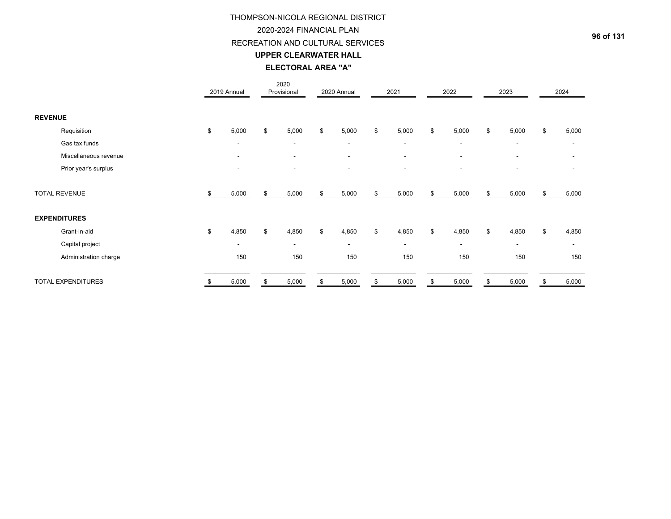#### 2020-2024 FINANCIAL PLAN

### RECREATION AND CULTURAL SERVICES

#### **UPPER CLEARWATER HALL**

### **ELECTORAL AREA "A"**

|                           | 2019 Annual              |    | 2020<br>Provisional      | 2020 Annual              | 2021                     | 2022                     |    | 2023                     | 2024                     |
|---------------------------|--------------------------|----|--------------------------|--------------------------|--------------------------|--------------------------|----|--------------------------|--------------------------|
| <b>REVENUE</b>            |                          |    |                          |                          |                          |                          |    |                          |                          |
| Requisition               | \$<br>5,000              | \$ | 5,000                    | \$<br>5,000              | \$<br>5,000              | \$<br>5,000              | \$ | 5,000                    | \$<br>5,000              |
| Gas tax funds             | $\overline{\phantom{a}}$ |    | $\overline{\phantom{a}}$ | $\overline{\phantom{a}}$ | $\overline{\phantom{a}}$ | $\overline{\phantom{a}}$ |    | $\overline{\phantom{a}}$ | $\overline{\phantom{a}}$ |
| Miscellaneous revenue     | $\overline{\phantom{a}}$ |    | $\sim$                   | $\overline{\phantom{a}}$ | $\blacksquare$           | $\sim$                   |    | $\overline{\phantom{a}}$ |                          |
| Prior year's surplus      |                          |    |                          | $\blacksquare$           | $\overline{\phantom{a}}$ | ۰                        |    | $\blacksquare$           |                          |
| <b>TOTAL REVENUE</b>      | 5,000                    | \$ | 5,000                    | \$<br>5,000              | \$<br>5,000              | \$<br>5,000              | \$ | 5,000                    | \$<br>5,000              |
| <b>EXPENDITURES</b>       |                          |    |                          |                          |                          |                          |    |                          |                          |
| Grant-in-aid              | \$<br>4,850              | \$ | 4,850                    | \$<br>4,850              | \$<br>4,850              | \$<br>4,850              | \$ | 4,850                    | \$<br>4,850              |
| Capital project           | $\blacksquare$           |    | $\overline{\phantom{a}}$ | $\overline{\phantom{a}}$ | $\overline{\phantom{a}}$ | $\overline{\phantom{a}}$ |    | $\overline{\phantom{a}}$ | $\overline{\phantom{a}}$ |
| Administration charge     | 150                      |    | 150                      | 150                      | 150                      | 150                      |    | 150                      | 150                      |
| <b>TOTAL EXPENDITURES</b> | 5,000                    | S  | 5,000                    | 5,000                    | \$<br>5,000              | 5,000                    | S  | 5,000                    | 5,000                    |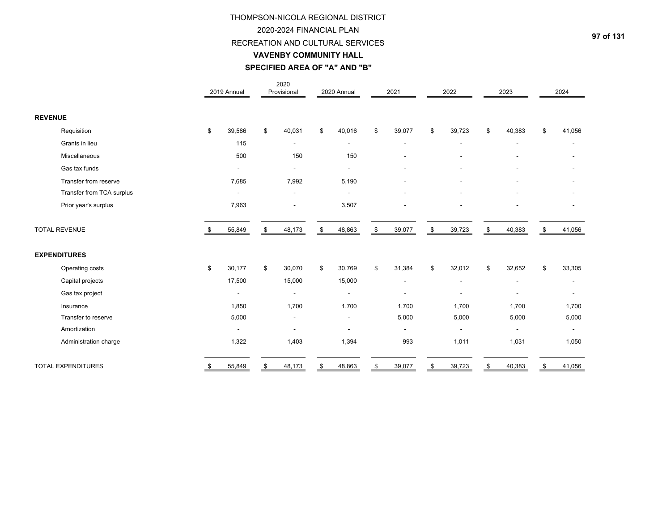#### 2020-2024 FINANCIAL PLAN

#### RECREATION AND CULTURAL SERVICES

#### **VAVENBY COMMUNITY HALL**

# **SPECIFIED AREA OF "A" AND "B"**

|                           |    | 2019 Annual              | 2020<br>Provisional      | 2020 Annual              | 2021                     | 2022                     | 2023                         | 2024                     |
|---------------------------|----|--------------------------|--------------------------|--------------------------|--------------------------|--------------------------|------------------------------|--------------------------|
| <b>REVENUE</b>            |    |                          |                          |                          |                          |                          |                              |                          |
| Requisition               | \$ | 39,586                   | \$<br>40,031             | \$<br>40,016             | \$<br>39,077             | \$<br>39,723             | \$<br>40,383                 | \$<br>41,056             |
| Grants in lieu            |    | 115                      | $\overline{\phantom{a}}$ | $\overline{\phantom{a}}$ | $\overline{\phantom{a}}$ | $\overline{\phantom{a}}$ | $\qquad \qquad \blacksquare$ | $\overline{\phantom{a}}$ |
| Miscellaneous             |    | 500                      | 150                      | 150                      |                          |                          |                              |                          |
| Gas tax funds             |    |                          | $\blacksquare$           | $\overline{a}$           |                          |                          |                              |                          |
| Transfer from reserve     |    | 7,685                    | 7,992                    | 5,190                    |                          |                          | $\overline{\phantom{a}}$     |                          |
| Transfer from TCA surplus |    | $\blacksquare$           | $\blacksquare$           |                          |                          |                          |                              |                          |
| Prior year's surplus      |    | 7,963                    |                          | 3,507                    |                          |                          | $\blacksquare$               |                          |
| <b>TOTAL REVENUE</b>      |    | 55,849                   | \$<br>48,173             | \$<br>48,863             | \$<br>39,077             | \$<br>39,723             | \$<br>40,383                 | \$<br>41,056             |
| <b>EXPENDITURES</b>       |    |                          |                          |                          |                          |                          |                              |                          |
| Operating costs           | \$ | 30,177                   | \$<br>30,070             | \$<br>30,769             | \$<br>31,384             | \$<br>32,012             | \$<br>32,652                 | \$<br>33,305             |
| Capital projects          |    | 17,500                   | 15,000                   | 15,000                   | ٠                        | $\overline{\phantom{a}}$ | $\qquad \qquad \blacksquare$ |                          |
| Gas tax project           |    | $\overline{a}$           |                          |                          |                          |                          |                              |                          |
| Insurance                 |    | 1,850                    | 1,700                    | 1,700                    | 1,700                    | 1,700                    | 1,700                        | 1,700                    |
| Transfer to reserve       |    | 5,000                    |                          | $\overline{\phantom{a}}$ | 5,000                    | 5,000                    | 5,000                        | 5,000                    |
| Amortization              |    | $\overline{\phantom{a}}$ |                          |                          |                          |                          | $\qquad \qquad \blacksquare$ | $\blacksquare$           |
| Administration charge     |    | 1,322                    | 1,403                    | 1,394                    | 993                      | 1,011                    | 1,031                        | 1,050                    |
| <b>TOTAL EXPENDITURES</b> | S  | 55,849                   | \$<br>48,173             | \$<br>48,863             | \$<br>39,077             | \$<br>39,723             | \$<br>40,383                 | \$<br>41,056             |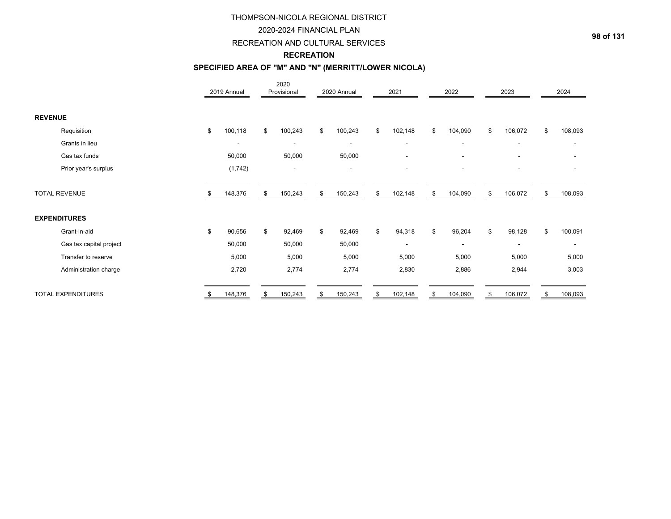### 2020-2024 FINANCIAL PLAN

### RECREATION AND CULTURAL SERVICES

# **RECREATION**

# **SPECIFIED AREA OF "M" AND "N" (MERRITT/LOWER NICOLA)**

|                           |      | 2019 Annual              |    | 2020<br>Provisional | 2020 Annual              | 2021                     | 2022                     |    | 2023                     | 2024          |
|---------------------------|------|--------------------------|----|---------------------|--------------------------|--------------------------|--------------------------|----|--------------------------|---------------|
| <b>REVENUE</b>            |      |                          |    |                     |                          |                          |                          |    |                          |               |
| Requisition               | \$   | 100,118                  | \$ | 100,243             | \$<br>100,243            | \$<br>102,148            | \$<br>104,090            | \$ | 106,072                  | \$<br>108,093 |
| Grants in lieu            |      | $\overline{\phantom{a}}$ |    | ۰                   | $\overline{\phantom{a}}$ | $\overline{\phantom{a}}$ | $\overline{\phantom{a}}$ |    | $\overline{\phantom{a}}$ | -             |
| Gas tax funds             |      | 50,000                   |    | 50,000              | 50,000                   | $\overline{\phantom{a}}$ | $\overline{\phantom{a}}$ |    | $\overline{\phantom{a}}$ |               |
| Prior year's surplus      |      | (1,742)                  |    |                     | $\overline{\phantom{0}}$ | $\overline{\phantom{a}}$ | ٠                        |    |                          |               |
| <b>TOTAL REVENUE</b>      | - 95 | 148,376                  | \$ | 150,243             | \$<br>150,243            | \$<br>102,148            | \$<br>104,090            | \$ | 106,072                  | \$<br>108,093 |
| <b>EXPENDITURES</b>       |      |                          |    |                     |                          |                          |                          |    |                          |               |
| Grant-in-aid              | \$   | 90,656                   | \$ | 92,469              | \$<br>92,469             | \$<br>94,318             | \$<br>96,204             | \$ | 98,128                   | \$<br>100,091 |
| Gas tax capital project   |      | 50,000                   |    | 50,000              | 50,000                   | ۰                        | $\overline{\phantom{a}}$ |    | $\overline{\phantom{a}}$ |               |
| Transfer to reserve       |      | 5,000                    |    | 5,000               | 5,000                    | 5,000                    | 5,000                    |    | 5,000                    | 5,000         |
| Administration charge     |      | 2,720                    |    | 2,774               | 2,774                    | 2,830                    | 2,886                    |    | 2,944                    | 3,003         |
| <b>TOTAL EXPENDITURES</b> |      | 148,376                  | S  | 150,243             | 150,243                  | \$<br>102,148            | \$<br>104,090            | S  | 106,072                  | \$<br>108,093 |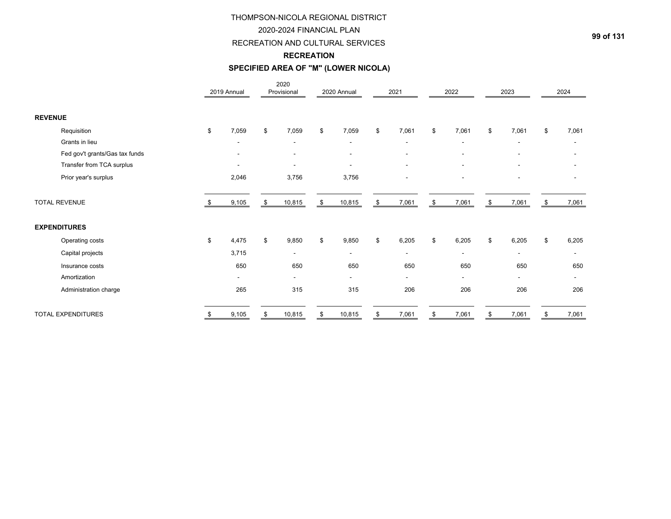### 2020-2024 FINANCIAL PLAN

# RECREATION AND CULTURAL SERVICES

### **RECREATION**

# **SPECIFIED AREA OF "M" (LOWER NICOLA)**

|                                | 2019 Annual              | 2020<br>Provisional      | 2020 Annual              | 2021                     | 2022                     | 2023                     | 2024                     |
|--------------------------------|--------------------------|--------------------------|--------------------------|--------------------------|--------------------------|--------------------------|--------------------------|
| <b>REVENUE</b>                 |                          |                          |                          |                          |                          |                          |                          |
| Requisition                    | \$<br>7,059              | \$<br>7,059              | \$<br>7,059              | \$<br>7,061              | \$<br>7,061              | \$<br>7,061              | \$<br>7,061              |
| Grants in lieu                 |                          | $\overline{\phantom{a}}$ |                          | $\overline{\phantom{a}}$ |                          |                          |                          |
| Fed gov't grants/Gas tax funds |                          |                          |                          | $\blacksquare$           |                          |                          |                          |
| Transfer from TCA surplus      | $\blacksquare$           | $\blacksquare$           |                          | $\overline{\phantom{a}}$ |                          | $\overline{\phantom{a}}$ | ۰                        |
| Prior year's surplus           | 2,046                    | 3,756                    | 3,756                    | $\blacksquare$           |                          |                          | ۰                        |
| <b>TOTAL REVENUE</b>           | 9,105                    | 10,815                   | \$<br>10,815             | \$<br>7,061              | \$<br>7,061              | \$<br>7,061              | 7,061                    |
| <b>EXPENDITURES</b>            |                          |                          |                          |                          |                          |                          |                          |
| Operating costs                | \$<br>4,475              | \$<br>9,850              | \$<br>9,850              | \$<br>6,205              | \$<br>6,205              | \$<br>6,205              | \$<br>6,205              |
| Capital projects               | 3,715                    | $\overline{\phantom{a}}$ | $\overline{\phantom{a}}$ | $\overline{\phantom{a}}$ | $\blacksquare$           | $\overline{\phantom{a}}$ | $\overline{\phantom{a}}$ |
| Insurance costs                | 650                      | 650                      | 650                      | 650                      | 650                      | 650                      | 650                      |
| Amortization                   | $\overline{\phantom{a}}$ | $\blacksquare$           | $\sim$                   | $\blacksquare$           | $\overline{\phantom{a}}$ | $\overline{\phantom{a}}$ | $\blacksquare$           |
| Administration charge          | 265                      | 315                      | 315                      | 206                      | 206                      | 206                      | 206                      |
| <b>TOTAL EXPENDITURES</b>      | \$<br>9,105              | \$<br>10,815             | \$<br>10,815             | \$<br>7,061              | \$<br>7,061              | \$<br>7,061              | \$<br>7,061              |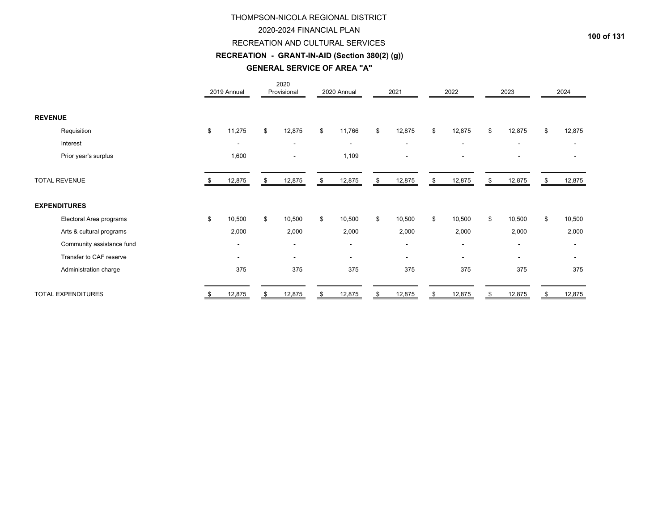### 2020-2024 FINANCIAL PLAN

### RECREATION AND CULTURAL SERVICES

# **RECREATION - GRANT-IN-AID (Section 380(2) (g))**

# **GENERAL SERVICE OF AREA "A"**

|                           | 2019 Annual              | 2020<br>Provisional      | 2020 Annual              | 2021                     | 2022                     | 2023                     |    | 2024   |
|---------------------------|--------------------------|--------------------------|--------------------------|--------------------------|--------------------------|--------------------------|----|--------|
| <b>REVENUE</b>            |                          |                          |                          |                          |                          |                          |    |        |
| Requisition               | \$<br>11,275             | \$<br>12,875             | \$<br>11,766             | \$<br>12,875             | \$<br>12,875             | \$<br>12,875             | \$ | 12,875 |
| Interest                  |                          | $\overline{\phantom{a}}$ | $\overline{\phantom{a}}$ | $\overline{\phantom{a}}$ | $\overline{\phantom{a}}$ |                          |    |        |
| Prior year's surplus      | 1,600                    |                          | 1,109                    | $\overline{\phantom{a}}$ | ٠                        | $\overline{\phantom{a}}$ |    |        |
| <b>TOTAL REVENUE</b>      | 12,875                   | \$<br>12,875             | \$<br>12,875             | \$<br>12,875             | \$<br>12,875             | \$<br>12,875             | S  | 12,875 |
| <b>EXPENDITURES</b>       |                          |                          |                          |                          |                          |                          |    |        |
| Electoral Area programs   | \$<br>10,500             | \$<br>10,500             | \$<br>10,500             | \$<br>10,500             | \$<br>10,500             | \$<br>10,500             | \$ | 10,500 |
| Arts & cultural programs  | 2,000                    | 2,000                    | 2,000                    | 2,000                    | 2,000                    | 2,000                    |    | 2,000  |
| Community assistance fund | $\overline{\phantom{a}}$ | $\overline{\phantom{a}}$ | $\overline{\phantom{a}}$ | $\overline{\phantom{a}}$ | $\overline{\phantom{a}}$ | $\overline{\phantom{a}}$ |    |        |
| Transfer to CAF reserve   | $\overline{\phantom{a}}$ | $\overline{\phantom{a}}$ | $\sim$                   | $\overline{\phantom{a}}$ | $\overline{\phantom{a}}$ | $\overline{\phantom{a}}$ |    |        |
| Administration charge     | 375                      | 375                      | 375                      | 375                      | 375                      | 375                      |    | 375    |
| <b>TOTAL EXPENDITURES</b> | \$<br>12,875             | \$<br>12,875             | \$<br>12,875             | \$<br>12,875             | \$<br>12,875             | \$<br>12,875             | \$ | 12,875 |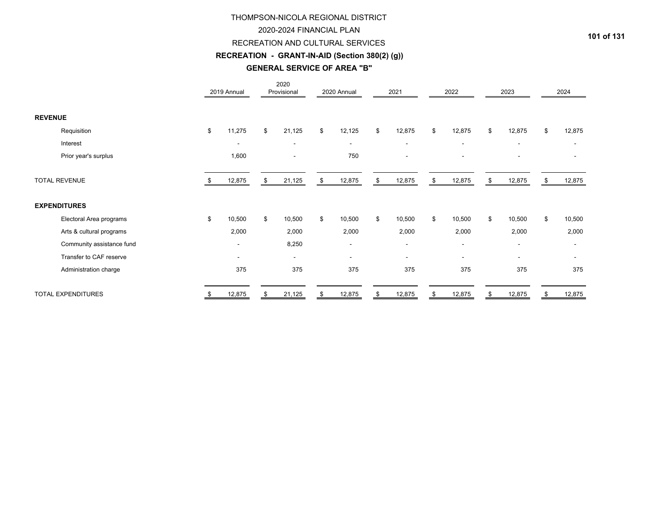### 2020-2024 FINANCIAL PLAN

### RECREATION AND CULTURAL SERVICES

# **RECREATION - GRANT-IN-AID (Section 380(2) (g))**

#### **GENERAL SERVICE OF AREA "B"**

|                           |    | 2019 Annual              | 2020<br>Provisional      | 2020 Annual              | 2021                     | 2022                     | 2023                     |    | 2024                     |
|---------------------------|----|--------------------------|--------------------------|--------------------------|--------------------------|--------------------------|--------------------------|----|--------------------------|
| <b>REVENUE</b>            |    |                          |                          |                          |                          |                          |                          |    |                          |
| Requisition               | \$ | 11,275                   | \$<br>21,125             | \$<br>12,125             | \$<br>12,875             | \$<br>12,875             | \$<br>12,875             | \$ | 12,875                   |
| Interest                  |    | $\overline{\phantom{a}}$ | $\blacksquare$           | $\overline{\phantom{a}}$ | $\overline{\phantom{a}}$ | $\blacksquare$           | $\blacksquare$           |    | $\overline{\phantom{a}}$ |
| Prior year's surplus      |    | 1,600                    |                          | 750                      | $\overline{\phantom{a}}$ | ۰                        |                          |    |                          |
| <b>TOTAL REVENUE</b>      |    | 12,875                   | \$<br>21,125             | \$<br>12,875             | \$<br>12,875             | \$<br>12,875             | \$<br>12,875             | \$ | 12,875                   |
| <b>EXPENDITURES</b>       |    |                          |                          |                          |                          |                          |                          |    |                          |
| Electoral Area programs   | \$ | 10,500                   | \$<br>10,500             | \$<br>10,500             | \$<br>10,500             | \$<br>10,500             | \$<br>10,500             | \$ | 10,500                   |
| Arts & cultural programs  |    | 2,000                    | 2,000                    | 2,000                    | 2,000                    | 2,000                    | 2,000                    |    | 2,000                    |
| Community assistance fund |    | $\overline{\phantom{a}}$ | 8,250                    | $\overline{\phantom{a}}$ | $\overline{\phantom{a}}$ | $\overline{\phantom{a}}$ | $\overline{\phantom{a}}$ |    |                          |
| Transfer to CAF reserve   |    | $\overline{\phantom{a}}$ | $\overline{\phantom{a}}$ | $\overline{\phantom{a}}$ | $\blacksquare$           | $\blacksquare$           | $\blacksquare$           |    |                          |
| Administration charge     |    | 375                      | 375                      | 375                      | 375                      | 375                      | 375                      |    | 375                      |
| <b>TOTAL EXPENDITURES</b> | S  | 12,875                   | \$<br>21,125             | \$<br>12,875             | \$<br>12,875             | \$<br>12,875             | \$<br>12,875             | S  | 12,875                   |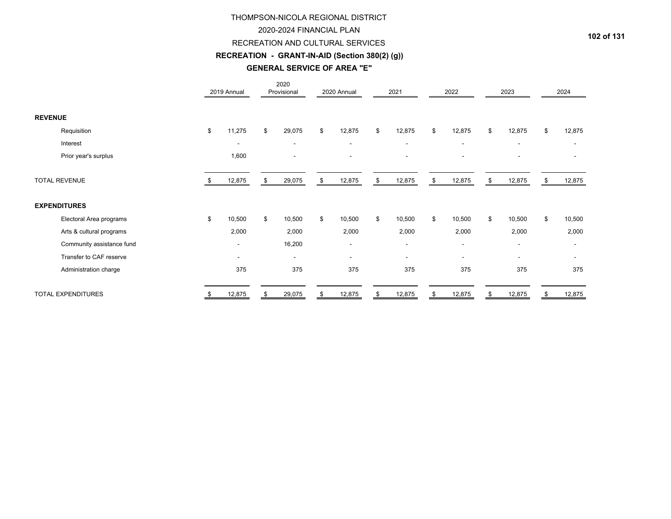### 2020-2024 FINANCIAL PLAN

### RECREATION AND CULTURAL SERVICES

# **RECREATION - GRANT-IN-AID (Section 380(2) (g))**

#### **GENERAL SERVICE OF AREA "E"**

|                           |    | 2019 Annual              | 2020<br>Provisional      | 2020 Annual              | 2021                     |     | 2022                     | 2023                     |    | 2024                     |
|---------------------------|----|--------------------------|--------------------------|--------------------------|--------------------------|-----|--------------------------|--------------------------|----|--------------------------|
| <b>REVENUE</b>            |    |                          |                          |                          |                          |     |                          |                          |    |                          |
| Requisition               | \$ | 11,275                   | \$<br>29,075             | \$<br>12,875             | \$<br>12,875             | \$  | 12,875                   | \$<br>12,875             | \$ | 12,875                   |
| Interest                  |    | $\overline{\phantom{a}}$ | $\overline{\phantom{a}}$ | $\overline{\phantom{a}}$ | $\overline{\phantom{a}}$ |     | $\overline{\phantom{a}}$ | $\overline{\phantom{a}}$ |    | $\overline{\phantom{a}}$ |
| Prior year's surplus      |    | 1,600                    |                          |                          | $\overline{\phantom{a}}$ |     |                          |                          |    |                          |
| <b>TOTAL REVENUE</b>      |    | 12,875                   | \$<br>29,075             | \$<br>12,875             | \$<br>12,875             | -\$ | 12,875                   | \$<br>12,875             | S  | 12,875                   |
| <b>EXPENDITURES</b>       |    |                          |                          |                          |                          |     |                          |                          |    |                          |
| Electoral Area programs   | \$ | 10,500                   | \$<br>10,500             | \$<br>10,500             | \$<br>10,500             | \$  | 10,500                   | \$<br>10,500             | \$ | 10,500                   |
| Arts & cultural programs  |    | 2,000                    | 2,000                    | 2,000                    | 2,000                    |     | 2,000                    | 2,000                    |    | 2,000                    |
| Community assistance fund |    | $\overline{\phantom{a}}$ | 16,200                   |                          | $\overline{\phantom{a}}$ |     | $\overline{\phantom{a}}$ | $\overline{\phantom{a}}$ |    |                          |
| Transfer to CAF reserve   |    | $\overline{\phantom{a}}$ | $\overline{\phantom{a}}$ | $\blacksquare$           | $\blacksquare$           |     | $\overline{\phantom{a}}$ | $\overline{\phantom{a}}$ |    |                          |
| Administration charge     |    | 375                      | 375                      | 375                      | 375                      |     | 375                      | 375                      |    | 375                      |
| <b>TOTAL EXPENDITURES</b> | S. | 12,875                   | \$<br>29,075             | \$<br>12,875             | \$<br>12,875             | \$  | 12,875                   | \$<br>12,875             | \$ | 12,875                   |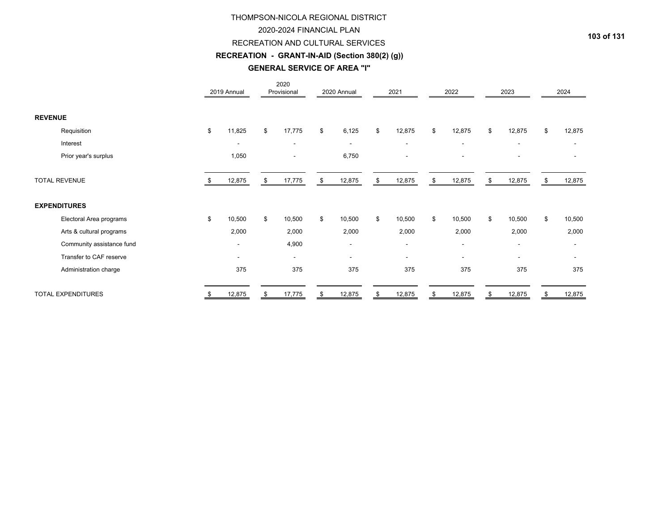### 2020-2024 FINANCIAL PLAN

### RECREATION AND CULTURAL SERVICES

# **RECREATION - GRANT-IN-AID (Section 380(2) (g))**

# **GENERAL SERVICE OF AREA "I"**

|                           | 2019 Annual              | 2020<br>Provisional |    | 2020 Annual              | 2021                     | 2022                     | 2023                     | 2024         |
|---------------------------|--------------------------|---------------------|----|--------------------------|--------------------------|--------------------------|--------------------------|--------------|
| <b>REVENUE</b>            |                          |                     |    |                          |                          |                          |                          |              |
| Requisition               | \$<br>11,825             | \$<br>17,775        | \$ | 6,125                    | \$<br>12,875             | \$<br>12,875             | \$<br>12,875             | \$<br>12,875 |
| Interest                  |                          | $\blacksquare$      |    | $\overline{\phantom{a}}$ | $\overline{\phantom{a}}$ | $\overline{\phantom{a}}$ |                          |              |
| Prior year's surplus      | 1,050                    |                     |    | 6,750                    | $\overline{\phantom{a}}$ | $\overline{\phantom{a}}$ | $\blacksquare$           |              |
| <b>TOTAL REVENUE</b>      | 12,875                   | \$<br>17,775        | \$ | 12,875                   | \$<br>12,875             | \$<br>12,875             | \$<br>12,875             | \$<br>12,875 |
| <b>EXPENDITURES</b>       |                          |                     |    |                          |                          |                          |                          |              |
| Electoral Area programs   | \$<br>10,500             | \$<br>10,500        | \$ | 10,500                   | \$<br>10,500             | \$<br>10,500             | \$<br>10,500             | \$<br>10,500 |
| Arts & cultural programs  | 2,000                    | 2,000               |    | 2,000                    | 2,000                    | 2,000                    | 2,000                    | 2,000        |
| Community assistance fund | $\overline{\phantom{a}}$ | 4,900               |    |                          | $\overline{\phantom{a}}$ | $\overline{\phantom{a}}$ | $\overline{\phantom{a}}$ |              |
| Transfer to CAF reserve   | $\overline{\phantom{a}}$ | $\blacksquare$      |    | $\sim$                   | $\overline{\phantom{a}}$ | $\sim$                   | $\overline{\phantom{a}}$ |              |
| Administration charge     | 375                      | 375                 |    | 375                      | 375                      | 375                      | 375                      | 375          |
| <b>TOTAL EXPENDITURES</b> | \$<br>12,875             | \$<br>17,775        | S  | 12,875                   | \$<br>12,875             | \$<br>12,875             | \$<br>12,875             | \$<br>12,875 |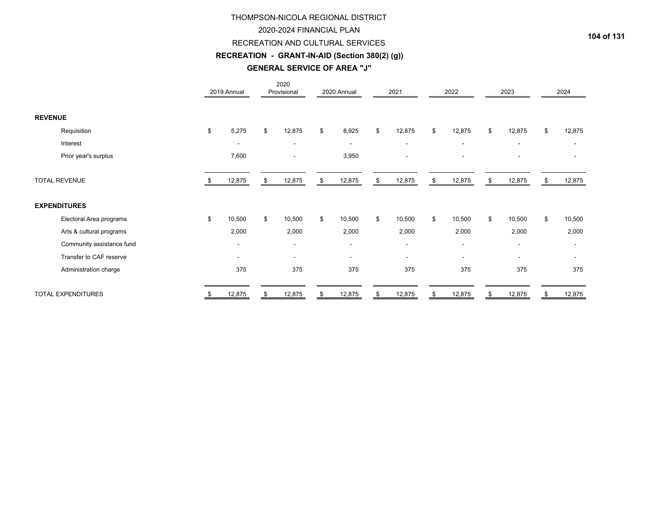### 2020-2024 FINANCIAL PLAN

### RECREATION AND CULTURAL SERVICES

# **RECREATION - GRANT-IN-AID (Section 380(2) (g))**

#### **GENERAL SERVICE OF AREA "J"**

|                           | 2019 Annual              | 2020<br>Provisional      | 2020 Annual              | 2021                     | 2022                     | 2023                     | 2024                     |
|---------------------------|--------------------------|--------------------------|--------------------------|--------------------------|--------------------------|--------------------------|--------------------------|
| <b>REVENUE</b>            |                          |                          |                          |                          |                          |                          |                          |
| Requisition               | \$<br>5,275              | \$<br>12,875             | \$<br>8,925              | \$<br>12,875             | \$<br>12,875             | \$<br>12,875             | \$<br>12,875             |
| Interest                  | $\overline{\phantom{a}}$ | $\blacksquare$           | $\overline{\phantom{0}}$ | $\overline{\phantom{a}}$ | $\overline{\phantom{a}}$ | $\overline{\phantom{a}}$ |                          |
| Prior year's surplus      | 7,600                    | $\overline{\phantom{a}}$ | 3,950                    | $\overline{\phantom{a}}$ | $\overline{\phantom{a}}$ | $\overline{\phantom{a}}$ |                          |
| <b>TOTAL REVENUE</b>      | 12,875                   | \$<br>12,875             | \$<br>12,875             | \$<br>12,875             | \$<br>12,875             | \$<br>12,875             | \$<br>12,875             |
| <b>EXPENDITURES</b>       |                          |                          |                          |                          |                          |                          |                          |
| Electoral Area programs   | \$<br>10,500             | \$<br>10,500             | \$<br>10,500             | \$<br>10,500             | \$<br>10,500             | \$<br>10,500             | \$<br>10,500             |
| Arts & cultural programs  | 2,000                    | 2,000                    | 2,000                    | 2,000                    | 2,000                    | 2,000                    | 2,000                    |
| Community assistance fund | $\overline{\phantom{a}}$ | $\overline{\phantom{a}}$ | $\sim$                   | $\overline{\phantom{a}}$ | $\overline{\phantom{a}}$ | $\overline{\phantom{a}}$ |                          |
| Transfer to CAF reserve   | $\overline{\phantom{a}}$ | $\blacksquare$           | $\overline{\phantom{a}}$ | $\blacksquare$           | $\overline{\phantom{a}}$ | $\overline{\phantom{a}}$ | $\overline{\phantom{a}}$ |
| Administration charge     | 375                      | 375                      | 375                      | 375                      | 375                      | 375                      | 375                      |
| <b>TOTAL EXPENDITURES</b> | \$<br>12,875             | \$<br>12,875             | \$<br>12,875             | \$<br>12,875             | \$<br>12,875             | \$<br>12,875             | \$<br>12,875             |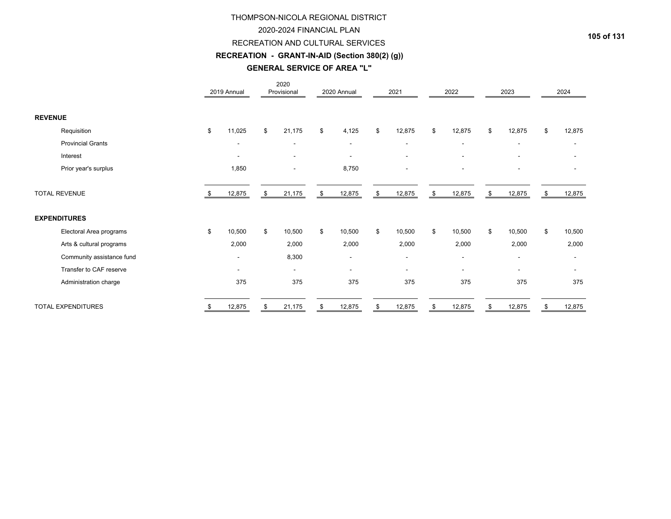### 2020-2024 FINANCIAL PLAN

### RECREATION AND CULTURAL SERVICES

# **RECREATION - GRANT-IN-AID (Section 380(2) (g))**

#### **GENERAL SERVICE OF AREA "L"**

|                           | 2019 Annual              | 2020<br>Provisional      | 2020 Annual    | 2021                     |     | 2022   | 2023                     | 2024         |
|---------------------------|--------------------------|--------------------------|----------------|--------------------------|-----|--------|--------------------------|--------------|
| <b>REVENUE</b>            |                          |                          |                |                          |     |        |                          |              |
| Requisition               | \$<br>11,025             | \$<br>21,175             | \$<br>4,125    | \$<br>12,875             | \$  | 12,875 | \$<br>12,875             | \$<br>12,875 |
| <b>Provincial Grants</b>  | $\blacksquare$           | $\overline{\phantom{a}}$ | $\blacksquare$ | $\blacksquare$           |     |        |                          |              |
| Interest                  | $\overline{\phantom{a}}$ |                          |                |                          |     |        |                          |              |
| Prior year's surplus      | 1,850                    |                          | 8,750          | $\blacksquare$           |     |        |                          |              |
| <b>TOTAL REVENUE</b>      | 12,875                   | \$<br>21,175             | \$<br>12,875   | \$<br>12,875             | -\$ | 12,875 | \$<br>12,875             | 12,875       |
| <b>EXPENDITURES</b>       |                          |                          |                |                          |     |        |                          |              |
| Electoral Area programs   | \$<br>10,500             | \$<br>10,500             | \$<br>10,500   | \$<br>10,500             | \$  | 10,500 | \$<br>10,500             | \$<br>10,500 |
| Arts & cultural programs  | 2,000                    | 2,000                    | 2,000          | 2,000                    |     | 2,000  | 2,000                    | 2,000        |
| Community assistance fund | $\blacksquare$           | 8,300                    | $\blacksquare$ | $\overline{\phantom{a}}$ |     | ۰      | $\overline{\phantom{a}}$ |              |
| Transfer to CAF reserve   | $\blacksquare$           | $\overline{\phantom{a}}$ |                | $\blacksquare$           |     | ۰      |                          |              |
| Administration charge     | 375                      | 375                      | 375            | 375                      |     | 375    | 375                      | 375          |
| <b>TOTAL EXPENDITURES</b> | 12,875                   | 21,175                   | 12,875         | \$<br>12,875             |     | 12,875 | 12,875                   | 12,875       |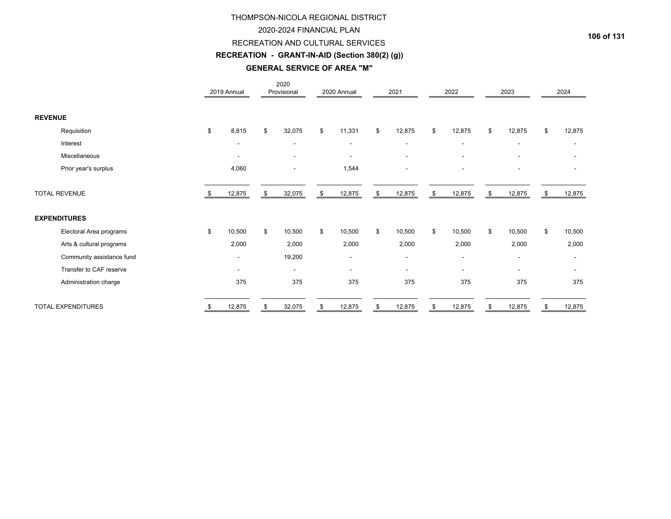# 2020-2024 FINANCIAL PLAN

#### RECREATION AND CULTURAL SERVICES

# **RECREATION - GRANT-IN-AID (Section 380(2) (g))**

#### **GENERAL SERVICE OF AREA "M"**

|                           | 2019 Annual              | 2020<br>Provisional      |    | 2020 Annual              | 2021                     | 2022                     | 2023                     | 2024         |
|---------------------------|--------------------------|--------------------------|----|--------------------------|--------------------------|--------------------------|--------------------------|--------------|
| <b>REVENUE</b>            |                          |                          |    |                          |                          |                          |                          |              |
| Requisition               | \$<br>8,815              | \$<br>32,075             | \$ | 11,331                   | \$<br>12,875             | \$<br>12,875             | \$<br>12,875             | \$<br>12,875 |
| Interest                  | $\overline{\phantom{a}}$ | $\overline{\phantom{a}}$ |    | $\overline{\phantom{a}}$ | $\overline{\phantom{a}}$ | $\overline{\phantom{a}}$ | $\overline{\phantom{a}}$ |              |
| Miscellaneous             |                          |                          |    |                          |                          |                          |                          |              |
| Prior year's surplus      | 4,060                    |                          |    | 1,544                    |                          |                          |                          |              |
| <b>TOTAL REVENUE</b>      | 12,875                   | \$<br>32,075             | \$ | 12,875                   | \$<br>12,875             | \$<br>12,875             | \$<br>12,875             | \$<br>12,875 |
| <b>EXPENDITURES</b>       |                          |                          |    |                          |                          |                          |                          |              |
| Electoral Area programs   | \$<br>10,500             | \$<br>10,500             | \$ | 10,500                   | \$<br>10,500             | \$<br>10,500             | \$<br>10,500             | \$<br>10,500 |
| Arts & cultural programs  | 2,000                    | 2,000                    |    | 2,000                    | 2,000                    | 2,000                    | 2,000                    | 2,000        |
| Community assistance fund | $\overline{\phantom{a}}$ | 19,200                   |    | $\blacksquare$           | $\overline{\phantom{a}}$ | $\overline{\phantom{a}}$ | $\overline{\phantom{a}}$ |              |
| Transfer to CAF reserve   | $\overline{\phantom{a}}$ | $\overline{\phantom{a}}$ |    | ۰                        | $\blacksquare$           | $\overline{\phantom{0}}$ | $\overline{\phantom{a}}$ |              |
| Administration charge     | 375                      | 375                      |    | 375                      | 375                      | 375                      | 375                      | 375          |
| <b>TOTAL EXPENDITURES</b> | 12,875                   | 32,075                   | S  | 12,875                   | \$<br>12,875             | 12,875                   | 12,875                   | 12,875       |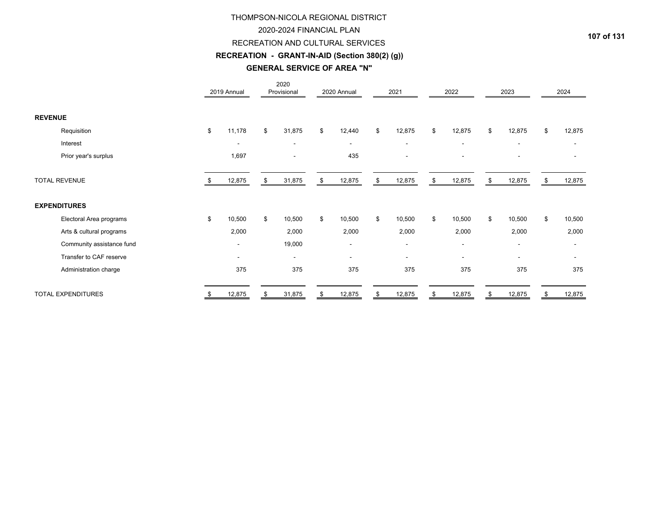### 2020-2024 FINANCIAL PLAN

### RECREATION AND CULTURAL SERVICES

# **RECREATION - GRANT-IN-AID (Section 380(2) (g))**

# **GENERAL SERVICE OF AREA "N"**

|                           |    | 2019 Annual              | 2020<br>Provisional      | 2020 Annual    | 2021                     |     | 2022                     | 2023                     |    | 2024                     |
|---------------------------|----|--------------------------|--------------------------|----------------|--------------------------|-----|--------------------------|--------------------------|----|--------------------------|
| <b>REVENUE</b>            |    |                          |                          |                |                          |     |                          |                          |    |                          |
| Requisition               | \$ | 11,178                   | \$<br>31,875             | \$<br>12,440   | \$<br>12,875             | \$  | 12,875                   | \$<br>12,875             | \$ | 12,875                   |
| Interest                  |    | $\overline{\phantom{a}}$ | $\overline{\phantom{a}}$ | $\sim$         | $\overline{\phantom{a}}$ |     | $\overline{\phantom{a}}$ | $\overline{\phantom{a}}$ |    | $\overline{\phantom{a}}$ |
| Prior year's surplus      |    | 1,697                    |                          | 435            | ۰                        |     |                          |                          |    |                          |
| <b>TOTAL REVENUE</b>      |    | 12,875                   | \$<br>31,875             | \$<br>12,875   | \$<br>12,875             | -\$ | 12,875                   | \$<br>12,875             | S  | 12,875                   |
| <b>EXPENDITURES</b>       |    |                          |                          |                |                          |     |                          |                          |    |                          |
| Electoral Area programs   | \$ | 10,500                   | \$<br>10,500             | \$<br>10,500   | \$<br>10,500             | \$  | 10,500                   | \$<br>10,500             | \$ | 10,500                   |
| Arts & cultural programs  |    | 2,000                    | 2,000                    | 2,000          | 2,000                    |     | 2,000                    | 2,000                    |    | 2,000                    |
| Community assistance fund |    | $\overline{\phantom{a}}$ | 19,000                   |                | $\overline{\phantom{a}}$ |     | $\overline{\phantom{a}}$ | $\overline{\phantom{a}}$ |    |                          |
| Transfer to CAF reserve   |    | $\overline{\phantom{a}}$ | $\overline{\phantom{a}}$ | $\blacksquare$ | $\blacksquare$           |     | $\overline{\phantom{a}}$ | $\overline{\phantom{a}}$ |    |                          |
| Administration charge     |    | 375                      | 375                      | 375            | 375                      |     | 375                      | 375                      |    | 375                      |
| <b>TOTAL EXPENDITURES</b> | S. | 12,875                   | \$<br>31,875             | \$<br>12,875   | \$<br>12,875             | \$  | 12,875                   | \$<br>12,875             | \$ | 12,875                   |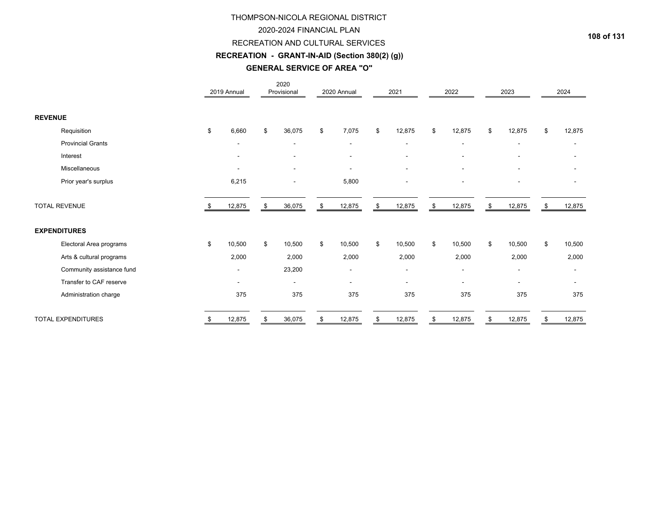### 2020-2024 FINANCIAL PLAN

#### RECREATION AND CULTURAL SERVICES

# **RECREATION - GRANT-IN-AID (Section 380(2) (g))**

# **GENERAL SERVICE OF AREA "O"**

|                           | 2019 Annual              | 2020<br>Provisional      | 2020 Annual              | 2021                     | 2022         | 2023                     | 2024                     |
|---------------------------|--------------------------|--------------------------|--------------------------|--------------------------|--------------|--------------------------|--------------------------|
| <b>REVENUE</b>            |                          |                          |                          |                          |              |                          |                          |
| Requisition               | \$<br>6,660              | \$<br>36,075             | \$<br>7,075              | \$<br>12,875             | \$<br>12,875 | \$<br>12,875             | \$<br>12,875             |
| <b>Provincial Grants</b>  | $\blacksquare$           | $\overline{\phantom{a}}$ |                          | $\overline{\phantom{a}}$ | ۰            |                          |                          |
| Interest                  | $\blacksquare$           | $\overline{\phantom{a}}$ |                          | $\overline{\phantom{a}}$ |              |                          |                          |
| Miscellaneous             |                          | $\overline{\phantom{a}}$ |                          | $\blacksquare$           |              |                          |                          |
| Prior year's surplus      | 6,215                    |                          | 5,800                    | $\blacksquare$           |              |                          | $\overline{\phantom{0}}$ |
| <b>TOTAL REVENUE</b>      | 12,875                   | \$<br>36,075             | \$<br>12,875             | \$<br>12,875             | \$<br>12,875 | \$<br>12,875             | \$<br>12,875             |
| <b>EXPENDITURES</b>       |                          |                          |                          |                          |              |                          |                          |
| Electoral Area programs   | \$<br>10,500             | \$<br>10,500             | \$<br>10,500             | \$<br>10,500             | \$<br>10,500 | \$<br>10,500             | \$<br>10,500             |
| Arts & cultural programs  | 2,000                    | 2,000                    | 2,000                    | 2,000                    | 2,000        | 2,000                    | 2,000                    |
| Community assistance fund | $\overline{\phantom{a}}$ | 23,200                   | $\overline{\phantom{a}}$ | $\overline{\phantom{a}}$ | ٠            | $\overline{\phantom{a}}$ | $\overline{\phantom{a}}$ |
| Transfer to CAF reserve   | $\blacksquare$           | $\overline{\phantom{a}}$ | $\sim$                   | $\overline{\phantom{a}}$ | ۰            | $\overline{\phantom{a}}$ | ۰                        |
| Administration charge     | 375                      | 375                      | 375                      | 375                      | 375          | 375                      | 375                      |
| <b>TOTAL EXPENDITURES</b> | \$<br>12,875             | \$<br>36,075             | \$<br>12,875             | \$<br>12,875             | \$<br>12,875 | \$<br>12,875             | \$<br>12,875             |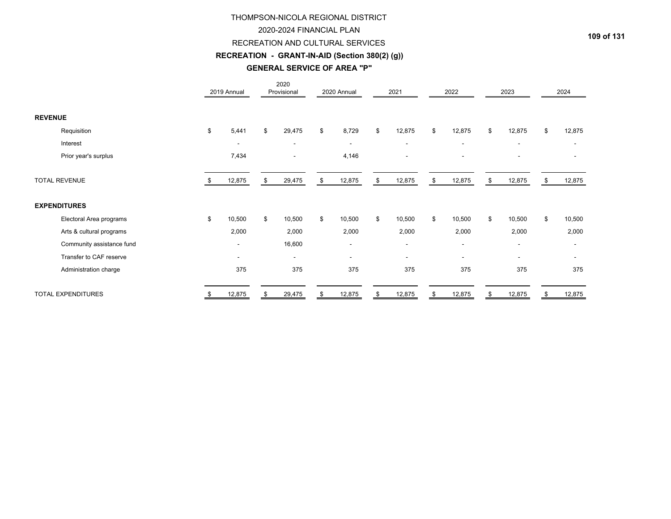### 2020-2024 FINANCIAL PLAN

#### RECREATION AND CULTURAL SERVICES

# **RECREATION - GRANT-IN-AID (Section 380(2) (g))**

#### **GENERAL SERVICE OF AREA "P"**

|                           | 2019 Annual              | 2020<br>Provisional      | 2020 Annual              | 2021                     | 2022                     | 2023                     |     | 2024   |
|---------------------------|--------------------------|--------------------------|--------------------------|--------------------------|--------------------------|--------------------------|-----|--------|
| <b>REVENUE</b>            |                          |                          |                          |                          |                          |                          |     |        |
| Requisition               | \$<br>5,441              | \$<br>29,475             | \$<br>8,729              | \$<br>12,875             | \$<br>12,875             | \$<br>12,875             | \$  | 12,875 |
| Interest                  | $\overline{\phantom{a}}$ | $\blacksquare$           | $\overline{\phantom{a}}$ | $\overline{\phantom{a}}$ | $\overline{\phantom{a}}$ | $\blacksquare$           |     |        |
| Prior year's surplus      | 7,434                    |                          | 4,146                    |                          | ۰                        |                          |     |        |
| <b>TOTAL REVENUE</b>      | 12,875                   | \$<br>29,475             | \$<br>12,875             | \$<br>12,875             | \$<br>12,875             | \$<br>12,875             | -95 | 12,875 |
| <b>EXPENDITURES</b>       |                          |                          |                          |                          |                          |                          |     |        |
| Electoral Area programs   | \$<br>10,500             | \$<br>10,500             | \$<br>10,500             | \$<br>10,500             | \$<br>10,500             | \$<br>10,500             | \$  | 10,500 |
| Arts & cultural programs  | 2,000                    | 2,000                    | 2,000                    | 2,000                    | 2,000                    | 2,000                    |     | 2,000  |
| Community assistance fund | $\overline{\phantom{a}}$ | 16,600                   | $\overline{\phantom{a}}$ | $\overline{\phantom{a}}$ | ٠                        | $\overline{\phantom{a}}$ |     |        |
| Transfer to CAF reserve   | $\overline{\phantom{a}}$ | $\overline{\phantom{a}}$ | $\overline{\phantom{a}}$ | $\overline{\phantom{a}}$ | $\blacksquare$           | $\overline{\phantom{a}}$ |     |        |
| Administration charge     | 375                      | 375                      | 375                      | 375                      | 375                      | 375                      |     | 375    |
| <b>TOTAL EXPENDITURES</b> | \$<br>12,875             | \$<br>29,475             | \$<br>12,875             | \$<br>12,875             | \$<br>12,875             | \$<br>12,875             | \$  | 12,875 |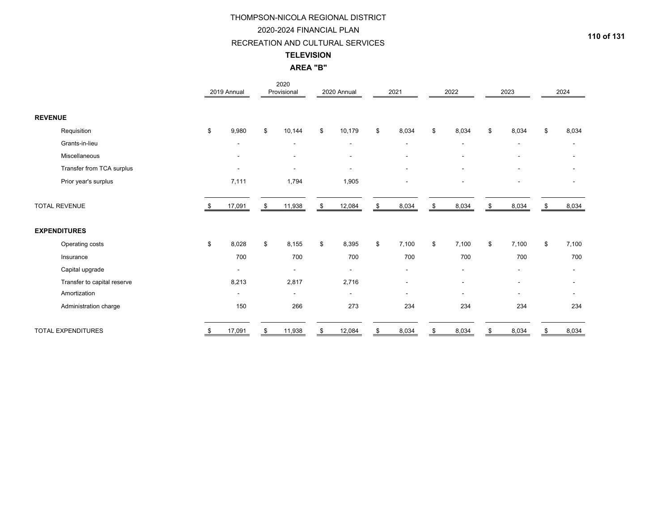#### 2020-2024 FINANCIAL PLAN

#### RECREATION AND CULTURAL SERVICES

#### **TELEVISION**

### **AREA "B"**

|                             |    | 2019 Annual              | 2020<br>Provisional      | 2020 Annual              | 2021                     |    | 2022                     |    | 2023                         |    | 2024  |
|-----------------------------|----|--------------------------|--------------------------|--------------------------|--------------------------|----|--------------------------|----|------------------------------|----|-------|
| <b>REVENUE</b>              |    |                          |                          |                          |                          |    |                          |    |                              |    |       |
| Requisition                 | \$ | 9,980                    | \$<br>10,144             | \$<br>10,179             | \$<br>8,034              | \$ | 8,034                    | \$ | 8,034                        | \$ | 8,034 |
| Grants-in-lieu              |    | $\blacksquare$           | $\blacksquare$           | $\overline{\phantom{a}}$ | $\overline{\phantom{a}}$ |    | $\overline{\phantom{a}}$ |    | $\blacksquare$               |    |       |
| Miscellaneous               |    |                          |                          | $\blacksquare$           | $\blacksquare$           |    |                          |    | $\blacksquare$               |    |       |
| Transfer from TCA surplus   |    | $\blacksquare$           | $\overline{\phantom{a}}$ | $\overline{\phantom{a}}$ | $\blacksquare$           |    |                          |    | ٠                            |    |       |
| Prior year's surplus        |    | 7,111                    | 1,794                    | 1,905                    |                          |    |                          |    | $\overline{\phantom{a}}$     |    |       |
| <b>TOTAL REVENUE</b>        |    | 17,091                   | \$<br>11,938             | \$<br>12,084             | \$<br>8,034              | \$ | 8,034                    | \$ | 8,034                        | \$ | 8,034 |
| <b>EXPENDITURES</b>         |    |                          |                          |                          |                          |    |                          |    |                              |    |       |
| Operating costs             | \$ | 8,028                    | \$<br>8,155              | \$<br>8,395              | \$<br>7,100              | \$ | 7,100                    | \$ | 7,100                        | \$ | 7,100 |
| Insurance                   |    | 700                      | 700                      | 700                      | 700                      |    | 700                      |    | 700                          |    | 700   |
| Capital upgrade             |    |                          |                          | $\overline{\phantom{a}}$ | $\overline{\phantom{a}}$ |    | $\blacksquare$           |    | $\qquad \qquad \blacksquare$ |    |       |
| Transfer to capital reserve |    | 8,213                    | 2,817                    | 2,716                    | $\overline{a}$           |    |                          |    | $\overline{a}$               |    |       |
| Amortization                |    | $\overline{\phantom{a}}$ | $\overline{\phantom{a}}$ | $\overline{\phantom{0}}$ | $\blacksquare$           |    | $\overline{\phantom{a}}$ |    | ۰                            |    |       |
| Administration charge       |    | 150                      | 266                      | 273                      | 234                      |    | 234                      |    | 234                          |    | 234   |
| <b>TOTAL EXPENDITURES</b>   | S. | 17,091                   | \$<br>11,938             | \$<br>12,084             | \$<br>8,034              | S  | 8,034                    | S  | 8,034                        | S  | 8,034 |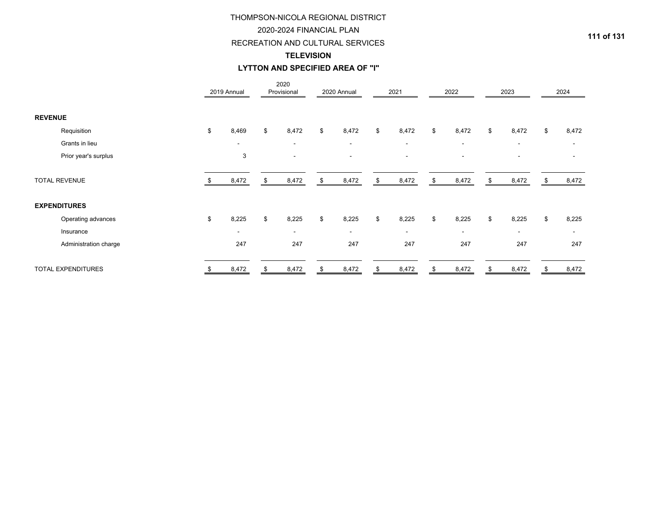### 2020-2024 FINANCIAL PLAN

### RECREATION AND CULTURAL SERVICES

#### **TELEVISION**

### **LYTTON AND SPECIFIED AREA OF "I"**

|                           | 2019 Annual              | 2020<br>Provisional      | 2020 Annual | 2021                     | 2022                     | 2023           | 2024                     |
|---------------------------|--------------------------|--------------------------|-------------|--------------------------|--------------------------|----------------|--------------------------|
| <b>REVENUE</b>            |                          |                          |             |                          |                          |                |                          |
| Requisition               | \$<br>8,469              | \$<br>8,472              | \$<br>8,472 | \$<br>8,472              | \$<br>8,472              | \$<br>8,472    | \$<br>8,472              |
| Grants in lieu            | $\overline{\phantom{a}}$ | $\overline{\phantom{a}}$ | $\sim$      | $\blacksquare$           | $\overline{\phantom{a}}$ | $\blacksquare$ | $\overline{\phantom{a}}$ |
| Prior year's surplus      | 3                        |                          |             | $\overline{\phantom{a}}$ | ۰                        | $\sim$         |                          |
| <b>TOTAL REVENUE</b>      | 8,472                    | 8,472                    | 8,472       | \$<br>8,472              | \$<br>8,472              | 8,472          | 8,472                    |
| <b>EXPENDITURES</b>       |                          |                          |             |                          |                          |                |                          |
| Operating advances        | \$<br>8,225              | \$<br>8,225              | \$<br>8,225 | \$<br>8,225              | \$<br>8,225              | \$<br>8,225    | \$<br>8,225              |
| Insurance                 | $\overline{\phantom{a}}$ | $\sim$                   | $\sim$      | $\overline{\phantom{a}}$ | $\overline{\phantom{a}}$ | $\sim$         | $\overline{\phantom{a}}$ |
| Administration charge     | 247                      | 247                      | 247         | 247                      | 247                      | 247            | 247                      |
| <b>TOTAL EXPENDITURES</b> | \$<br>8,472              | \$<br>8,472              | \$<br>8,472 | \$<br>8,472              | \$<br>8,472              | \$<br>8,472    | \$<br>8,472              |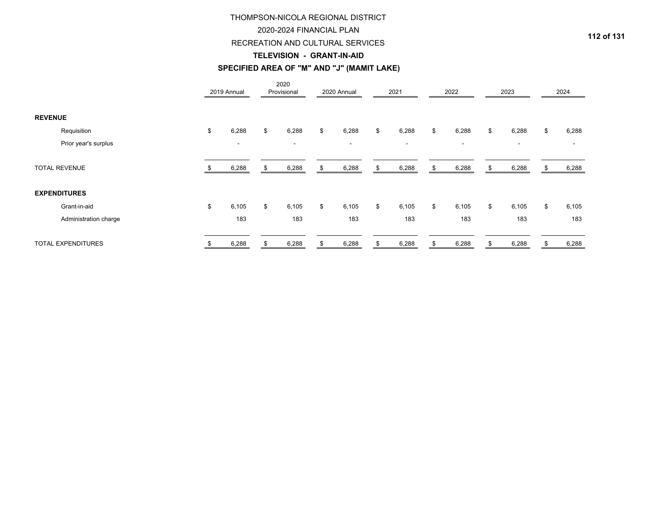### 2020-2024 FINANCIAL PLAN

#### RECREATION AND CULTURAL SERVICES

#### **TELEVISION - GRANT-IN-AID**

# **SPECIFIED AREA OF "M" AND "J" (MAMIT LAKE)**

|                       |    | 2019 Annual              | 2020<br>Provisional      |    | 2020 Annual    |     | 2021                     | 2022                     |    | 2023                     | 2024        |
|-----------------------|----|--------------------------|--------------------------|----|----------------|-----|--------------------------|--------------------------|----|--------------------------|-------------|
| <b>REVENUE</b>        |    |                          |                          |    |                |     |                          |                          |    |                          |             |
| Requisition           | \$ | 6,288                    | \$<br>6,288              | \$ | 6,288          | \$  | 6,288                    | \$<br>6,288              | \$ | 6,288                    | \$<br>6,288 |
| Prior year's surplus  |    | $\overline{\phantom{0}}$ | $\overline{\phantom{a}}$ |    | $\blacksquare$ |     | $\overline{\phantom{a}}$ | $\overline{\phantom{a}}$ |    | $\overline{\phantom{a}}$ |             |
| <b>TOTAL REVENUE</b>  |    | 6,288                    | \$<br>6,288              | S  | 6,288          | -S. | 6,288                    | \$<br>6,288              | S  | 6,288                    | 6,288       |
| <b>EXPENDITURES</b>   |    |                          |                          |    |                |     |                          |                          |    |                          |             |
| Grant-in-aid          | \$ | 6,105                    | \$<br>6,105              | \$ | 6,105          | \$  | 6,105                    | \$<br>6,105              | \$ | 6,105                    | \$<br>6,105 |
| Administration charge |    | 183                      | 183                      |    | 183            |     | 183                      | 183                      |    | 183                      | 183         |
| TOTAL EXPENDITURES    | S  | 6,288                    | \$<br>6,288              | \$ | 6,288          | \$  | 6,288                    | \$<br>6,288              | \$ | 6,288                    | \$<br>6,288 |

**112 of 131**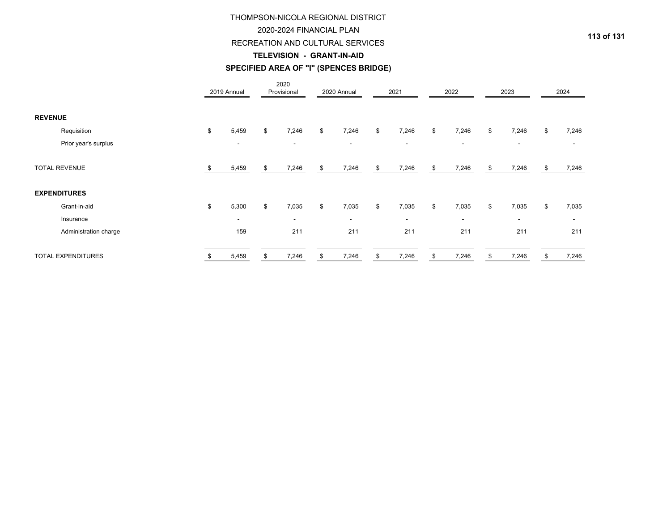### 2020-2024 FINANCIAL PLAN

#### RECREATION AND CULTURAL SERVICES

#### **TELEVISION - GRANT-IN-AID**

# **SPECIFIED AREA OF "I" (SPENCES BRIDGE)**

|                           |    | 2019 Annual              |    | 2020<br>Provisional      |    | 2020 Annual | 2021                     | 2022                     |    | 2023                     | 2024        |
|---------------------------|----|--------------------------|----|--------------------------|----|-------------|--------------------------|--------------------------|----|--------------------------|-------------|
| <b>REVENUE</b>            |    |                          |    |                          |    |             |                          |                          |    |                          |             |
| Requisition               | \$ | 5,459                    | \$ | 7,246                    | \$ | 7,246       | \$<br>7,246              | \$<br>7,246              | \$ | 7,246                    | \$<br>7,246 |
| Prior year's surplus      |    | $\overline{\phantom{0}}$ |    | $\overline{\phantom{a}}$ |    | ۰           | $\overline{\phantom{a}}$ | $\overline{\phantom{a}}$ |    | $\overline{\phantom{a}}$ |             |
| <b>TOTAL REVENUE</b>      |    | 5,459                    | S  | 7,246                    | S  | 7,246       | \$<br>7,246              | \$<br>7,246              | S. | 7,246                    | 7,246       |
| <b>EXPENDITURES</b>       |    |                          |    |                          |    |             |                          |                          |    |                          |             |
| Grant-in-aid              | \$ | 5,300                    | \$ | 7,035                    | \$ | 7,035       | \$<br>7,035              | \$<br>7,035              | \$ | 7,035                    | \$<br>7,035 |
| Insurance                 |    | $\overline{\phantom{a}}$ |    | $\overline{\phantom{a}}$ |    | $\sim$      | $\overline{\phantom{a}}$ | $\overline{\phantom{a}}$ |    | $\overline{\phantom{a}}$ | -           |
| Administration charge     |    | 159                      |    | 211                      |    | 211         | 211                      | 211                      |    | 211                      | 211         |
| <b>TOTAL EXPENDITURES</b> | S  | 5,459                    | \$ | 7,246                    | \$ | 7,246       | \$<br>7,246              | \$<br>7,246              | \$ | 7,246                    | \$<br>7,246 |

**113 of 131**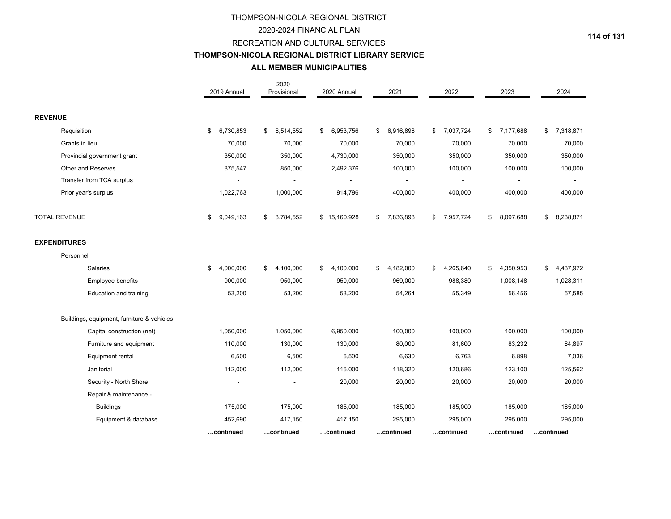### 2020-2024 FINANCIAL PLAN

#### RECREATION AND CULTURAL SERVICES

#### **THOMPSON-NICOLA REGIONAL DISTRICT LIBRARY SERVICE**

# **ALL MEMBER MUNICIPALITIES**

|                                            | 2019 Annual     | 2020<br>Provisional | 2020 Annual     | 2021                                 | 2022                       | 2023            | 2024            |
|--------------------------------------------|-----------------|---------------------|-----------------|--------------------------------------|----------------------------|-----------------|-----------------|
| <b>REVENUE</b>                             |                 |                     |                 |                                      |                            |                 |                 |
| Requisition                                | 6,730,853<br>\$ | \$<br>6,514,552     | \$<br>6,953,756 | \$<br>6,916,898                      | 7,037,724<br>$\frac{1}{2}$ | 7,177,688<br>\$ | 7,318,871<br>\$ |
| Grants in lieu                             | 70,000          | 70,000              | 70,000          | 70,000                               | 70,000                     | 70,000          | 70,000          |
| Provincial government grant                | 350,000         | 350,000             | 4,730,000       | 350,000                              | 350,000                    | 350,000         | 350,000         |
| Other and Reserves                         | 875,547         | 850,000             | 2,492,376       | 100,000                              | 100,000                    | 100,000         | 100,000         |
| Transfer from TCA surplus                  |                 |                     |                 |                                      |                            |                 |                 |
| Prior year's surplus                       | 1,022,763       | 1,000,000           | 914,796         | 400,000                              | 400,000                    | 400,000         | 400,000         |
| <b>TOTAL REVENUE</b>                       | 9,049,163<br>\$ | \$<br>8,784,552     | \$15,160,928    | $\sqrt[6]{\frac{1}{2}}$<br>7,836,898 | \$<br>7,957,724            | \$<br>8,097,688 | \$<br>8,238,871 |
| <b>EXPENDITURES</b>                        |                 |                     |                 |                                      |                            |                 |                 |
| Personnel                                  |                 |                     |                 |                                      |                            |                 |                 |
| Salaries                                   | 4,000,000<br>\$ | 4,100,000<br>\$     | 4,100,000<br>\$ | 4,182,000<br>\$                      | 4,265,640<br>\$            | 4,350,953<br>\$ | 4,437,972<br>\$ |
| Employee benefits                          | 900,000         | 950,000             | 950,000         | 969,000                              | 988,380                    | 1,008,148       | 1,028,311       |
| <b>Education and training</b>              | 53,200          | 53,200              | 53,200          | 54,264                               | 55,349                     | 56,456          | 57,585          |
| Buildings, equipment, furniture & vehicles |                 |                     |                 |                                      |                            |                 |                 |
| Capital construction (net)                 | 1,050,000       | 1,050,000           | 6,950,000       | 100,000                              | 100,000                    | 100,000         | 100,000         |
| Furniture and equipment                    | 110,000         | 130,000             | 130,000         | 80,000                               | 81,600                     | 83,232          | 84,897          |
| Equipment rental                           | 6,500           | 6,500               | 6,500           | 6,630                                | 6,763                      | 6,898           | 7,036           |
| Janitorial                                 | 112,000         | 112,000             | 116,000         | 118,320                              | 120,686                    | 123,100         | 125,562         |
| Security - North Shore                     |                 |                     | 20,000          | 20,000                               | 20,000                     | 20,000          | 20,000          |
| Repair & maintenance -                     |                 |                     |                 |                                      |                            |                 |                 |
| <b>Buildings</b>                           | 175,000         | 175,000             | 185,000         | 185,000                              | 185,000                    | 185,000         | 185,000         |
| Equipment & database                       | 452,690         | 417,150             | 417,150         | 295,000                              | 295,000                    | 295,000         | 295,000         |
|                                            | continued       | …continued          | continued       | …continued                           | …continued                 | continued       | .continued      |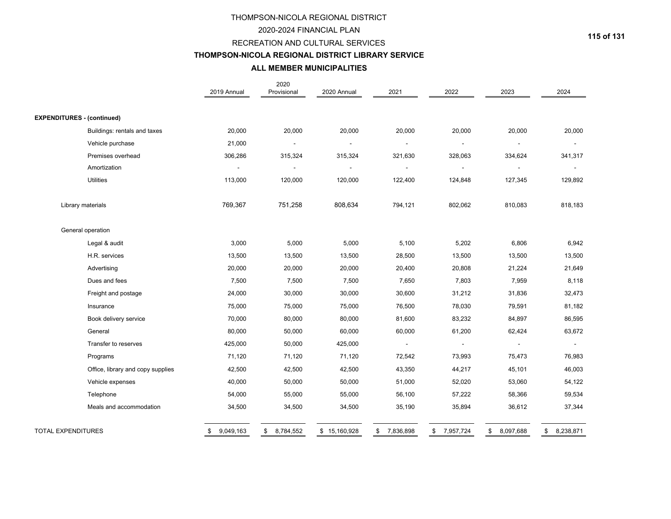#### 2020-2024 FINANCIAL PLAN

#### RECREATION AND CULTURAL SERVICES

# **THOMPSON-NICOLA REGIONAL DISTRICT LIBRARY SERVICE**

# **ALL MEMBER MUNICIPALITIES**

|                                   | 2019 Annual     | 2020<br>Provisional | 2020 Annual    | 2021            | 2022                     | 2023                     | 2024            |
|-----------------------------------|-----------------|---------------------|----------------|-----------------|--------------------------|--------------------------|-----------------|
|                                   |                 |                     |                |                 |                          |                          |                 |
| <b>EXPENDITURES - (continued)</b> |                 |                     |                |                 |                          |                          |                 |
| Buildings: rentals and taxes      | 20,000          | 20,000              | 20,000         | 20,000          | 20,000                   | 20,000                   | 20,000          |
| Vehicle purchase                  | 21,000          |                     | $\blacksquare$ | $\blacksquare$  |                          |                          |                 |
| Premises overhead                 | 306,286         | 315,324             | 315,324        | 321,630         | 328,063                  | 334,624                  | 341,317         |
| Amortization                      | $\blacksquare$  |                     | $\blacksquare$ | $\blacksquare$  | $\blacksquare$           | $\overline{\phantom{a}}$ | $\blacksquare$  |
| <b>Utilities</b>                  | 113,000         | 120,000             | 120,000        | 122,400         | 124,848                  | 127,345                  | 129,892         |
| Library materials                 | 769,367         | 751,258             | 808,634        | 794,121         | 802,062                  | 810,083                  | 818,183         |
| General operation                 |                 |                     |                |                 |                          |                          |                 |
| Legal & audit                     | 3,000           | 5,000               | 5,000          | 5,100           | 5,202                    | 6,806                    | 6,942           |
| H.R. services                     | 13,500          | 13,500              | 13,500         | 28,500          | 13,500                   | 13,500                   | 13,500          |
| Advertising                       | 20,000          | 20,000              | 20,000         | 20,400          | 20,808                   | 21,224                   | 21,649          |
| Dues and fees                     | 7,500           | 7,500               | 7,500          | 7,650           | 7,803                    | 7,959                    | 8,118           |
| Freight and postage               | 24,000          | 30,000              | 30,000         | 30,600          | 31,212                   | 31,836                   | 32,473          |
| Insurance                         | 75,000          | 75,000              | 75,000         | 76,500          | 78,030                   | 79,591                   | 81,182          |
| Book delivery service             | 70,000          | 80,000              | 80,000         | 81,600          | 83,232                   | 84,897                   | 86,595          |
| General                           | 80,000          | 50,000              | 60,000         | 60,000          | 61,200                   | 62,424                   | 63,672          |
| Transfer to reserves              | 425,000         | 50,000              | 425,000        | $\blacksquare$  | $\overline{\phantom{a}}$ | $\overline{\phantom{a}}$ | $\blacksquare$  |
| Programs                          | 71,120          | 71,120              | 71,120         | 72,542          | 73,993                   | 75,473                   | 76,983          |
| Office, library and copy supplies | 42,500          | 42,500              | 42,500         | 43,350          | 44,217                   | 45,101                   | 46,003          |
| Vehicle expenses                  | 40,000          | 50,000              | 50,000         | 51,000          | 52,020                   | 53,060                   | 54,122          |
| Telephone                         | 54,000          | 55,000              | 55,000         | 56,100          | 57,222                   | 58,366                   | 59,534          |
| Meals and accommodation           | 34,500          | 34,500              | 34,500         | 35,190          | 35,894                   | 36,612                   | 37,344          |
| <b>TOTAL EXPENDITURES</b>         | 9,049,163<br>\$ | 8,784,552<br>\$     | \$15,160,928   | 7,836,898<br>\$ | 7,957,724<br>\$          | 8,097,688<br>\$          | 8,238,871<br>\$ |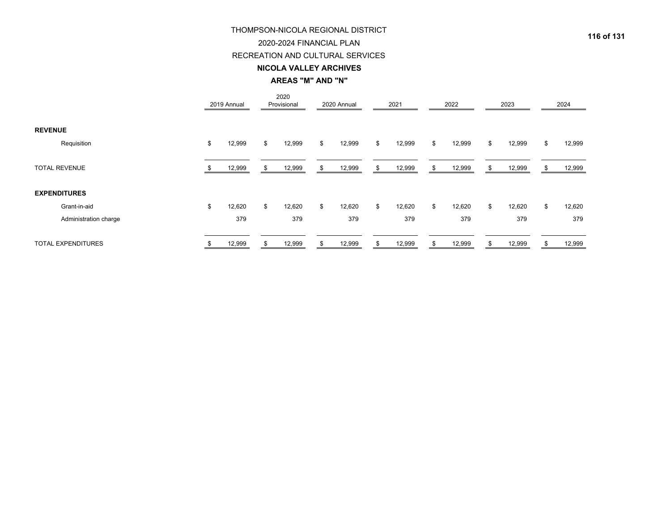# 2020-2024 FINANCIAL PLAN

### RECREATION AND CULTURAL SERVICES

#### **NICOLA VALLEY ARCHIVES**

**AREAS "M" AND "N"**

|                           | 2019 Annual  |     | 2020<br>Provisional |    | 2020 Annual | 2021         |     | 2022   |    | 2023   | 2024         |
|---------------------------|--------------|-----|---------------------|----|-------------|--------------|-----|--------|----|--------|--------------|
| <b>REVENUE</b>            |              |     |                     |    |             |              |     |        |    |        |              |
| Requisition               | \$<br>12,999 | \$  | 12,999              | \$ | 12,999      | \$<br>12,999 | \$  | 12,999 | \$ | 12,999 | \$<br>12,999 |
| <b>TOTAL REVENUE</b>      | 12,999       | \$. | 12,999              | S. | 12,999      | \$<br>12,999 | -SS | 12,999 | S. | 12,999 | 12,999       |
| <b>EXPENDITURES</b>       |              |     |                     |    |             |              |     |        |    |        |              |
| Grant-in-aid              | \$<br>12,620 | \$  | 12,620              | \$ | 12,620      | \$<br>12,620 | \$  | 12,620 | \$ | 12,620 | \$<br>12,620 |
| Administration charge     | 379          |     | 379                 |    | 379         | 379          |     | 379    |    | 379    | 379          |
| <b>TOTAL EXPENDITURES</b> | 12,999       |     | 12,999              |    | 12,999      | \$<br>12,999 |     | 12,999 |    | 12,999 | 12,999       |

**116 of 131**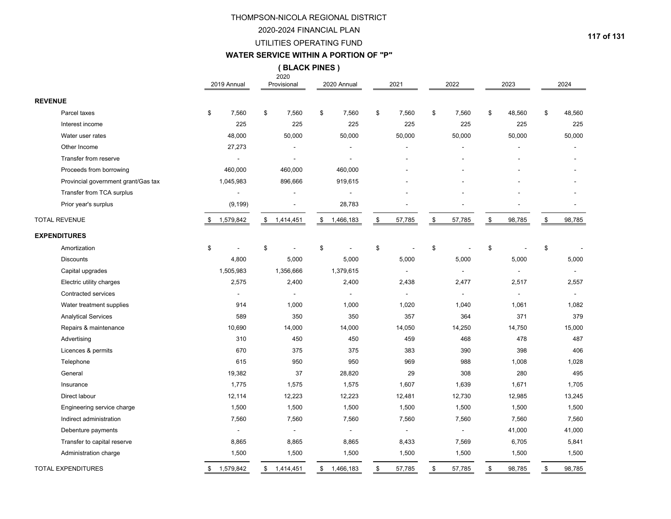#### 2020-2024 FINANCIAL PLAN

#### UTILITIES OPERATING FUND

#### **WATER SERVICE WITHIN A PORTION OF "P"**

**( BLACK PINES )**

|                                     | 2019 Annual     | 2020<br>Provisional | 2020 Annual              |                         | 2021           |               | 2022   | 2023         | 2024         |
|-------------------------------------|-----------------|---------------------|--------------------------|-------------------------|----------------|---------------|--------|--------------|--------------|
| <b>REVENUE</b>                      |                 |                     |                          |                         |                |               |        |              |              |
| Parcel taxes                        | \$<br>7,560     | \$<br>7,560         | \$<br>7,560              | \$                      | 7,560          | \$            | 7,560  | \$<br>48,560 | \$<br>48,560 |
| Interest income                     | 225             | 225                 | 225                      |                         | 225            |               | 225    | 225          | 225          |
| Water user rates                    | 48,000          | 50,000              | 50,000                   |                         | 50,000         |               | 50,000 | 50,000       | 50,000       |
| Other Income                        | 27,273          |                     |                          |                         |                |               |        |              |              |
| Transfer from reserve               | $\blacksquare$  |                     | $\overline{\phantom{a}}$ |                         |                |               |        |              |              |
| Proceeds from borrowing             | 460,000         | 460,000             | 460,000                  |                         |                |               |        |              |              |
| Provincial government grant/Gas tax | 1,045,983       | 896,666             | 919,615                  |                         |                |               |        |              |              |
| Transfer from TCA surplus           |                 |                     |                          |                         |                |               |        |              |              |
| Prior year's surplus                | (9, 199)        |                     | 28,783                   |                         |                |               |        |              |              |
| <b>TOTAL REVENUE</b>                | \$ 1,579,842    | \$ 1,414,451        | \$ 1,466,183             | $\sqrt[6]{\frac{1}{2}}$ | 57,785         | \$            | 57,785 | \$<br>98,785 | \$<br>98,785 |
| <b>EXPENDITURES</b>                 |                 |                     |                          |                         |                |               |        |              |              |
| Amortization                        | \$              | \$                  | \$                       | \$                      |                | \$            |        | \$           | \$           |
| <b>Discounts</b>                    | 4,800           | 5,000               | 5,000                    |                         | 5,000          |               | 5,000  | 5,000        | 5,000        |
| Capital upgrades                    | 1,505,983       | 1,356,666           | 1,379,615                |                         | $\mathbf{r}$   |               |        | ÷,           |              |
| Electric utility charges            | 2,575           | 2,400               | 2,400                    |                         | 2,438          |               | 2,477  | 2,517        | 2,557        |
| <b>Contracted services</b>          |                 |                     |                          |                         |                |               |        |              |              |
| Water treatment supplies            | 914             | 1,000               | 1,000                    |                         | 1,020          |               | 1,040  | 1,061        | 1,082        |
| <b>Analytical Services</b>          | 589             | 350                 | 350                      |                         | 357            |               | 364    | 371          | 379          |
| Repairs & maintenance               | 10,690          | 14,000              | 14,000                   |                         | 14,050         |               | 14,250 | 14,750       | 15,000       |
| Advertising                         | 310             | 450                 | 450                      |                         | 459            |               | 468    | 478          | 487          |
| Licences & permits                  | 670             | 375                 | 375                      |                         | 383            |               | 390    | 398          | 406          |
| Telephone                           | 615             | 950                 | 950                      |                         | 969            |               | 988    | 1,008        | 1,028        |
| General                             | 19,382          | 37                  | 28,820                   |                         | 29             |               | 308    | 280          | 495          |
| Insurance                           | 1,775           | 1,575               | 1,575                    |                         | 1,607          |               | 1,639  | 1,671        | 1,705        |
| Direct labour                       | 12,114          | 12,223              | 12,223                   |                         | 12,481         |               | 12,730 | 12,985       | 13,245       |
| Engineering service charge          | 1,500           | 1,500               | 1,500                    |                         | 1,500          |               | 1,500  | 1,500        | 1,500        |
| Indirect administration             | 7,560           | 7,560               | 7,560                    |                         | 7,560          |               | 7,560  | 7,560        | 7,560        |
| Debenture payments                  | $\blacksquare$  | $\blacksquare$      | $\blacksquare$           |                         | $\blacksquare$ |               |        | 41,000       | 41,000       |
| Transfer to capital reserve         | 8,865           | 8,865               | 8,865                    |                         | 8,433          |               | 7,569  | 6,705        | 5,841        |
| Administration charge               | 1,500           | 1,500               | 1,500                    |                         | 1,500          |               | 1,500  | 1,500        | 1,500        |
| <b>TOTAL EXPENDITURES</b>           | \$<br>1,579,842 | \$1,414,451         | \$1,466,183              | \$                      | 57,785         | $\mathfrak s$ | 57,785 | \$<br>98,785 | \$<br>98,785 |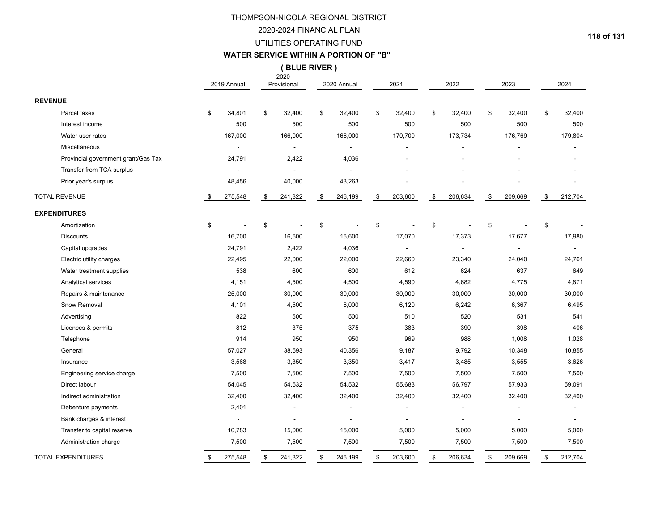#### 2020-2024 FINANCIAL PLAN

### UTILITIES OPERATING FUND

#### **WATER SERVICE WITHIN A PORTION OF "B"**

**( BLUE RIVER )**

|                |                                     | 2019 Annual              | 2020<br>Provisional | 2020 Annual              | 2021          | 2022          | 2023          | 2024                     |
|----------------|-------------------------------------|--------------------------|---------------------|--------------------------|---------------|---------------|---------------|--------------------------|
| <b>REVENUE</b> |                                     |                          |                     |                          |               |               |               |                          |
|                | Parcel taxes                        | \$<br>34,801             | \$<br>32,400        | \$<br>32,400             | \$<br>32,400  | \$<br>32,400  | \$<br>32,400  | \$<br>32,400             |
|                | Interest income                     | 500                      | 500                 | 500                      | 500           | 500           | 500           | 500                      |
|                | Water user rates                    | 167,000                  | 166,000             | 166,000                  | 170,700       | 173,734       | 176,769       | 179,804                  |
|                | Miscellaneous                       | $\overline{\phantom{a}}$ | $\overline{a}$      | $\blacksquare$           |               |               |               |                          |
|                | Provincial government grant/Gas Tax | 24,791                   | 2,422               | 4,036                    |               |               |               |                          |
|                | Transfer from TCA surplus           |                          |                     |                          |               |               |               |                          |
|                | Prior year's surplus                | 48,456                   | 40,000              | 43,263                   |               |               |               |                          |
|                | <b>TOTAL REVENUE</b>                | 275,548                  | \$<br>241,322       | \$<br>246,199            | \$<br>203,600 | \$<br>206,634 | \$<br>209,669 | \$<br>212,704            |
|                | <b>EXPENDITURES</b>                 |                          |                     |                          |               |               |               |                          |
|                | Amortization                        | \$                       | \$                  | \$                       | \$            | \$            | \$            | \$                       |
|                | <b>Discounts</b>                    | 16,700                   | 16,600              | 16,600                   | 17,070        | 17,373        | 17,677        | 17,980                   |
|                | Capital upgrades                    | 24,791                   | 2,422               | 4,036                    |               |               |               |                          |
|                | Electric utility charges            | 22,495                   | 22,000              | 22,000                   | 22,660        | 23,340        | 24,040        | 24,761                   |
|                | Water treatment supplies            | 538                      | 600                 | 600                      | 612           | 624           | 637           | 649                      |
|                | Analytical services                 | 4,151                    | 4,500               | 4,500                    | 4,590         | 4,682         | 4,775         | 4,871                    |
|                | Repairs & maintenance               | 25,000                   | 30,000              | 30,000                   | 30,000        | 30,000        | 30,000        | 30,000                   |
|                | Snow Removal                        | 4,101                    | 4,500               | 6,000                    | 6,120         | 6,242         | 6,367         | 6,495                    |
|                | Advertising                         | 822                      | 500                 | 500                      | 510           | 520           | 531           | 541                      |
|                | Licences & permits                  | 812                      | 375                 | 375                      | 383           | 390           | 398           | 406                      |
|                | Telephone                           | 914                      | 950                 | 950                      | 969           | 988           | 1,008         | 1,028                    |
|                | General                             | 57,027                   | 38,593              | 40,356                   | 9,187         | 9,792         | 10,348        | 10,855                   |
|                | Insurance                           | 3,568                    | 3,350               | 3,350                    | 3,417         | 3,485         | 3,555         | 3,626                    |
|                | Engineering service charge          | 7,500                    | 7,500               | 7,500                    | 7,500         | 7,500         | 7,500         | 7,500                    |
|                | Direct labour                       | 54,045                   | 54,532              | 54,532                   | 55,683        | 56,797        | 57,933        | 59,091                   |
|                | Indirect administration             | 32,400                   | 32,400              | 32,400                   | 32,400        | 32,400        | 32,400        | 32,400                   |
|                | Debenture payments                  | 2,401                    | $\overline{a}$      | $\overline{\phantom{a}}$ |               |               |               | $\overline{\phantom{a}}$ |
|                | Bank charges & interest             |                          |                     |                          |               |               |               |                          |
|                | Transfer to capital reserve         | 10,783                   | 15,000              | 15,000                   | 5,000         | 5,000         | 5,000         | 5,000                    |
|                | Administration charge               | 7,500                    | 7,500               | 7,500                    | 7,500         | 7,500         | 7,500         | 7,500                    |
|                | <b>TOTAL EXPENDITURES</b>           | \$<br>275,548            | \$<br>241,322       | \$<br>246,199            | \$<br>203,600 | \$<br>206,634 | \$<br>209,669 | \$<br>212,704            |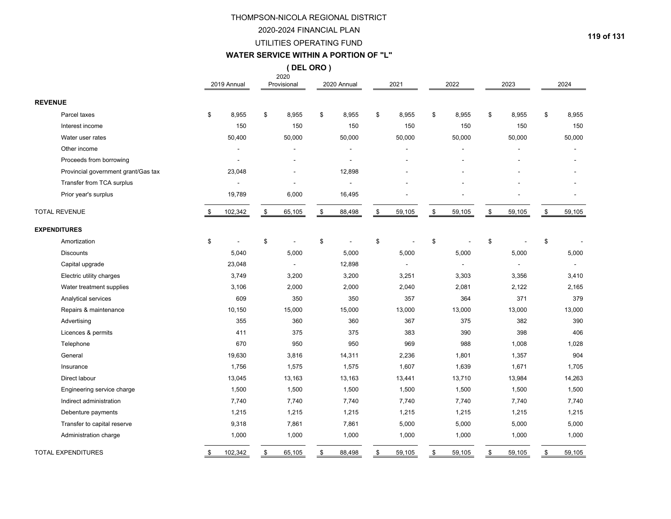#### 2020-2024 FINANCIAL PLAN

#### UTILITIES OPERATING FUND

# **WATER SERVICE WITHIN A PORTION OF "L"**

**( DEL ORO )**

|                                     | 2019 Annual    | 2020<br>Provisional | 2020 Annual    | 2021         | 2022         | 2023         | 2024         |
|-------------------------------------|----------------|---------------------|----------------|--------------|--------------|--------------|--------------|
| <b>REVENUE</b>                      |                |                     |                |              |              |              |              |
| Parcel taxes                        | \$<br>8,955    | \$<br>8,955         | \$<br>8,955    | \$<br>8,955  | \$<br>8,955  | \$<br>8,955  | \$<br>8,955  |
| Interest income                     | 150            | 150                 | 150            | 150          | 150          | 150          | 150          |
| Water user rates                    | 50,400         | 50,000              | 50,000         | 50,000       | 50,000       | 50,000       | 50,000       |
| Other income                        |                | L,                  |                |              |              | ä,           |              |
| Proceeds from borrowing             | $\blacksquare$ | ٠                   | $\blacksquare$ |              |              |              |              |
| Provincial government grant/Gas tax | 23,048         |                     | 12,898         |              |              |              |              |
| Transfer from TCA surplus           |                |                     |                |              |              |              |              |
| Prior year's surplus                | 19,789         | 6,000               | 16,495         |              |              |              |              |
| <b>TOTAL REVENUE</b>                | \$<br>102,342  | \$<br>65,105        | \$<br>88,498   | \$<br>59,105 | \$<br>59,105 | \$<br>59,105 | \$<br>59,105 |
| <b>EXPENDITURES</b>                 |                |                     |                |              |              |              |              |
| Amortization                        | \$             | \$                  | \$             | \$           | \$           | \$           | \$           |
| <b>Discounts</b>                    | 5,040          | 5,000               | 5,000          | 5,000        | 5,000        | 5,000        | 5,000        |
| Capital upgrade                     | 23,048         |                     | 12,898         |              |              |              |              |
| Electric utility charges            | 3,749          | 3,200               | 3,200          | 3,251        | 3,303        | 3,356        | 3,410        |
| Water treatment supplies            | 3,106          | 2,000               | 2,000          | 2,040        | 2,081        | 2,122        | 2,165        |
| Analytical services                 | 609            | 350                 | 350            | 357          | 364          | 371          | 379          |
| Repairs & maintenance               | 10,150         | 15,000              | 15,000         | 13,000       | 13,000       | 13,000       | 13,000       |
| Advertising                         | 355            | 360                 | 360            | 367          | 375          | 382          | 390          |
| Licences & permits                  | 411            | 375                 | 375            | 383          | 390          | 398          | 406          |
| Telephone                           | 670            | 950                 | 950            | 969          | 988          | 1,008        | 1,028        |
| General                             | 19,630         | 3,816               | 14,311         | 2,236        | 1,801        | 1,357        | 904          |
| Insurance                           | 1,756          | 1,575               | 1,575          | 1,607        | 1,639        | 1,671        | 1,705        |
| Direct labour                       | 13,045         | 13,163              | 13,163         | 13,441       | 13,710       | 13,984       | 14,263       |
| Engineering service charge          | 1,500          | 1,500               | 1,500          | 1,500        | 1,500        | 1,500        | 1,500        |
| Indirect administration             | 7,740          | 7,740               | 7,740          | 7,740        | 7,740        | 7,740        | 7,740        |
| Debenture payments                  | 1,215          | 1,215               | 1,215          | 1,215        | 1,215        | 1,215        | 1,215        |
| Transfer to capital reserve         | 9,318          | 7,861               | 7,861          | 5,000        | 5,000        | 5,000        | 5,000        |
| Administration charge               | 1,000          | 1,000               | 1,000          | 1,000        | 1,000        | 1,000        | 1,000        |
| <b>TOTAL EXPENDITURES</b>           | \$<br>102,342  | \$<br>65,105        | \$<br>88,498   | \$<br>59,105 | \$<br>59,105 | \$<br>59,105 | \$<br>59,105 |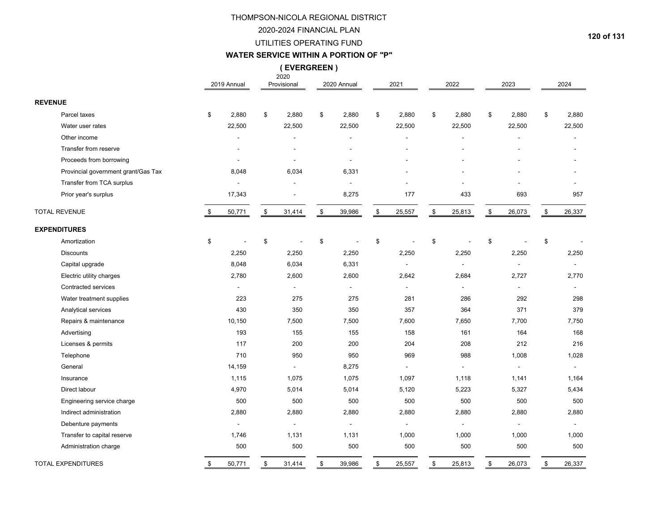#### 2020-2024 FINANCIAL PLAN

#### UTILITIES OPERATING FUND

#### **WATER SERVICE WITHIN A PORTION OF "P"**

**( EVERGREEN )**

|                                     | 2019 Annual    | 2020<br>Provisional | 2020 Annual              |                | 2021           | 2022                     |                | 2023           | 2024                     |
|-------------------------------------|----------------|---------------------|--------------------------|----------------|----------------|--------------------------|----------------|----------------|--------------------------|
| <b>REVENUE</b>                      |                |                     |                          |                |                |                          |                |                |                          |
| Parcel taxes                        | \$<br>2,880    | \$<br>2,880         | \$<br>2,880              | \$             | 2,880          | \$<br>2,880              | \$             | 2,880          | \$<br>2,880              |
| Water user rates                    | 22,500         | 22,500              | 22,500                   |                | 22,500         | 22,500                   |                | 22,500         | 22,500                   |
| Other income                        |                | $\overline{a}$      | $\overline{\phantom{a}}$ |                |                |                          |                |                |                          |
| Transfer from reserve               |                |                     | ÷                        |                |                |                          |                |                |                          |
| Proceeds from borrowing             |                |                     |                          |                |                |                          |                |                |                          |
| Provincial government grant/Gas Tax | 8,048          | 6,034               | 6,331                    |                |                |                          |                |                |                          |
| Transfer from TCA surplus           |                | $\blacksquare$      | $\overline{a}$           |                |                |                          |                |                |                          |
| Prior year's surplus                | 17,343         |                     | 8,275                    |                | 177            | 433                      |                | 693            | 957                      |
| <b>TOTAL REVENUE</b>                | \$<br>50,771   | \$<br>31,414        | \$<br>39,986             | $$\mathbb{S}$$ | 25,557         | \$<br>25,813             | $$\mathbb{S}$$ | 26,073         | \$<br>26,337             |
| <b>EXPENDITURES</b>                 |                |                     |                          |                |                |                          |                |                |                          |
| Amortization                        | \$             | \$                  | \$                       | \$             |                | \$                       | \$             |                | \$                       |
| <b>Discounts</b>                    | 2,250          | 2,250               | 2,250                    |                | 2,250          | 2,250                    |                | 2,250          | 2,250                    |
| Capital upgrade                     | 8,048          | 6,034               | 6,331                    |                | $\overline{a}$ | $\overline{\phantom{a}}$ |                | $\sim$         | $\overline{\phantom{a}}$ |
| Electric utility charges            | 2,780          | 2,600               | 2,600                    |                | 2,642          | 2,684                    |                | 2,727          | 2,770                    |
| Contracted services                 | $\blacksquare$ | $\sim$              | $\blacksquare$           |                | $\overline{a}$ |                          |                | $\sim$         | $\overline{\phantom{a}}$ |
| Water treatment supplies            | 223            | 275                 | 275                      |                | 281            | 286                      |                | 292            | 298                      |
| Analytical services                 | 430            | 350                 | 350                      |                | 357            | 364                      |                | 371            | 379                      |
| Repairs & maintenance               | 10,150         | 7,500               | 7,500                    |                | 7,600          | 7,650                    |                | 7,700          | 7,750                    |
| Advertising                         | 193            | 155                 | 155                      |                | 158            | 161                      |                | 164            | 168                      |
| Licenses & permits                  | 117            | 200                 | 200                      |                | 204            | 208                      |                | 212            | 216                      |
| Telephone                           | 710            | 950                 | 950                      |                | 969            | 988                      |                | 1,008          | 1,028                    |
| General                             | 14,159         | $\blacksquare$      | 8,275                    |                | $\blacksquare$ |                          |                | $\blacksquare$ | $\blacksquare$           |
| Insurance                           | 1,115          | 1,075               | 1,075                    |                | 1,097          | 1,118                    |                | 1,141          | 1,164                    |
| Direct labour                       | 4,970          | 5,014               | 5,014                    |                | 5,120          | 5,223                    |                | 5,327          | 5,434                    |
| Engineering service charge          | 500            | 500                 | 500                      |                | 500            | 500                      |                | 500            | 500                      |
| Indirect administration             | 2,880          | 2,880               | 2,880                    |                | 2,880          | 2,880                    |                | 2,880          | 2,880                    |
| Debenture payments                  |                | $\overline{a}$      | $\overline{a}$           |                |                |                          |                |                | $\overline{a}$           |
| Transfer to capital reserve         | 1,746          | 1,131               | 1,131                    |                | 1,000          | 1,000                    |                | 1,000          | 1,000                    |
| Administration charge               | 500            | 500                 | 500                      |                | 500            | 500                      |                | 500            | 500                      |
| <b>TOTAL EXPENDITURES</b>           | \$<br>50,771   | \$<br>31,414        | \$<br>39,986             | \$             | 25,557         | \$<br>25,813             | \$             | 26,073         | \$<br>26,337             |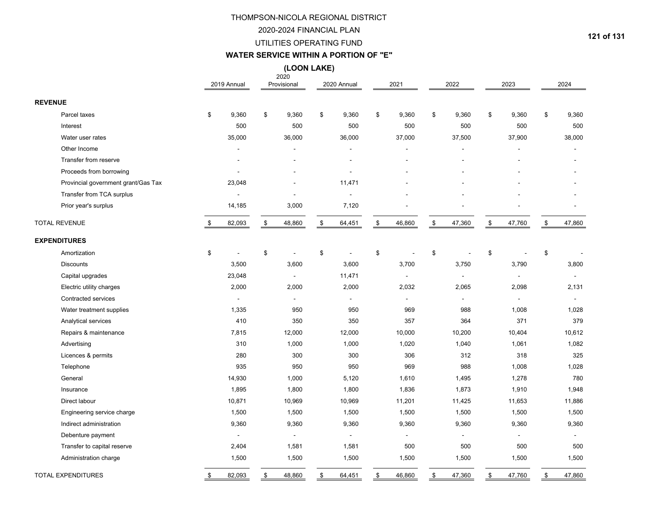### 2020-2024 FINANCIAL PLAN

#### UTILITIES OPERATING FUND

#### **WATER SERVICE WITHIN A PORTION OF "E"**

**(LOON LAKE)**

|                                     | 2019 Annual    | 2020<br>Provisional | 2020 Annual    | 2021           | 2022         | 2023                     | 2024         |
|-------------------------------------|----------------|---------------------|----------------|----------------|--------------|--------------------------|--------------|
| <b>REVENUE</b>                      |                |                     |                |                |              |                          |              |
| Parcel taxes                        | \$<br>9,360    | \$<br>9,360         | \$<br>9,360    | \$<br>9,360    | \$<br>9,360  | \$<br>9,360              | \$<br>9,360  |
| Interest                            | 500            | 500                 | 500            | 500            | 500          | 500                      | 500          |
| Water user rates                    | 35,000         | 36,000              | 36,000         | 37,000         | 37,500       | 37,900                   | 38,000       |
| Other Income                        |                |                     | $\blacksquare$ |                |              |                          |              |
| Transfer from reserve               |                |                     |                |                |              |                          |              |
| Proceeds from borrowing             |                |                     |                |                |              |                          |              |
| Provincial government grant/Gas Tax | 23,048         |                     | 11,471         |                |              |                          |              |
| Transfer from TCA surplus           |                |                     | ÷,             |                |              |                          |              |
| Prior year's surplus                | 14,185         | 3,000               | 7,120          |                |              |                          |              |
| <b>TOTAL REVENUE</b>                | \$<br>82,093   | \$<br>48,860        | \$<br>64,451   | \$<br>46,860   | \$<br>47,360 | \$<br>47,760             | \$<br>47,860 |
| <b>EXPENDITURES</b>                 |                |                     |                |                |              |                          |              |
| Amortization                        | \$             | \$                  | \$             | \$             | \$           | \$                       | \$           |
| Discounts                           | 3,500          | 3,600               | 3,600          | 3,700          | 3,750        | 3,790                    | 3,800        |
| Capital upgrades                    | 23,048         | $\blacksquare$      | 11,471         | $\overline{a}$ |              | $\overline{\phantom{a}}$ |              |
| Electric utility charges            | 2,000          | 2,000               | 2,000          | 2,032          | 2,065        | 2,098                    | 2,131        |
| Contracted services                 | $\sim$         | $\blacksquare$      | $\blacksquare$ | $\sim$         | $\sim$       | $\overline{a}$           | $\sim$       |
| Water treatment supplies            | 1,335          | 950                 | 950            | 969            | 988          | 1,008                    | 1,028        |
| Analytical services                 | 410            | 350                 | 350            | 357            | 364          | 371                      | 379          |
| Repairs & maintenance               | 7,815          | 12,000              | 12,000         | 10,000         | 10,200       | 10,404                   | 10,612       |
| Advertising                         | 310            | 1,000               | 1,000          | 1,020          | 1,040        | 1,061                    | 1,082        |
| Licences & permits                  | 280            | 300                 | 300            | 306            | 312          | 318                      | 325          |
| Telephone                           | 935            | 950                 | 950            | 969            | 988          | 1,008                    | 1,028        |
| General                             | 14,930         | 1,000               | 5,120          | 1,610          | 1,495        | 1,278                    | 780          |
| Insurance                           | 1,895          | 1,800               | 1,800          | 1,836          | 1,873        | 1,910                    | 1,948        |
| Direct labour                       | 10,871         | 10,969              | 10,969         | 11,201         | 11,425       | 11,653                   | 11,886       |
| Engineering service charge          | 1,500          | 1,500               | 1,500          | 1,500          | 1,500        | 1,500                    | 1,500        |
| Indirect administration             | 9,360          | 9,360               | 9,360          | 9,360          | 9,360        | 9,360                    | 9,360        |
| Debenture payment                   | $\blacksquare$ | $\sim$              | $\blacksquare$ | L,             |              |                          | $\sim$       |
| Transfer to capital reserve         | 2,404          | 1,581               | 1,581          | 500            | 500          | 500                      | 500          |
| Administration charge               | 1,500          | 1,500               | 1,500          | 1,500          | 1,500        | 1,500                    | 1,500        |
| <b>TOTAL EXPENDITURES</b>           | \$<br>82,093   | \$<br>48,860        | \$<br>64,451   | \$<br>46,860   | \$<br>47,360 | \$<br>47,760             | \$<br>47,860 |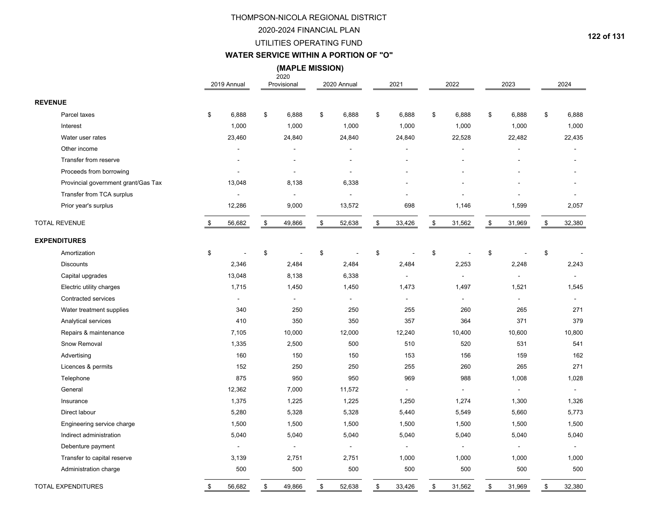#### 2020-2024 FINANCIAL PLAN

#### UTILITIES OPERATING FUND

### **WATER SERVICE WITHIN A PORTION OF "O"**

 **(MAPLE MISSION)**

|                                     | 2019 Annual    |              | 2020<br>Provisional      |      | 2020 Annual    |      | 2021           |      | 2022           |      | 2023                     | 2024                     |
|-------------------------------------|----------------|--------------|--------------------------|------|----------------|------|----------------|------|----------------|------|--------------------------|--------------------------|
| <b>REVENUE</b>                      |                |              |                          |      |                |      |                |      |                |      |                          |                          |
| Parcel taxes                        | \$<br>6,888    | \$           | 6,888                    | \$   | 6,888          | \$   | 6,888          | \$   | 6,888          | \$   | 6,888                    | \$<br>6,888              |
| Interest                            | 1,000          |              | 1,000                    |      | 1,000          |      | 1,000          |      | 1,000          |      | 1,000                    | 1,000                    |
| Water user rates                    | 23,460         |              | 24,840                   |      | 24,840         |      | 24,840         |      | 22,528         |      | 22,482                   | 22,435                   |
| Other income                        |                |              |                          |      |                |      |                |      |                |      |                          |                          |
| Transfer from reserve               |                |              | $\overline{\phantom{a}}$ |      |                |      |                |      |                |      |                          |                          |
| Proceeds from borrowing             |                |              | $\blacksquare$           |      |                |      |                |      |                |      |                          |                          |
| Provincial government grant/Gas Tax | 13,048         |              | 8,138                    |      | 6,338          |      |                |      |                |      |                          |                          |
| Transfer from TCA surplus           |                |              | $\blacksquare$           |      | $\blacksquare$ |      |                |      |                |      |                          |                          |
| Prior year's surplus                | 12,286         |              | 9,000                    |      | 13,572         |      | 698            |      | 1,146          |      | 1,599                    | 2,057                    |
| <b>TOTAL REVENUE</b>                | \$<br>56,682   | $\mathbb{S}$ | 49,866                   | $\,$ | 52,638         | $\,$ | 33,426         | $\,$ | 31,562         | $\,$ | 31,969                   | \$<br>32,380             |
| <b>EXPENDITURES</b>                 |                |              |                          |      |                |      |                |      |                |      |                          |                          |
| Amortization                        | \$             | \$           |                          | \$   |                | \$   |                | \$   |                | \$   |                          | \$                       |
| <b>Discounts</b>                    | 2,346          |              | 2,484                    |      | 2,484          |      | 2,484          |      | 2,253          |      | 2,248                    | 2,243                    |
| Capital upgrades                    | 13,048         |              | 8,138                    |      | 6,338          |      | $\sim$         |      | $\sim$         |      | $\blacksquare$           | $\overline{\phantom{a}}$ |
| Electric utility charges            | 1,715          |              | 1,450                    |      | 1,450          |      | 1,473          |      | 1,497          |      | 1,521                    | 1,545                    |
| <b>Contracted services</b>          | $\overline{a}$ |              | $\blacksquare$           |      | $\blacksquare$ |      | $\sim$         |      | $\blacksquare$ |      | $\overline{a}$           |                          |
| Water treatment supplies            | 340            |              | 250                      |      | 250            |      | 255            |      | 260            |      | 265                      | 271                      |
| Analytical services                 | 410            |              | 350                      |      | 350            |      | 357            |      | 364            |      | 371                      | 379                      |
| Repairs & maintenance               | 7,105          |              | 10,000                   |      | 12,000         |      | 12,240         |      | 10,400         |      | 10,600                   | 10,800                   |
| Snow Removal                        | 1,335          |              | 2,500                    |      | 500            |      | 510            |      | 520            |      | 531                      | 541                      |
| Advertising                         | 160            |              | 150                      |      | 150            |      | 153            |      | 156            |      | 159                      | 162                      |
| Licences & permits                  | 152            |              | 250                      |      | 250            |      | 255            |      | 260            |      | 265                      | 271                      |
| Telephone                           | 875            |              | 950                      |      | 950            |      | 969            |      | 988            |      | 1,008                    | 1,028                    |
| General                             | 12,362         |              | 7,000                    |      | 11,572         |      |                |      |                |      |                          | $\blacksquare$           |
| Insurance                           | 1,375          |              | 1,225                    |      | 1,225          |      | 1,250          |      | 1,274          |      | 1,300                    | 1,326                    |
| Direct labour                       | 5,280          |              | 5,328                    |      | 5,328          |      | 5,440          |      | 5,549          |      | 5,660                    | 5,773                    |
| Engineering service charge          | 1,500          |              | 1,500                    |      | 1,500          |      | 1,500          |      | 1,500          |      | 1,500                    | 1,500                    |
| Indirect administration             | 5,040          |              | 5,040                    |      | 5,040          |      | 5,040          |      | 5,040          |      | 5,040                    | 5,040                    |
| Debenture payment                   | $\blacksquare$ |              | $\blacksquare$           |      | $\blacksquare$ |      | $\overline{a}$ |      | $\overline{a}$ |      | $\overline{\phantom{a}}$ | $\blacksquare$           |
| Transfer to capital reserve         | 3,139          |              | 2,751                    |      | 2,751          |      | 1,000          |      | 1,000          |      | 1,000                    | 1,000                    |
| Administration charge               | 500            |              | 500                      |      | 500            |      | 500            |      | 500            |      | 500                      | 500                      |
| <b>TOTAL EXPENDITURES</b>           | \$<br>56,682   | \$           | 49,866                   | \$   | 52,638         | \$   | 33,426         | \$   | 31,562         | \$   | 31,969                   | \$<br>32,380             |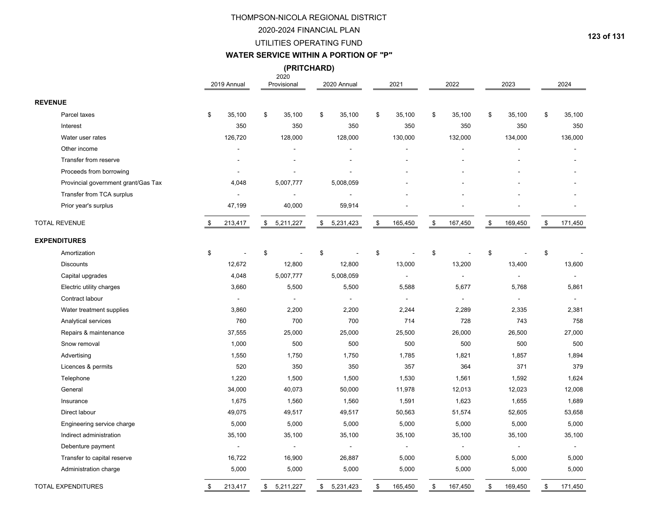#### 2020-2024 FINANCIAL PLAN

#### UTILITIES OPERATING FUND

#### **WATER SERVICE WITHIN A PORTION OF "P"**

**(PRITCHARD)**

|                                     | 2019 Annual              | 2020<br>Provisional      | 2020 Annual    | 2021           | 2022          | 2023                     | 2024                     |
|-------------------------------------|--------------------------|--------------------------|----------------|----------------|---------------|--------------------------|--------------------------|
| <b>REVENUE</b>                      |                          |                          |                |                |               |                          |                          |
| Parcel taxes                        | \$<br>35,100             | \$<br>35,100             | \$<br>35,100   | \$<br>35,100   | \$<br>35,100  | \$<br>35,100             | \$<br>35,100             |
| Interest                            | 350                      | 350                      | 350            | 350            | 350           | 350                      | 350                      |
| Water user rates                    | 126,720                  | 128,000                  | 128,000        | 130,000        | 132,000       | 134,000                  | 136,000                  |
| Other income                        |                          |                          |                |                |               |                          |                          |
| Transfer from reserve               |                          |                          |                |                |               |                          |                          |
| Proceeds from borrowing             |                          |                          |                |                |               |                          |                          |
| Provincial government grant/Gas Tax | 4,048                    | 5,007,777                | 5,008,059      |                |               |                          |                          |
| Transfer from TCA surplus           |                          |                          |                |                |               |                          |                          |
| Prior year's surplus                | 47,199                   | 40,000                   | 59,914         |                |               |                          |                          |
| <b>TOTAL REVENUE</b>                | \$<br>213,417            | \$5,211,227              | \$5,231,423    | \$<br>165,450  | \$<br>167,450 | \$<br>169,450            | \$<br>171,450            |
| <b>EXPENDITURES</b>                 |                          |                          |                |                |               |                          |                          |
| Amortization                        | \$                       | \$                       | \$             | \$             | \$            | \$                       | \$                       |
| <b>Discounts</b>                    | 12,672                   | 12,800                   | 12,800         | 13,000         | 13,200        | 13,400                   | 13,600                   |
| Capital upgrades                    | 4,048                    | 5,007,777                | 5,008,059      | $\blacksquare$ | $\sim$        | ÷,                       | $\blacksquare$           |
| Electric utility charges            | 3,660                    | 5,500                    | 5,500          | 5,588          | 5,677         | 5,768                    | 5,861                    |
| Contract labour                     | $\overline{\phantom{a}}$ | $\blacksquare$           | $\blacksquare$ | $\blacksquare$ |               | $\overline{\phantom{a}}$ | $\overline{\phantom{a}}$ |
| Water treatment supplies            | 3,860                    | 2,200                    | 2,200          | 2,244          | 2,289         | 2,335                    | 2,381                    |
| Analytical services                 | 760                      | 700                      | 700            | 714            | 728           | 743                      | 758                      |
| Repairs & maintenance               | 37,555                   | 25,000                   | 25,000         | 25,500         | 26,000        | 26,500                   | 27,000                   |
| Snow removal                        | 1,000                    | 500                      | 500            | 500            | 500           | 500                      | 500                      |
| Advertising                         | 1,550                    | 1,750                    | 1,750          | 1,785          | 1,821         | 1,857                    | 1,894                    |
| Licences & permits                  | 520                      | 350                      | 350            | 357            | 364           | 371                      | 379                      |
| Telephone                           | 1,220                    | 1,500                    | 1,500          | 1,530          | 1,561         | 1,592                    | 1,624                    |
| General                             | 34,000                   | 40,073                   | 50,000         | 11,978         | 12,013        | 12,023                   | 12,008                   |
| Insurance                           | 1,675                    | 1,560                    | 1,560          | 1,591          | 1,623         | 1,655                    | 1,689                    |
| Direct labour                       | 49,075                   | 49,517                   | 49,517         | 50,563         | 51,574        | 52,605                   | 53,658                   |
| Engineering service charge          | 5,000                    | 5,000                    | 5,000          | 5,000          | 5,000         | 5,000                    | 5,000                    |
| Indirect administration             | 35,100                   | 35,100                   | 35,100         | 35,100         | 35,100        | 35,100                   | 35,100                   |
| Debenture payment                   | $\overline{\phantom{a}}$ | $\overline{\phantom{a}}$ | $\frac{1}{2}$  | $\blacksquare$ |               | $\sim$                   | $\blacksquare$           |
| Transfer to capital reserve         | 16,722                   | 16,900                   | 26,887         | 5,000          | 5,000         | 5,000                    | 5,000                    |
| Administration charge               | 5,000                    | 5,000                    | 5,000          | 5,000          | 5,000         | 5,000                    | 5,000                    |
| <b>TOTAL EXPENDITURES</b>           | \$<br>213,417            | \$5,211,227              | \$5,231,423    | \$<br>165,450  | \$<br>167,450 | \$<br>169,450            | \$<br>171,450            |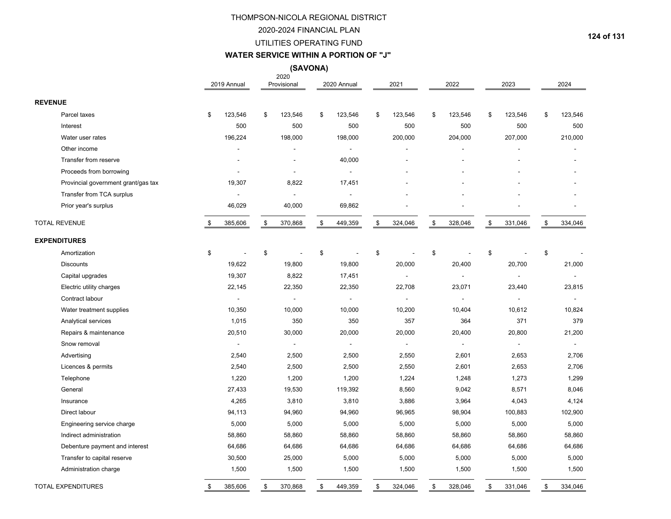#### 2020-2024 FINANCIAL PLAN

#### UTILITIES OPERATING FUND

# **WATER SERVICE WITHIN A PORTION OF "J"**

**(SAVONA)**

|                                     | 2019 Annual    | 2020<br>Provisional      | 2020 Annual              | 2021           | 2022          | 2023           | 2024           |
|-------------------------------------|----------------|--------------------------|--------------------------|----------------|---------------|----------------|----------------|
| <b>REVENUE</b>                      |                |                          |                          |                |               |                |                |
| Parcel taxes                        | \$<br>123,546  | \$<br>123,546            | \$<br>123,546            | \$<br>123,546  | \$<br>123,546 | \$<br>123,546  | \$<br>123,546  |
| Interest                            | 500            | 500                      | 500                      | 500            | 500           | 500            | 500            |
| Water user rates                    | 196,224        | 198,000                  | 198,000                  | 200,000        | 204,000       | 207,000        | 210,000        |
| Other income                        |                | $\overline{a}$           | $\blacksquare$           |                |               |                |                |
| Transfer from reserve               |                | $\overline{a}$           | 40,000                   |                |               |                |                |
| Proceeds from borrowing             |                | $\overline{\phantom{a}}$ | $\overline{\phantom{a}}$ |                |               |                |                |
| Provincial government grant/gas tax | 19,307         | 8,822                    | 17,451                   |                |               |                |                |
| Transfer from TCA surplus           |                | $\blacksquare$           | $\overline{\phantom{a}}$ |                |               |                |                |
| Prior year's surplus                | 46,029         | 40,000                   | 69,862                   |                |               |                |                |
| <b>TOTAL REVENUE</b>                | \$<br>385,606  | \$<br>370,868            | \$<br>449,359            | \$<br>324,046  | \$<br>328,046 | \$<br>331,046  | \$<br>334,046  |
| <b>EXPENDITURES</b>                 |                |                          |                          |                |               |                |                |
| Amortization                        | \$             | \$                       | \$                       | \$             | \$            | \$             | \$             |
| <b>Discounts</b>                    | 19,622         | 19,800                   | 19,800                   | 20,000         | 20,400        | 20,700         | 21,000         |
| Capital upgrades                    | 19,307         | 8,822                    | 17,451                   | $\overline{a}$ | $\sim$        | $\overline{a}$ | $\sim$         |
| Electric utility charges            | 22,145         | 22,350                   | 22,350                   | 22,708         | 23,071        | 23,440         | 23,815         |
| Contract labour                     | $\blacksquare$ | $\blacksquare$           | $\blacksquare$           |                |               | L,             | $\blacksquare$ |
| Water treatment supplies            | 10,350         | 10,000                   | 10,000                   | 10,200         | 10,404        | 10,612         | 10,824         |
| Analytical services                 | 1,015          | 350                      | 350                      | 357            | 364           | 371            | 379            |
| Repairs & maintenance               | 20,510         | 30,000                   | 20,000                   | 20,000         | 20,400        | 20,800         | 21,200         |
| Snow removal                        | $\sim$         | $\overline{\phantom{a}}$ | $\blacksquare$           |                |               |                | $\blacksquare$ |
| Advertising                         | 2,540          | 2,500                    | 2,500                    | 2,550          | 2,601         | 2,653          | 2,706          |
| Licences & permits                  | 2,540          | 2,500                    | 2,500                    | 2,550          | 2,601         | 2,653          | 2,706          |
| Telephone                           | 1,220          | 1,200                    | 1,200                    | 1,224          | 1,248         | 1,273          | 1,299          |
| General                             | 27,433         | 19,530                   | 119,392                  | 8,560          | 9,042         | 8,571          | 8,046          |
| Insurance                           | 4,265          | 3,810                    | 3,810                    | 3,886          | 3,964         | 4,043          | 4,124          |
| Direct labour                       | 94,113         | 94,960                   | 94,960                   | 96,965         | 98,904        | 100,883        | 102,900        |
| Engineering service charge          | 5,000          | 5,000                    | 5,000                    | 5,000          | 5,000         | 5,000          | 5,000          |
| Indirect administration             | 58,860         | 58,860                   | 58,860                   | 58,860         | 58,860        | 58,860         | 58,860         |
| Debenture payment and interest      | 64,686         | 64,686                   | 64,686                   | 64,686         | 64,686        | 64,686         | 64,686         |
| Transfer to capital reserve         | 30,500         | 25,000                   | 5,000                    | 5,000          | 5,000         | 5,000          | 5,000          |
| Administration charge               | 1,500          | 1,500                    | 1,500                    | 1,500          | 1,500         | 1,500          | 1,500          |
| <b>TOTAL EXPENDITURES</b>           | \$<br>385,606  | \$<br>370,868            | \$<br>449,359            | \$<br>324,046  | \$<br>328,046 | \$<br>331,046  | \$<br>334,046  |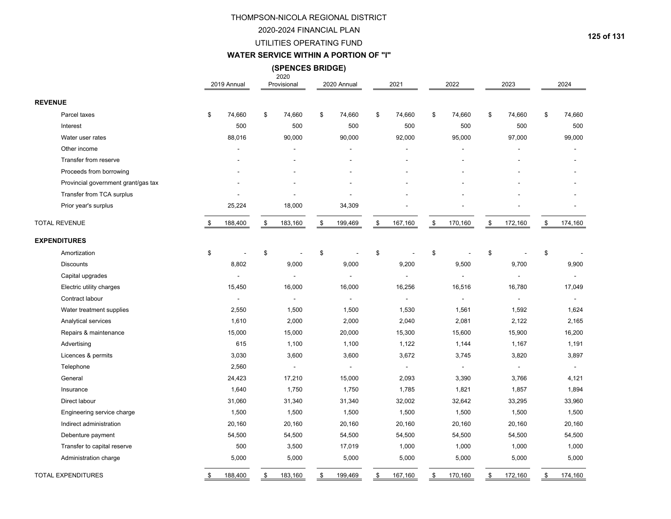#### 2020-2024 FINANCIAL PLAN

### UTILITIES OPERATING FUND

#### **WATER SERVICE WITHIN A PORTION OF "I"**

2020 **(SPENCES BRIDGE)**

|                                     | 2019 Annual    |      | 2020<br>Provisional      | 2020 Annual    | 2021                     | 2022           | 2023           | 2024           |
|-------------------------------------|----------------|------|--------------------------|----------------|--------------------------|----------------|----------------|----------------|
| <b>REVENUE</b>                      |                |      |                          |                |                          |                |                |                |
| Parcel taxes                        | \$<br>74,660   | \$   | 74,660                   | \$<br>74,660   | \$<br>74,660             | \$<br>74,660   | \$<br>74,660   | \$<br>74,660   |
| Interest                            | 500            |      | 500                      | 500            | 500                      | 500            | 500            | 500            |
| Water user rates                    | 88,016         |      | 90,000                   | 90,000         | 92,000                   | 95,000         | 97,000         | 99,000         |
| Other income                        |                |      |                          |                |                          |                |                |                |
| Transfer from reserve               |                |      |                          |                |                          |                |                |                |
| Proceeds from borrowing             |                |      |                          |                |                          |                |                |                |
| Provincial government grant/gas tax |                |      |                          |                |                          |                |                |                |
| Transfer from TCA surplus           |                |      |                          |                |                          |                |                |                |
| Prior year's surplus                | 25,224         |      | 18,000                   | 34,309         |                          |                |                |                |
| <b>TOTAL REVENUE</b>                | \$<br>188,400  | \$   | 183,160                  | \$<br>199,469  | \$<br>167,160            | \$<br>170,160  | \$<br>172,160  | \$<br>174,160  |
| <b>EXPENDITURES</b>                 |                |      |                          |                |                          |                |                |                |
| Amortization                        | \$             | \$   |                          | \$             | \$                       | \$             | \$             | \$             |
| <b>Discounts</b>                    | 8,802          |      | 9,000                    | 9,000          | 9,200                    | 9,500          | 9,700          | 9,900          |
| Capital upgrades                    | $\blacksquare$ |      | $\overline{\phantom{a}}$ | $\blacksquare$ | $\overline{\phantom{a}}$ | $\blacksquare$ | $\blacksquare$ |                |
| Electric utility charges            | 15,450         |      | 16,000                   | 16,000         | 16,256                   | 16,516         | 16,780         | 17,049         |
| Contract labour                     | $\blacksquare$ |      | $\overline{\phantom{a}}$ | $\blacksquare$ | $\sim$                   | $\blacksquare$ |                | $\blacksquare$ |
| Water treatment supplies            | 2,550          |      | 1,500                    | 1,500          | 1,530                    | 1,561          | 1,592          | 1,624          |
| Analytical services                 | 1,610          |      | 2,000                    | 2,000          | 2,040                    | 2,081          | 2,122          | 2,165          |
| Repairs & maintenance               | 15,000         |      | 15,000                   | 20,000         | 15,300                   | 15,600         | 15,900         | 16,200         |
| Advertising                         | 615            |      | 1,100                    | 1,100          | 1,122                    | 1,144          | 1,167          | 1,191          |
| Licences & permits                  | 3,030          |      | 3,600                    | 3,600          | 3,672                    | 3,745          | 3,820          | 3,897          |
| Telephone                           | 2,560          |      | $\overline{\phantom{a}}$ | $\sim$         | $\sim$                   | $\sim$         | $\sim$         | $\sim$         |
| General                             | 24,423         |      | 17,210                   | 15,000         | 2,093                    | 3,390          | 3,766          | 4,121          |
| Insurance                           | 1,640          |      | 1,750                    | 1,750          | 1,785                    | 1,821          | 1,857          | 1,894          |
| Direct labour                       | 31,060         |      | 31,340                   | 31,340         | 32,002                   | 32,642         | 33,295         | 33,960         |
| Engineering service charge          | 1,500          |      | 1,500                    | 1,500          | 1,500                    | 1,500          | 1,500          | 1,500          |
| Indirect administration             | 20,160         |      | 20,160                   | 20,160         | 20,160                   | 20,160         | 20,160         | 20,160         |
| Debenture payment                   | 54,500         |      | 54,500                   | 54,500         | 54,500                   | 54,500         | 54,500         | 54,500         |
| Transfer to capital reserve         | 500            |      | 3,500                    | 17,019         | 1,000                    | 1,000          | 1,000          | 1,000          |
| Administration charge               | 5,000          |      | 5,000                    | 5,000          | 5,000                    | 5,000          | 5,000          | 5,000          |
| <b>TOTAL EXPENDITURES</b>           | \$<br>188,400  | $\,$ | 183,160                  | \$<br>199,469  | \$<br>167,160            | \$<br>170,160  | \$<br>172,160  | \$<br>174,160  |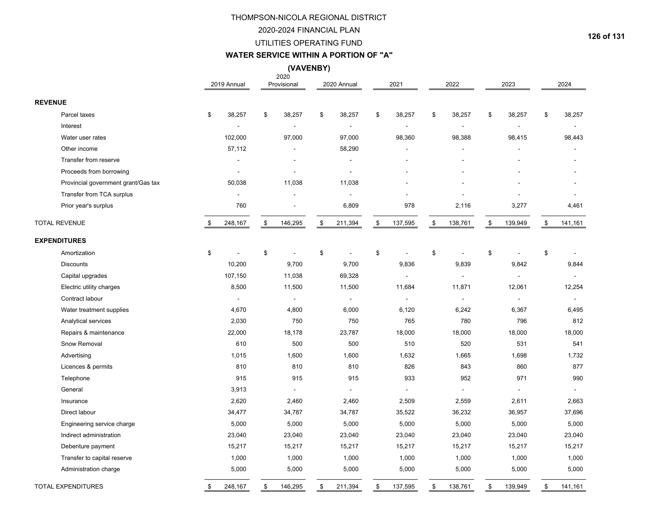### 2020-2024 FINANCIAL PLAN

#### UTILITIES OPERATING FUND

#### **WATER SERVICE WITHIN A PORTION OF "A"**

**(VAVENBY)**

|                |                                     | 2019 Annual          | 2020<br>Provisional      | 2020 Annual          | 2021                 | 2022               | 2023           | 2024          |
|----------------|-------------------------------------|----------------------|--------------------------|----------------------|----------------------|--------------------|----------------|---------------|
| <b>REVENUE</b> |                                     |                      |                          |                      |                      |                    |                |               |
|                | Parcel taxes                        | \$<br>38,257         | \$<br>38,257             | \$<br>38,257         | \$<br>38,257         | \$<br>38,257       | \$<br>38,257   | \$<br>38,257  |
|                | Interest                            |                      | $\overline{a}$           |                      |                      |                    |                |               |
|                | Water user rates                    | 102,000              | 97,000                   | 97,000               | 98,360               | 98,388             | 98,415         | 98,443        |
|                | Other income                        | 57,112               |                          | 58,290               |                      |                    |                |               |
|                | Transfer from reserve               |                      |                          |                      |                      |                    |                |               |
|                | Proceeds from borrowing             |                      | $\overline{a}$           | $\blacksquare$       |                      |                    |                |               |
|                | Provincial government grant/Gas tax | 50,038               | 11,038                   | 11,038               |                      |                    |                |               |
|                | Transfer from TCA surplus           |                      |                          | $\blacksquare$       |                      |                    |                |               |
|                | Prior year's surplus                | 760                  | $\overline{\phantom{a}}$ | 6,809                | 978                  | 2,116              | 3,277          | 4,461         |
|                | <b>TOTAL REVENUE</b>                | \$<br>248,167        | \$<br>146,295            | \$<br>211,394        | \$<br>137,595        | \$<br>138,761      | \$<br>139,949  | \$<br>141,161 |
|                | <b>EXPENDITURES</b>                 |                      |                          |                      |                      |                    |                |               |
|                | Amortization                        | \$<br>$\overline{a}$ | \$<br>$\overline{a}$     | \$<br>$\overline{a}$ | \$<br>$\overline{a}$ | \$<br>$\mathbf{r}$ | \$             | \$            |
|                | <b>Discounts</b>                    | 10,200               | 9,700                    | 9,700                | 9,836                | 9,839              | 9,842          | 9,844         |
|                | Capital upgrades                    | 107,150              | 11,038                   | 69,328               | $\sim$               | $\blacksquare$     | $\blacksquare$ |               |
|                | Electric utility charges            | 8,500                | 11,500                   | 11,500               | 11,684               | 11,871             | 12,061         | 12,254        |
|                | Contract labour                     | $\blacksquare$       | $\overline{a}$           | $\blacksquare$       | $\overline{a}$       | $\blacksquare$     | $\overline{a}$ | $\sim$        |
|                | Water treatment supplies            | 4,670                | 4,800                    | 6,000                | 6,120                | 6,242              | 6,367          | 6,495         |
|                | Analytical services                 | 2,030                | 750                      | 750                  | 765                  | 780                | 796            | 812           |
|                | Repairs & maintenance               | 22,000               | 18,178                   | 23,787               | 18,000               | 18,000             | 18,000         | 18,000        |
|                | Snow Removal                        | 610                  | 500                      | 500                  | 510                  | 520                | 531            | 541           |
|                | Advertising                         | 1,015                | 1,600                    | 1,600                | 1,632                | 1,665              | 1,698          | 1,732         |
|                | Licences & permits                  | 810                  | 810                      | 810                  | 826                  | 843                | 860            | 877           |
|                | Telephone                           | 915                  | 915                      | 915                  | 933                  | 952                | 971            | 990           |
|                | General                             | 3,913                | $\sim$                   | $\overline{a}$       |                      |                    |                | $\Delta$      |
|                | Insurance                           | 2,620                | 2,460                    | 2,460                | 2,509                | 2,559              | 2,611          | 2,663         |
|                | Direct labour                       | 34,477               | 34,787                   | 34,787               | 35,522               | 36,232             | 36,957         | 37,696        |
|                | Engineering service charge          | 5,000                | 5,000                    | 5,000                | 5,000                | 5,000              | 5,000          | 5,000         |
|                | Indirect administration             | 23,040               | 23,040                   | 23,040               | 23,040               | 23,040             | 23,040         | 23,040        |
|                | Debenture payment                   | 15,217               | 15,217                   | 15,217               | 15,217               | 15,217             | 15,217         | 15,217        |
|                | Transfer to capital reserve         | 1,000                | 1,000                    | 1,000                | 1,000                | 1,000              | 1,000          | 1,000         |
|                | Administration charge               | 5,000                | 5,000                    | 5,000                | 5,000                | 5,000              | 5,000          | 5,000         |
|                | <b>TOTAL EXPENDITURES</b>           | \$<br>248,167        | \$<br>146,295            | \$<br>211,394        | \$<br>137,595        | \$<br>138,761      | \$<br>139,949  | \$<br>141,161 |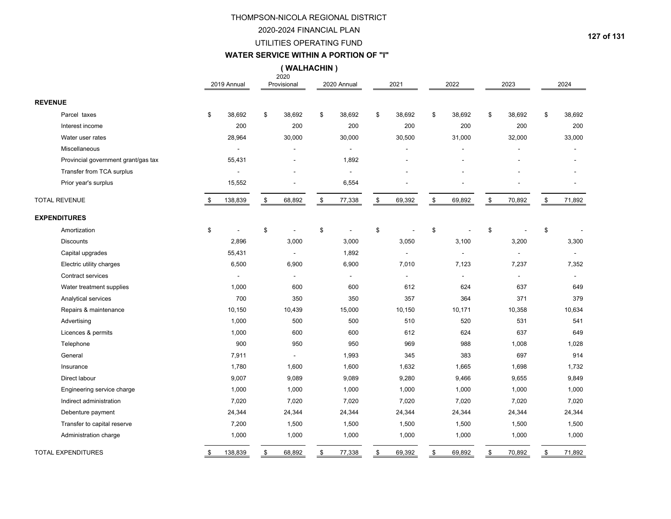#### 2020-2024 FINANCIAL PLAN

#### UTILITIES OPERATING FUND

# **WATER SERVICE WITHIN A PORTION OF "I"**

**( WALHACHIN )**

|                                     | 2019 Annual    | 2020<br>Provisional | 2020 Annual              | 2021           | 2022         | 2023                     | 2024         |
|-------------------------------------|----------------|---------------------|--------------------------|----------------|--------------|--------------------------|--------------|
| <b>REVENUE</b>                      |                |                     |                          |                |              |                          |              |
| Parcel taxes                        | \$<br>38,692   | \$<br>38,692        | \$<br>38,692             | \$<br>38,692   | \$<br>38,692 | \$<br>38,692             | \$<br>38,692 |
| Interest income                     | 200            | 200                 | 200                      | 200            | 200          | 200                      | 200          |
| Water user rates                    | 28,964         | 30,000              | 30,000                   | 30,500         | 31,000       | 32,000                   | 33,000       |
| Miscellaneous                       | $\blacksquare$ | L,                  | $\blacksquare$           |                |              | $\overline{\phantom{a}}$ |              |
| Provincial government grant/gas tax | 55,431         |                     | 1,892                    |                |              |                          |              |
| Transfer from TCA surplus           | $\blacksquare$ |                     | $\overline{\phantom{a}}$ |                |              |                          |              |
| Prior year's surplus                | 15,552         |                     | 6,554                    |                |              |                          |              |
| <b>TOTAL REVENUE</b>                | 138,839        | \$<br>68,892        | \$<br>77,338             | \$<br>69,392   | \$<br>69,892 | \$<br>70,892             | \$<br>71,892 |
| <b>EXPENDITURES</b>                 |                |                     |                          |                |              |                          |              |
| Amortization                        | \$             | \$                  | \$                       | \$             | \$           | \$                       | \$           |
| <b>Discounts</b>                    | 2,896          | 3,000               | 3,000                    | 3,050          | 3,100        | 3,200                    | 3,300        |
| Capital upgrades                    | 55,431         | $\blacksquare$      | 1,892                    |                |              | $\overline{a}$           |              |
| Electric utility charges            | 6,500          | 6,900               | 6,900                    | 7,010          | 7,123        | 7,237                    | 7,352        |
| Contract services                   |                | $\blacksquare$      | $\overline{\phantom{a}}$ | $\blacksquare$ |              | $\overline{a}$           |              |
| Water treatment supplies            | 1,000          | 600                 | 600                      | 612            | 624          | 637                      | 649          |
| Analytical services                 | 700            | 350                 | 350                      | 357            | 364          | 371                      | 379          |
| Repairs & maintenance               | 10,150         | 10,439              | 15,000                   | 10,150         | 10,171       | 10,358                   | 10,634       |
| Advertising                         | 1,000          | 500                 | 500                      | 510            | 520          | 531                      | 541          |
| Licences & permits                  | 1,000          | 600                 | 600                      | 612            | 624          | 637                      | 649          |
| Telephone                           | 900            | 950                 | 950                      | 969            | 988          | 1,008                    | 1,028        |
| General                             | 7,911          | $\blacksquare$      | 1,993                    | 345            | 383          | 697                      | 914          |
| Insurance                           | 1,780          | 1,600               | 1,600                    | 1,632          | 1,665        | 1,698                    | 1,732        |
| Direct labour                       | 9,007          | 9,089               | 9,089                    | 9,280          | 9,466        | 9,655                    | 9,849        |
| Engineering service charge          | 1,000          | 1,000               | 1,000                    | 1,000          | 1,000        | 1,000                    | 1,000        |
| Indirect administration             | 7,020          | 7,020               | 7,020                    | 7,020          | 7,020        | 7,020                    | 7,020        |
| Debenture payment                   | 24,344         | 24,344              | 24,344                   | 24,344         | 24,344       | 24,344                   | 24,344       |
| Transfer to capital reserve         | 7,200          | 1,500               | 1,500                    | 1,500          | 1,500        | 1,500                    | 1,500        |
| Administration charge               | 1,000          | 1,000               | 1,000                    | 1,000          | 1,000        | 1,000                    | 1,000        |
| <b>TOTAL EXPENDITURES</b>           | \$<br>138,839  | \$<br>68,892        | \$<br>77,338             | \$<br>69,392   | \$<br>69,892 | \$<br>70,892             | \$<br>71,892 |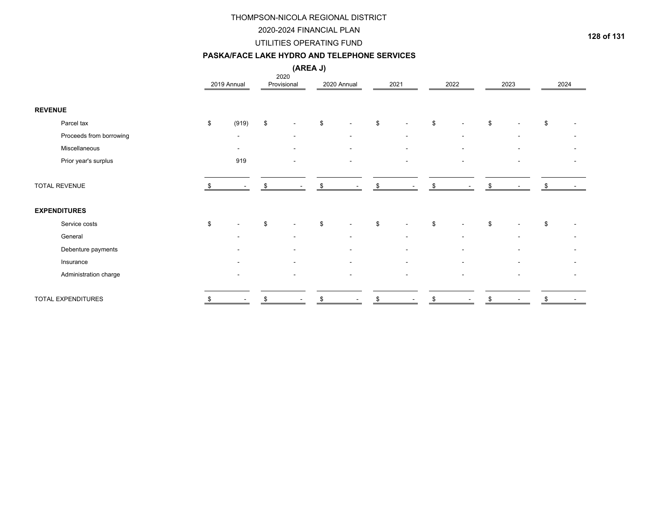#### 2020-2024 FINANCIAL PLAN

### UTILITIES OPERATING FUND

#### **PASKA/FACE LAKE HYDRO AND TELEPHONE SERVICES**

| . .<br>м<br>w |
|---------------|
|---------------|

|                           |      |                          | (AREA J)            |             |                                |                          |      |      |
|---------------------------|------|--------------------------|---------------------|-------------|--------------------------------|--------------------------|------|------|
|                           |      | 2019 Annual              | 2020<br>Provisional | 2020 Annual | 2021                           | 2022                     | 2023 | 2024 |
|                           |      |                          |                     |             |                                |                          |      |      |
| <b>REVENUE</b>            |      |                          |                     |             |                                |                          |      |      |
| Parcel tax                | \$   | (919)                    | \$                  | \$          | \$<br>$\overline{\phantom{a}}$ | \$                       | \$   | \$   |
| Proceeds from borrowing   |      | $\overline{\phantom{a}}$ | ٠                   |             | $\blacksquare$                 | $\overline{\phantom{a}}$ |      |      |
| Miscellaneous             |      |                          |                     |             | ٠                              |                          |      |      |
| Prior year's surplus      |      | 919                      |                     |             | $\blacksquare$                 | ٠                        |      |      |
| TOTAL REVENUE             |      |                          |                     |             | \$                             | \$                       |      |      |
| <b>EXPENDITURES</b>       |      |                          |                     |             |                                |                          |      |      |
| Service costs             | $\$$ |                          | \$                  | \$          | \$<br>$\overline{\phantom{a}}$ | \$                       | \$   | \$   |
| General                   |      |                          |                     |             |                                |                          |      |      |
| Debenture payments        |      |                          |                     |             | $\overline{\phantom{a}}$       |                          |      |      |
| Insurance                 |      |                          |                     |             | $\overline{\phantom{0}}$       |                          |      |      |
| Administration charge     |      |                          |                     |             | $\overline{\phantom{a}}$       |                          |      |      |
| <b>TOTAL EXPENDITURES</b> | \$   | $\overline{\phantom{a}}$ | \$                  | \$          | \$                             | \$                       | \$   | \$   |

**128 of 131**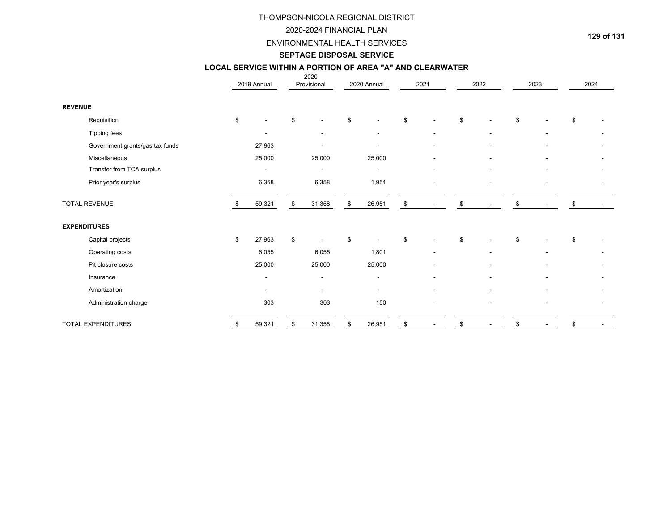#### 2020-2024 FINANCIAL PLAN

ENVIRONMENTAL HEALTH SERVICES

# **SEPTAGE DISPOSAL SERVICE**

#### 2020 **LOCAL SERVICE WITHIN A PORTION OF AREA "A" AND CLEARWATER**

|                                 | 2019 Annual              | ZUZU<br>Provisional      | 2020 Annual    | 2021                           | 2022                           | 2023           | 2024 |
|---------------------------------|--------------------------|--------------------------|----------------|--------------------------------|--------------------------------|----------------|------|
| <b>REVENUE</b>                  |                          |                          |                |                                |                                |                |      |
| Requisition                     | \$                       | \$                       | \$             | \$                             | \$                             | \$             | \$   |
| Tipping fees                    |                          | $\blacksquare$           | $\blacksquare$ | $\overline{\phantom{a}}$       | $\overline{\phantom{a}}$       | $\blacksquare$ |      |
| Government grants/gas tax funds | 27,963                   |                          |                | $\overline{\phantom{a}}$       | $\overline{\phantom{a}}$       |                |      |
| Miscellaneous                   | 25,000                   | 25,000                   | 25,000         | $\overline{\phantom{a}}$       | $\overline{\phantom{a}}$       |                |      |
| Transfer from TCA surplus       | $\overline{\phantom{a}}$ | $\overline{\phantom{a}}$ | $\blacksquare$ | $\overline{\phantom{a}}$       | ۰                              |                |      |
| Prior year's surplus            | 6,358                    | 6,358                    | 1,951          |                                |                                |                |      |
| <b>TOTAL REVENUE</b>            | 59,321                   | \$<br>31,358             | \$<br>26,951   | \$                             |                                |                |      |
| <b>EXPENDITURES</b>             |                          |                          |                |                                |                                |                |      |
| Capital projects                | \$<br>27,963             | \$                       | \$             | \$                             | \$                             | \$             | \$   |
| Operating costs                 | 6,055                    | 6,055                    | 1,801          | $\overline{\phantom{a}}$       | $\blacksquare$                 |                |      |
| Pit closure costs               | 25,000                   | 25,000                   | 25,000         |                                |                                |                |      |
| Insurance                       | $\overline{\phantom{a}}$ | $\overline{\phantom{a}}$ | $\blacksquare$ | $\blacksquare$                 |                                |                |      |
| Amortization                    |                          | $\overline{\phantom{a}}$ |                |                                |                                |                |      |
| Administration charge           | 303                      | 303                      | 150            |                                | -                              |                |      |
| <b>TOTAL EXPENDITURES</b>       | \$<br>59,321             | \$<br>31,358             | \$<br>26,951   | \$<br>$\overline{\phantom{a}}$ | \$<br>$\overline{\phantom{a}}$ | \$             | \$   |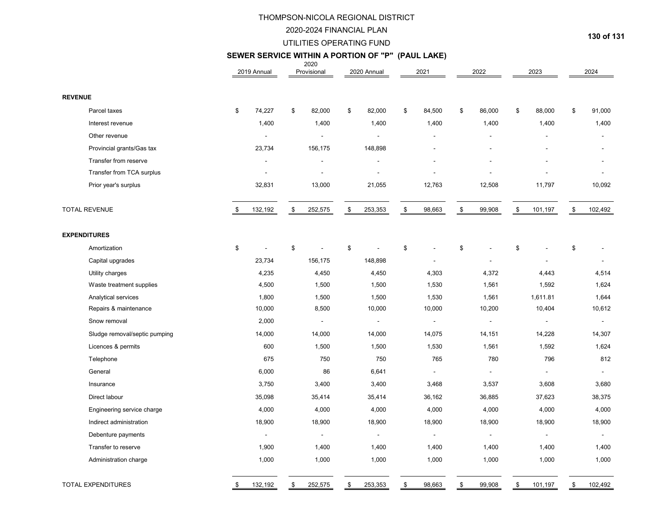#### 2020-2024 FINANCIAL PLAN

#### UTILITIES OPERATING FUND

# 2020 **SEWER SERVICE WITHIN A PORTION OF "P" (PAUL LAKE)**

|                               | 2019 Annual              | ZUZU<br>Provisional | 2020 Annual              | 2021           |      | 2022           |               | 2023                     | 2024                     |
|-------------------------------|--------------------------|---------------------|--------------------------|----------------|------|----------------|---------------|--------------------------|--------------------------|
| <b>REVENUE</b>                |                          |                     |                          |                |      |                |               |                          |                          |
| Parcel taxes                  | \$<br>74,227             | \$<br>82,000        | \$<br>82,000             | \$<br>84,500   | \$   | 86,000         | $\mathfrak s$ | 88,000                   | \$<br>91,000             |
| Interest revenue              | 1,400                    | 1,400               | 1,400                    | 1,400          |      | 1,400          |               | 1,400                    | 1,400                    |
| Other revenue                 | $\sim$                   | $\overline{a}$      | $\overline{a}$           | $\overline{a}$ |      |                |               | $\overline{a}$           | $\overline{a}$           |
| Provincial grants/Gas tax     | 23,734                   | 156,175             | 148,898                  |                |      |                |               | $\overline{\phantom{a}}$ |                          |
| Transfer from reserve         | $\overline{\phantom{a}}$ |                     | $\overline{\phantom{a}}$ |                |      |                |               |                          |                          |
| Transfer from TCA surplus     |                          |                     |                          |                |      |                |               |                          |                          |
| Prior year's surplus          | 32,831                   | 13,000              | 21,055                   | 12,763         |      | 12,508         |               | 11,797                   | 10,092                   |
| <b>TOTAL REVENUE</b>          | \$<br>132,192            | \$<br>252,575       | \$<br>253,353            | \$<br>98,663   | $\,$ | 99,908         | \$            | 101,197                  | \$<br>102,492            |
| <b>EXPENDITURES</b>           |                          |                     |                          |                |      |                |               |                          |                          |
| Amortization                  | \$                       | \$                  | \$                       | \$             | \$   |                | \$            |                          | \$                       |
| Capital upgrades              | 23,734                   | 156,175             | 148,898                  |                |      |                |               |                          | $\overline{\phantom{a}}$ |
| Utility charges               | 4,235                    | 4,450               | 4,450                    | 4,303          |      | 4,372          |               | 4,443                    | 4,514                    |
| Waste treatment supplies      | 4,500                    | 1,500               | 1,500                    | 1,530          |      | 1,561          |               | 1,592                    | 1,624                    |
| Analytical services           | 1,800                    | 1,500               | 1,500                    | 1,530          |      | 1,561          |               | 1,611.81                 | 1,644                    |
| Repairs & maintenance         | 10,000                   | 8,500               | 10,000                   | 10,000         |      | 10,200         |               | 10,404                   | 10,612                   |
| Snow removal                  | 2,000                    |                     | $\blacksquare$           | $\blacksquare$ |      | $\blacksquare$ |               |                          | $\mathbf{r}$             |
| Sludge removal/septic pumping | 14,000                   | 14,000              | 14,000                   | 14,075         |      | 14,151         |               | 14,228                   | 14,307                   |
| Licences & permits            | 600                      | 1,500               | 1,500                    | 1,530          |      | 1,561          |               | 1,592                    | 1,624                    |
| Telephone                     | 675                      | 750                 | 750                      | 765            |      | 780            |               | 796                      | 812                      |
| General                       | 6,000                    | 86                  | 6,641                    | $\blacksquare$ |      |                |               |                          | $\overline{\phantom{a}}$ |
| Insurance                     | 3,750                    | 3,400               | 3,400                    | 3,468          |      | 3,537          |               | 3,608                    | 3,680                    |
| Direct labour                 | 35,098                   | 35,414              | 35,414                   | 36,162         |      | 36,885         |               | 37,623                   | 38,375                   |
| Engineering service charge    | 4,000                    | 4,000               | 4,000                    | 4,000          |      | 4,000          |               | 4,000                    | 4,000                    |
| Indirect administration       | 18,900                   | 18,900              | 18,900                   | 18,900         |      | 18,900         |               | 18,900                   | 18,900                   |
| Debenture payments            | $\blacksquare$           | $\sim$              | $\blacksquare$           | $\overline{a}$ |      | $\blacksquare$ |               | $\blacksquare$           |                          |
| Transfer to reserve           | 1,900                    | 1,400               | 1,400                    | 1,400          |      | 1,400          |               | 1,400                    | 1,400                    |
| Administration charge         | 1,000                    | 1,000               | 1,000                    | 1,000          |      | 1,000          |               | 1,000                    | 1,000                    |
| <b>TOTAL EXPENDITURES</b>     | \$<br>132,192            | \$<br>252,575       | \$<br>253,353            | \$<br>98,663   | \$   | 99,908         | \$            | 101,197                  | \$<br>102,492            |